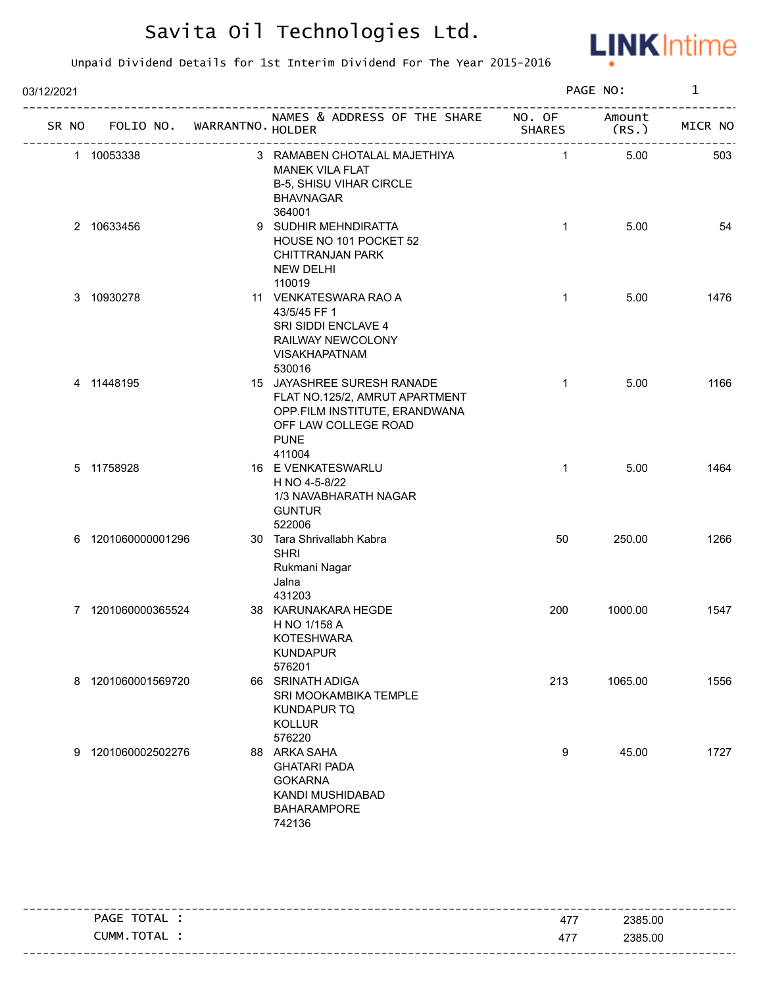

| 03/12/2021 |                    |                            |                                                                                                                                                |                | PAGE NO:        | $\mathbf{1}$ |
|------------|--------------------|----------------------------|------------------------------------------------------------------------------------------------------------------------------------------------|----------------|-----------------|--------------|
| SR NO      |                    | FOLIO NO. WARRANTNO HOLDER | NAMES & ADDRESS OF THE SHARE NO. OF                                                                                                            | <b>SHARES</b>  | Amount<br>(RS.) | MICR NO      |
|            | 1 10053338         | -----------------          | 3 RAMABEN CHOTALAL MAJETHIYA<br><b>MANEK VILA FLAT</b><br><b>B-5, SHISU VIHAR CIRCLE</b><br><b>BHAVNAGAR</b><br>364001                         | $\overline{1}$ | 5.00            | 503          |
|            | 2 10633456         |                            | 9 SUDHIR MEHNDIRATTA<br>HOUSE NO 101 POCKET 52<br><b>CHITTRANJAN PARK</b><br><b>NEW DELHI</b><br>110019                                        | $\mathbf{1}$   | 5.00            | 54           |
|            | 3 10930278         |                            | 11 VENKATESWARA RAO A<br>43/5/45 FF 1<br>SRI SIDDI ENCLAVE 4<br>RAILWAY NEWCOLONY<br><b>VISAKHAPATNAM</b><br>530016                            | $\mathbf{1}$   | 5.00            | 1476         |
|            | 4 11448195         |                            | 15 JAYASHREE SURESH RANADE<br>FLAT NO.125/2, AMRUT APARTMENT<br>OPP.FILM INSTITUTE, ERANDWANA<br>OFF LAW COLLEGE ROAD<br><b>PUNE</b><br>411004 | $\mathbf{1}$   | 5.00            | 1166         |
|            | 5 11758928         |                            | 16 E VENKATESWARLU<br>H NO 4-5-8/22<br>1/3 NAVABHARATH NAGAR<br><b>GUNTUR</b><br>522006                                                        | $\mathbf{1}$   | 5.00            | 1464         |
|            | 6 1201060000001296 |                            | 30 Tara Shrivallabh Kabra<br><b>SHRI</b><br>Rukmani Nagar<br>Jalna<br>431203                                                                   | 50             | 250.00          | 1266         |
|            | 7 1201060000365524 |                            | 38 KARUNAKARA HEGDE<br>H NO 1/158 A<br><b>KOTESHWARA</b><br><b>KUNDAPUR</b><br>576201                                                          | 200            | 1000.00         | 1547         |
|            | 8 1201060001569720 |                            | 66 SRINATH ADIGA<br>SRI MOOKAMBIKA TEMPLE<br><b>KUNDAPUR TQ</b><br><b>KOLLUR</b><br>576220                                                     | 213            | 1065.00         | 1556         |
|            | 9 1201060002502276 |                            | 88 ARKA SAHA<br><b>GHATARI PADA</b><br><b>GOKARNA</b><br>KANDI MUSHIDABAD<br><b>BAHARAMPORE</b><br>742136                                      | 9              | 45.00           | 1727         |

| PAGE TOTAL : | 477 | 2385.00                         |
|--------------|-----|---------------------------------|
| CUMM.TOTAL   | 477 | 2385.00                         |
|              |     | ------------------------------- |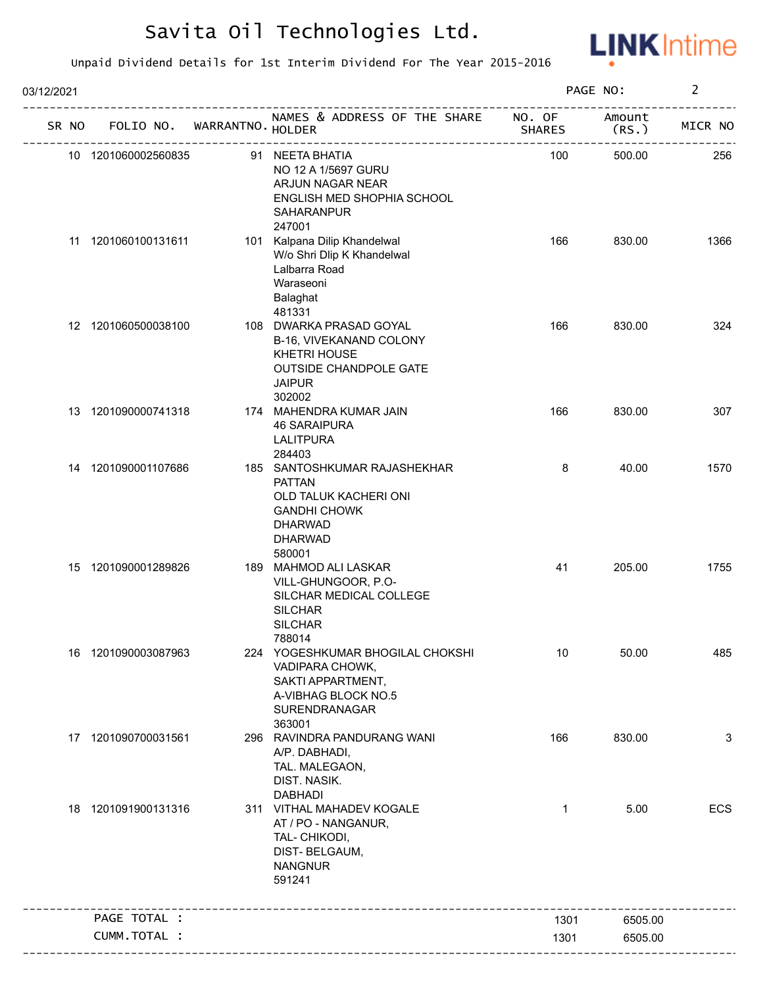

| 03/12/2021 |                     |                             |                                                                                                                                             |                         | PAGE NO:        | $\overline{2}$ |
|------------|---------------------|-----------------------------|---------------------------------------------------------------------------------------------------------------------------------------------|-------------------------|-----------------|----------------|
| SR NO      |                     | FOLIO NO. WARRANTNO. HOLDER | NAMES & ADDRESS OF THE SHARE                                                                                                                | NO. OF<br><b>SHARES</b> | Amount<br>(RS.) | MICR NO        |
|            | 10 1201060002560835 |                             | 91 NEETA BHATIA<br>NO 12 A 1/5697 GURU<br>ARJUN NAGAR NEAR<br>ENGLISH MED SHOPHIA SCHOOL<br>SAHARANPUR                                      | 100                     | 500.00          | 256            |
|            | 11 1201060100131611 |                             | 247001<br>101 Kalpana Dilip Khandelwal<br>W/o Shri Dlip K Khandelwal<br>Lalbarra Road<br>Waraseoni<br>Balaghat<br>481331                    | 166                     | 830.00          | 1366           |
|            | 12 1201060500038100 |                             | 108 DWARKA PRASAD GOYAL<br>B-16, VIVEKANAND COLONY<br><b>KHETRI HOUSE</b><br><b>OUTSIDE CHANDPOLE GATE</b><br><b>JAIPUR</b><br>302002       | 166                     | 830.00          | 324            |
|            | 13 1201090000741318 |                             | 174 MAHENDRA KUMAR JAIN<br><b>46 SARAIPURA</b><br><b>LALITPURA</b><br>284403                                                                | 166                     | 830.00          | 307            |
|            | 14 1201090001107686 |                             | 185 SANTOSHKUMAR RAJASHEKHAR<br><b>PATTAN</b><br>OLD TALUK KACHERI ONI<br><b>GANDHI CHOWK</b><br><b>DHARWAD</b><br><b>DHARWAD</b><br>580001 | 8                       | 40.00           | 1570           |
|            | 15 1201090001289826 |                             | 189 MAHMOD ALI LASKAR<br>VILL-GHUNGOOR, P.O-<br>SILCHAR MEDICAL COLLEGE<br><b>SILCHAR</b><br><b>SILCHAR</b><br>788014                       | 41                      | 205.00          | 1755           |
|            | 16 1201090003087963 |                             | 224 YOGESHKUMAR BHOGILAL CHOKSHI<br>VADIPARA CHOWK,<br>SAKTI APPARTMENT,<br>A-VIBHAG BLOCK NO.5<br>SURENDRANAGAR<br>363001                  | 10                      | 50.00           | 485            |
|            | 17 1201090700031561 |                             | 296 RAVINDRA PANDURANG WANI<br>A/P. DABHADI,<br>TAL. MALEGAON,<br>DIST. NASIK.<br><b>DABHADI</b>                                            | 166                     | 830.00          | 3              |
|            | 18 1201091900131316 |                             | 311 VITHAL MAHADEV KOGALE<br>AT / PO - NANGANUR,<br>TAL- CHIKODI,<br>DIST-BELGAUM,<br><b>NANGNUR</b><br>591241                              | $\mathbf{1}$            | 5.00            | ECS            |
|            | PAGE TOTAL :        |                             |                                                                                                                                             | 1301                    | 6505.00         |                |
|            | CUMM.TOTAL :        |                             |                                                                                                                                             | 1301                    | 6505.00         |                |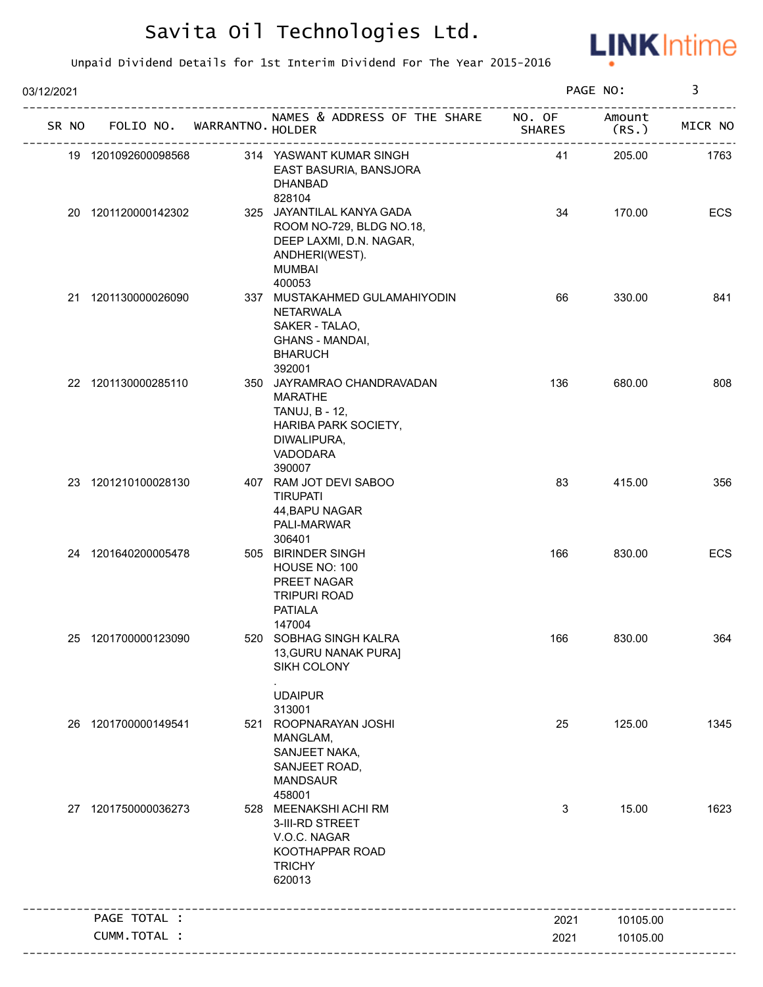

| 03/12/2021 |                             |                                                                                                                               |                         | PAGE NO:        | 3       |
|------------|-----------------------------|-------------------------------------------------------------------------------------------------------------------------------|-------------------------|-----------------|---------|
| SR NO      | FOLIO NO. WARRANTNO. HOLDER | NAMES & ADDRESS OF THE SHARE                                                                                                  | NO. OF<br><b>SHARES</b> | Amount<br>(RS.) | MICR NO |
|            | 19 1201092600098568         | 314 YASWANT KUMAR SINGH<br>EAST BASURIA, BANSJORA<br><b>DHANBAD</b><br>828104                                                 | 41                      | 205.00          | 1763    |
|            | 20 1201120000142302         | 325 JAYANTILAL KANYA GADA<br>ROOM NO-729, BLDG NO.18,<br>DEEP LAXMI, D.N. NAGAR,<br>ANDHERI(WEST).<br><b>MUMBAI</b><br>400053 | 34                      | 170.00          | ECS     |
|            | 21 1201130000026090         | 337 MUSTAKAHMED GULAMAHIYODIN<br><b>NETARWALA</b><br>SAKER - TALAO,<br><b>GHANS - MANDAI,</b><br><b>BHARUCH</b><br>392001     | 66                      | 330.00          | 841     |
|            | 22 1201130000285110         | 350 JAYRAMRAO CHANDRAVADAN<br><b>MARATHE</b><br>TANUJ, B - 12,<br>HARIBA PARK SOCIETY,<br>DIWALIPURA,<br>VADODARA<br>390007   | 136                     | 680.00          | 808     |
|            | 23 1201210100028130         | 407 RAM JOT DEVI SABOO<br><b>TIRUPATI</b><br>44, BAPU NAGAR<br>PALI-MARWAR<br>306401                                          | 83                      | 415.00          | 356     |
|            | 24 1201640200005478         | 505 BIRINDER SINGH<br>HOUSE NO: 100<br>PREET NAGAR<br><b>TRIPURI ROAD</b><br><b>PATIALA</b><br>147004                         | 166                     | 830.00          | ECS     |
|            | 25 1201700000123090         | 520 SOBHAG SINGH KALRA<br>13, GURU NANAK PURAJ<br>SIKH COLONY<br><b>UDAIPUR</b>                                               | 166                     | 830.00          | 364     |
|            | 26 1201700000149541         | 313001<br>521 ROOPNARAYAN JOSHI<br>MANGLAM,<br>SANJEET NAKA,<br>SANJEET ROAD,<br><b>MANDSAUR</b><br>458001                    | 25                      | 125.00          | 1345    |
|            | 27 1201750000036273         | 528 MEENAKSHI ACHI RM<br>3-III-RD STREET<br>V.O.C. NAGAR<br>KOOTHAPPAR ROAD<br><b>TRICHY</b><br>620013                        | 3                       | 15.00           | 1623    |
|            | PAGE TOTAL :                |                                                                                                                               | 2021                    | 10105.00        |         |
|            | CUMM.TOTAL :                |                                                                                                                               | 2021                    | 10105.00        |         |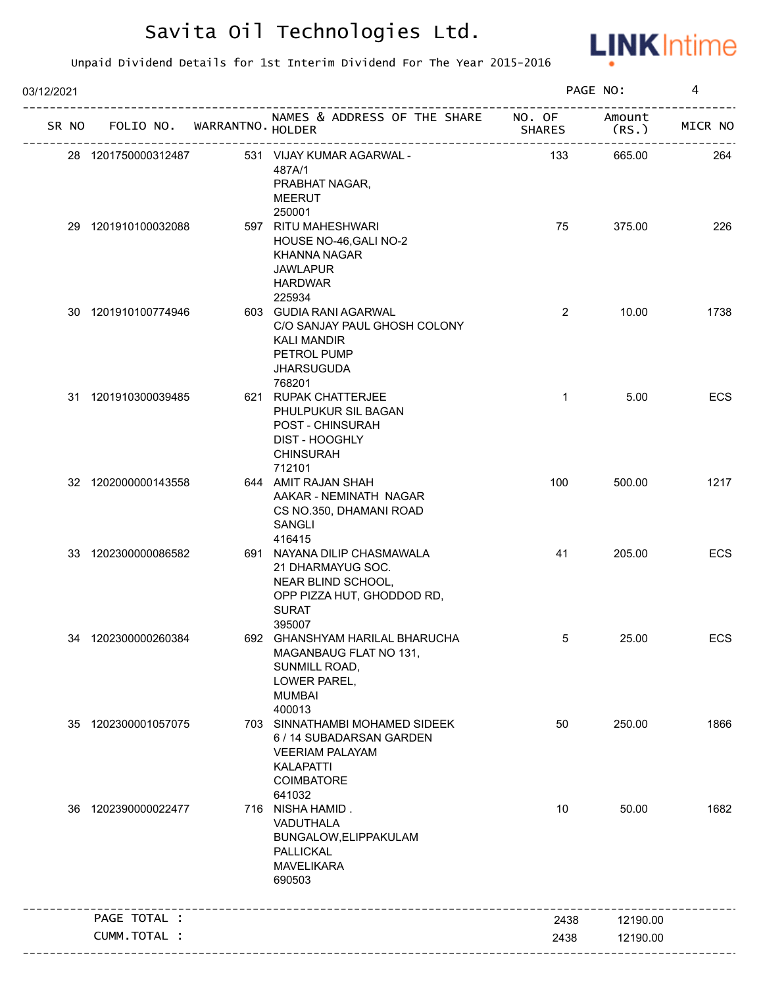

| 03/12/2021 |                     |              |                            |                                                                                                                                         |                | PAGE NO:        | 4          |
|------------|---------------------|--------------|----------------------------|-----------------------------------------------------------------------------------------------------------------------------------------|----------------|-----------------|------------|
| SR NO      |                     |              | FOLIO NO. WARRANTNO HOLDER | NAMES & ADDRESS OF THE SHARE NO. OF<br>---------------------                                                                            | <b>SHARES</b>  | Amount<br>(RS.) | MICR NO    |
|            | 28 1201750000312487 |              |                            | 531 VIJAY KUMAR AGARWAL -<br>487A/1<br>PRABHAT NAGAR,<br><b>MEERUT</b>                                                                  | 133            | 665.00          | 264        |
|            | 29 1201910100032088 |              |                            | 250001<br>597 RITU MAHESHWARI<br>HOUSE NO-46, GALI NO-2<br>KHANNA NAGAR<br><b>JAWLAPUR</b><br><b>HARDWAR</b><br>225934                  | 75             | 375.00          | 226        |
|            | 30 1201910100774946 |              |                            | 603 GUDIA RANI AGARWAL<br>C/O SANJAY PAUL GHOSH COLONY<br><b>KALI MANDIR</b><br>PETROL PUMP<br><b>JHARSUGUDA</b><br>768201              | $\overline{2}$ | 10.00           | 1738       |
|            | 31 1201910300039485 |              |                            | 621 RUPAK CHATTERJEE<br>PHULPUKUR SIL BAGAN<br>POST - CHINSURAH<br><b>DIST - HOOGHLY</b><br><b>CHINSURAH</b><br>712101                  | $\mathbf{1}$   | 5.00            | ECS        |
|            | 32 1202000000143558 |              |                            | 644 AMIT RAJAN SHAH<br>AAKAR - NEMINATH NAGAR<br>CS NO.350, DHAMANI ROAD<br>SANGLI<br>416415                                            | 100            | 500.00          | 1217       |
|            | 33 1202300000086582 |              |                            | 691 NAYANA DILIP CHASMAWALA<br>21 DHARMAYUG SOC.<br>NEAR BLIND SCHOOL,<br>OPP PIZZA HUT, GHODDOD RD,<br><b>SURAT</b><br>395007          | 41             | 205.00          | ECS        |
|            | 34 1202300000260384 |              |                            | 692 GHANSHYAM HARILAL BHARUCHA<br>MAGANBAUG FLAT NO 131,<br>SUNMILL ROAD,<br>LOWER PAREL,<br><b>MUMBAI</b><br>400013                    | 5              | 25.00           | <b>ECS</b> |
|            | 35 1202300001057075 |              |                            | 703 SINNATHAMBI MOHAMED SIDEEK<br>6 / 14 SUBADARSAN GARDEN<br><b>VEERIAM PALAYAM</b><br><b>KALAPATTI</b><br><b>COIMBATORE</b><br>641032 | 50             | 250.00          | 1866       |
|            | 36 1202390000022477 |              |                            | 716 NISHA HAMID.<br>VADUTHALA<br>BUNGALOW, ELIPPAKULAM<br>PALLICKAL<br><b>MAVELIKARA</b><br>690503                                      | 10             | 50.00           | 1682       |
|            | PAGE TOTAL :        |              |                            |                                                                                                                                         | 2438           | 12190.00        |            |
|            |                     | CUMM.TOTAL : |                            |                                                                                                                                         | 2438           | 12190.00        |            |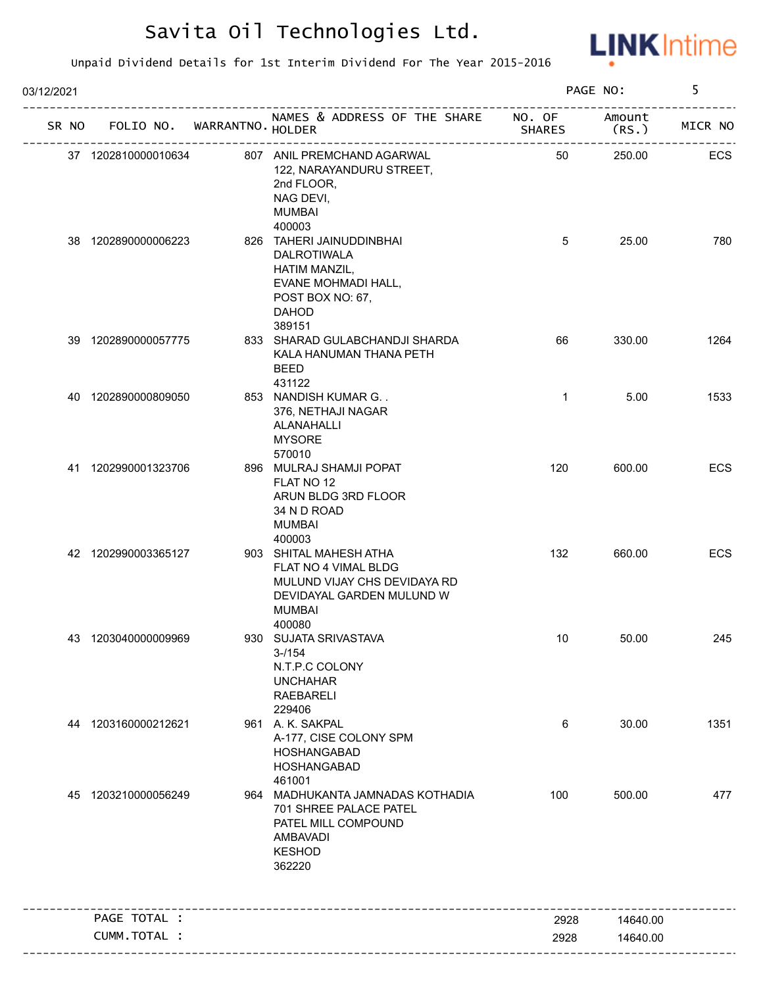

| 03/12/2021 |       |                     |                             |                                                                                                                                         |                         | PAGE NO:        | 5          |
|------------|-------|---------------------|-----------------------------|-----------------------------------------------------------------------------------------------------------------------------------------|-------------------------|-----------------|------------|
|            | SR NO |                     | FOLIO NO. WARRANTNO. HOLDER | NAMES & ADDRESS OF THE SHARE                                                                                                            | NO. OF<br><b>SHARES</b> | Amount<br>(RS.) | MICR NO    |
|            |       | 37 1202810000010634 |                             | 807 ANIL PREMCHAND AGARWAL<br>122, NARAYANDURU STREET,<br>2nd FLOOR,<br>NAG DEVI,<br><b>MUMBAI</b>                                      | 50                      | 250.00          | ECS        |
|            |       | 38 1202890000006223 |                             | 400003<br>826 TAHERI JAINUDDINBHAI<br>DALROTIWALA<br>HATIM MANZIL,<br>EVANE MOHMADI HALL,<br>POST BOX NO: 67,<br><b>DAHOD</b><br>389151 | 5                       | 25.00           | 780        |
|            |       | 39 1202890000057775 |                             | 833 SHARAD GULABCHANDJI SHARDA<br>KALA HANUMAN THANA PETH<br>BEED<br>431122                                                             | 66                      | 330.00          | 1264       |
|            |       | 40 1202890000809050 |                             | 853 NANDISH KUMAR G. .<br>376, NETHAJI NAGAR<br>ALANAHALLI<br><b>MYSORE</b><br>570010                                                   | $\mathbf{1}$            | 5.00            | 1533       |
|            |       | 41 1202990001323706 |                             | 896 MULRAJ SHAMJI POPAT<br>FLAT NO 12<br>ARUN BLDG 3RD FLOOR<br>34 N D ROAD<br><b>MUMBAI</b><br>400003                                  | 120                     | 600.00          | ECS        |
|            |       | 42 1202990003365127 |                             | 903 SHITAL MAHESH ATHA<br>FLAT NO 4 VIMAL BLDG<br>MULUND VIJAY CHS DEVIDAYA RD<br>DEVIDAYAL GARDEN MULUND W<br><b>MUMBAI</b><br>400080  | 132                     | 660.00          | <b>ECS</b> |
|            |       | 43 1203040000009969 |                             | 930 SUJATA SRIVASTAVA<br>$3 - 1154$<br>N.T.P.C COLONY<br><b>UNCHAHAR</b><br><b>RAEBARELI</b><br>229406                                  | 10                      | 50.00           | 245        |
|            |       | 44 1203160000212621 |                             | 961 A. K. SAKPAL<br>A-177, CISE COLONY SPM<br>HOSHANGABAD<br>HOSHANGABAD<br>461001                                                      | 6                       | 30.00           | 1351       |
|            |       | 45 1203210000056249 |                             | 964 MADHUKANTA JAMNADAS KOTHADIA<br>701 SHREE PALACE PATEL<br>PATEL MILL COMPOUND<br>AMBAVADI<br><b>KESHOD</b><br>362220                | 100                     | 500.00          | 477        |
|            |       | PAGE TOTAL :        |                             |                                                                                                                                         | 2928                    | 14640.00        |            |
|            |       | CUMM.TOTAL :        |                             |                                                                                                                                         | 2928                    | 14640.00        |            |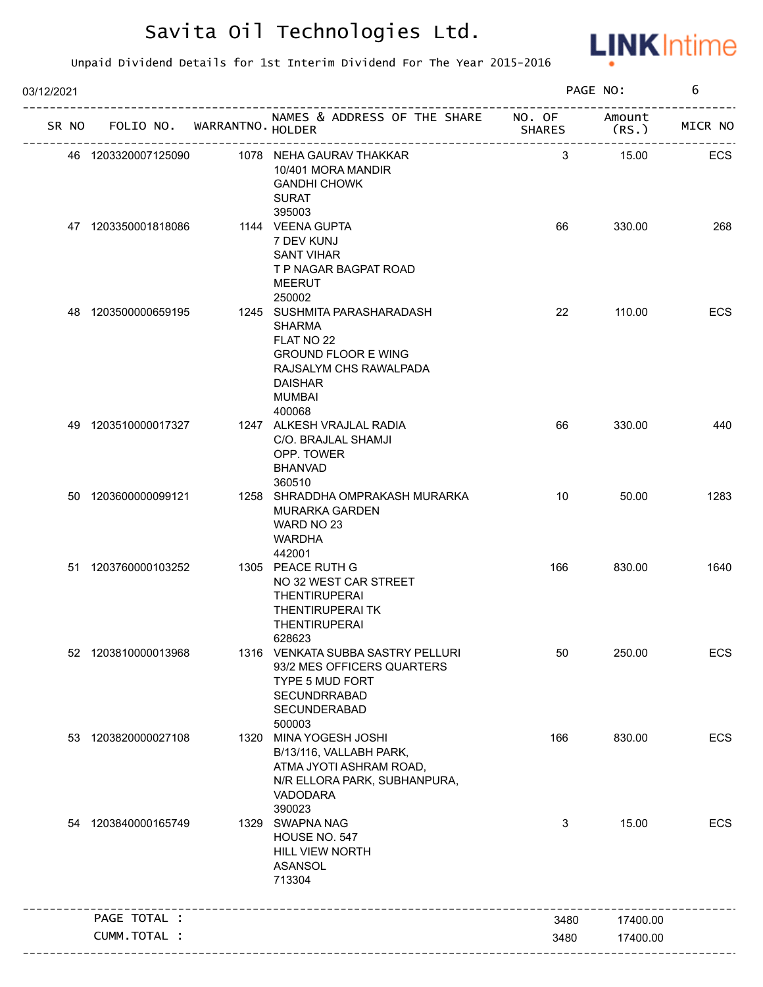

| 03/12/2021 |                     |                             |                                                                                                                                                                           |               | PAGE NO:        | 6       |
|------------|---------------------|-----------------------------|---------------------------------------------------------------------------------------------------------------------------------------------------------------------------|---------------|-----------------|---------|
| SR NO      |                     | FOLIO NO. WARRANTNO. HOLDER | NAMES & ADDRESS OF THE SHARE NO. OF                                                                                                                                       | <b>SHARES</b> | Amount<br>(RS.) | MICR NO |
|            | 46 1203320007125090 |                             | 1078 NEHA GAURAV THAKKAR<br>10/401 MORA MANDIR<br><b>GANDHI CHOWK</b><br><b>SURAT</b>                                                                                     | 3             | 15.00           | ECS     |
|            | 47 1203350001818086 |                             | 395003<br>1144 VEENA GUPTA<br>7 DEV KUNJ<br><b>SANT VIHAR</b><br>T P NAGAR BAGPAT ROAD<br><b>MEERUT</b>                                                                   | 66            | 330.00          | 268     |
|            | 48 1203500000659195 |                             | 250002<br>1245 SUSHMITA PARASHARADASH<br><b>SHARMA</b><br>FLAT NO 22<br><b>GROUND FLOOR E WING</b><br>RAJSALYM CHS RAWALPADA<br><b>DAISHAR</b><br><b>MUMBAI</b><br>400068 | 22            | 110.00          | ECS     |
|            | 49 1203510000017327 |                             | 1247 ALKESH VRAJLAL RADIA<br>C/O. BRAJLAL SHAMJI<br>OPP. TOWER<br><b>BHANVAD</b><br>360510                                                                                | 66            | 330.00          | 440     |
|            | 50 1203600000099121 |                             | 1258 SHRADDHA OMPRAKASH MURARKA<br><b>MURARKA GARDEN</b><br>WARD NO 23<br><b>WARDHA</b><br>442001                                                                         | 10            | 50.00           | 1283    |
|            | 51 1203760000103252 |                             | 1305 PEACE RUTH G<br>NO 32 WEST CAR STREET<br><b>THENTIRUPERAI</b><br><b>THENTIRUPERAITK</b><br><b>THENTIRUPERAI</b><br>628623                                            | 166           | 830.00          | 1640    |
|            | 52 1203810000013968 |                             | 1316 VENKATA SUBBA SASTRY PELLURI<br>93/2 MES OFFICERS QUARTERS<br>TYPE 5 MUD FORT<br>SECUNDRRABAD<br>SECUNDERABAD<br>500003                                              | 50            | 250.00          | ECS     |
| 53         | 1203820000027108    |                             | 1320 MINA YOGESH JOSHI<br>B/13/116, VALLABH PARK,<br>ATMA JYOTI ASHRAM ROAD,<br>N/R ELLORA PARK, SUBHANPURA,<br>VADODARA<br>390023                                        | 166           | 830.00          | ECS     |
|            | 54 1203840000165749 |                             | 1329 SWAPNA NAG<br>HOUSE NO. 547<br>HILL VIEW NORTH<br>ASANSOL<br>713304                                                                                                  | 3             | 15.00           | ECS     |
|            | PAGE TOTAL :        |                             |                                                                                                                                                                           | 3480          | 17400.00        |         |
|            | CUMM.TOTAL :        |                             |                                                                                                                                                                           | 3480          | 17400.00        |         |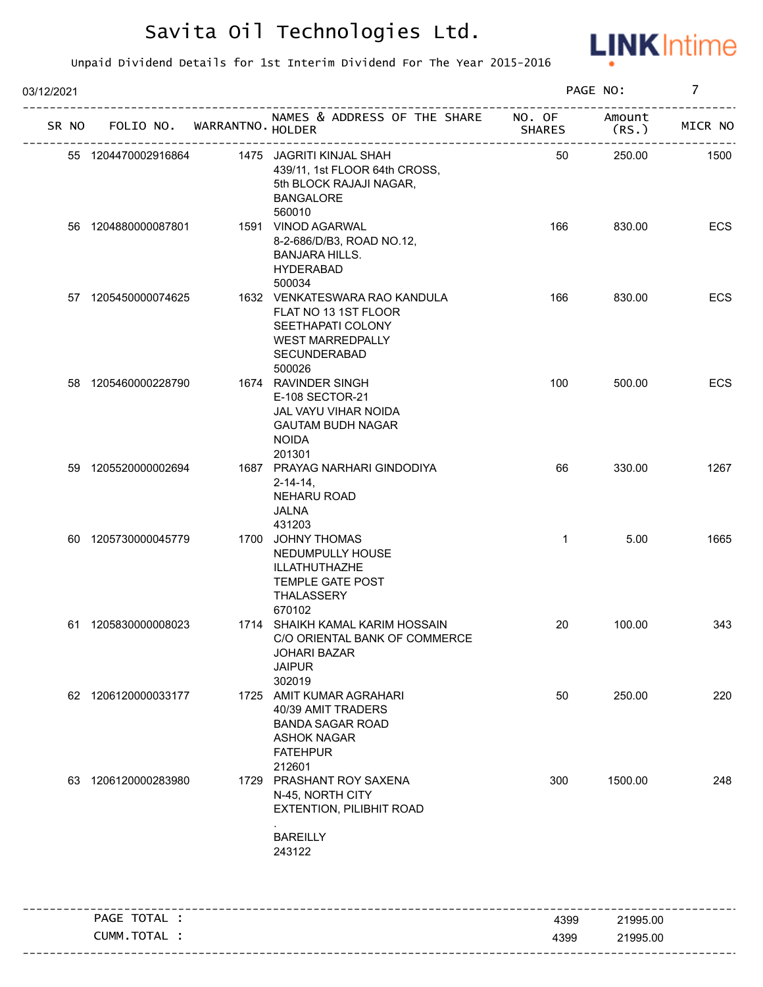

| 03/12/2021 |                     |                             |                                                                                                                                 |               | PAGE NO:        | $\overline{7}$ |
|------------|---------------------|-----------------------------|---------------------------------------------------------------------------------------------------------------------------------|---------------|-----------------|----------------|
| SR NO      |                     | FOLIO NO. WARRANTNO. HOLDER | NAMES & ADDRESS OF THE SHARE NO. OF                                                                                             | <b>SHARES</b> | Amount<br>(RS.) | MICR NO        |
|            | 55 1204470002916864 |                             | 1475 JAGRITI KINJAL SHAH<br>439/11, 1st FLOOR 64th CROSS,<br>5th BLOCK RAJAJI NAGAR,<br><b>BANGALORE</b><br>560010              | 50            | 250.00          | 1500           |
|            | 56 1204880000087801 |                             | 1591 VINOD AGARWAL<br>8-2-686/D/B3, ROAD NO.12,<br><b>BANJARA HILLS.</b><br><b>HYDERABAD</b><br>500034                          | 166           | 830.00          | ECS            |
|            | 57 1205450000074625 |                             | 1632 VENKATESWARA RAO KANDULA<br>FLAT NO 13 1ST FLOOR<br>SEETHAPATI COLONY<br><b>WEST MARREDPALLY</b><br>SECUNDERABAD<br>500026 | 166           | 830.00          | ECS            |
|            | 58 1205460000228790 |                             | 1674 RAVINDER SINGH<br>E-108 SECTOR-21<br>JAL VAYU VIHAR NOIDA<br><b>GAUTAM BUDH NAGAR</b><br><b>NOIDA</b><br>201301            | 100           | 500.00          | ECS            |
|            | 59 1205520000002694 |                             | 1687 PRAYAG NARHARI GINDODIYA<br>$2 - 14 - 14$ ,<br>NEHARU ROAD<br>JALNA<br>431203                                              | 66            | 330.00          | 1267           |
|            | 60 1205730000045779 |                             | 1700 JOHNY THOMAS<br>NEDUMPULLY HOUSE<br>ILLATHUTHAZHE<br><b>TEMPLE GATE POST</b><br>THALASSERY<br>670102                       | $\mathbf{1}$  | 5.00            | 1665           |
|            | 61 1205830000008023 |                             | 1714 SHAIKH KAMAL KARIM HOSSAIN<br>C/O ORIENTAL BANK OF COMMERCE<br><b>JOHARI BAZAR</b><br><b>JAIPUR</b><br>302019              | 20            | 100.00          | 343            |
|            | 62 1206120000033177 |                             | 1725 AMIT KUMAR AGRAHARI<br>40/39 AMIT TRADERS<br><b>BANDA SAGAR ROAD</b><br><b>ASHOK NAGAR</b><br><b>FATEHPUR</b><br>212601    | 50            | 250.00          | 220            |
|            | 63 1206120000283980 |                             | 1729 PRASHANT ROY SAXENA<br>N-45, NORTH CITY<br>EXTENTION, PILIBHIT ROAD<br><b>BAREILLY</b><br>243122                           | 300           | 1500.00         | 248            |
|            | PAGE TOTAL :        |                             |                                                                                                                                 | 4399          | 21995.00        |                |
|            | CUMM.TOTAL :        |                             |                                                                                                                                 | 4399          | 21995.00        |                |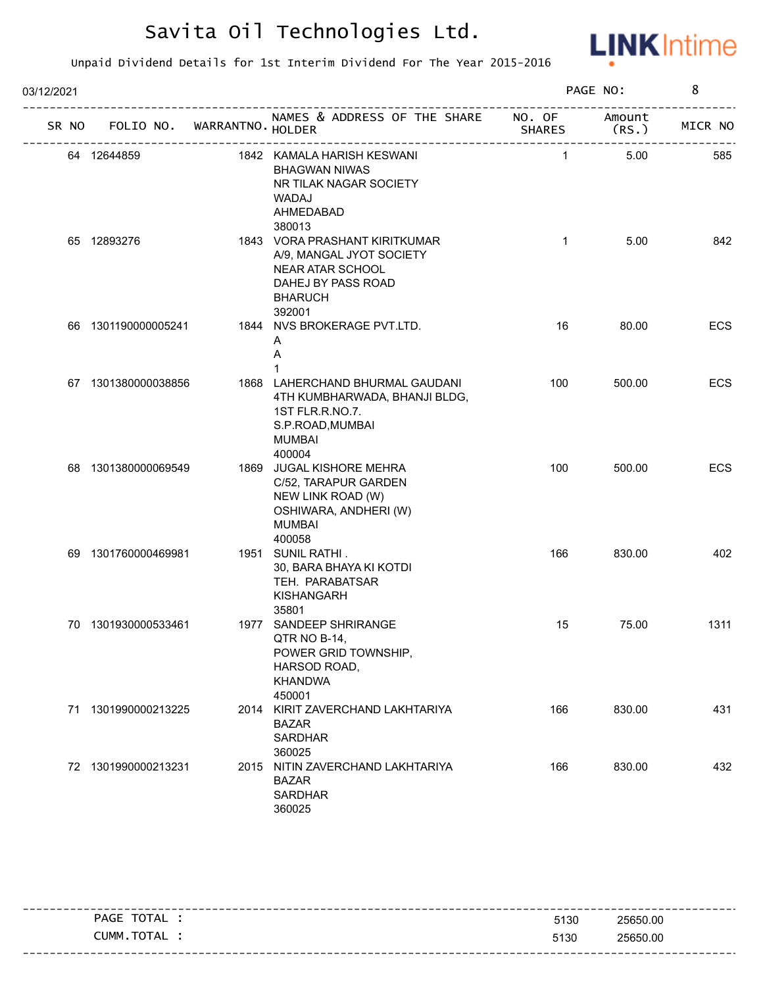

| 03/12/2021 |                     |                    |                                                                                                                                    |                         | PAGE NO:        | 8       |
|------------|---------------------|--------------------|------------------------------------------------------------------------------------------------------------------------------------|-------------------------|-----------------|---------|
| SR NO      | FOLIO NO.           | WARRANTNO . HOLDER | NAMES & ADDRESS OF THE SHARE                                                                                                       | NO. OF<br><b>SHARES</b> | Amount<br>(RS.) | MICR NO |
|            | 64 12644859         |                    | 1842 KAMALA HARISH KESWANI<br><b>BHAGWAN NIWAS</b><br>NR TILAK NAGAR SOCIETY<br>WADAJ<br>AHMEDABAD<br>380013                       | $\mathbf{1}$            | 5.00            | 585     |
|            | 65 12893276         |                    | 1843 VORA PRASHANT KIRITKUMAR<br>A/9, MANGAL JYOT SOCIETY<br>NEAR ATAR SCHOOL<br>DAHEJ BY PASS ROAD<br><b>BHARUCH</b><br>392001    | $\mathbf{1}$            | 5.00            | 842     |
|            | 66 1301190000005241 |                    | 1844 NVS BROKERAGE PVT.LTD.<br>A<br>Α                                                                                              | 16                      | 80.00           | ECS     |
|            | 67 1301380000038856 |                    | 1868 LAHERCHAND BHURMAL GAUDANI<br>4TH KUMBHARWADA, BHANJI BLDG,<br>1ST FLR.R.NO.7.<br>S.P.ROAD, MUMBAI<br><b>MUMBAI</b><br>400004 | 100                     | 500.00          | ECS     |
|            | 68 1301380000069549 |                    | 1869 JUGAL KISHORE MEHRA<br>C/52, TARAPUR GARDEN<br>NEW LINK ROAD (W)<br>OSHIWARA, ANDHERI (W)<br><b>MUMBAI</b><br>400058          | 100                     | 500.00          | ECS     |
|            | 69 1301760000469981 |                    | 1951 SUNIL RATHI.<br>30, BARA BHAYA KI KOTDI<br>TEH. PARABATSAR<br><b>KISHANGARH</b><br>35801                                      | 166                     | 830.00          | 402     |
|            | 70 1301930000533461 |                    | 1977 SANDEEP SHRIRANGE<br>QTR NO B-14,<br>POWER GRID TOWNSHIP,<br>HARSOD ROAD,<br><b>KHANDWA</b><br>450001                         | 15                      | 75.00           | 1311    |
|            | 71 1301990000213225 |                    | 2014 KIRIT ZAVERCHAND LAKHTARIYA<br><b>BAZAR</b><br><b>SARDHAR</b><br>360025                                                       | 166                     | 830.00          | 431     |
|            | 72 1301990000213231 |                    | 2015 NITIN ZAVERCHAND LAKHTARIYA<br><b>BAZAR</b><br><b>SARDHAR</b><br>360025                                                       | 166                     | 830.00          | 432     |

| _ _ _ _ _ _ _ _ |                   |      |          |
|-----------------|-------------------|------|----------|
|                 | PAGE TOTAL        | 5130 | 25650.00 |
|                 | <b>CUMM.TOTAL</b> | 5130 | 25650.00 |
|                 |                   |      |          |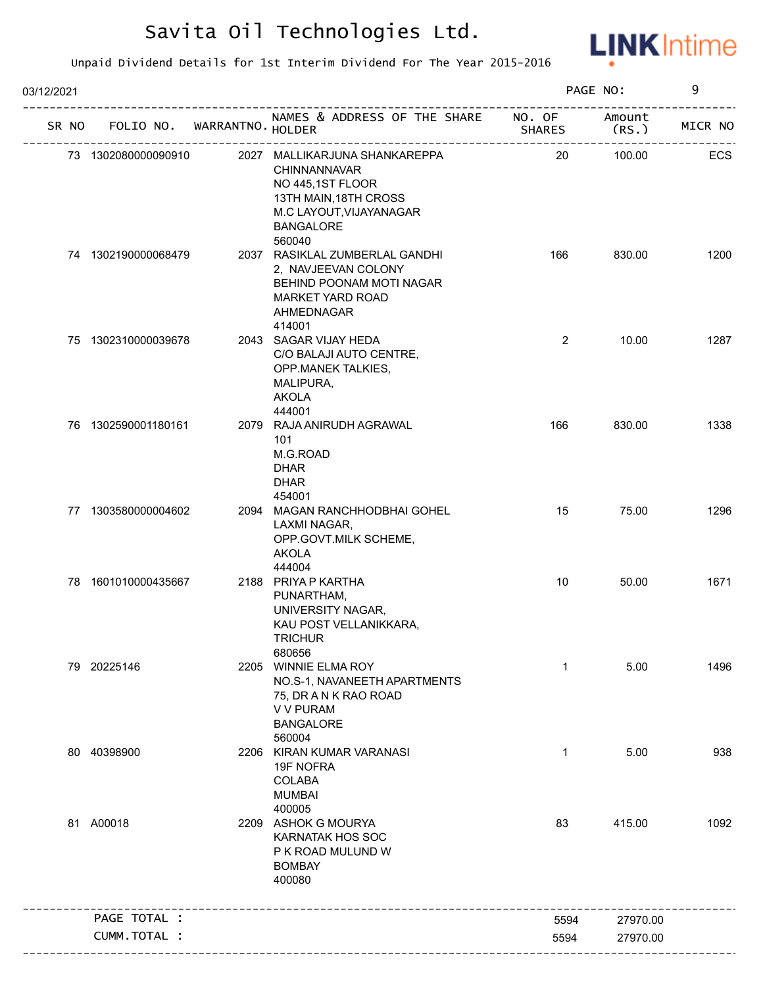

| 03/12/2021 |                     |                             |                                                                                                                                                            |                         | PAGE NO:        | 9       |
|------------|---------------------|-----------------------------|------------------------------------------------------------------------------------------------------------------------------------------------------------|-------------------------|-----------------|---------|
| SR NO      |                     | FOLIO NO. WARRANTNO. HOLDER | NAMES & ADDRESS OF THE SHARE                                                                                                                               | NO. OF<br><b>SHARES</b> | Amount<br>(RS.) | MICR NO |
|            | 73 1302080000090910 |                             | 2027 MALLIKARJUNA SHANKAREPPA<br><b>CHINNANNAVAR</b><br>NO 445,1ST FLOOR<br>13TH MAIN, 18TH CROSS<br>M.C LAYOUT, VIJAYANAGAR<br><b>BANGALORE</b><br>560040 | 20                      | 100.00          | ECS     |
|            | 74 1302190000068479 |                             | 2037 RASIKLAL ZUMBERLAL GANDHI<br>2, NAVJEEVAN COLONY<br>BEHIND POONAM MOTI NAGAR<br><b>MARKET YARD ROAD</b><br>AHMEDNAGAR<br>414001                       | 166                     | 830.00          | 1200    |
|            | 75 1302310000039678 |                             | 2043 SAGAR VIJAY HEDA<br>C/O BALAJI AUTO CENTRE,<br>OPP.MANEK TALKIES,<br>MALIPURA,<br><b>AKOLA</b><br>444001                                              | $\overline{2}$          | 10.00           | 1287    |
|            | 76 1302590001180161 |                             | 2079 RAJA ANIRUDH AGRAWAL<br>101<br>M.G.ROAD<br><b>DHAR</b><br><b>DHAR</b><br>454001                                                                       | 166                     | 830.00          | 1338    |
|            | 77 1303580000004602 |                             | 2094 MAGAN RANCHHODBHAI GOHEL<br>LAXMI NAGAR,<br>OPP.GOVT.MILK SCHEME,<br><b>AKOLA</b><br>444004                                                           | 15                      | 75.00           | 1296    |
|            | 78 1601010000435667 |                             | 2188 PRIYA P KARTHA<br>PUNARTHAM,<br>UNIVERSITY NAGAR,<br>KAU POST VELLANIKKARA,<br><b>TRICHUR</b><br>680656                                               | 10                      | 50.00           | 1671    |
|            | 79 20225146         |                             | 2205 WINNIE ELMA ROY<br>NO.S-1, NAVANEETH APARTMENTS<br>75, DR A N K RAO ROAD<br>V V PURAM<br><b>BANGALORE</b><br>560004                                   | 1                       | 5.00            | 1496    |
|            | 80 40398900         |                             | 2206 KIRAN KUMAR VARANASI<br>19F NOFRA<br><b>COLABA</b><br><b>MUMBAI</b><br>400005                                                                         | $\mathbf{1}$            | 5.00            | 938     |
|            | 81 A00018           |                             | 2209 ASHOK G MOURYA<br><b>KARNATAK HOS SOC</b><br>P K ROAD MULUND W<br><b>BOMBAY</b><br>400080                                                             | 83                      | 415.00          | 1092    |
|            | PAGE TOTAL :        |                             |                                                                                                                                                            | 5594                    | 27970.00        |         |
|            | CUMM.TOTAL :        |                             |                                                                                                                                                            | 5594                    | 27970.00        |         |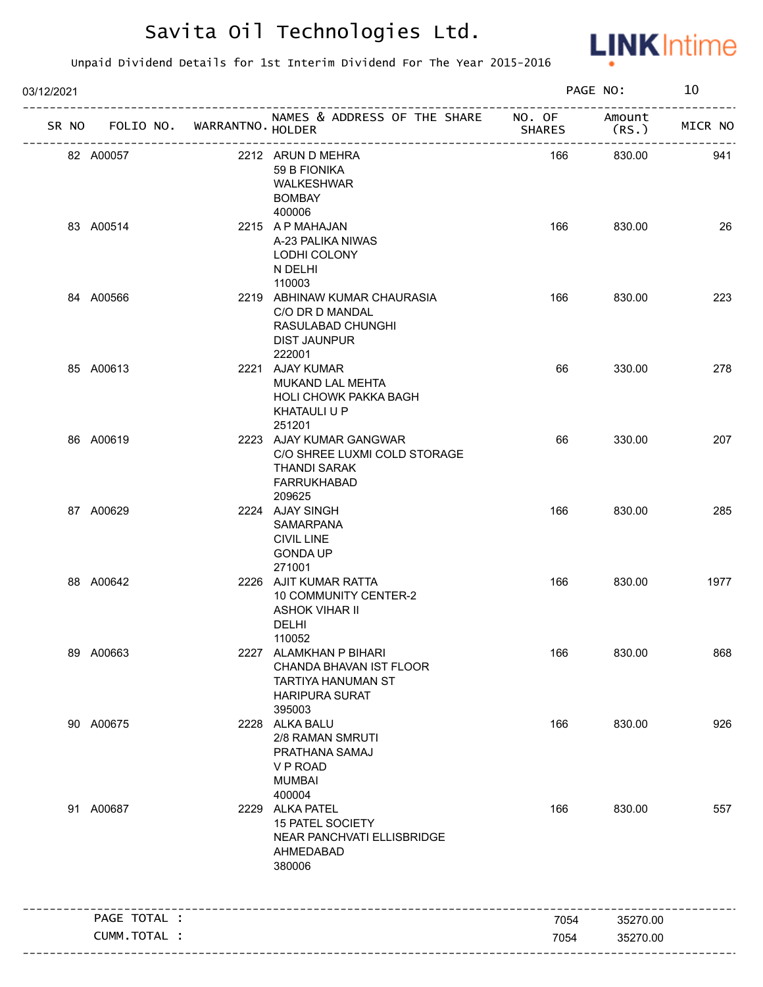

| SR NO FOLIO NO. WARRANTNO. HOLDER<br>82 A00057<br>83 A00514 | NAMES & ADDRESS OF THE SHARE NO. OF<br>2212 ARUN D MEHRA<br>59 B FIONIKA<br>WALKESHWAR<br><b>BOMBAY</b><br>400006 | <b>SHARES</b><br>166 | Amount<br>(RS.)<br>830.00 | MICR NO<br>941 |
|-------------------------------------------------------------|-------------------------------------------------------------------------------------------------------------------|----------------------|---------------------------|----------------|
|                                                             |                                                                                                                   |                      |                           |                |
|                                                             |                                                                                                                   |                      |                           |                |
|                                                             | 2215 A P MAHAJAN<br>A-23 PALIKA NIWAS<br>LODHI COLONY<br>N DELHI<br>110003                                        | 166                  | 830.00                    | 26             |
| 84 A00566                                                   | 2219 ABHINAW KUMAR CHAURASIA<br>C/O DR D MANDAL<br>RASULABAD CHUNGHI<br><b>DIST JAUNPUR</b><br>222001             | 166                  | 830.00                    | 223            |
| 85 A00613                                                   | 2221 AJAY KUMAR<br>MUKAND LAL MEHTA<br><b>HOLI CHOWK PAKKA BAGH</b><br>KHATAULI U P<br>251201                     | 66                   | 330.00                    | 278            |
| 86 A00619                                                   | 2223 AJAY KUMAR GANGWAR<br>C/O SHREE LUXMI COLD STORAGE<br>THANDI SARAK<br><b>FARRUKHABAD</b><br>209625           | 66                   | 330.00                    | 207            |
| 87 A00629                                                   | 2224 AJAY SINGH<br>SAMARPANA<br><b>CIVIL LINE</b><br><b>GONDA UP</b><br>271001                                    | 166                  | 830.00                    | 285            |
| 88 A00642                                                   | 2226 AJIT KUMAR RATTA<br>10 COMMUNITY CENTER-2<br><b>ASHOK VIHAR II</b><br><b>DELHI</b><br>110052                 | 166                  | 830.00                    | 1977           |
| 89 A00663                                                   | 2227 ALAMKHAN P BIHARI<br>CHANDA BHAVAN IST FLOOR<br><b>TARTIYA HANUMAN ST</b><br><b>HARIPURA SURAT</b><br>395003 | 166                  | 830.00                    | 868            |
| 90 A00675                                                   | 2228 ALKA BALU<br>2/8 RAMAN SMRUTI<br>PRATHANA SAMAJ<br>V P ROAD<br><b>MUMBAI</b><br>400004                       | 166                  | 830.00                    | 926            |
| 91 A00687                                                   | 2229 ALKA PATEL<br>15 PATEL SOCIETY<br>NEAR PANCHVATI ELLISBRIDGE<br>AHMEDABAD<br>380006                          | 166                  | 830.00                    | 557            |
| PAGE TOTAL :                                                |                                                                                                                   |                      |                           |                |
| CUMM.TOTAL :                                                |                                                                                                                   | 7054<br>7054         | 35270.00<br>35270.00      |                |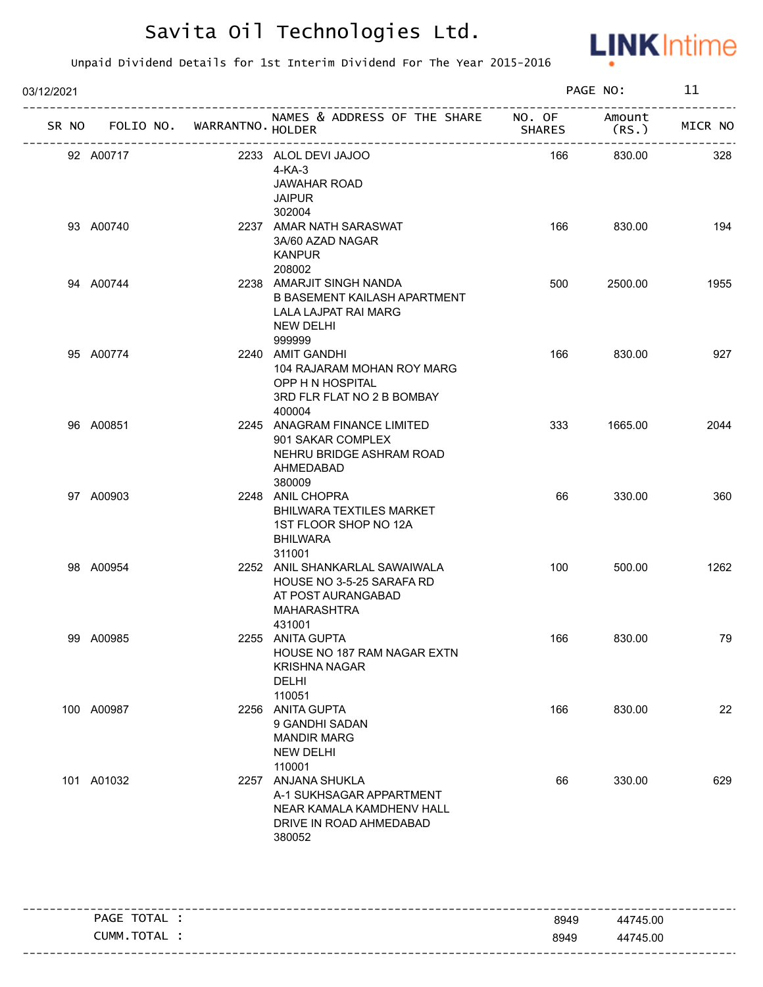

| 03/12/2021 |                 |                   |                                                                                                                  |        | PAGE NO:                   | 11      |
|------------|-----------------|-------------------|------------------------------------------------------------------------------------------------------------------|--------|----------------------------|---------|
|            | SR NO FOLIO NO. | WARRANTNO. HOLDER | NAMES & ADDRESS OF THE SHARE NO. OF                                                                              | SHARES | Amount<br>(RS.)            | MICR NO |
|            | 92 A00717       |                   | 2233 ALOL DEVI JAJOO<br>4-KA-3<br><b>JAWAHAR ROAD</b><br><b>JAIPUR</b><br>302004                                 | 166    | ----------------<br>830.00 | 328     |
|            | 93 A00740       |                   | 2237 AMAR NATH SARASWAT<br>3A/60 AZAD NAGAR<br><b>KANPUR</b><br>208002                                           | 166    | 830.00                     | 194     |
|            | 94 A00744       |                   | 2238 AMARJIT SINGH NANDA<br>B BASEMENT KAILASH APARTMENT<br>LALA LAJPAT RAI MARG<br><b>NEW DELHI</b><br>999999   | 500    | 2500.00                    | 1955    |
|            | 95 A00774       |                   | 2240 AMIT GANDHI<br>104 RAJARAM MOHAN ROY MARG<br>OPP H N HOSPITAL<br>3RD FLR FLAT NO 2 B BOMBAY<br>400004       | 166    | 830.00                     | 927     |
|            | 96 A00851       |                   | 2245 ANAGRAM FINANCE LIMITED<br>901 SAKAR COMPLEX<br>NEHRU BRIDGE ASHRAM ROAD<br>AHMEDABAD<br>380009             | 333    | 1665.00                    | 2044    |
|            | 97 A00903       |                   | 2248 ANIL CHOPRA<br><b>BHILWARA TEXTILES MARKET</b><br>1ST FLOOR SHOP NO 12A<br><b>BHILWARA</b><br>311001        | 66     | 330.00                     | 360     |
|            | 98 A00954       |                   | 2252 ANIL SHANKARLAL SAWAIWALA<br>HOUSE NO 3-5-25 SARAFA RD<br>AT POST AURANGABAD<br>MAHARASHTRA<br>431001       | 100    | 500.00                     | 1262    |
|            | 99 A00985       |                   | 2255 ANITA GUPTA<br>HOUSE NO 187 RAM NAGAR EXTN<br><b>KRISHNA NAGAR</b><br><b>DELHI</b><br>110051                | 166    | 830.00                     | 79      |
|            | 100 A00987      |                   | 2256 ANITA GUPTA<br>9 GANDHI SADAN<br><b>MANDIR MARG</b><br><b>NEW DELHI</b><br>110001                           | 166    | 830.00                     | 22      |
|            | 101 A01032      |                   | 2257 ANJANA SHUKLA<br>A-1 SUKHSAGAR APPARTMENT<br>NEAR KAMALA KAMDHENV HALL<br>DRIVE IN ROAD AHMEDABAD<br>380052 | 66     | 330.00                     | 629     |

| TOTAL<br>PAGE    |              | -----------------------<br>44745.00 |
|------------------|--------------|-------------------------------------|
| TOTAL T<br>CUMM. | 8949<br>8949 | 44745.00                            |
|                  |              |                                     |
|                  |              |                                     |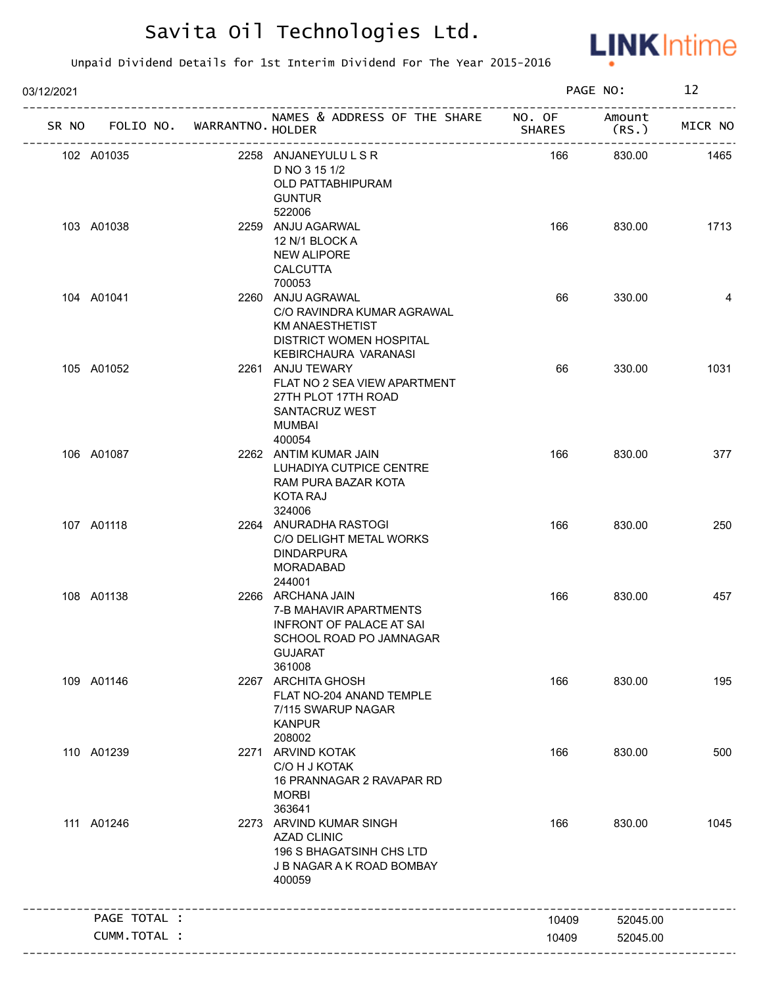

| 03/12/2021 |                                   |                                                                                                                                       | PAGE NO:      |                 | 12      |
|------------|-----------------------------------|---------------------------------------------------------------------------------------------------------------------------------------|---------------|-----------------|---------|
|            | SR NO FOLIO NO. WARRANTNO. HOLDER | NAMES & ADDRESS OF THE SHARE NO. OF                                                                                                   | <b>SHARES</b> | Amount<br>(RS.) | MICR NO |
|            | 102 A01035                        | 2258 ANJANEYULULSR<br>D NO 3 15 1/2<br>OLD PATTABHIPURAM<br><b>GUNTUR</b><br>522006                                                   | 166           | 830.00          | 1465    |
|            | 103 A01038                        | 2259 ANJU AGARWAL<br>12 N/1 BLOCK A<br><b>NEW ALIPORE</b><br><b>CALCUTTA</b><br>700053                                                | 166           | 830.00          | 1713    |
|            | 104 A01041                        | 2260 ANJU AGRAWAL<br>C/O RAVINDRA KUMAR AGRAWAL<br><b>KM ANAESTHETIST</b><br><b>DISTRICT WOMEN HOSPITAL</b><br>KEBIRCHAURA VARANASI   | 66            | 330.00          | 4       |
|            | 105 A01052                        | 2261 ANJU TEWARY<br>FLAT NO 2 SEA VIEW APARTMENT<br>27TH PLOT 17TH ROAD<br>SANTACRUZ WEST<br>MUMBAI<br>400054                         | 66            | 330.00          | 1031    |
|            | 106 A01087                        | 2262 ANTIM KUMAR JAIN<br>LUHADIYA CUTPICE CENTRE<br>RAM PURA BAZAR KOTA<br>KOTA RAJ<br>324006                                         | 166           | 830.00          | 377     |
|            | 107 A01118                        | 2264 ANURADHA RASTOGI<br>C/O DELIGHT METAL WORKS<br><b>DINDARPURA</b><br><b>MORADABAD</b><br>244001                                   | 166           | 830.00          | 250     |
|            | 108 A01138                        | 2266 ARCHANA JAIN<br>7-B MAHAVIR APARTMENTS<br><b>INFRONT OF PALACE AT SAI</b><br>SCHOOL ROAD PO JAMNAGAR<br><b>GUJARAT</b><br>361008 | 166           | 830.00          | 457     |
|            | 109 A01146                        | 2267 ARCHITA GHOSH<br>FLAT NO-204 ANAND TEMPLE<br>7/115 SWARUP NAGAR<br><b>KANPUR</b><br>208002                                       | 166           | 830.00          | 195     |
|            | 110 A01239                        | 2271 ARVIND KOTAK<br>C/O H J KOTAK<br>16 PRANNAGAR 2 RAVAPAR RD<br><b>MORBI</b><br>363641                                             | 166           | 830.00          | 500     |
|            | 111 A01246                        | 2273 ARVIND KUMAR SINGH<br><b>AZAD CLINIC</b><br>196 S BHAGATSINH CHS LTD<br>J B NAGAR A K ROAD BOMBAY<br>400059                      | 166           | 830.00          | 1045    |
|            | PAGE TOTAL :                      |                                                                                                                                       | 10409         | 52045.00        |         |
|            | CUMM.TOTAL :                      |                                                                                                                                       | 10409         | 52045.00        |         |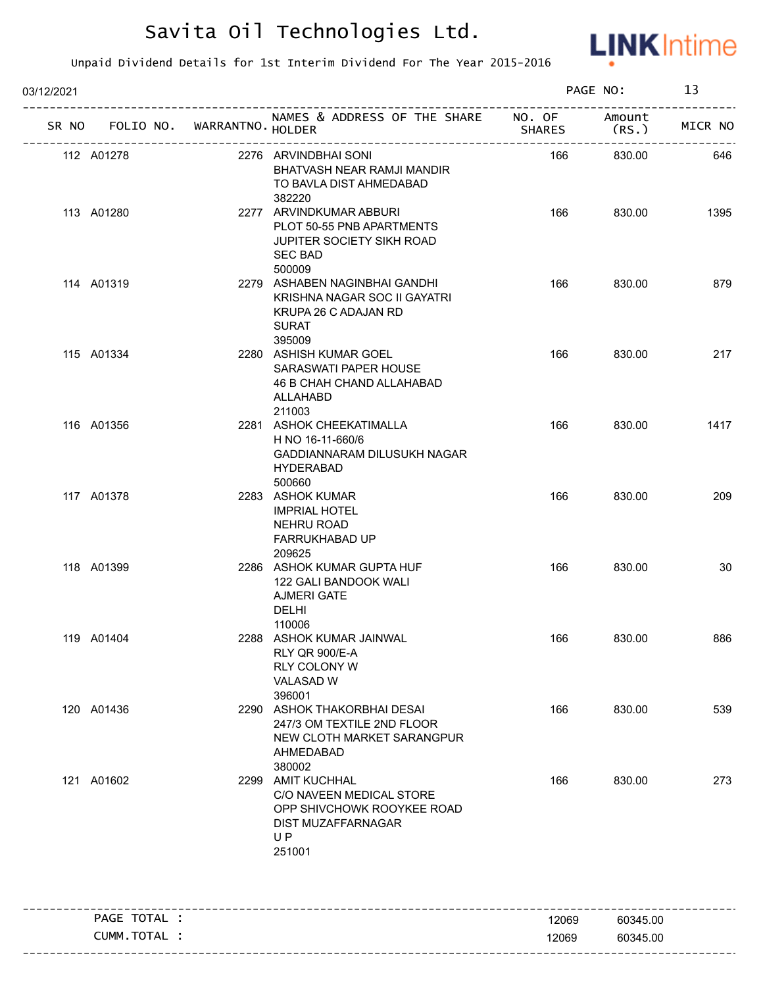

| 03/12/2021 |                 |                   |                                                                                                                           |               | PAGE NO:       | 13      |
|------------|-----------------|-------------------|---------------------------------------------------------------------------------------------------------------------------|---------------|----------------|---------|
|            | SR NO FOLIO NO. | WARRANTNO. HOLDER | NAMES & ADDRESS OF THE SHARE NO. OF                                                                                       | <b>SHARES</b> | Amount<br>(RS. | MICR NO |
|            | 112 A01278      |                   | 2276 ARVINDBHAI SONI<br>BHATVASH NEAR RAMJI MANDIR<br>TO BAVLA DIST AHMEDABAD<br>382220                                   | 166           | 830.00         | 646     |
|            | 113 A01280      |                   | 2277 ARVINDKUMAR ABBURI<br>PLOT 50-55 PNB APARTMENTS<br><b>JUPITER SOCIETY SIKH ROAD</b><br><b>SEC BAD</b>                | 166           | 830.00         | 1395    |
|            | 114 A01319      |                   | 500009<br>2279 ASHABEN NAGINBHAI GANDHI<br>KRISHNA NAGAR SOC II GAYATRI<br>KRUPA 26 C ADAJAN RD<br><b>SURAT</b><br>395009 | 166           | 830.00         | 879     |
|            | 115 A01334      |                   | 2280 ASHISH KUMAR GOEL<br>SARASWATI PAPER HOUSE<br><b>46 B CHAH CHAND ALLAHABAD</b><br>ALLAHABD<br>211003                 | 166           | 830.00         | 217     |
|            | 116 A01356      |                   | 2281 ASHOK CHEEKATIMALLA<br>H NO 16-11-660/6<br>GADDIANNARAM DILUSUKH NAGAR<br><b>HYDERABAD</b><br>500660                 | 166           | 830.00         | 1417    |
|            | 117 A01378      |                   | 2283 ASHOK KUMAR<br><b>IMPRIAL HOTEL</b><br><b>NEHRU ROAD</b><br><b>FARRUKHABAD UP</b><br>209625                          | 166           | 830.00         | 209     |
|            | 118 A01399      |                   | 2286 ASHOK KUMAR GUPTA HUF<br>122 GALI BANDOOK WALI<br><b>AJMERI GATE</b><br><b>DELHI</b><br>110006                       | 166           | 830.00         | 30      |
|            | 119 A01404      |                   | 2288 ASHOK KUMAR JAINWAL<br>RLY QR 900/E-A<br><b>RLY COLONY W</b><br><b>VALASAD W</b><br>396001                           | 166           | 830.00         | 886     |
|            | 120 A01436      |                   | 2290 ASHOK THAKORBHAI DESAI<br>247/3 OM TEXTILE 2ND FLOOR<br>NEW CLOTH MARKET SARANGPUR<br>AHMEDABAD<br>380002            | 166           | 830.00         | 539     |
|            | 121 A01602      |                   | 2299 AMIT KUCHHAL<br>C/O NAVEEN MEDICAL STORE<br>OPP SHIVCHOWK ROOYKEE ROAD<br>DIST MUZAFFARNAGAR<br><b>UP</b><br>251001  | 166           | 830.00         | 273     |
|            | PAGE TOTAL :    |                   |                                                                                                                           | 12069         | 60345.00       |         |
|            | CUMM.TOTAL :    |                   |                                                                                                                           | 12069         | 60345.00       |         |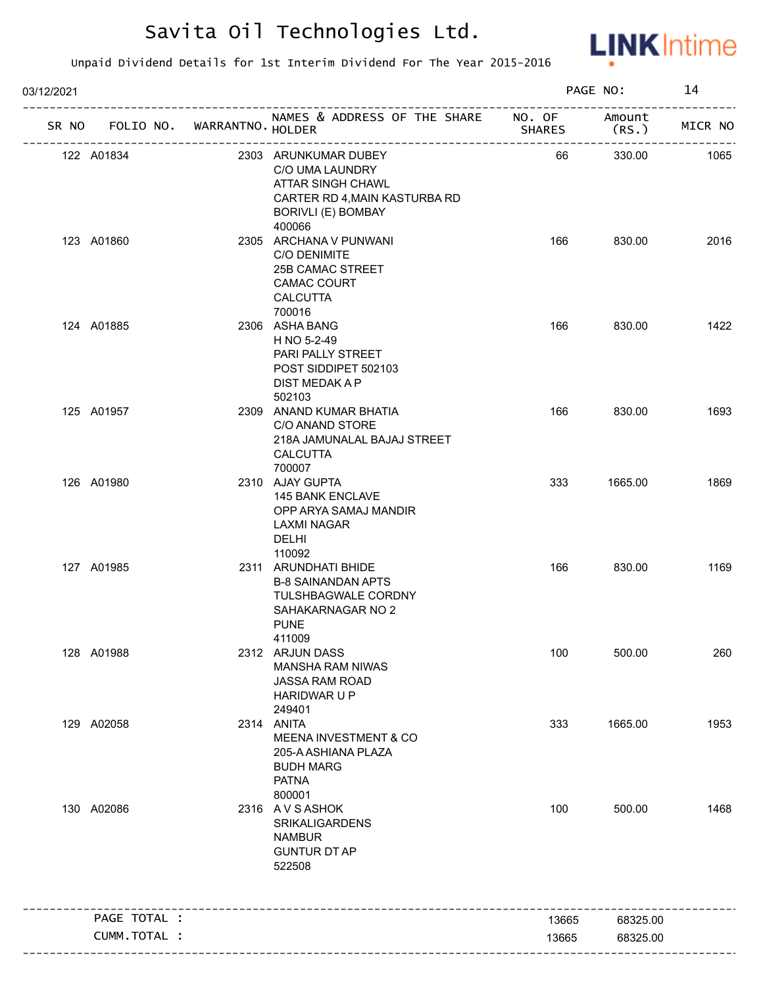

| 03/12/2021    |                             |                                                                                                                                      |               | PAGE NO:        | 14      |
|---------------|-----------------------------|--------------------------------------------------------------------------------------------------------------------------------------|---------------|-----------------|---------|
| SR NO         | FOLIO NO. WARRANTNO. HOLDER | NAMES & ADDRESS OF THE SHARE NO. OF                                                                                                  | <b>SHARES</b> | Amount<br>(RS.) | MICR NO |
| 122 A01834    |                             | 2303 ARUNKUMAR DUBEY<br>C/O UMA LAUNDRY<br>ATTAR SINGH CHAWL<br>CARTER RD 4, MAIN KASTURBA RD<br><b>BORIVLI (E) BOMBAY</b><br>400066 | 66            | 330.00          | 1065    |
| 123 A01860    |                             | 2305 ARCHANA V PUNWANI<br>C/O DENIMITE<br>25B CAMAC STREET<br><b>CAMAC COURT</b><br><b>CALCUTTA</b><br>700016                        | 166           | 830.00          | 2016    |
| 124 A01885    |                             | 2306 ASHA BANG<br>H NO 5-2-49<br>PARI PALLY STREET<br>POST SIDDIPET 502103<br>DIST MEDAK A P<br>502103                               | 166           | 830.00          | 1422    |
| 125 A01957    |                             | 2309 ANAND KUMAR BHATIA<br>C/O ANAND STORE<br>218A JAMUNALAL BAJAJ STREET<br>CALCUTTA<br>700007                                      | 166           | 830.00          | 1693    |
| 126 A01980    |                             | 2310 AJAY GUPTA<br>145 BANK ENCLAVE<br>OPP ARYA SAMAJ MANDIR<br>LAXMI NAGAR<br>DELHI<br>110092                                       | 333           | 1665.00         | 1869    |
| 127 A01985    |                             | 2311 ARUNDHATI BHIDE<br><b>B-8 SAINANDAN APTS</b><br>TULSHBAGWALE CORDNY<br>SAHAKARNAGAR NO 2<br><b>PUNE</b><br>411009               | 166           | 830.00          | 1169    |
| 128 A01988    |                             | 2312 ARJUN DASS<br><b>MANSHA RAM NIWAS</b><br>JASSA RAM ROAD<br>HARIDWAR U P<br>249401                                               | 100           | 500.00          | 260     |
| 129 A02058    |                             | 2314 ANITA<br>MEENA INVESTMENT & CO<br>205-A ASHIANA PLAZA<br><b>BUDH MARG</b><br><b>PATNA</b><br>800001                             | 333           | 1665.00         | 1953    |
| 130 A02086    |                             | 2316 AVSASHOK<br><b>SRIKALIGARDENS</b><br><b>NAMBUR</b><br><b>GUNTUR DT AP</b><br>522508                                             | 100           | 500.00          | 1468    |
| PAGE TOTAL :  |                             |                                                                                                                                      | 13665         | 68325.00        |         |
| CUMM. TOTAL : |                             |                                                                                                                                      | 13665         | 68325.00        |         |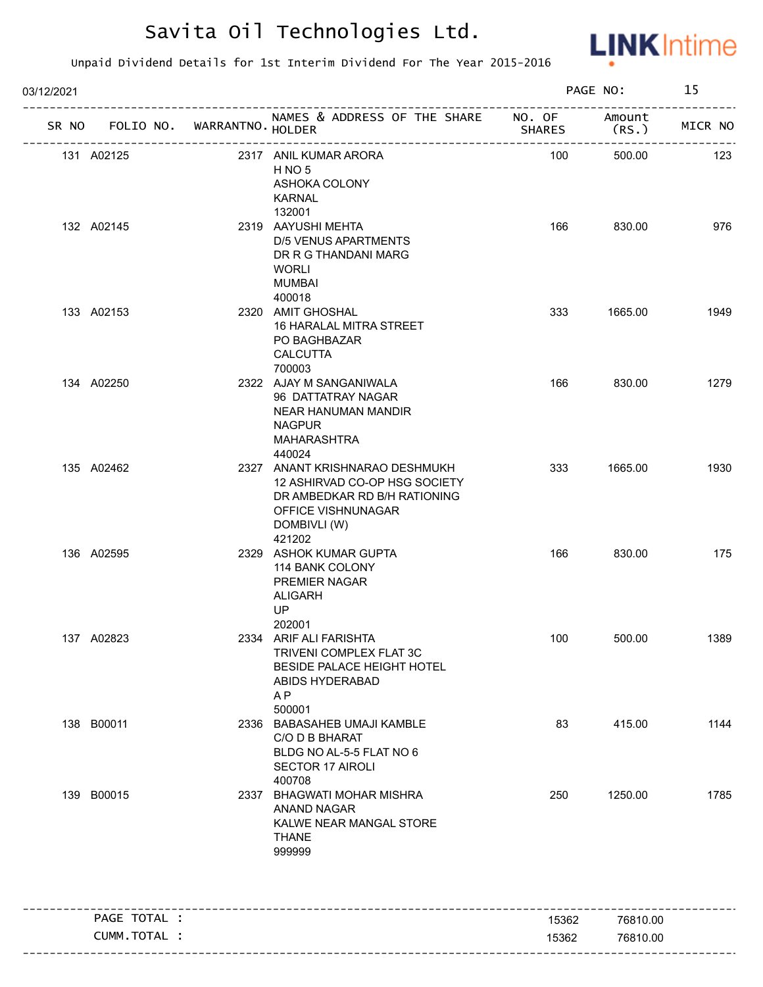

| 03/12/2021 |              |                   |                                                                                                                                                 | PAGE NO:       |                      | 15      |
|------------|--------------|-------------------|-------------------------------------------------------------------------------------------------------------------------------------------------|----------------|----------------------|---------|
| SR NO      | FOLIO NO.    | WARRANTNO. HOLDER | NAMES & ADDRESS OF THE SHARE NO. OF                                                                                                             | <b>SHARES</b>  | Amount<br>(RS.       | MICR NO |
| 131 A02125 |              |                   | 2317 ANIL KUMAR ARORA<br>H <sub>NO</sub> <sub>5</sub><br>ASHOKA COLONY<br><b>KARNAL</b><br>132001                                               | 100            | 500.00               | 123     |
| 132 A02145 |              |                   | 2319 AAYUSHI MEHTA<br>D/5 VENUS APARTMENTS<br>DR R G THANDANI MARG<br><b>WORLI</b><br><b>MUMBAI</b><br>400018                                   | 166            | 830.00               | 976     |
| 133 A02153 |              |                   | 2320 AMIT GHOSHAL<br>16 HARALAL MITRA STREET<br>PO BAGHBAZAR<br><b>CALCUTTA</b><br>700003                                                       | 333            | 1665.00              | 1949    |
| 134 A02250 |              |                   | 2322 AJAY M SANGANIWALA<br>96 DATTATRAY NAGAR<br>NEAR HANUMAN MANDIR<br><b>NAGPUR</b><br><b>MAHARASHTRA</b><br>440024                           | 166            | 830.00               | 1279    |
| 135 A02462 |              |                   | 2327 ANANT KRISHNARAO DESHMUKH<br>12 ASHIRVAD CO-OP HSG SOCIETY<br>DR AMBEDKAR RD B/H RATIONING<br>OFFICE VISHNUNAGAR<br>DOMBIVLI (W)<br>421202 | 333            | 1665.00              | 1930    |
| 136 A02595 |              |                   | 2329 ASHOK KUMAR GUPTA<br>114 BANK COLONY<br>PREMIER NAGAR<br><b>ALIGARH</b><br><b>UP</b><br>202001                                             | 166            | 830.00               | 175     |
| 137 A02823 |              |                   | 2334 ARIF ALI FARISHTA<br>TRIVENI COMPLEX FLAT 3C<br>BESIDE PALACE HEIGHT HOTEL<br>ABIDS HYDERABAD<br>AP<br>500001                              | 100            | 500.00               | 1389    |
| 138 B00011 |              |                   | 2336 BABASAHEB UMAJI KAMBLE<br>C/O D B BHARAT<br>BLDG NO AL-5-5 FLAT NO 6<br><b>SECTOR 17 AIROLI</b><br>400708                                  | 83             | 415.00               | 1144    |
| 139 B00015 |              |                   | 2337 BHAGWATI MOHAR MISHRA<br>ANAND NAGAR<br>KALWE NEAR MANGAL STORE<br><b>THANE</b><br>999999                                                  | 250            | 1250.00              | 1785    |
|            | PAGE TOTAL : |                   |                                                                                                                                                 |                |                      |         |
|            | CUMM.TOTAL : |                   |                                                                                                                                                 | 15362<br>15362 | 76810.00<br>76810.00 |         |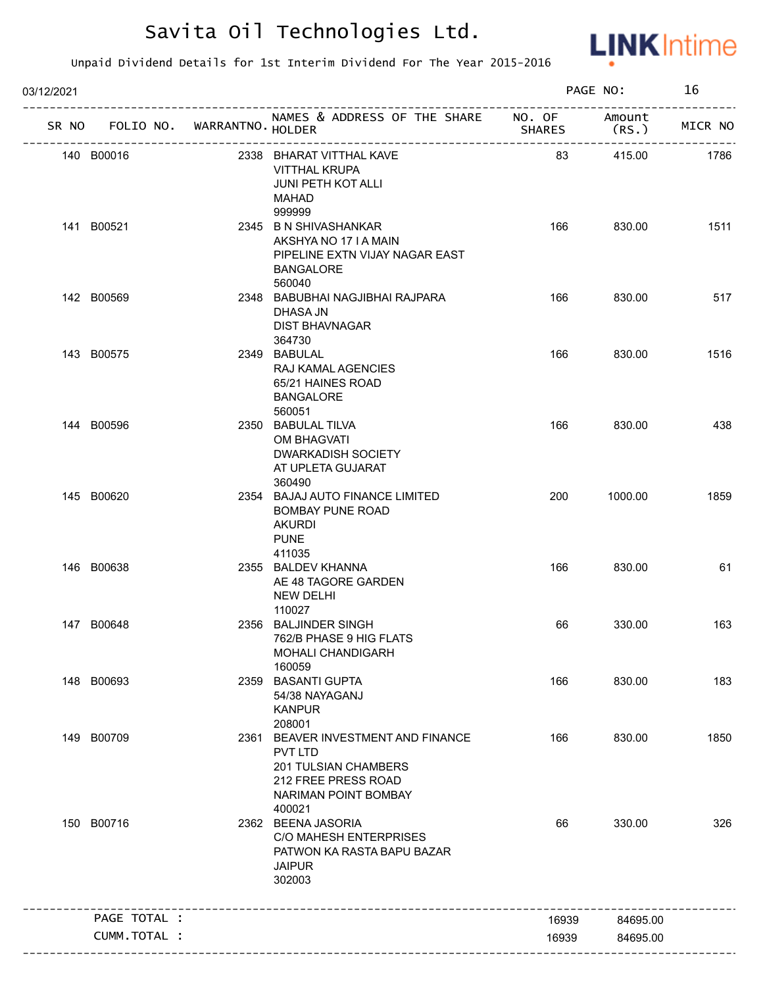

| 03/12/2021 |                                   |                             |                                                                                                                                              |              | PAGE NO: | 16      |
|------------|-----------------------------------|-----------------------------|----------------------------------------------------------------------------------------------------------------------------------------------|--------------|----------|---------|
|            | SR NO FOLIO NO. WARRANTNO. HOLDER | --------------------------- | NAMES & ADDRESS OF THE SHARE NO. OF Amount                                                                                                   | SHARES (RS.) |          | MICR NO |
|            | 140 B00016                        |                             | 2338 BHARAT VITTHAL KAVE<br><b>VITTHAL KRUPA</b><br><b>JUNI PETH KOT ALLI</b><br>MAHAD<br>999999                                             | 83           | 415.00   | 1786    |
|            | 141 B00521                        |                             | 2345 B N SHIVASHANKAR<br>AKSHYA NO 17 I A MAIN<br>PIPELINE EXTN VIJAY NAGAR EAST<br><b>BANGALORE</b><br>560040                               | 166          | 830.00   | 1511    |
|            | 142 B00569                        |                             | 2348 BABUBHAI NAGJIBHAI RAJPARA<br>DHASA JN<br><b>DIST BHAVNAGAR</b><br>364730                                                               | 166          | 830.00   | 517     |
|            | 143 B00575                        |                             | 2349 BABULAL<br>RAJ KAMAL AGENCIES<br>65/21 HAINES ROAD<br><b>BANGALORE</b><br>560051                                                        | 166          | 830.00   | 1516    |
|            | 144 B00596                        |                             | 2350 BABULAL TILVA<br>OM BHAGVATI<br>DWARKADISH SOCIETY<br>AT UPLETA GUJARAT<br>360490                                                       | 166          | 830.00   | 438     |
|            | 145 B00620                        |                             | 2354 BAJAJ AUTO FINANCE LIMITED<br><b>BOMBAY PUNE ROAD</b><br><b>AKURDI</b><br><b>PUNE</b><br>411035                                         | 200          | 1000.00  | 1859    |
|            | 146 B00638                        |                             | 2355 BALDEV KHANNA<br>AE 48 TAGORE GARDEN<br>NEW DELHI<br>110027                                                                             | 166          | 830.00   | 61      |
|            | 147 B00648                        |                             | 2356 BALJINDER SINGH<br>762/B PHASE 9 HIG FLATS<br>MOHALI CHANDIGARH<br>160059                                                               | 66           | 330.00   | 163     |
|            | 148 B00693                        |                             | 2359 BASANTI GUPTA<br>54/38 NAYAGANJ<br><b>KANPUR</b><br>208001                                                                              | 166          | 830.00   | 183     |
|            | 149 B00709                        |                             | 2361 BEAVER INVESTMENT AND FINANCE<br><b>PVT LTD</b><br><b>201 TULSIAN CHAMBERS</b><br>212 FREE PRESS ROAD<br>NARIMAN POINT BOMBAY<br>400021 | 166          | 830.00   | 1850    |
|            | 150 B00716                        |                             | 2362 BEENA JASORIA<br>C/O MAHESH ENTERPRISES<br>PATWON KA RASTA BAPU BAZAR<br><b>JAIPUR</b><br>302003                                        | 66           | 330.00   | 326     |
|            | PAGE TOTAL :                      |                             |                                                                                                                                              | 16939        | 84695.00 |         |
|            | CUMM.TOTAL :                      |                             |                                                                                                                                              | 16939        | 84695.00 |         |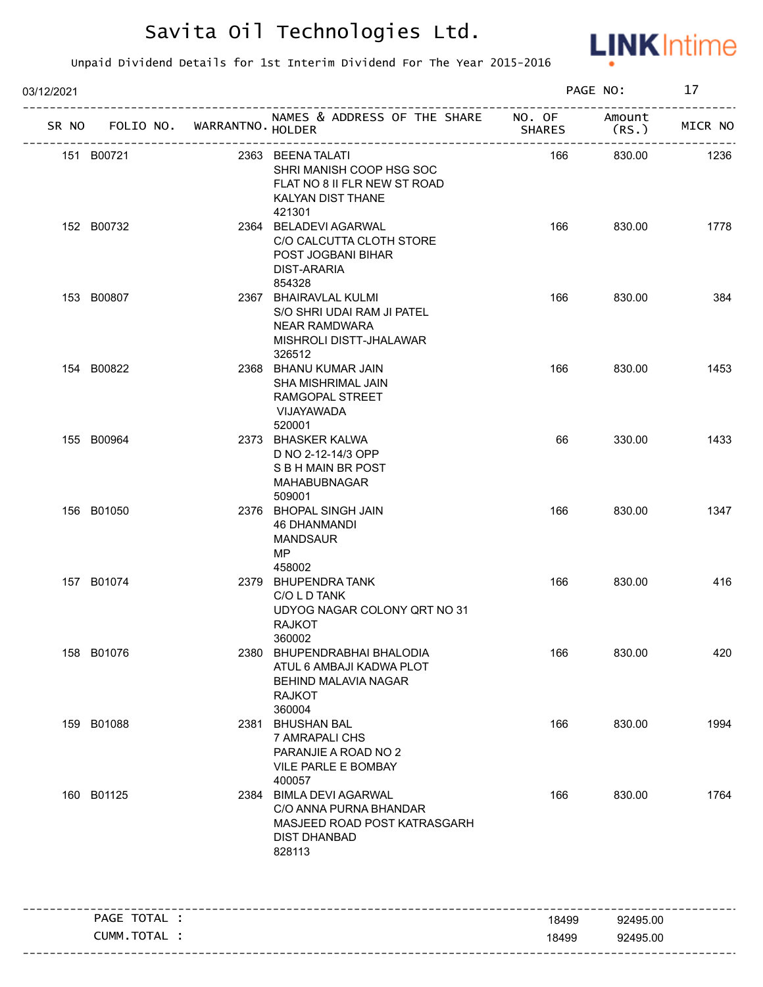

| 03/12/2021 |              |                             |                                                                                                                    | PAGE NO:      |                 |         |
|------------|--------------|-----------------------------|--------------------------------------------------------------------------------------------------------------------|---------------|-----------------|---------|
| SR NO      |              | FOLIO NO. WARRANTNO. HOLDER | NAMES & ADDRESS OF THE SHARE NO. OF                                                                                | <b>SHARES</b> | Amount<br>(RS.) | MICR NO |
|            | 151 B00721   |                             | 2363 BEENA TALATI<br>SHRI MANISH COOP HSG SOC<br>FLAT NO 8 II FLR NEW ST ROAD<br>KALYAN DIST THANE<br>421301       | 166           | 830.00          | 1236    |
|            | 152 B00732   |                             | 2364 BELADEVI AGARWAL<br>C/O CALCUTTA CLOTH STORE<br>POST JOGBANI BIHAR<br>DIST-ARARIA<br>854328                   | 166           | 830.00          | 1778    |
|            | 153 B00807   |                             | 2367 BHAIRAVLAL KULMI<br>S/O SHRI UDAI RAM JI PATEL<br><b>NEAR RAMDWARA</b><br>MISHROLI DISTT-JHALAWAR<br>326512   | 166           | 830.00          | 384     |
|            | 154 B00822   |                             | 2368 BHANU KUMAR JAIN<br>SHA MISHRIMAL JAIN<br>RAMGOPAL STREET<br>VIJAYAWADA<br>520001                             | 166           | 830.00          | 1453    |
|            | 155 B00964   |                             | 2373 BHASKER KALWA<br>D NO 2-12-14/3 OPP<br>S B H MAIN BR POST<br>MAHABUBNAGAR<br>509001                           | 66            | 330.00          | 1433    |
|            | 156 B01050   |                             | 2376 BHOPAL SINGH JAIN<br>46 DHANMANDI<br><b>MANDSAUR</b><br>MP.<br>458002                                         | 166           | 830.00          | 1347    |
|            | 157 B01074   |                             | 2379 BHUPENDRA TANK<br>C/O L D TANK<br>UDYOG NAGAR COLONY QRT NO 31<br><b>RAJKOT</b><br>360002                     | 166           | 830.00          | 416     |
|            | 158 B01076   |                             | 2380 BHUPENDRABHAI BHALODIA<br>ATUL 6 AMBAJI KADWA PLOT<br><b>BEHIND MALAVIA NAGAR</b><br><b>RAJKOT</b><br>360004  | 166           | 830.00          | 420     |
|            | 159 B01088   |                             | 2381 BHUSHAN BAL<br>7 AMRAPALI CHS<br>PARANJIE A ROAD NO 2<br>VILE PARLE E BOMBAY<br>400057                        | 166           | 830.00          | 1994    |
|            | 160 B01125   |                             | 2384 BIMLA DEVI AGARWAL<br>C/O ANNA PURNA BHANDAR<br>MASJEED ROAD POST KATRASGARH<br><b>DIST DHANBAD</b><br>828113 | 166           | 830.00          | 1764    |
|            | PAGE TOTAL : |                             |                                                                                                                    | 18499         | 92495.00        |         |
|            | CUMM.TOTAL : |                             |                                                                                                                    | 18499         | 92495.00        |         |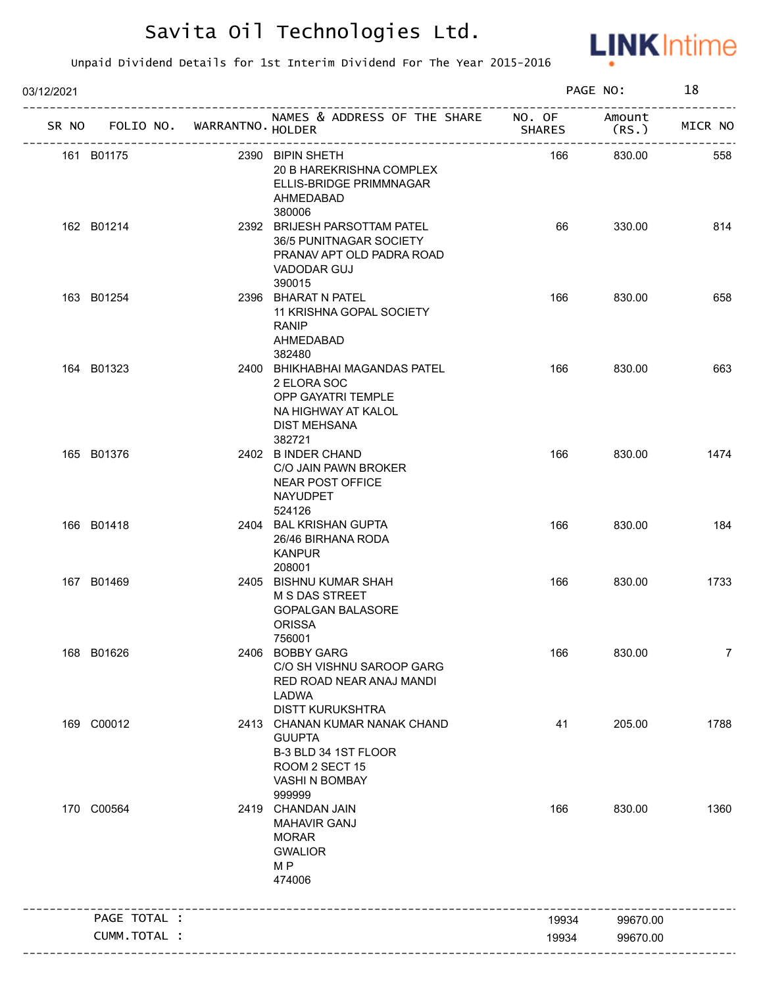

| 03/12/2021 |                                   |                                                                                                                             |               | PAGE NO: | 18             |
|------------|-----------------------------------|-----------------------------------------------------------------------------------------------------------------------------|---------------|----------|----------------|
|            | SR NO FOLIO NO. WARRANTNO. HOLDER | NAMES & ADDRESS OF THE SHARE NO. OF Amount                                                                                  | <b>SHARES</b> | (RS.)    | MICR NO        |
|            | 161 B01175                        | 2390 BIPIN SHETH<br>20 B HAREKRISHNA COMPLEX<br>ELLIS-BRIDGE PRIMMNAGAR<br>AHMEDABAD<br>380006                              | 166           | 830.00   | 558            |
|            | 162 B01214                        | 2392 BRIJESH PARSOTTAM PATEL<br>36/5 PUNITNAGAR SOCIETY<br>PRANAV APT OLD PADRA ROAD<br>VADODAR GUJ<br>390015               | 66            | 330.00   | 814            |
|            | 163 B01254                        | 2396 BHARAT N PATEL<br>11 KRISHNA GOPAL SOCIETY<br><b>RANIP</b><br>AHMEDABAD<br>382480                                      | 166           | 830.00   | 658            |
|            | 164 B01323                        | 2400 BHIKHABHAI MAGANDAS PATEL<br>2 ELORA SOC<br><b>OPP GAYATRI TEMPLE</b><br>NA HIGHWAY AT KALOL<br>DIST MEHSANA<br>382721 | 166           | 830.00   | 663            |
|            | 165 B01376                        | 2402 B INDER CHAND<br>C/O JAIN PAWN BROKER<br>NEAR POST OFFICE<br>NAYUDPET<br>524126                                        | 166           | 830.00   | 1474           |
|            | 166 B01418                        | 2404 BAL KRISHAN GUPTA<br>26/46 BIRHANA RODA<br><b>KANPUR</b><br>208001                                                     | 166           | 830.00   | 184            |
|            | 167 B01469                        | 2405 BISHNU KUMAR SHAH<br>M S DAS STREET<br><b>GOPALGAN BALASORE</b><br><b>ORISSA</b><br>756001                             | 166           | 830.00   | 1733           |
|            | 168 B01626                        | 2406 BOBBY GARG<br>C/O SH VISHNU SAROOP GARG<br>RED ROAD NEAR ANAJ MANDI<br>LADWA<br><b>DISTT KURUKSHTRA</b>                | 166           | 830.00   | $\overline{7}$ |
|            | 169 C00012                        | 2413 CHANAN KUMAR NANAK CHAND<br><b>GUUPTA</b><br>B-3 BLD 34 1ST FLOOR<br>ROOM 2 SECT 15<br>VASHI N BOMBAY<br>999999        | 41            | 205.00   | 1788           |
|            | 170 C00564                        | 2419 CHANDAN JAIN<br><b>MAHAVIR GANJ</b><br><b>MORAR</b><br><b>GWALIOR</b><br>M <sub>P</sub><br>474006                      | 166           | 830.00   | 1360           |
|            | PAGE TOTAL :                      |                                                                                                                             | 19934         | 99670.00 |                |
|            | CUMM.TOTAL :                      |                                                                                                                             | 19934         | 99670.00 |                |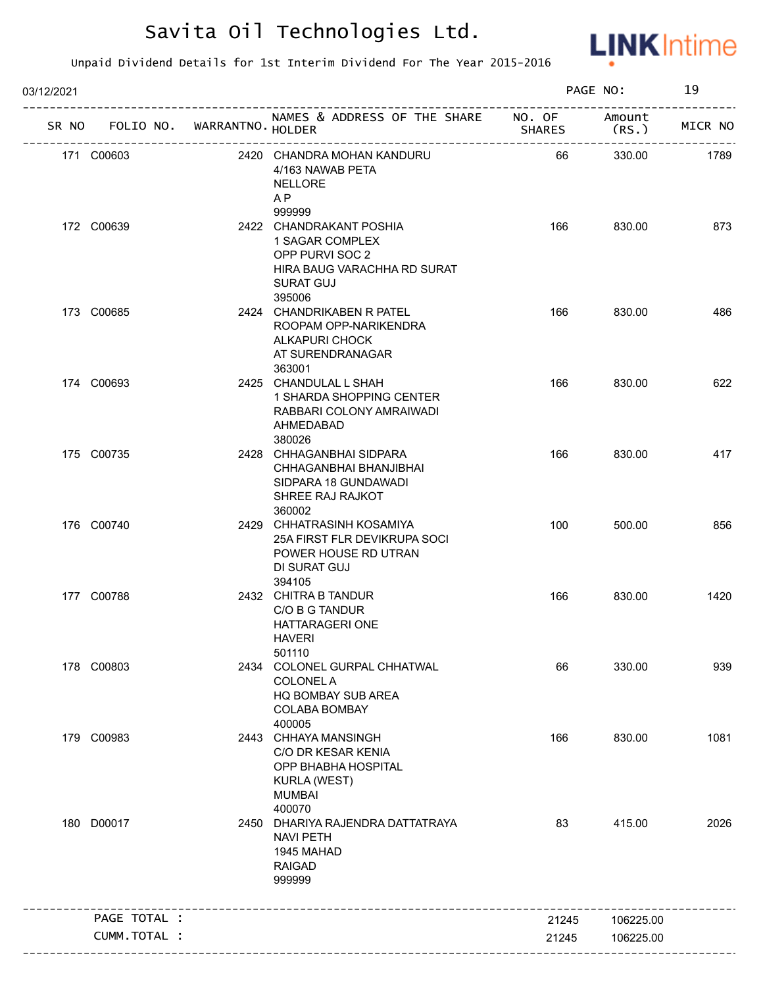

| 03/12/2021 |                                   |  | PAGE NO:                                                                                                                   |               | 19              |         |
|------------|-----------------------------------|--|----------------------------------------------------------------------------------------------------------------------------|---------------|-----------------|---------|
|            | SR NO FOLIO NO. WARRANTNO. HOLDER |  | NAMES & ADDRESS OF THE SHARE NO. OF                                                                                        | <b>SHARES</b> | Amount<br>(RS.) | MICR NO |
|            | 171 C00603                        |  | 2420 CHANDRA MOHAN KANDURU<br>4/163 NAWAB PETA<br><b>NELLORE</b><br>A <sub>P</sub><br>999999                               | 66            | 330.00          | 1789    |
|            | 172 C00639                        |  | 2422 CHANDRAKANT POSHIA<br>1 SAGAR COMPLEX<br>OPP PURVI SOC 2<br>HIRA BAUG VARACHHA RD SURAT<br><b>SURAT GUJ</b><br>395006 | 166           | 830.00          | 873     |
|            | 173 C00685                        |  | 2424 CHANDRIKABEN R PATEL<br>ROOPAM OPP-NARIKENDRA<br><b>ALKAPURI CHOCK</b><br>AT SURENDRANAGAR<br>363001                  | 166           | 830.00          | 486     |
|            | 174 C00693                        |  | 2425 CHANDULAL L SHAH<br>1 SHARDA SHOPPING CENTER<br>RABBARI COLONY AMRAIWADI<br>AHMEDABAD<br>380026                       | 166           | 830.00          | 622     |
|            | 175 C00735                        |  | 2428 CHHAGANBHAI SIDPARA<br>CHHAGANBHAI BHANJIBHAI<br>SIDPARA 18 GUNDAWADI<br>SHREE RAJ RAJKOT<br>360002                   | 166           | 830.00          | 417     |
|            | 176 C00740                        |  | 2429 CHHATRASINH KOSAMIYA<br>25A FIRST FLR DEVIKRUPA SOCI<br>POWER HOUSE RD UTRAN<br>DI SURAT GUJ<br>394105                | 100           | 500.00          | 856     |
|            | 177 C00788                        |  | 2432 CHITRA B TANDUR<br>C/O B G TANDUR<br>HATTARAGERI ONE<br><b>HAVERI</b><br>501110                                       | 166           | 830.00          | 1420    |
|            | 178 C00803                        |  | 2434 COLONEL GURPAL CHHATWAL<br><b>COLONEL A</b><br>HQ BOMBAY SUB AREA<br>COLABA BOMBAY<br>400005                          | 66            | 330.00          | 939     |
|            | 179 C00983                        |  | 2443 CHHAYA MANSINGH<br>C/O DR KESAR KENIA<br>OPP BHABHA HOSPITAL<br>KURLA (WEST)<br><b>MUMBAI</b><br>400070               | 166           | 830.00          | 1081    |
|            | 180 D00017                        |  | 2450 DHARIYA RAJENDRA DATTATRAYA<br><b>NAVI PETH</b><br>1945 MAHAD<br><b>RAIGAD</b><br>999999                              | 83            | 415.00          | 2026    |
|            | PAGE TOTAL :                      |  |                                                                                                                            | 21245         | 106225.00       |         |
|            | CUMM.TOTAL :                      |  |                                                                                                                            | 21245         | 106225.00       |         |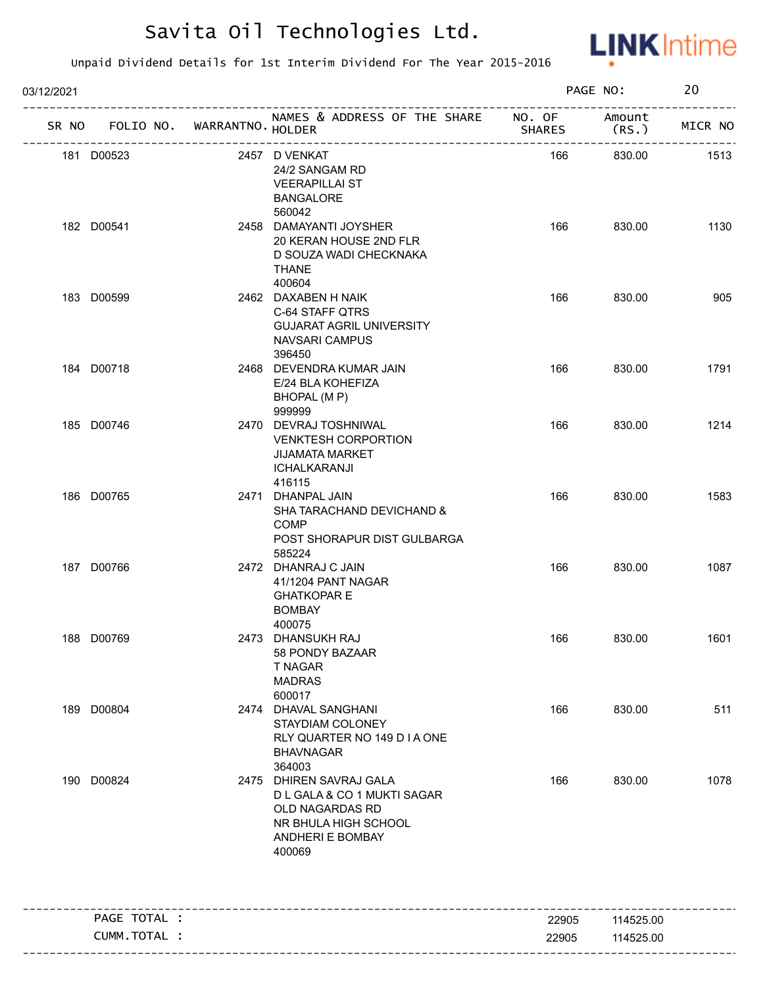

| 03/12/2021 |              |                                   |                                                                                                                                 |        | PAGE NO:                  | 20      |
|------------|--------------|-----------------------------------|---------------------------------------------------------------------------------------------------------------------------------|--------|---------------------------|---------|
|            |              | SR NO FOLIO NO. WARRANTNO. HOLDER | NAMES & ADDRESS OF THE SHARE NO. OF                                                                                             | SHARES | Amount<br>(RS.)           | MICR NO |
| 181 D00523 |              |                                   | 2457 D VENKAT<br>24/2 SANGAM RD<br><b>VEERAPILLAI ST</b><br><b>BANGALORE</b><br>560042                                          | 166    | ---------------<br>830.00 | 1513    |
| 182 D00541 |              |                                   | 2458 DAMAYANTI JOYSHER<br>20 KERAN HOUSE 2ND FLR<br>D SOUZA WADI CHECKNAKA<br><b>THANE</b><br>400604                            | 166    | 830.00                    | 1130    |
| 183 D00599 |              |                                   | 2462 DAXABEN H NAIK<br>C-64 STAFF QTRS<br><b>GUJARAT AGRIL UNIVERSITY</b><br>NAVSARI CAMPUS<br>396450                           | 166    | 830.00                    | 905     |
| 184 D00718 |              |                                   | 2468 DEVENDRA KUMAR JAIN<br>E/24 BLA KOHEFIZA<br>BHOPAL (M P)<br>999999                                                         | 166    | 830.00                    | 1791    |
| 185 D00746 |              |                                   | 2470 DEVRAJ TOSHNIWAL<br><b>VENKTESH CORPORTION</b><br><b>JIJAMATA MARKET</b><br>ICHALKARANJI<br>416115                         | 166    | 830.00                    | 1214    |
| 186 D00765 |              |                                   | 2471 DHANPAL JAIN<br>SHA TARACHAND DEVICHAND &<br><b>COMP</b><br>POST SHORAPUR DIST GULBARGA<br>585224                          | 166    | 830.00                    | 1583    |
| 187 D00766 |              |                                   | 2472 DHANRAJ C JAIN<br>41/1204 PANT NAGAR<br><b>GHATKOPAR E</b><br><b>BOMBAY</b><br>400075                                      | 166    | 830.00                    | 1087    |
| 188 D00769 |              |                                   | 2473 DHANSUKH RAJ<br>58 PONDY BAZAAR<br><b>T NAGAR</b><br><b>MADRAS</b><br>600017                                               | 166    | 830.00                    | 1601    |
| 189 D00804 |              |                                   | 2474 DHAVAL SANGHANI<br>STAYDIAM COLONEY<br>RLY QUARTER NO 149 D I A ONE<br><b>BHAVNAGAR</b><br>364003                          | 166    | 830.00                    | 511     |
| 190 D00824 |              |                                   | 2475 DHIREN SAVRAJ GALA<br>D L GALA & CO 1 MUKTI SAGAR<br>OLD NAGARDAS RD<br>NR BHULA HIGH SCHOOL<br>ANDHERI E BOMBAY<br>400069 | 166    | 830.00                    | 1078    |
|            | PAGE TOTAL : |                                   |                                                                                                                                 | 22905  | 114525.00                 |         |
|            | CUMM.TOTAL : |                                   |                                                                                                                                 | 22905  | 114525.00                 |         |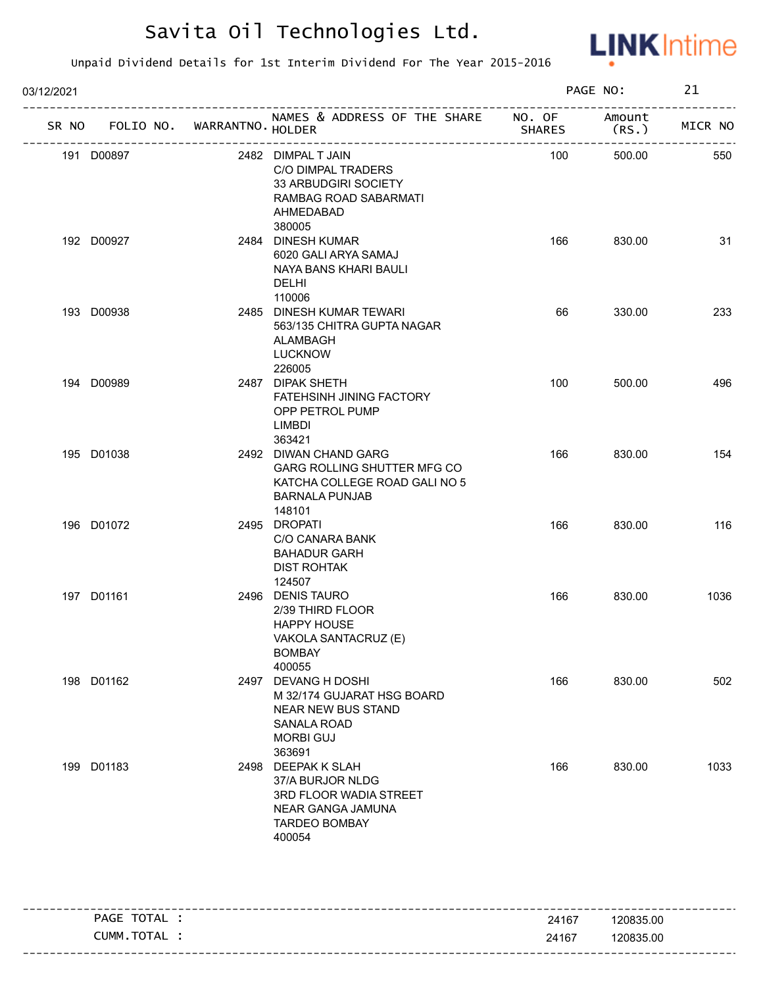

| 03/12/2021 |            |                                   |                                                                                                                                    |               | PAGE NO:       | 21      |
|------------|------------|-----------------------------------|------------------------------------------------------------------------------------------------------------------------------------|---------------|----------------|---------|
|            |            | SR NO FOLIO NO. WARRANTNO. HOLDER | NAMES & ADDRESS OF THE SHARE NO. OF                                                                                                | <b>SHARES</b> | Amount<br>(RS. | MICR NO |
|            | 191 D00897 |                                   | 2482 DIMPAL T JAIN<br>C/O DIMPAL TRADERS<br>33 ARBUDGIRI SOCIETY<br>RAMBAG ROAD SABARMATI<br>AHMEDABAD<br>380005                   | 100           | 500.00         | 550     |
|            | 192 D00927 |                                   | 2484 DINESH KUMAR<br>6020 GALI ARYA SAMAJ<br>NAYA BANS KHARI BAULI<br><b>DELHI</b><br>110006                                       | 166           | 830.00         | 31      |
|            | 193 D00938 |                                   | 2485 DINESH KUMAR TEWARI<br>563/135 CHITRA GUPTA NAGAR<br>ALAMBAGH<br><b>LUCKNOW</b><br>226005                                     | 66            | 330.00         | 233     |
|            | 194 D00989 |                                   | 2487 DIPAK SHETH<br><b>FATEHSINH JINING FACTORY</b><br>OPP PETROL PUMP<br>LIMBDI<br>363421                                         | 100           | 500.00         | 496     |
|            | 195 D01038 |                                   | 2492 DIWAN CHAND GARG<br>GARG ROLLING SHUTTER MFG CO<br>KATCHA COLLEGE ROAD GALI NO 5<br><b>BARNALA PUNJAB</b><br>148101           | 166           | 830.00         | 154     |
|            | 196 D01072 |                                   | 2495 DROPATI<br>C/O CANARA BANK<br><b>BAHADUR GARH</b><br>DIST ROHTAK<br>124507                                                    | 166           | 830.00         | 116     |
|            | 197 D01161 |                                   | 2496 DENIS TAURO<br>2/39 THIRD FLOOR<br><b>HAPPY HOUSE</b><br>VAKOLA SANTACRUZ (E)<br><b>BOMBAY</b><br>400055                      | 166           | 830.00         | 1036    |
|            | 198 D01162 |                                   | 2497 DEVANG H DOSHI<br>M 32/174 GUJARAT HSG BOARD<br><b>NEAR NEW BUS STAND</b><br><b>SANALA ROAD</b><br><b>MORBI GUJ</b><br>363691 | 166           | 830.00         | 502     |
|            | 199 D01183 |                                   | 2498 DEEPAK K SLAH<br>37/A BURJOR NLDG<br>3RD FLOOR WADIA STREET<br>NEAR GANGA JAMUNA<br><b>TARDEO BOMBAY</b><br>400054            | 166           | 830.00         | 1033    |

| TOTAL<br><b>PAGE</b> | 24167 | 120835.00 |
|----------------------|-------|-----------|
| TOTAL<br><b>CUMM</b> | 24167 | 120835.00 |
|                      |       |           |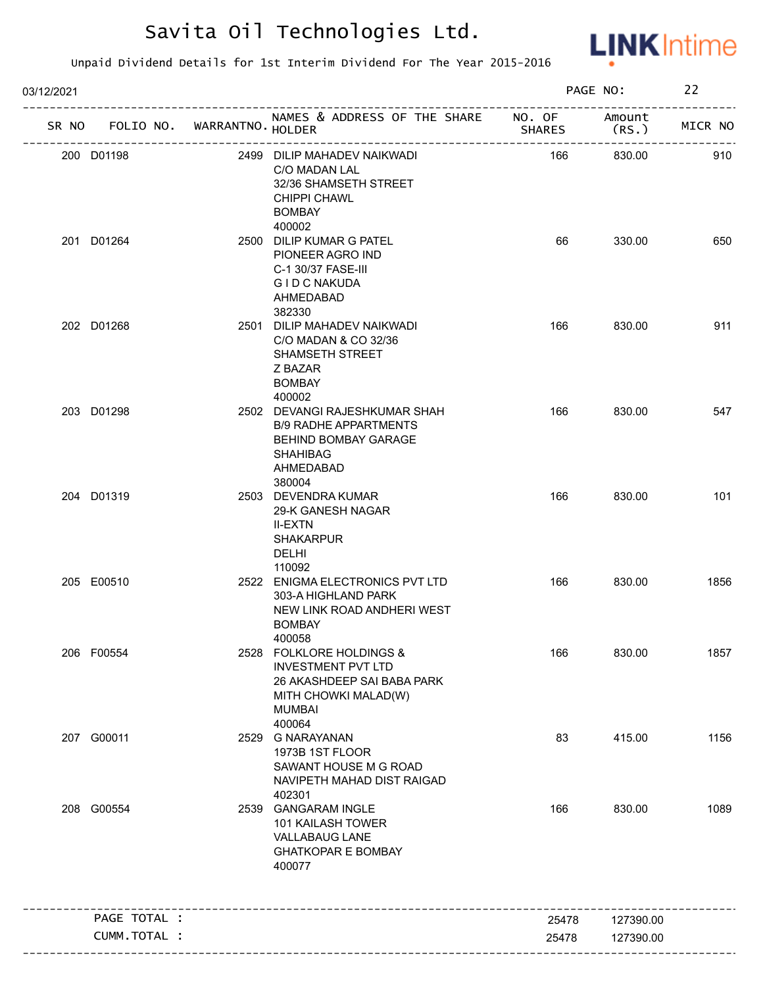

| 03/12/2021 |                                   |                                                                                                                                        |               | PAGE NO:        | 22      |
|------------|-----------------------------------|----------------------------------------------------------------------------------------------------------------------------------------|---------------|-----------------|---------|
|            | SR NO FOLIO NO. WARRANTNO. HOLDER | NAMES & ADDRESS OF THE SHARE NO. OF                                                                                                    | <b>SHARES</b> | Amount<br>(RS.) | MICR NO |
|            | 200 D01198                        | 2499 DILIP MAHADEV NAIKWADI<br>C/O MADAN LAL<br>32/36 SHAMSETH STREET<br>CHIPPI CHAWL<br><b>BOMBAY</b>                                 | 166           | 830.00          | 910     |
|            | 201 D01264                        | 400002<br>2500 DILIP KUMAR G PATEL<br>PIONEER AGRO IND<br>C-1 30/37 FASE-III<br><b>GID C NAKUDA</b><br>AHMEDABAD<br>382330             | 66            | 330.00          | 650     |
|            | 202 D01268                        | 2501 DILIP MAHADEV NAIKWADI<br>C/O MADAN & CO 32/36<br><b>SHAMSETH STREET</b><br>Z BAZAR<br><b>BOMBAY</b><br>400002                    | 166           | 830.00          | 911     |
|            | 203 D01298                        | 2502 DEVANGI RAJESHKUMAR SHAH<br><b>B/9 RADHE APPARTMENTS</b><br>BEHIND BOMBAY GARAGE<br><b>SHAHIBAG</b><br>AHMEDABAD<br>380004        | 166           | 830.00          | 547     |
|            | 204 D01319                        | 2503 DEVENDRA KUMAR<br>29-K GANESH NAGAR<br><b>II-EXTN</b><br><b>SHAKARPUR</b><br>DELHI<br>110092                                      | 166           | 830.00          | 101     |
|            | 205 E00510                        | 2522 ENIGMA ELECTRONICS PVT LTD<br>303-A HIGHLAND PARK<br>NEW LINK ROAD ANDHERI WEST<br><b>BOMBAY</b><br>400058                        | 166           | 830.00          | 1856    |
|            | 206 F00554                        | 2528 FOLKLORE HOLDINGS &<br><b>INVESTMENT PVT LTD</b><br>26 AKASHDEEP SAI BABA PARK<br>MITH CHOWKI MALAD(W)<br><b>MUMBAI</b><br>400064 | 166           | 830.00          | 1857    |
|            | 207 G00011                        | 2529 G NARAYANAN<br>1973B 1ST FLOOR<br>SAWANT HOUSE M G ROAD<br>NAVIPETH MAHAD DIST RAIGAD<br>402301                                   | 83            | 415.00          | 1156    |
|            | 208 G00554                        | 2539 GANGARAM INGLE<br>101 KAILASH TOWER<br><b>VALLABAUG LANE</b><br><b>GHATKOPAR E BOMBAY</b><br>400077                               | 166           | 830.00          | 1089    |
|            | PAGE TOTAL :                      |                                                                                                                                        | 25478         | 127390.00       |         |
|            | CUMM.TOTAL :                      |                                                                                                                                        | 25478         | 127390.00       |         |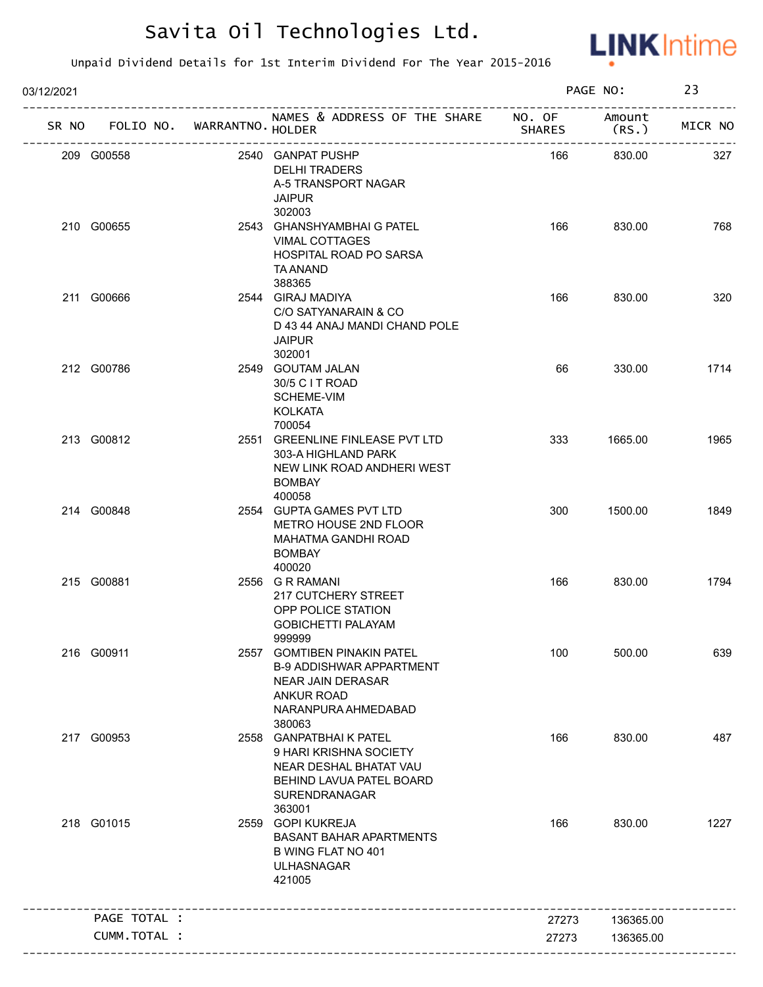

| 03/12/2021 |                                   |                                                                                                                                           |               | PAGE NO:        | 23      |
|------------|-----------------------------------|-------------------------------------------------------------------------------------------------------------------------------------------|---------------|-----------------|---------|
|            | SR NO FOLIO NO. WARRANTNO. HOLDER | NAMES & ADDRESS OF THE SHARE NO. OF<br>---------------------------                                                                        | <b>SHARES</b> | Amount<br>(RS.) | MICR NO |
|            | 209 G00558                        | 2540 GANPAT PUSHP<br><b>DELHI TRADERS</b><br>A-5 TRANSPORT NAGAR<br><b>JAIPUR</b><br>302003                                               | 166           | 830.00          | 327     |
|            | 210 G00655                        | 2543 GHANSHYAMBHAI G PATEL<br><b>VIMAL COTTAGES</b><br>HOSPITAL ROAD PO SARSA<br>TA ANAND<br>388365                                       | 166           | 830.00          | 768     |
|            | 211 G00666                        | 2544 GIRAJ MADIYA<br>C/O SATYANARAIN & CO<br>D 43 44 ANAJ MANDI CHAND POLE<br><b>JAIPUR</b><br>302001                                     | 166           | 830.00          | 320     |
|            | 212 G00786                        | 2549 GOUTAM JALAN<br>30/5 C I T ROAD<br>SCHEME-VIM<br><b>KOLKATA</b><br>700054                                                            | 66            | 330.00          | 1714    |
|            | 213 G00812                        | 2551 GREENLINE FINLEASE PVT LTD<br>303-A HIGHLAND PARK<br>NEW LINK ROAD ANDHERI WEST<br><b>BOMBAY</b><br>400058                           | 333           | 1665.00         | 1965    |
|            | 214 G00848                        | 2554 GUPTA GAMES PVT LTD<br>METRO HOUSE 2ND FLOOR<br>MAHATMA GANDHI ROAD<br><b>BOMBAY</b><br>400020                                       | 300           | 1500.00         | 1849    |
|            | 215 G00881                        | 2556 G R RAMANI<br>217 CUTCHERY STREET<br>OPP POLICE STATION<br><b>GOBICHETTI PALAYAM</b><br>999999                                       | 166           | 830.00          | 1794    |
|            | 216 G00911                        | 2557 GOMTIBEN PINAKIN PATEL<br><b>B-9 ADDISHWAR APPARTMENT</b><br>NEAR JAIN DERASAR<br><b>ANKUR ROAD</b><br>NARANPURA AHMEDABAD<br>380063 | 100           | 500.00          | 639     |
|            | 217 G00953                        | 2558 GANPATBHAIK PATEL<br>9 HARI KRISHNA SOCIETY<br>NEAR DESHAL BHATAT VAU<br>BEHIND LAVUA PATEL BOARD<br>SURENDRANAGAR<br>363001         | 166           | 830.00          | 487     |
|            | 218 G01015                        | 2559 GOPI KUKREJA<br><b>BASANT BAHAR APARTMENTS</b><br>B WING FLAT NO 401<br><b>ULHASNAGAR</b><br>421005                                  | 166           | 830.00          | 1227    |
|            | PAGE TOTAL :                      |                                                                                                                                           | 27273         | 136365.00       |         |
|            | CUMM.TOTAL :                      |                                                                                                                                           | 27273         | 136365.00       |         |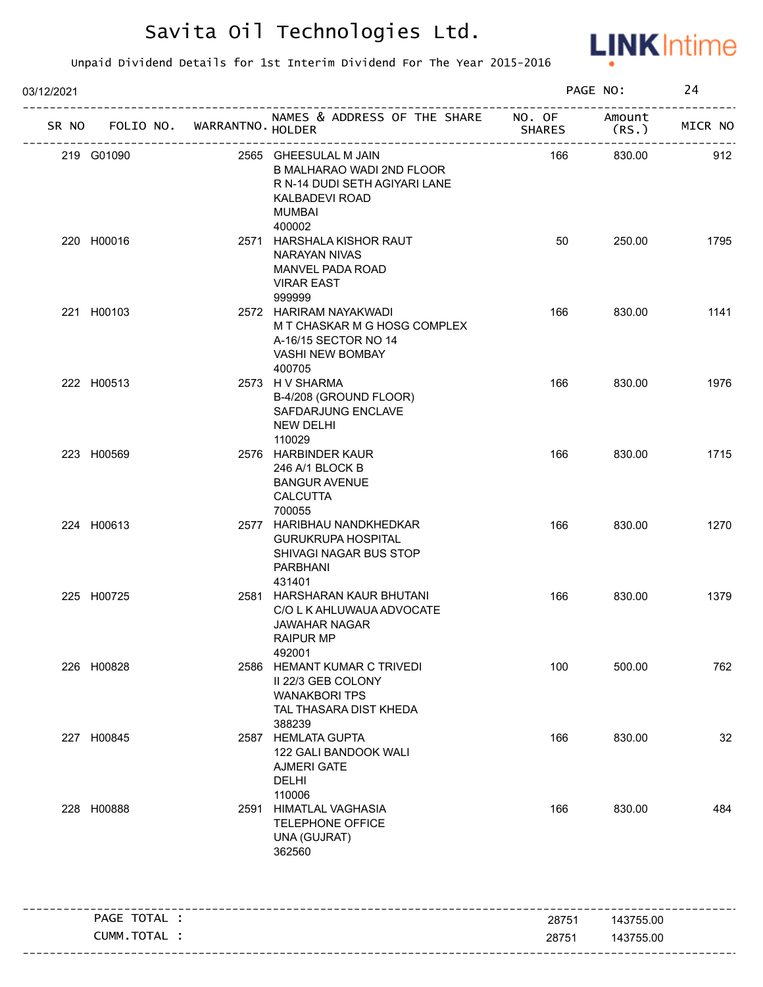

| 03/12/2021         |                  |                                                                                                                           |               | PAGE NO:       | 24      |
|--------------------|------------------|---------------------------------------------------------------------------------------------------------------------------|---------------|----------------|---------|
| SR NO<br>FOLIO NO. | WARRANTNO HOLDER | NAMES & ADDRESS OF THE SHARE NO. OF                                                                                       | <b>SHARES</b> | Amount<br>(RS. | MICR NO |
| 219 G01090         |                  | 2565 GHEESULAL M JAIN<br>B MALHARAO WADI 2ND FLOOR<br>R N-14 DUDI SETH AGIYARI LANE<br>KALBADEVI ROAD<br>MUMBAI<br>400002 | 166           | 830.00         | 912     |
| 220 H00016         |                  | 2571 HARSHALA KISHOR RAUT<br>NARAYAN NIVAS<br>MANVEL PADA ROAD<br><b>VIRAR EAST</b><br>999999                             | 50            | 250.00         | 1795    |
| 221 H00103         |                  | 2572 HARIRAM NAYAKWADI<br>M T CHASKAR M G HOSG COMPLEX<br>A-16/15 SECTOR NO 14<br>VASHI NEW BOMBAY<br>400705              | 166           | 830.00         | 1141    |
| 222 H00513         |                  | 2573 H V SHARMA<br>B-4/208 (GROUND FLOOR)<br>SAFDARJUNG ENCLAVE<br><b>NEW DELHI</b><br>110029                             | 166           | 830.00         | 1976    |
| 223 H00569         |                  | 2576 HARBINDER KAUR<br>246 A/1 BLOCK B<br><b>BANGUR AVENUE</b><br><b>CALCUTTA</b><br>700055                               | 166           | 830.00         | 1715    |
| 224 H00613         |                  | 2577 HARIBHAU NANDKHEDKAR<br><b>GURUKRUPA HOSPITAL</b><br>SHIVAGI NAGAR BUS STOP<br>PARBHANI<br>431401                    | 166           | 830.00         | 1270    |
| 225 H00725         |                  | 2581 HARSHARAN KAUR BHUTANI<br>C/O L K AHLUWAUA ADVOCATE<br><b>JAWAHAR NAGAR</b><br>RAIPUR MP<br>492001                   | 166           | 830.00         | 1379    |
| 226 H00828         |                  | 2586 HEMANT KUMAR C TRIVEDI<br>II 22/3 GEB COLONY<br><b>WANAKBORI TPS</b><br>TAL THASARA DIST KHEDA<br>388239             | 100           | 500.00         | 762     |
| 227 H00845         |                  | 2587 HEMLATA GUPTA<br>122 GALI BANDOOK WALI<br><b>AJMERI GATE</b><br><b>DELHI</b><br>110006                               | 166           | 830.00         | 32      |
| 228 H00888         |                  | 2591 HIMATLAL VAGHASIA<br><b>TELEPHONE OFFICE</b><br>UNA (GUJRAT)<br>362560                                               | 166           | 830.00         | 484     |
| PAGE TOTAL :       |                  |                                                                                                                           | 28751         | 143755.00      |         |
| CUMM.TOTAL :       |                  |                                                                                                                           | 28751         | 143755.00      |         |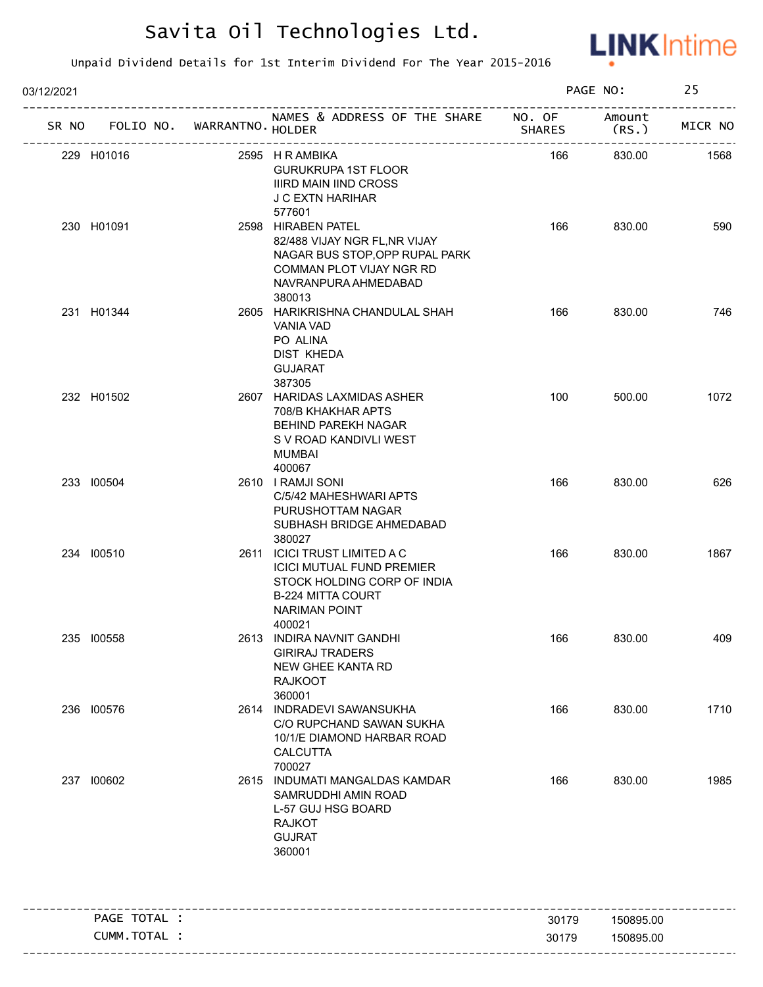

| 03/12/2021   |                             |                                                                                                                                                               |        | PAGE NO:                   | 25      |
|--------------|-----------------------------|---------------------------------------------------------------------------------------------------------------------------------------------------------------|--------|----------------------------|---------|
| SR NO        | FOLIO NO. WARRANTNO. HOLDER | NAMES & ADDRESS OF THE SHARE NO. OF                                                                                                                           | SHARES | Amount<br>(RS.)            | MICR NO |
| 229 H01016   | -----------------------     | 2595 H R AMBIKA<br><b>GURUKRUPA 1ST FLOOR</b><br><b>IIIRD MAIN IIND CROSS</b><br>J C EXTN HARIHAR<br>577601                                                   | 166    | ----------------<br>830.00 | 1568    |
| 230 H01091   |                             | 2598 HIRABEN PATEL<br>82/488 VIJAY NGR FL, NR VIJAY<br>NAGAR BUS STOP, OPP RUPAL PARK<br>COMMAN PLOT VIJAY NGR RD<br>NAVRANPURA AHMEDABAD                     | 166    | 830.00                     | 590     |
| 231 H01344   |                             | 380013<br>2605 HARIKRISHNA CHANDULAL SHAH<br>VANIA VAD<br>PO ALINA<br>DIST KHEDA<br><b>GUJARAT</b><br>387305                                                  | 166    | 830.00                     | 746     |
| 232 H01502   |                             | 2607 HARIDAS LAXMIDAS ASHER<br>708/B KHAKHAR APTS<br>BEHIND PAREKH NAGAR<br>S V ROAD KANDIVLI WEST<br>MUMBAI<br>400067                                        | 100    | 500.00                     | 1072    |
| 233 100504   |                             | 2610 I RAMJI SONI<br>C/5/42 MAHESHWARI APTS<br>PURUSHOTTAM NAGAR<br>SUBHASH BRIDGE AHMEDABAD<br>380027                                                        | 166    | 830.00                     | 626     |
| 234 100510   |                             | 2611 ICICI TRUST LIMITED A C<br><b>ICICI MUTUAL FUND PREMIER</b><br>STOCK HOLDING CORP OF INDIA<br><b>B-224 MITTA COURT</b><br><b>NARIMAN POINT</b><br>400021 | 166    | 830.00                     | 1867    |
| 235 100558   |                             | 2613 INDIRA NAVNIT GANDHI<br><b>GIRIRAJ TRADERS</b><br>NEW GHEE KANTA RD<br><b>RAJKOOT</b><br>360001                                                          | 166    | 830.00                     | 409     |
| 236 100576   |                             | 2614 INDRADEVI SAWANSUKHA<br>C/O RUPCHAND SAWAN SUKHA<br>10/1/E DIAMOND HARBAR ROAD<br>CALCUTTA<br>700027                                                     | 166    | 830.00                     | 1710    |
| 237 100602   |                             | 2615 INDUMATI MANGALDAS KAMDAR<br>SAMRUDDHI AMIN ROAD<br>L-57 GUJ HSG BOARD<br><b>RAJKOT</b><br><b>GUJRAT</b><br>360001                                       | 166    | 830.00                     | 1985    |
| PAGE TOTAL : |                             |                                                                                                                                                               | 30179  | 150895.00                  |         |
| CUMM.TOTAL : |                             |                                                                                                                                                               | 30179  | 150895.00                  |         |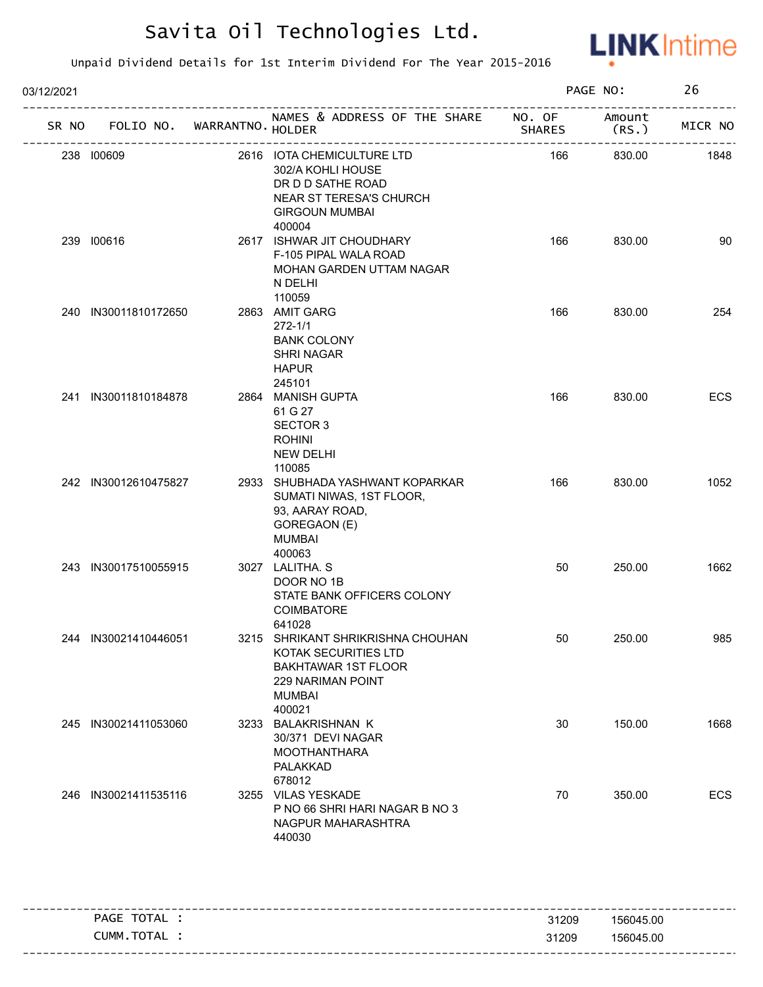

| 03/12/2021 |                      |                   |                                                                                                                                                |               | PAGE NO:        | 26      |
|------------|----------------------|-------------------|------------------------------------------------------------------------------------------------------------------------------------------------|---------------|-----------------|---------|
| SR NO      | FOLIO NO.            | WARRANTNO. HOLDER | NAMES & ADDRESS OF THE SHARE NO. OF                                                                                                            | <b>SHARES</b> | Amount<br>(RS.) | MICR NO |
|            | 238 100609           |                   | 2616 IOTA CHEMICULTURE LTD<br>302/A KOHLI HOUSE<br>DR D D SATHE ROAD<br>NEAR ST TERESA'S CHURCH<br><b>GIRGOUN MUMBAI</b><br>400004             | 166           | 830.00          | 1848    |
|            | 239 100616           |                   | 2617 ISHWAR JIT CHOUDHARY<br>F-105 PIPAL WALA ROAD<br>MOHAN GARDEN UTTAM NAGAR<br>N DELHI<br>110059                                            | 166           | 830.00          | 90      |
|            | 240 IN30011810172650 |                   | 2863 AMIT GARG<br>$272 - 1/1$<br><b>BANK COLONY</b><br><b>SHRI NAGAR</b><br><b>HAPUR</b><br>245101                                             | 166           | 830.00          | 254     |
|            | 241 IN30011810184878 |                   | 2864 MANISH GUPTA<br>61 G 27<br><b>SECTOR 3</b><br><b>ROHINI</b><br><b>NEW DELHI</b><br>110085                                                 | 166           | 830.00          | ECS     |
|            | 242 IN30012610475827 |                   | 2933 SHUBHADA YASHWANT KOPARKAR<br>SUMATI NIWAS, 1ST FLOOR,<br>93, AARAY ROAD,<br>GOREGAON (E)<br><b>MUMBAI</b><br>400063                      | 166           | 830.00          | 1052    |
|            | 243 IN30017510055915 |                   | 3027 LALITHA. S<br>DOOR NO 1B<br>STATE BANK OFFICERS COLONY<br>COIMBATORE<br>641028                                                            | 50            | 250.00          | 1662    |
|            | 244 IN30021410446051 |                   | 3215 SHRIKANT SHRIKRISHNA CHOUHAN<br>KOTAK SECURITIES LTD<br><b>BAKHTAWAR 1ST FLOOR</b><br><b>229 NARIMAN POINT</b><br><b>MUMBAI</b><br>400021 | 50            | 250.00          | 985     |
|            | 245 IN30021411053060 |                   | 3233 BALAKRISHNAN K<br>30/371 DEVI NAGAR<br><b>MOOTHANTHARA</b><br>PALAKKAD<br>678012                                                          | 30            | 150.00          | 1668    |
|            | 246 IN30021411535116 |                   | 3255 VILAS YESKADE<br>P NO 66 SHRI HARI NAGAR B NO 3<br>NAGPUR MAHARASHTRA<br>440030                                                           | 70            | 350.00          | ECS     |
|            | PAGE TOTAL :         |                   |                                                                                                                                                | 31209         | 156045.00       |         |
|            | CUMM.TOTAL :         |                   |                                                                                                                                                | 31209         | 156045.00       |         |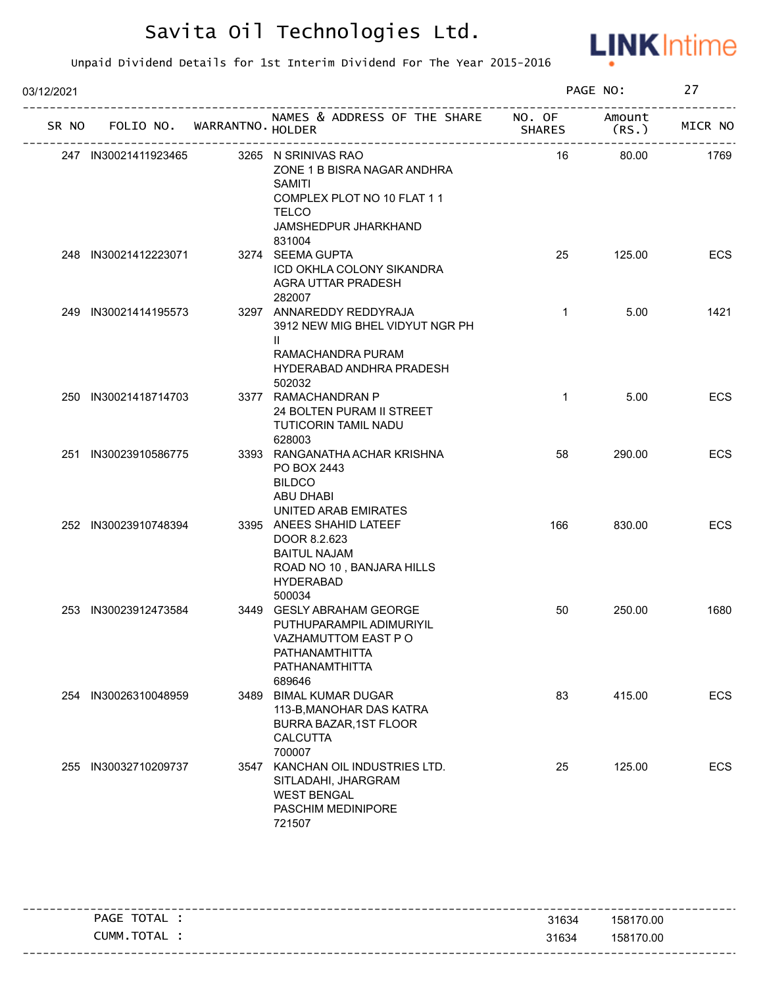

| 03/12/2021 |                      |                                   |                                                                                                                                                      |               | PAGE NO:        | 27         |
|------------|----------------------|-----------------------------------|------------------------------------------------------------------------------------------------------------------------------------------------------|---------------|-----------------|------------|
|            |                      | SR NO FOLIO NO. WARRANTNO. HOLDER | NAMES & ADDRESS OF THE SHARE NO. OF                                                                                                                  | <b>SHARES</b> | Amount<br>(RS.) | MICR NO    |
|            | 247 IN30021411923465 |                                   | 3265 N SRINIVAS RAO<br>ZONE 1 B BISRA NAGAR ANDHRA<br><b>SAMITI</b><br>COMPLEX PLOT NO 10 FLAT 1 1<br><b>TELCO</b><br>JAMSHEDPUR JHARKHAND<br>831004 | 16            | 80.00           | 1769       |
|            | 248 IN30021412223071 |                                   | 3274 SEEMA GUPTA<br>ICD OKHLA COLONY SIKANDRA<br>AGRA UTTAR PRADESH<br>282007                                                                        | 25            | 125.00          | <b>ECS</b> |
|            | 249 IN30021414195573 |                                   | 3297 ANNAREDDY REDDYRAJA<br>3912 NEW MIG BHEL VIDYUT NGR PH<br>$\mathbf{II}$<br>RAMACHANDRA PURAM<br>HYDERABAD ANDHRA PRADESH<br>502032              | $\mathbf{1}$  | 5.00            | 1421       |
|            | 250 IN30021418714703 |                                   | 3377 RAMACHANDRAN P<br>24 BOLTEN PURAM II STREET<br>TUTICORIN TAMIL NADU<br>628003                                                                   | $\mathbf{1}$  | 5.00            | <b>ECS</b> |
|            | 251 IN30023910586775 |                                   | 3393 RANGANATHA ACHAR KRISHNA<br>PO BOX 2443<br><b>BILDCO</b><br>ABU DHABI<br>UNITED ARAB EMIRATES                                                   | 58            | 290.00          | <b>ECS</b> |
|            | 252 IN30023910748394 |                                   | 3395 ANEES SHAHID LATEEF<br>DOOR 8.2.623<br><b>BAITUL NAJAM</b><br>ROAD NO 10, BANJARA HILLS<br><b>HYDERABAD</b><br>500034                           | 166           | 830.00          | ECS        |
|            | 253 IN30023912473584 |                                   | 3449 GESLY ABRAHAM GEORGE<br>PUTHUPARAMPIL ADIMURIYIL<br>VAZHAMUTTOM EAST PO<br>PATHANAMTHITTA<br>PATHANAMTHITTA<br>689646                           | 50            | 250.00          | 1680       |
|            | 254 IN30026310048959 |                                   | 3489 BIMAL KUMAR DUGAR<br>113-B, MANOHAR DAS KATRA<br>BURRA BAZAR, 1ST FLOOR<br><b>CALCUTTA</b><br>700007                                            | 83            | 415.00          | ECS        |
|            | 255 IN30032710209737 |                                   | 3547 KANCHAN OIL INDUSTRIES LTD.<br>SITLADAHI, JHARGRAM<br><b>WEST BENGAL</b><br>PASCHIM MEDINIPORE<br>721507                                        | 25            | 125.00          | ECS        |

| TOTAL<br>PAGE | 31634 | 158170.00 |
|---------------|-------|-----------|
| CUMM.TOTAL    | 31634 | 158170.00 |
|               |       |           |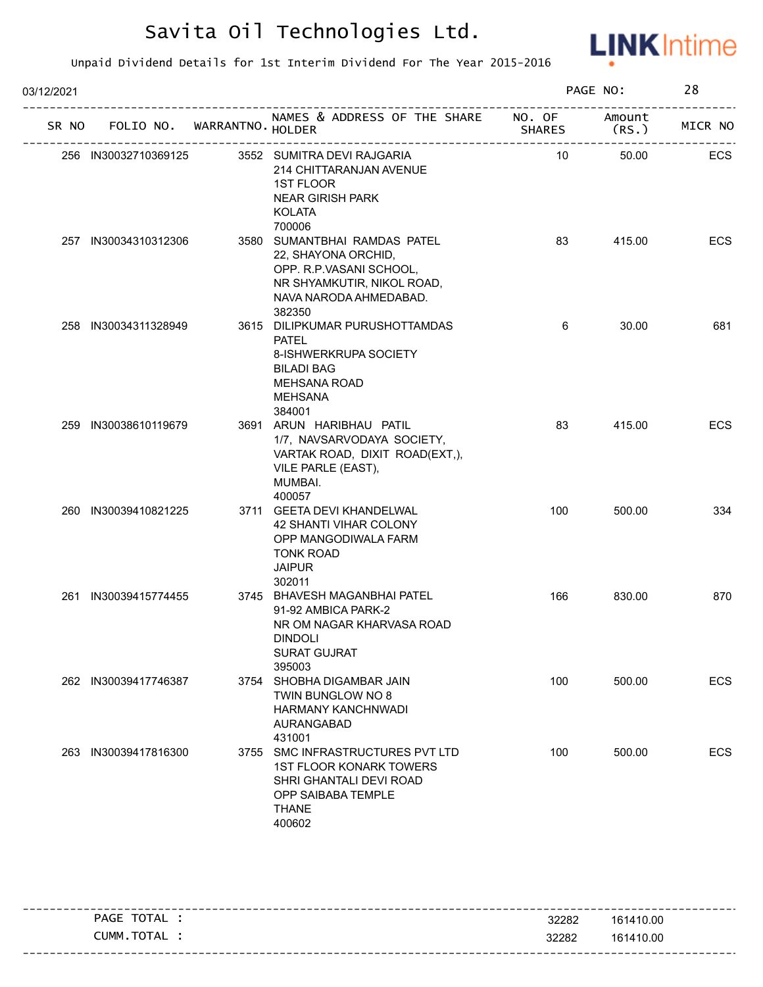

| 03/12/2021 |       |                      |                             |                                                                                                                                                  |               | PAGE NO:       | 28      |
|------------|-------|----------------------|-----------------------------|--------------------------------------------------------------------------------------------------------------------------------------------------|---------------|----------------|---------|
|            | SR NO |                      | FOLIO NO. WARRANTNO. HOLDER | NAMES & ADDRESS OF THE SHARE NO. OF                                                                                                              | <b>SHARES</b> | Amount<br>(RS. | MICR NO |
|            |       | 256 IN30032710369125 |                             | 3552 SUMITRA DEVI RAJGARIA<br>214 CHITTARANJAN AVENUE<br><b>1ST FLOOR</b><br><b>NEAR GIRISH PARK</b><br><b>KOLATA</b><br>700006                  | 10            | 50.00          | ECS     |
|            |       | 257 IN30034310312306 |                             | 3580 SUMANTBHAI RAMDAS PATEL<br>22, SHAYONA ORCHID,<br>OPP. R.P.VASANI SCHOOL,<br>NR SHYAMKUTIR, NIKOL ROAD,<br>NAVA NARODA AHMEDABAD.<br>382350 | 83            | 415.00         | ECS     |
|            |       | 258 IN30034311328949 |                             | 3615 DILIPKUMAR PURUSHOTTAMDAS<br><b>PATEL</b><br>8-ISHWERKRUPA SOCIETY<br><b>BILADI BAG</b><br><b>MEHSANA ROAD</b><br><b>MEHSANA</b><br>384001  | 6             | 30.00          | 681     |
|            |       | 259 IN30038610119679 |                             | 3691 ARUN HARIBHAU PATIL<br>1/7, NAVSARVODAYA SOCIETY,<br>VARTAK ROAD, DIXIT ROAD(EXT,),<br>VILE PARLE (EAST),<br>MUMBAI.<br>400057              | 83            | 415.00         | ECS     |
|            |       | 260 IN30039410821225 |                             | 3711 GEETA DEVI KHANDELWAL<br>42 SHANTI VIHAR COLONY<br>OPP MANGODIWALA FARM<br><b>TONK ROAD</b><br><b>JAIPUR</b><br>302011                      | 100           | 500.00         | 334     |
|            |       | 261 IN30039415774455 |                             | 3745 BHAVESH MAGANBHAI PATEL<br>91-92 AMBICA PARK-2<br>NR OM NAGAR KHARVASA ROAD<br><b>DINDOLI</b><br><b>SURAT GUJRAT</b><br>395003              | 166           | 830.00         | 870     |
|            |       | 262 IN30039417746387 |                             | 3754 SHOBHA DIGAMBAR JAIN<br>TWIN BUNGLOW NO 8<br><b>HARMANY KANCHNWADI</b><br><b>AURANGABAD</b><br>431001                                       | 100           | 500.00         | ECS     |
|            |       | 263 IN30039417816300 |                             | 3755 SMC INFRASTRUCTURES PVT LTD<br><b>1ST FLOOR KONARK TOWERS</b><br>SHRI GHANTALI DEVI ROAD<br>OPP SAIBABA TEMPLE<br><b>THANE</b><br>400602    | 100           | 500.00         | ECS     |

| TOTAL<br>PAGE | 32282 | 161410.00 |
|---------------|-------|-----------|
| CUMM.TOTAL    | 32282 | 161410.00 |
|               |       |           |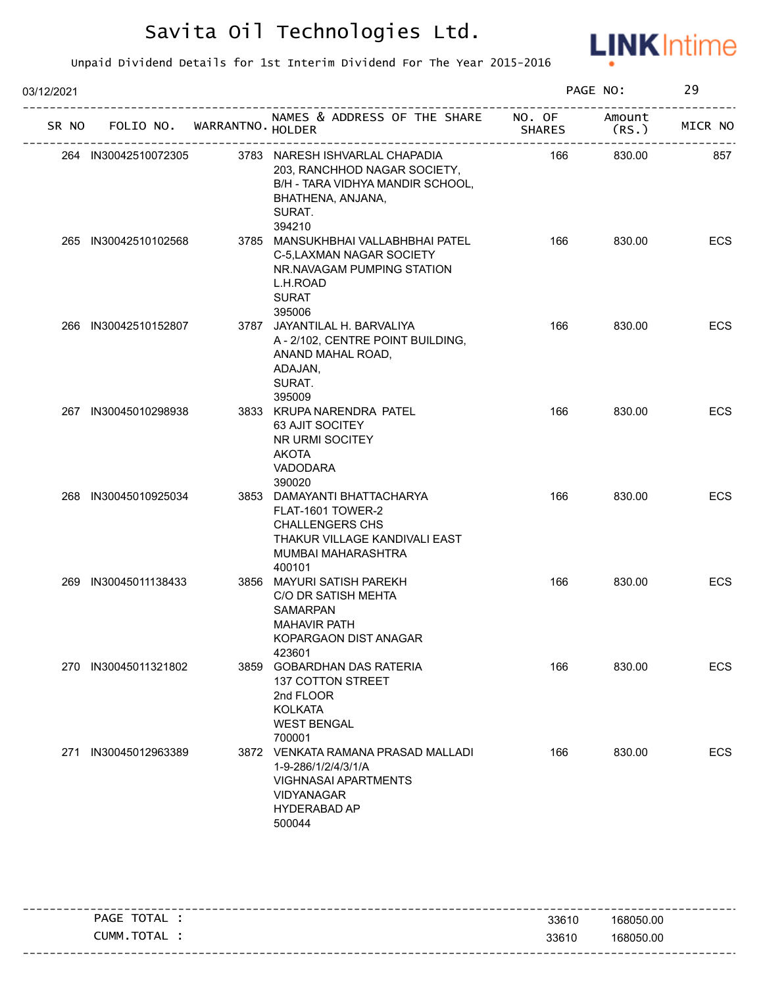

| 03/12/2021 |                      |                             |                                                                                                                                                |                         | PAGE NO:        | 29         |
|------------|----------------------|-----------------------------|------------------------------------------------------------------------------------------------------------------------------------------------|-------------------------|-----------------|------------|
| SR NO      |                      | FOLIO NO. WARRANTNO. HOLDER | NAMES & ADDRESS OF THE SHARE                                                                                                                   | NO. OF<br><b>SHARES</b> | Amount<br>(RS.) | MICR NO    |
|            | 264 IN30042510072305 |                             | 3783 NARESH ISHVARLAL CHAPADIA<br>203, RANCHHOD NAGAR SOCIETY,<br>B/H - TARA VIDHYA MANDIR SCHOOL,<br>BHATHENA, ANJANA,<br>SURAT.<br>394210    | 166                     | 830.00          | 857        |
|            | 265 IN30042510102568 |                             | 3785 MANSUKHBHAI VALLABHBHAI PATEL<br>C-5, LAXMAN NAGAR SOCIETY<br>NR.NAVAGAM PUMPING STATION<br>L.H.ROAD<br><b>SURAT</b><br>395006            | 166                     | 830.00          | ECS        |
|            | 266 IN30042510152807 |                             | 3787 JAYANTILAL H. BARVALIYA<br>A - 2/102, CENTRE POINT BUILDING,<br>ANAND MAHAL ROAD,<br>ADAJAN,<br>SURAT.<br>395009                          | 166                     | 830.00          | ECS        |
|            | 267 IN30045010298938 |                             | 3833 KRUPA NARENDRA PATEL<br>63 AJIT SOCITEY<br>NR URMI SOCITEY<br><b>AKOTA</b><br>VADODARA<br>390020                                          | 166                     | 830.00          | ECS        |
|            | 268 IN30045010925034 |                             | 3853 DAMAYANTI BHATTACHARYA<br>FLAT-1601 TOWER-2<br><b>CHALLENGERS CHS</b><br>THAKUR VILLAGE KANDIVALI EAST<br>MUMBAI MAHARASHTRA<br>400101    | 166                     | 830.00          | ECS        |
|            | 269 IN30045011138433 |                             | 3856 MAYURI SATISH PAREKH<br>C/O DR SATISH MEHTA<br><b>SAMARPAN</b><br><b>MAHAVIR PATH</b><br>KOPARGAON DIST ANAGAR<br>423601                  | 166                     | 830.00          | ECS        |
|            | 270 IN30045011321802 |                             | 3859 GOBARDHAN DAS RATERIA<br>137 COTTON STREET<br>2nd FLOOR<br><b>KOLKATA</b><br><b>WEST BENGAL</b><br>700001                                 | 166                     | 830.00          | <b>ECS</b> |
| 271        | IN30045012963389     |                             | 3872 VENKATA RAMANA PRASAD MALLADI<br>1-9-286/1/2/4/3/1/A<br><b>VIGHNASAI APARTMENTS</b><br><b>VIDYANAGAR</b><br><b>HYDERABAD AP</b><br>500044 | 166                     | 830.00          | ECS        |

| TOTAL<br><b>PAGE</b> | 33610 | 168050.00                         |
|----------------------|-------|-----------------------------------|
| TOTAL<br>CUMM.       | 33610 | 168050.00                         |
|                      |       | --------------------------------- |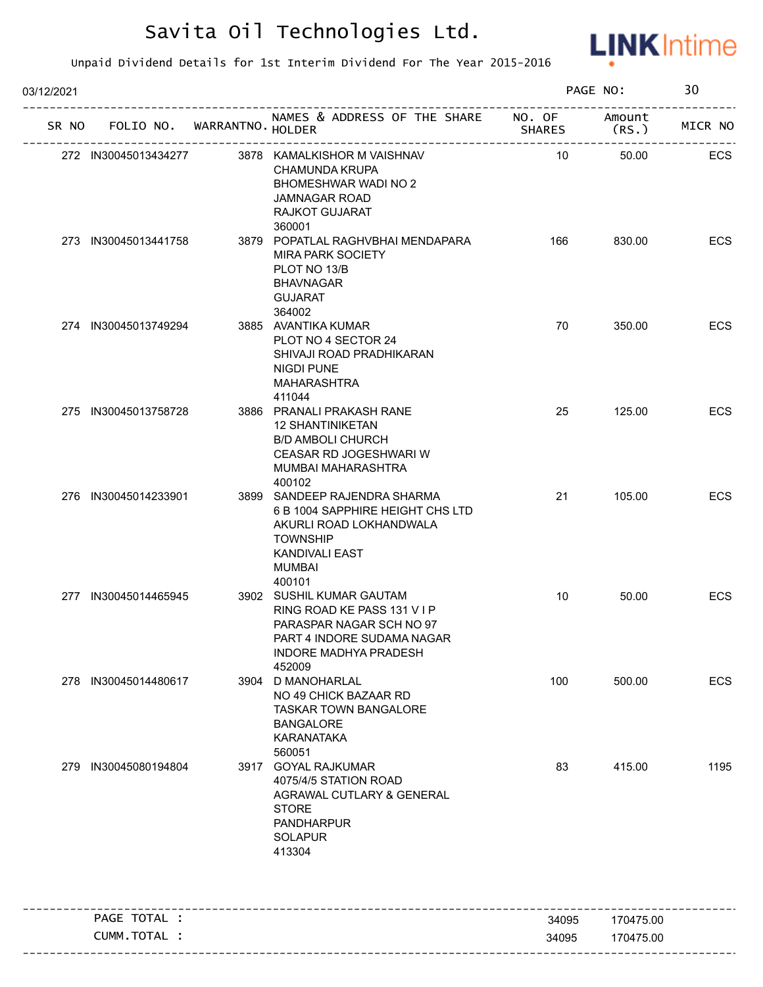

| 03/12/2021 |                      |                                   |                                                                                                                                                             |               | PAGE NO:  | 30      |
|------------|----------------------|-----------------------------------|-------------------------------------------------------------------------------------------------------------------------------------------------------------|---------------|-----------|---------|
|            |                      | SR NO FOLIO NO. WARRANTNO. HOLDER | NAMES & ADDRESS OF THE SHARE NO. OF Amount                                                                                                                  | <b>SHARES</b> | (RS.)     | MICR NO |
|            | 272 IN30045013434277 |                                   | 3878 KAMALKISHOR M VAISHNAV<br><b>CHAMUNDA KRUPA</b><br>BHOMESHWAR WADI NO 2<br><b>JAMNAGAR ROAD</b><br>RAJKOT GUJARAT<br>360001                            | 10            | 50.00     | ECS     |
|            | 273 IN30045013441758 |                                   | 3879 POPATLAL RAGHVBHAI MENDAPARA<br><b>MIRA PARK SOCIETY</b><br>PLOT NO 13/B<br><b>BHAVNAGAR</b><br><b>GUJARAT</b><br>364002                               | 166           | 830.00    | ECS     |
|            | 274 IN30045013749294 |                                   | 3885 AVANTIKA KUMAR<br>PLOT NO 4 SECTOR 24<br>SHIVAJI ROAD PRADHIKARAN<br><b>NIGDI PUNE</b><br>MAHARASHTRA<br>411044                                        | 70            | 350.00    | ECS     |
|            | 275 IN30045013758728 |                                   | 3886 PRANALI PRAKASH RANE<br><b>12 SHANTINIKETAN</b><br><b>B/D AMBOLI CHURCH</b><br>CEASAR RD JOGESHWARI W<br>MUMBAI MAHARASHTRA<br>400102                  | 25            | 125.00    | ECS     |
|            | 276 IN30045014233901 |                                   | 3899 SANDEEP RAJENDRA SHARMA<br>6 B 1004 SAPPHIRE HEIGHT CHS LTD<br>AKURLI ROAD LOKHANDWALA<br><b>TOWNSHIP</b><br>KANDIVALI EAST<br>MUMBAI<br>400101        | 21            | 105.00    | ECS     |
|            | 277 IN30045014465945 |                                   | 3902 SUSHIL KUMAR GAUTAM<br>RING ROAD KE PASS 131 V I P<br>PARASPAR NAGAR SCH NO 97<br>PART 4 INDORF SUDAMA NAGAR<br><b>INDORE MADHYA PRADESH</b><br>452009 | 10            | 50.00     | ECS     |
|            | 278 IN30045014480617 |                                   | 3904 D MANOHARLAL<br>NO 49 CHICK BAZAAR RD<br><b>TASKAR TOWN BANGALORE</b><br><b>BANGALORE</b><br><b>KARANATAKA</b><br>560051                               | 100           | 500.00    | ECS     |
| 279        | IN30045080194804     |                                   | 3917 GOYAL RAJKUMAR<br>4075/4/5 STATION ROAD<br>AGRAWAL CUTLARY & GENERAL<br><b>STORE</b><br><b>PANDHARPUR</b><br><b>SOLAPUR</b><br>413304                  | 83            | 415.00    | 1195    |
|            | PAGE TOTAL :         |                                   |                                                                                                                                                             | 34095         | 170475.00 |         |
|            | CUMM.TOTAL :         |                                   |                                                                                                                                                             | 34095         | 170475.00 |         |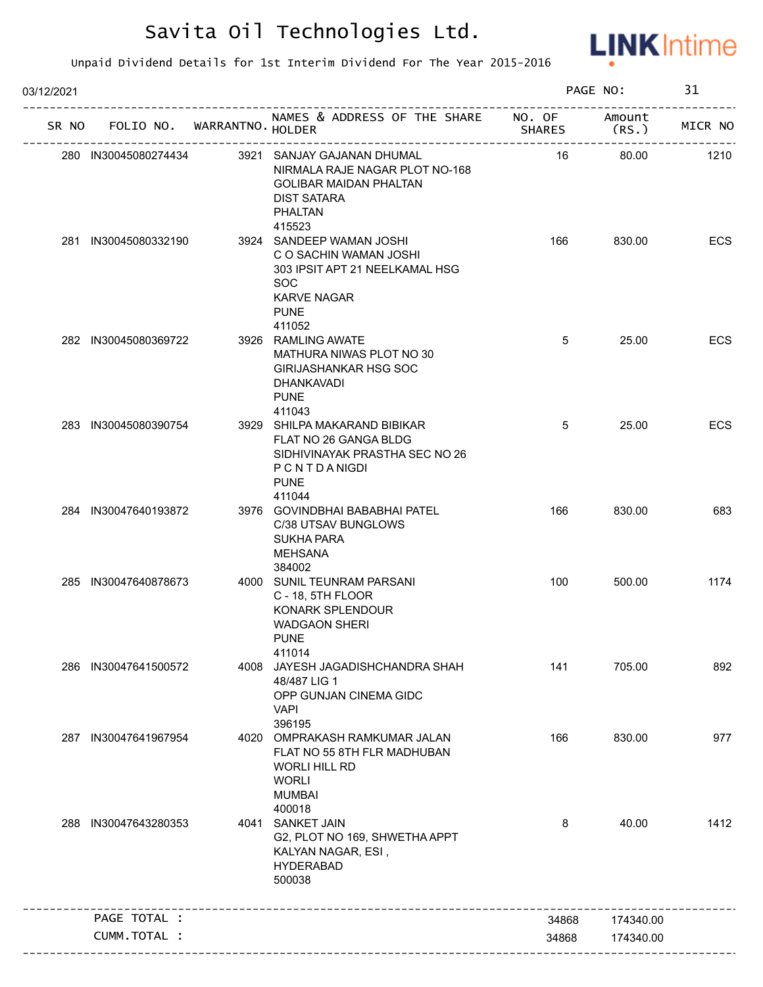

| 03/12/2021 |                      |                                   |                                                                                                                                                             |               | PAGE NO:  | 31      |
|------------|----------------------|-----------------------------------|-------------------------------------------------------------------------------------------------------------------------------------------------------------|---------------|-----------|---------|
|            |                      | SR NO FOLIO NO. WARRANTNO. HOLDER | NAMES & ADDRESS OF THE SHARE NO. OF Amount                                                                                                                  | <b>SHARES</b> | (RS.      | MICR NO |
|            | 280 IN30045080274434 |                                   | 3921 SANJAY GAJANAN DHUMAL<br>NIRMALA RAJE NAGAR PLOT NO-168<br><b>GOLIBAR MAIDAN PHALTAN</b><br><b>DIST SATARA</b><br><b>PHALTAN</b>                       | 16            | 80.00     | 1210    |
|            | 281 IN30045080332190 |                                   | 415523<br>3924 SANDEEP WAMAN JOSHI<br>C O SACHIN WAMAN JOSHI<br>303 IPSIT APT 21 NEELKAMAL HSG<br><b>SOC</b><br><b>KARVE NAGAR</b><br><b>PUNE</b><br>411052 | 166           | 830.00    | ECS     |
|            | 282 IN30045080369722 |                                   | 3926 RAMLING AWATE<br>MATHURA NIWAS PLOT NO 30<br><b>GIRIJASHANKAR HSG SOC</b><br><b>DHANKAVADI</b><br><b>PUNE</b>                                          | 5             | 25.00     | ECS     |
|            | 283 IN30045080390754 |                                   | 411043<br>3929 SHILPA MAKARAND BIBIKAR<br>FLAT NO 26 GANGA BLDG<br>SIDHIVINAYAK PRASTHA SEC NO 26<br>PCNTDANIGDI<br><b>PUNE</b><br>411044                   | 5             | 25.00     | ECS     |
|            | 284 IN30047640193872 |                                   | 3976 GOVINDBHAI BABABHAI PATEL<br>C/38 UTSAV BUNGLOWS<br><b>SUKHA PARA</b><br><b>MEHSANA</b><br>384002                                                      | 166           | 830.00    | 683     |
|            | 285 IN30047640878673 |                                   | 4000 SUNIL TEUNRAM PARSANI<br>C - 18, 5TH FLOOR<br>KONARK SPLENDOUR<br><b>WADGAON SHERI</b><br>PUNE<br>411014                                               | 100           | 500.00    | 1174    |
|            | 286 IN30047641500572 |                                   | 4008 JAYESH JAGADISHCHANDRA SHAH<br>48/487 LIG 1<br>OPP GUNJAN CINEMA GIDC<br><b>VAPI</b><br>396195                                                         | 141           | 705.00    | 892     |
| 287        | IN30047641967954     |                                   | 4020 OMPRAKASH RAMKUMAR JALAN<br>FLAT NO 55 8TH FLR MADHUBAN<br><b>WORLI HILL RD</b><br><b>WORLI</b><br><b>MUMBAI</b><br>400018                             | 166           | 830.00    | 977     |
| 288        | IN30047643280353     |                                   | 4041 SANKET JAIN<br>G2, PLOT NO 169, SHWETHA APPT<br>KALYAN NAGAR, ESI,<br><b>HYDERABAD</b><br>500038                                                       | 8             | 40.00     | 1412    |
|            | PAGE TOTAL :         |                                   |                                                                                                                                                             | 34868         | 174340.00 |         |
|            | CUMM.TOTAL :         |                                   |                                                                                                                                                             | 34868         | 174340.00 |         |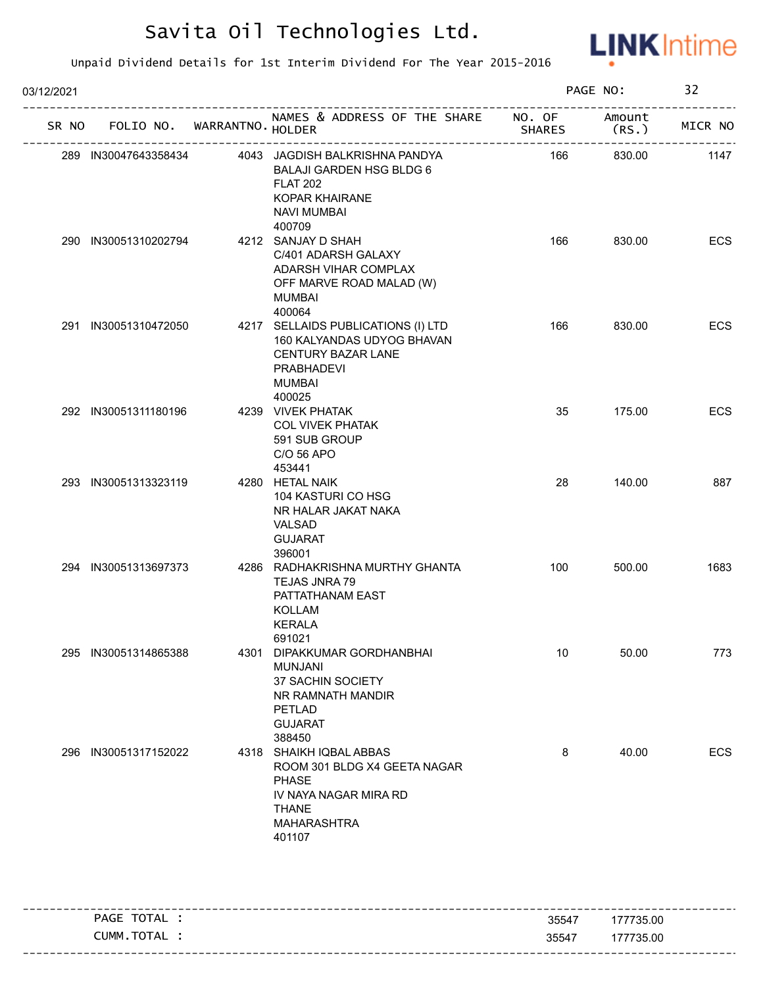

| 03/12/2021 |                      |                                   |                                                                                                                                                                    |                                      | PAGE NO:       | 32      |
|------------|----------------------|-----------------------------------|--------------------------------------------------------------------------------------------------------------------------------------------------------------------|--------------------------------------|----------------|---------|
|            |                      | SR NO FOLIO NO. WARRANTNO. HOLDER | NAMES & ADDRESS OF THE SHARE NO. OF                                                                                                                                | <b>SHARES</b><br>___________________ | Amount<br>(RS. | MICR NO |
|            |                      |                                   | 289 IN30047643358434 4043 JAGDISH BALKRISHNA PANDYA<br><b>BALAJI GARDEN HSG BLDG 6</b><br><b>FLAT 202</b><br><b>KOPAR KHAIRANE</b><br><b>NAVI MUMBAI</b><br>400709 | 166                                  | 830.00         | 1147    |
|            | 290 IN30051310202794 |                                   | 4212 SANJAY D SHAH<br>C/401 ADARSH GALAXY<br>ADARSH VIHAR COMPLAX<br>OFF MARVE ROAD MALAD (W)<br><b>MUMBAI</b><br>400064                                           | 166                                  | 830.00         | ECS     |
|            | 291 IN30051310472050 |                                   | 4217 SELLAIDS PUBLICATIONS (I) LTD<br>160 KALYANDAS UDYOG BHAVAN<br>CENTURY BAZAR LANE<br><b>PRABHADEVI</b><br><b>MUMBAI</b><br>400025                             | 166                                  | 830.00         | ECS     |
|            | 292 IN30051311180196 |                                   | 4239 VIVEK PHATAK<br><b>COL VIVEK PHATAK</b><br>591 SUB GROUP<br>C/O 56 APO<br>453441                                                                              | 35                                   | 175.00         | ECS     |
|            | 293 IN30051313323119 |                                   | 4280 HETAL NAIK<br>104 KASTURI CO HSG<br>NR HALAR JAKAT NAKA<br><b>VALSAD</b><br><b>GUJARAT</b><br>396001                                                          | 28                                   | 140.00         | 887     |
|            | 294 IN30051313697373 |                                   | 4286 RADHAKRISHNA MURTHY GHANTA<br>TEJAS JNRA 79<br>PATTATHANAM EAST<br><b>KOLLAM</b><br><b>KERALA</b><br>691021                                                   | 100                                  | 500.00         | 1683    |
|            | 295 IN30051314865388 |                                   | 4301 DIPAKKUMAR GORDHANBHAI<br><b>MUNJANI</b><br>37 SACHIN SOCIETY<br>NR RAMNATH MANDIR<br>PETLAD<br><b>GUJARAT</b><br>388450                                      | 10                                   | 50.00          | 773     |
| 296        | IN30051317152022     |                                   | 4318 SHAIKH IQBAL ABBAS<br>ROOM 301 BLDG X4 GEETA NAGAR<br><b>PHASE</b><br>IV NAYA NAGAR MIRA RD<br><b>THANE</b><br>MAHARASHTRA<br>401107                          | 8                                    | 40.00          | ECS     |

| PAGE TOTAL | 35547 | ------------------<br>177735.00 |
|------------|-------|---------------------------------|
| CUMM.TOTAL | 35547 | 177735.00                       |
|            |       |                                 |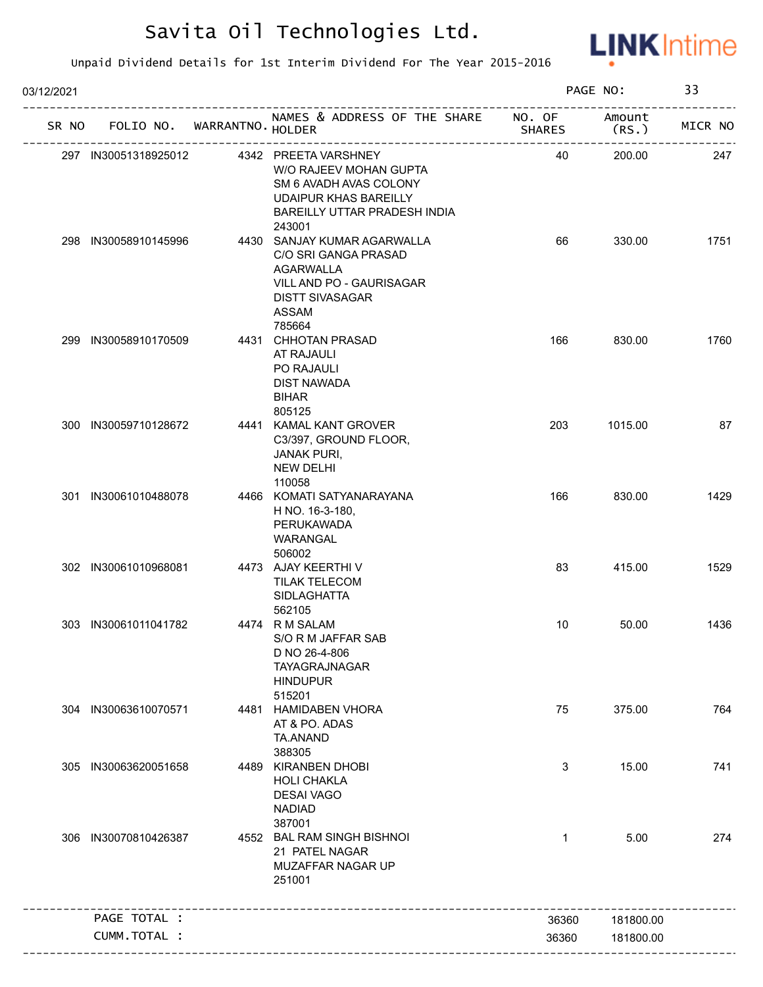

| 03/12/2021 |       |                      |                             |                                                                                                                                                                         |               | PAGE NO:        | 33      |
|------------|-------|----------------------|-----------------------------|-------------------------------------------------------------------------------------------------------------------------------------------------------------------------|---------------|-----------------|---------|
|            | SR NO |                      | FOLIO NO. WARRANTNO. HOLDER | NAMES & ADDRESS OF THE SHARE NO. OF                                                                                                                                     | <b>SHARES</b> | Amount<br>(RS.) | MICR NO |
|            |       |                      |                             | 297 IN30051318925012 4342 PREETA VARSHNEY<br>W/O RAJEEV MOHAN GUPTA<br>SM 6 AVADH AVAS COLONY<br><b>UDAIPUR KHAS BAREILLY</b><br>BAREILLY UTTAR PRADESH INDIA<br>243001 | 40            | 200.00          | 247     |
|            |       | 298 IN30058910145996 |                             | 4430 SANJAY KUMAR AGARWALLA<br>C/O SRI GANGA PRASAD<br><b>AGARWALLA</b><br>VILL AND PO - GAURISAGAR<br><b>DISTT SIVASAGAR</b><br><b>ASSAM</b><br>785664                 | 66            | 330.00          | 1751    |
|            |       | 299 IN30058910170509 |                             | 4431 CHHOTAN PRASAD<br>AT RAJAULI<br>PO RAJAULI<br>DIST NAWADA<br><b>BIHAR</b><br>805125                                                                                | 166           | 830.00          | 1760    |
|            |       | 300 IN30059710128672 |                             | 4441 KAMAL KANT GROVER<br>C3/397, GROUND FLOOR,<br><b>JANAK PURI,</b><br><b>NEW DELHI</b><br>110058                                                                     | 203           | 1015.00         | 87      |
|            |       | 301 IN30061010488078 |                             | 4466 KOMATI SATYANARAYANA<br>H NO. 16-3-180,<br>PERUKAWADA<br>WARANGAL<br>506002                                                                                        | 166           | 830.00          | 1429    |
|            |       | 302 IN30061010968081 |                             | 4473 AJAY KEERTHI V<br><b>TILAK TELECOM</b><br><b>SIDLAGHATTA</b><br>562105                                                                                             | 83            | 415.00          | 1529    |
|            |       | 303 IN30061011041782 |                             | 4474 R M SALAM<br>S/O R M JAFFAR SAB<br>D NO 26-4-806<br>TAYAGRAJNAGAR<br><b>HINDUPUR</b><br>515201                                                                     | 10            | 50.00           | 1436    |
|            |       | 304 IN30063610070571 |                             | 4481 HAMIDABEN VHORA<br>AT & PO. ADAS<br>TA.ANAND<br>388305                                                                                                             | 75            | 375.00          | 764     |
|            |       | 305 IN30063620051658 |                             | 4489 KIRANBEN DHOBI<br><b>HOLI CHAKLA</b><br><b>DESAI VAGO</b><br><b>NADIAD</b><br>387001                                                                               | 3             | 15.00           | 741     |
|            | 306   | IN30070810426387     |                             | 4552 BAL RAM SINGH BISHNOI<br>21 PATEL NAGAR<br>MUZAFFAR NAGAR UP<br>251001                                                                                             | $\mathbf{1}$  | 5.00            | 274     |
|            |       | PAGE TOTAL :         |                             |                                                                                                                                                                         | 36360         | 181800.00       |         |
|            |       | CUMM.TOTAL :         |                             |                                                                                                                                                                         | 36360         | 181800.00       |         |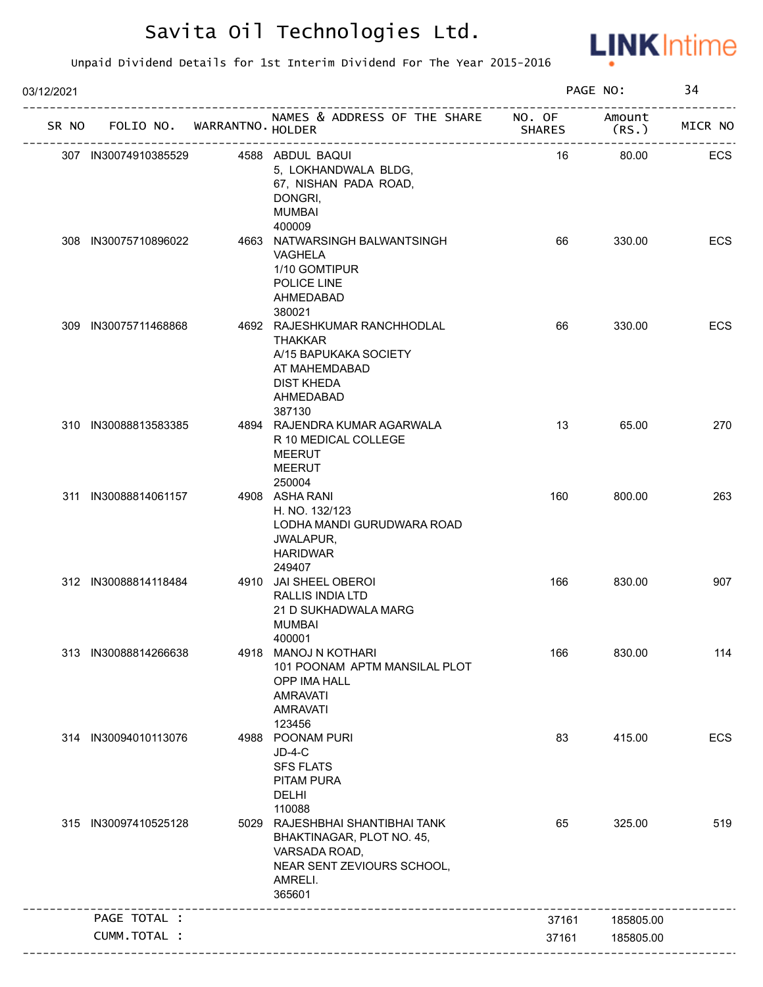

| 03/12/2021 |                                       |                                                                                                                                                                     |               | PAGE NO:  | 34         |
|------------|---------------------------------------|---------------------------------------------------------------------------------------------------------------------------------------------------------------------|---------------|-----------|------------|
|            | SR NO FOLIO NO. WARRANTNO. HOLDER     | NAMES & ADDRESS OF THE SHARE NO. OF Amount<br>SHAI<br>.__________________________________                                                                           | <b>SHARES</b> | (RS. )    | MICR NO    |
|            | 307 IN30074910385529 4588 ABDUL BAQUI | 5, LOKHANDWALA BLDG,<br>67, NISHAN PADA ROAD,<br>DONGRI,<br><b>MUMBAI</b><br>400009                                                                                 | 16            | 80.00     | ECS        |
|            | 308 IN30075710896022                  | 4663 NATWARSINGH BALWANTSINGH<br>VAGHELA<br>1/10 GOMTIPUR<br>POLICE LINE<br>AHMEDABAD<br>380021                                                                     | 66            | 330.00    | ECS        |
|            | 309 IN30075711468868                  | 4692 RAJESHKUMAR RANCHHODLAL<br><b>THAKKAR</b><br>A/15 BAPUKAKA SOCIETY<br>AT MAHEMDABAD<br>DIST KHEDA<br>AHMEDABAD<br>387130                                       | 66            | 330.00    | <b>ECS</b> |
|            | 310 IN30088813583385                  | 4894 RAJENDRA KUMAR AGARWALA<br>R 10 MEDICAL COLLEGE<br><b>MEERUT</b><br>MEERUT<br>250004                                                                           | 13            | 65.00     | 270        |
|            | 311 IN30088814061157                  | 4908 ASHA RANI<br>H. NO. 132/123<br>LODHA MANDI GURUDWARA ROAD<br>JWALAPUR,<br><b>HARIDWAR</b><br>249407                                                            | 160           | 800.00    | 263        |
|            | 312 IN30088814118484                  | 4910 JAI SHEEL OBEROI<br>RALLIS INDIA LTD<br>21 D SUKHADWALA MARG<br><b>MUMBAI</b><br>400001                                                                        | 166           | 830.00    | 907        |
|            | 313 IN30088814266638                  | 4918 MANOJ N KOTHARI<br>101 POONAM APTM MANSILAL PLOT<br>OPP IMA HALL<br><b>AMRAVATI</b><br><b>AMRAVATI</b><br>123456                                               | 166           | 830.00    | 114        |
|            | 314 IN30094010113076                  | 4988 POONAM PURI<br>$JD-4-C$<br><b>SFS FLATS</b><br>PITAM PURA<br><b>DELHI</b><br>110088                                                                            | 83            | 415.00    | ECS        |
|            | 315 IN30097410525128                  | 5029 RAJESHBHAI SHANTIBHAI TANK<br>BHAKTINAGAR, PLOT NO. 45,<br>VARSADA ROAD,<br>NEAR SENT ZEVIOURS SCHOOL,<br>AMRELI.<br>365601<br>_______________________________ | 65            | 325.00    | 519        |
|            | PAGE TOTAL :                          |                                                                                                                                                                     | 37161         | 185805.00 |            |
|            | CUMM.TOTAL :                          |                                                                                                                                                                     | 37161         | 185805.00 |            |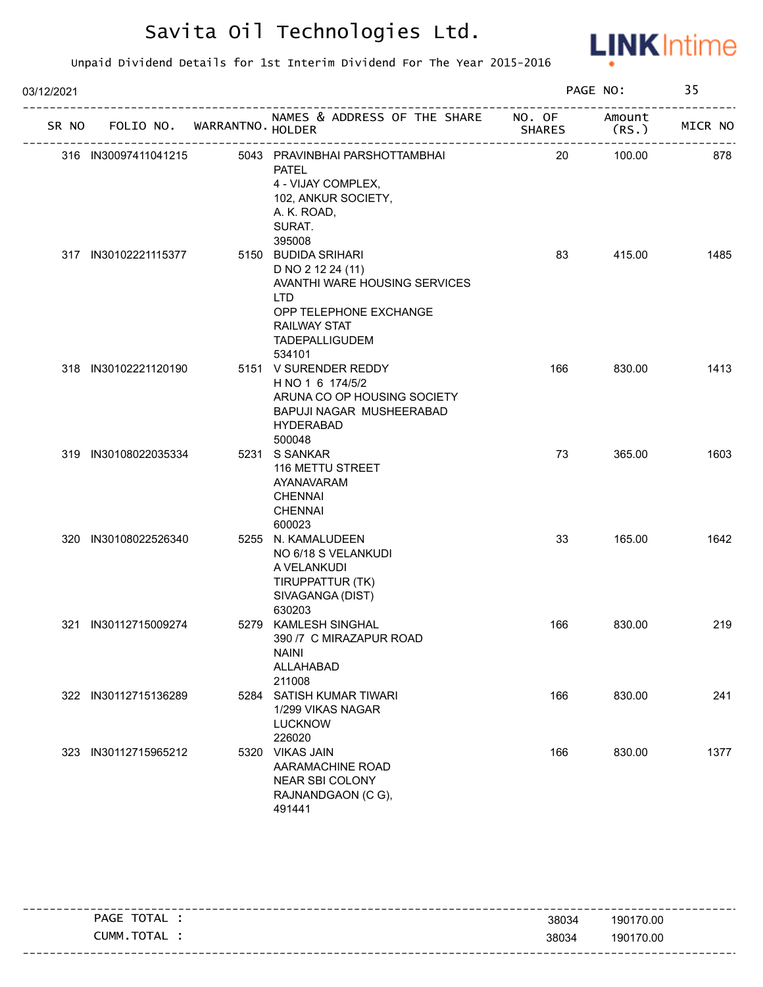

| 03/12/2021 |                      |                                   |                                                                                                                                                                             |                  | PAGE NO:        | 35      |
|------------|----------------------|-----------------------------------|-----------------------------------------------------------------------------------------------------------------------------------------------------------------------------|------------------|-----------------|---------|
|            |                      | SR NO FOLIO NO. WARRANTNO. HOLDER | NAMES & ADDRESS OF THE SHARE                                                                                                                                                | NO. OF<br>SHARES | Amount<br>(RS.) | MICR NO |
|            | 316 IN30097411041215 |                                   | 5043 PRAVINBHAI PARSHOTTAMBHAI<br><b>PATEL</b><br>4 - VIJAY COMPLEX,<br>102, ANKUR SOCIETY,<br>A. K. ROAD,<br>SURAT.<br>395008                                              | 20               | 100.00          | 878     |
|            | 317 IN30102221115377 |                                   | 5150 BUDIDA SRIHARI<br>D NO 2 12 24 (11)<br>AVANTHI WARE HOUSING SERVICES<br><b>LTD</b><br>OPP TELEPHONE EXCHANGE<br><b>RAILWAY STAT</b><br><b>TADEPALLIGUDEM</b><br>534101 | 83               | 415.00          | 1485    |
|            | 318 IN30102221120190 |                                   | 5151 V SURENDER REDDY<br>H NO 1 6 174/5/2<br>ARUNA CO OP HOUSING SOCIETY<br>BAPUJI NAGAR MUSHEERABAD<br><b>HYDERABAD</b><br>500048                                          | 166              | 830.00          | 1413    |
|            | 319 IN30108022035334 |                                   | 5231 S SANKAR<br>116 METTU STREET<br>AYANAVARAM<br><b>CHENNAI</b><br><b>CHENNAI</b><br>600023                                                                               | 73               | 365.00          | 1603    |
|            | 320 IN30108022526340 |                                   | 5255 N. KAMALUDEEN<br>NO 6/18 S VELANKUDI<br>A VELANKUDI<br>TIRUPPATTUR (TK)<br>SIVAGANGA (DIST)<br>630203                                                                  | 33               | 165.00          | 1642    |
|            | 321 IN30112715009274 |                                   | 5279 KAMLESH SINGHAL<br>390 /7 C MIRAZAPUR ROAD<br><b>NAINI</b><br>ALLAHABAD<br>211008                                                                                      | 166              | 830.00          | 219     |
|            | 322 IN30112715136289 |                                   | 5284 SATISH KUMAR TIWARI<br>1/299 VIKAS NAGAR<br><b>LUCKNOW</b><br>226020                                                                                                   | 166              | 830.00          | 241     |
|            | 323 IN30112715965212 |                                   | 5320 VIKAS JAIN<br>AARAMACHINE ROAD<br>NEAR SBI COLONY<br>RAJNANDGAON (CG),<br>491441                                                                                       | 166              | 830.00          | 1377    |

| TOTAL<br><b>PAGE</b> | 38034 | 190170.00                           |
|----------------------|-------|-------------------------------------|
| TOTAL<br>CUMM.       | 38034 | 190170.00                           |
|                      |       | ------------------------------<br>. |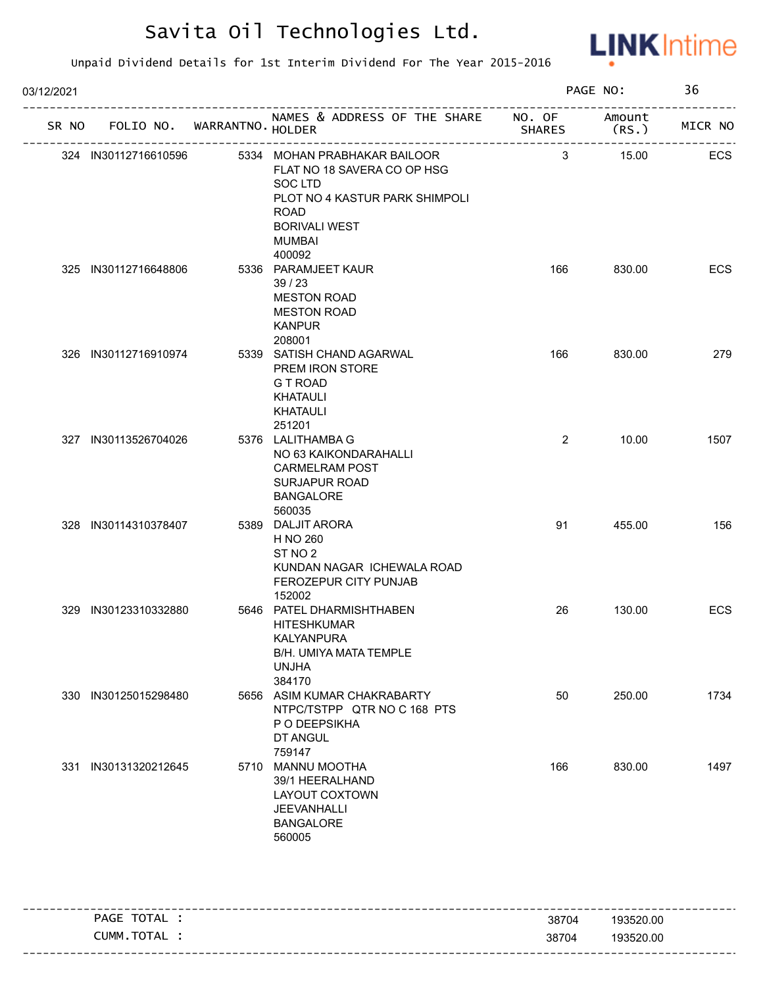

| NAMES & ADDRESS OF THE SHARE NO. OF<br>FOLIO NO. WARRANTNO. HOLDER<br>SR NO<br>SHARES<br>5334 MOHAN PRABHAKAR BAILOOR<br>3<br>324 IN30112716610596<br>FLAT NO 18 SAVERA CO OP HSG<br>SOC LTD<br>PLOT NO 4 KASTUR PARK SHIMPOLI<br><b>ROAD</b><br><b>BORIVALI WEST</b><br><b>MUMBAI</b><br>400092<br>325 IN30112716648806<br>5336 PARAMJEET KAUR<br>166<br>39/23<br><b>MESTON ROAD</b><br><b>MESTON ROAD</b><br><b>KANPUR</b><br>208001<br>326 IN30112716910974<br>5339 SATISH CHAND AGARWAL<br>166<br>PREM IRON STORE<br>G T ROAD<br>KHATAULI<br>KHATAULI<br>251201<br>2<br>327 IN30113526704026<br>5376 LALITHAMBA G<br>NO 63 KAIKONDARAHALLI<br><b>CARMELRAM POST</b><br><b>SURJAPUR ROAD</b><br><b>BANGALORE</b><br>560035<br>5389 DALJIT ARORA<br>328 IN30114310378407<br>91<br>H NO 260<br>ST <sub>NO</sub> 2<br>KUNDAN NAGAR ICHEWALA ROAD<br>FEROZEPUR CITY PUNJAB<br>152002<br>5646 PATEL DHARMISHTHABEN<br>329 IN30123310332880<br>26<br><b>HITESHKUMAR</b><br><b>KALYANPURA</b><br>B/H. UMIYA MATA TEMPLE<br><b>UNJHA</b><br>384170<br>50<br>330 IN30125015298480<br>5656 ASIM KUMAR CHAKRABARTY<br>NTPC/TSTPP QTR NO C 168 PTS | PAGE NO:        | 36      |
|-------------------------------------------------------------------------------------------------------------------------------------------------------------------------------------------------------------------------------------------------------------------------------------------------------------------------------------------------------------------------------------------------------------------------------------------------------------------------------------------------------------------------------------------------------------------------------------------------------------------------------------------------------------------------------------------------------------------------------------------------------------------------------------------------------------------------------------------------------------------------------------------------------------------------------------------------------------------------------------------------------------------------------------------------------------------------------------------------------------------------------------------|-----------------|---------|
|                                                                                                                                                                                                                                                                                                                                                                                                                                                                                                                                                                                                                                                                                                                                                                                                                                                                                                                                                                                                                                                                                                                                           | Amount<br>(RS.) | MICR NO |
|                                                                                                                                                                                                                                                                                                                                                                                                                                                                                                                                                                                                                                                                                                                                                                                                                                                                                                                                                                                                                                                                                                                                           | 15.00           | ECS     |
|                                                                                                                                                                                                                                                                                                                                                                                                                                                                                                                                                                                                                                                                                                                                                                                                                                                                                                                                                                                                                                                                                                                                           | 830.00          | ECS     |
|                                                                                                                                                                                                                                                                                                                                                                                                                                                                                                                                                                                                                                                                                                                                                                                                                                                                                                                                                                                                                                                                                                                                           | 830.00          | 279     |
|                                                                                                                                                                                                                                                                                                                                                                                                                                                                                                                                                                                                                                                                                                                                                                                                                                                                                                                                                                                                                                                                                                                                           | 10.00           | 1507    |
|                                                                                                                                                                                                                                                                                                                                                                                                                                                                                                                                                                                                                                                                                                                                                                                                                                                                                                                                                                                                                                                                                                                                           | 455.00          | 156     |
|                                                                                                                                                                                                                                                                                                                                                                                                                                                                                                                                                                                                                                                                                                                                                                                                                                                                                                                                                                                                                                                                                                                                           | 130.00          | ECS     |
| P O DEEPSIKHA<br>DT ANGUL<br>759147                                                                                                                                                                                                                                                                                                                                                                                                                                                                                                                                                                                                                                                                                                                                                                                                                                                                                                                                                                                                                                                                                                       | 250.00          | 1734    |
| 331 IN30131320212645<br>5710 MANNU MOOTHA<br>166<br>39/1 HEERALHAND<br>LAYOUT COXTOWN<br>JEEVANHALLI<br><b>BANGALORE</b><br>560005                                                                                                                                                                                                                                                                                                                                                                                                                                                                                                                                                                                                                                                                                                                                                                                                                                                                                                                                                                                                        | 830.00          | 1497    |

|                |       | -----------------------           |
|----------------|-------|-----------------------------------|
| TOTAL<br>PAGE  | 38704 | 193520.00                         |
| TOTAL<br>CUMM. | 38704 | 193520.00                         |
|                |       | --------------------------------- |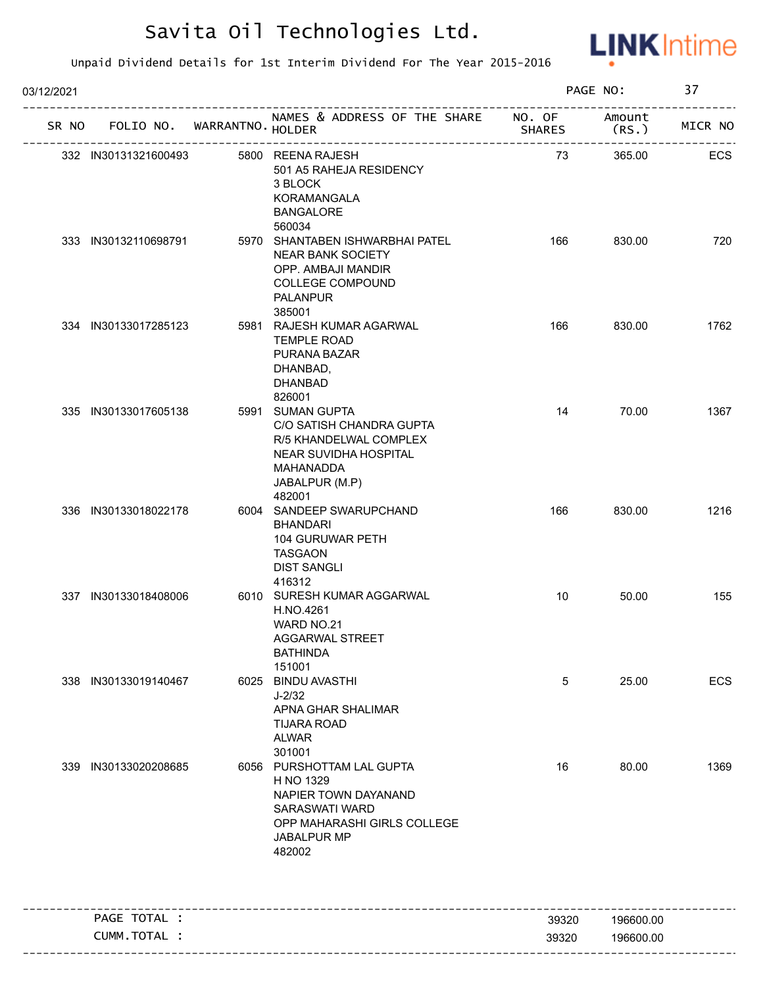

| 03/12/2021 |                      |                                   | PAGE NO:                                                                                                                                        |               | 37                          |         |
|------------|----------------------|-----------------------------------|-------------------------------------------------------------------------------------------------------------------------------------------------|---------------|-----------------------------|---------|
|            |                      | SR NO FOLIO NO. WARRANTNO. HOLDER | NAMES & ADDRESS OF THE SHARE NO. OF Amount                                                                                                      | <b>SHARES</b> | (RS.)<br>------------------ | MICR NO |
|            |                      | ----------------------            | 332 IN30131321600493 5800 REENA RAJESH<br>501 A5 RAHEJA RESIDENCY<br>3 BLOCK<br>KORAMANGALA<br><b>BANGALORE</b>                                 | 73            | 365.00                      | ECS     |
|            | 333 IN30132110698791 |                                   | 560034<br>5970 SHANTABEN ISHWARBHAI PATEL<br><b>NEAR BANK SOCIETY</b><br>OPP. AMBAJI MANDIR<br>COLLEGE COMPOUND<br><b>PALANPUR</b><br>385001    | 166           | 830.00                      | 720     |
|            | 334 IN30133017285123 |                                   | 5981 RAJESH KUMAR AGARWAL<br><b>TEMPLE ROAD</b><br>PURANA BAZAR<br>DHANBAD,<br><b>DHANBAD</b><br>826001                                         | 166           | 830.00                      | 1762    |
|            | 335 IN30133017605138 |                                   | 5991 SUMAN GUPTA<br>C/O SATISH CHANDRA GUPTA<br>R/5 KHANDELWAL COMPLEX<br>NEAR SUVIDHA HOSPITAL<br>MAHANADDA<br>JABALPUR (M.P)<br>482001        | 14            | 70.00                       | 1367    |
|            | 336 IN30133018022178 |                                   | 6004 SANDEEP SWARUPCHAND<br><b>BHANDARI</b><br>104 GURUWAR PETH<br><b>TASGAON</b><br><b>DIST SANGLI</b><br>416312                               | 166           | 830.00                      | 1216    |
|            | 337 IN30133018408006 |                                   | 6010 SURESH KUMAR AGGARWAL<br>H.NO.4261<br>WARD NO.21<br>AGGARWAL STREET<br><b>BATHINDA</b><br>151001                                           | 10            | 50.00                       | 155     |
|            | 338 IN30133019140467 |                                   | 6025 BINDU AVASTHI<br>$J - 2/32$<br>APNA GHAR SHALIMAR<br><b>TIJARA ROAD</b><br><b>ALWAR</b><br>301001                                          | 5             | 25.00                       | ECS     |
|            | 339 IN30133020208685 |                                   | 6056 PURSHOTTAM LAL GUPTA<br>H NO 1329<br>NAPIER TOWN DAYANAND<br><b>SARASWATI WARD</b><br>OPP MAHARASHI GIRLS COLLEGE<br>JABALPUR MP<br>482002 | 16            | 80.00                       | 1369    |
|            | PAGE TOTAL :         |                                   |                                                                                                                                                 | 39320         | 196600.00                   |         |
|            | CUMM.TOTAL :         |                                   |                                                                                                                                                 | 39320         | 196600.00                   |         |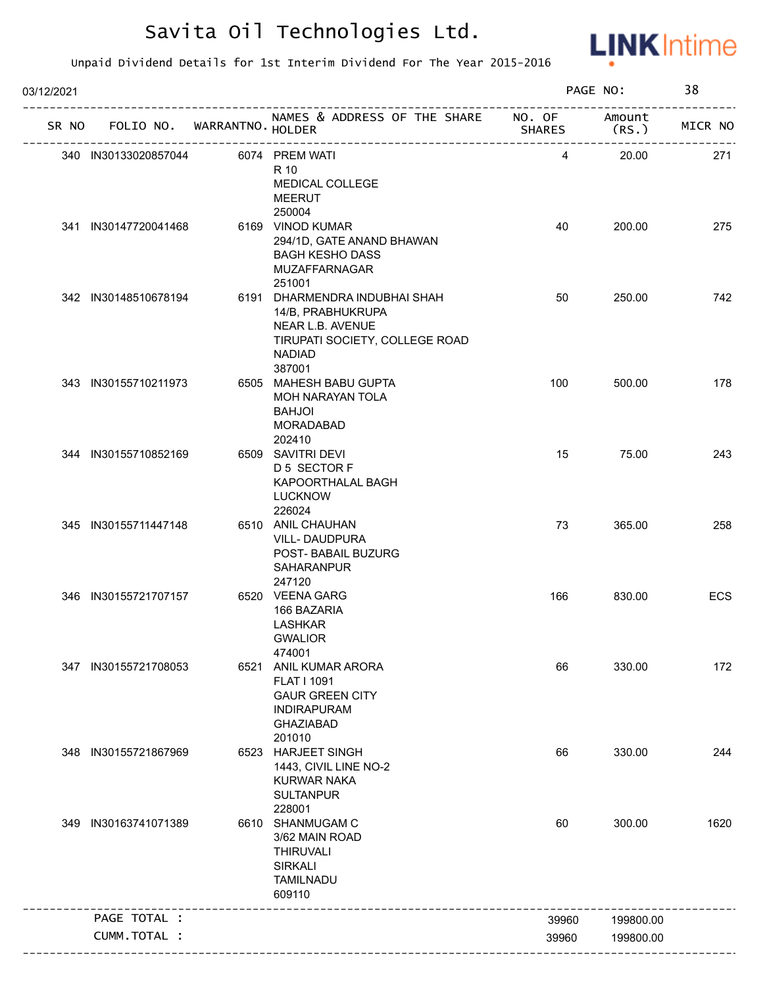

| 03/12/2021 |                      |                                   |                                                                                                                                     |               | PAGE NO:        | 38      |
|------------|----------------------|-----------------------------------|-------------------------------------------------------------------------------------------------------------------------------------|---------------|-----------------|---------|
|            |                      | SR NO FOLIO NO. WARRANTNO. HOLDER | NAMES & ADDRESS OF THE SHARE NO. OF<br>ימונט<br>---------------------------------                                                   | <b>SHARES</b> | Amount<br>(RS.) | MICR NO |
|            | 340 IN30133020857044 |                                   | 6074 PREM WATI<br>R 10<br>MEDICAL COLLEGE<br><b>MEERUT</b><br>250004                                                                | 4             | 20.00           | 271     |
|            | 341 IN30147720041468 |                                   | 6169 VINOD KUMAR<br>294/1D, GATE ANAND BHAWAN<br><b>BAGH KESHO DASS</b><br>MUZAFFARNAGAR<br>251001                                  | 40            | 200.00          | 275     |
|            | 342 IN30148510678194 |                                   | 6191 DHARMENDRA INDUBHAI SHAH<br>14/B, PRABHUKRUPA<br>NEAR L.B. AVENUE<br>TIRUPATI SOCIETY, COLLEGE ROAD<br><b>NADIAD</b><br>387001 | 50            | 250.00          | 742     |
|            | 343 IN30155710211973 |                                   | 6505 MAHESH BABU GUPTA<br>MOH NARAYAN TOLA<br><b>BAHJOI</b><br><b>MORADABAD</b><br>202410                                           | 100           | 500.00          | 178     |
|            | 344 IN30155710852169 |                                   | 6509 SAVITRI DEVI<br>D 5 SECTOR F<br>KAPOORTHALAL BAGH<br><b>LUCKNOW</b><br>226024                                                  | 15            | 75.00           | 243     |
|            | 345 IN30155711447148 |                                   | 6510 ANIL CHAUHAN<br>VILL-DAUDPURA<br>POST- BABAIL BUZURG<br>SAHARANPUR<br>247120                                                   | 73            | 365.00          | 258     |
|            | 346 IN30155721707157 |                                   | 6520 VEENA GARG<br>166 BAZARIA<br><b>LASHKAR</b><br><b>GWALIOR</b><br>474001                                                        | 166           | 830.00          | ECS     |
|            | 347 IN30155721708053 |                                   | 6521 ANIL KUMAR ARORA<br><b>FLAT I 1091</b><br><b>GAUR GREEN CITY</b><br><b>INDIRAPURAM</b><br><b>GHAZIABAD</b><br>201010           | 66            | 330.00          | 172     |
|            | 348 IN30155721867969 |                                   | 6523 HARJEET SINGH<br>1443, CIVIL LINE NO-2<br><b>KURWAR NAKA</b><br><b>SULTANPUR</b><br>228001                                     | 66            | 330.00          | 244     |
|            | 349 IN30163741071389 |                                   | 6610 SHANMUGAM C<br>3/62 MAIN ROAD<br><b>THIRUVALI</b><br><b>SIRKALI</b><br><b>TAMILNADU</b><br>609110                              | 60            | 300.00          | 1620    |
|            | PAGE TOTAL :         |                                   |                                                                                                                                     | 39960         | 199800.00       |         |
|            | CUMM.TOTAL :         |                                   |                                                                                                                                     | 39960         | 199800.00       |         |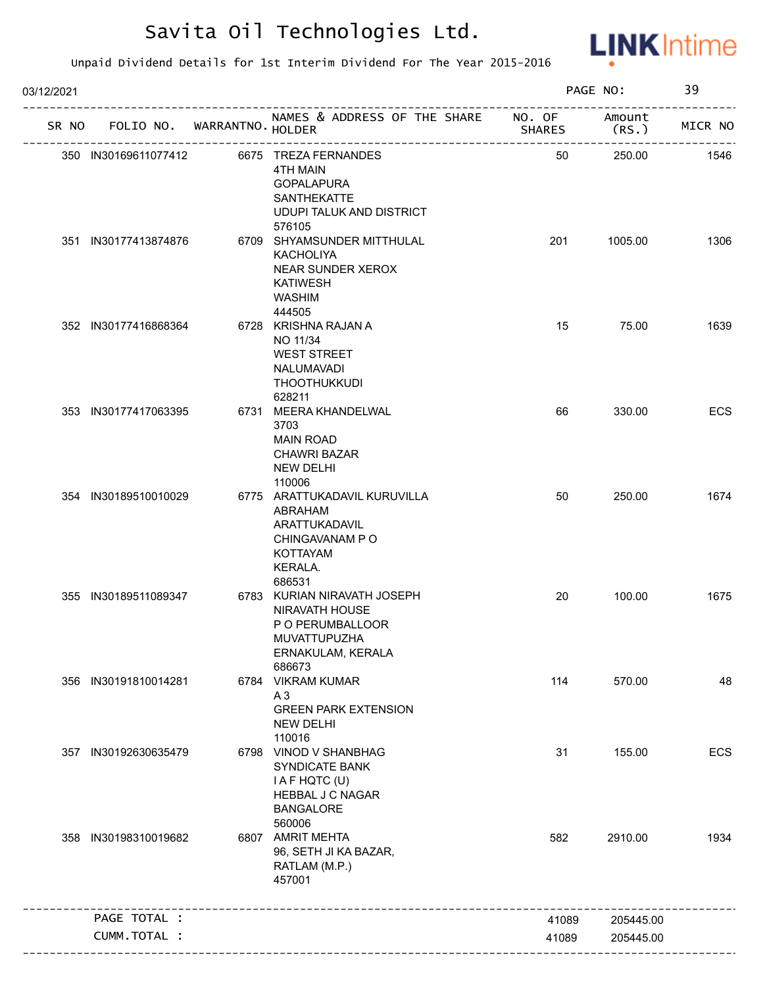

| 03/12/2021 | SR NO FOLIO NO. WARRANTNO. HOLDER |  |  |                                                                                                                                   |        | PAGE NO:        |         |
|------------|-----------------------------------|--|--|-----------------------------------------------------------------------------------------------------------------------------------|--------|-----------------|---------|
|            |                                   |  |  | NAMES & ADDRESS OF THE SHARE NO. OF                                                                                               | SHARES | Amount<br>(RS.) | MICR NO |
|            | 350 IN30169611077412              |  |  | 6675 TREZA FERNANDES<br><b>4TH MAIN</b><br><b>GOPALAPURA</b><br><b>SANTHEKATTE</b><br><b>UDUPI TALUK AND DISTRICT</b>             | 50     | 250.00          | 1546    |
|            | 351 IN30177413874876              |  |  | 576105<br>6709 SHYAMSUNDER MITTHULAL<br><b>KACHOLIYA</b><br>NEAR SUNDER XEROX<br><b>KATIWESH</b><br><b>WASHIM</b>                 | 201    | 1005.00         | 1306    |
|            | 352 IN30177416868364              |  |  | 444505<br>6728 KRISHNA RAJAN A<br>NO 11/34<br><b>WEST STREET</b><br>NALUMAVADI<br>THOOTHUKKUDI<br>628211                          | 15     | 75.00           | 1639    |
|            | 353 IN30177417063395              |  |  | 6731 MEERA KHANDELWAL<br>3703<br><b>MAIN ROAD</b><br><b>CHAWRI BAZAR</b><br><b>NEW DELHI</b><br>110006                            | 66     | 330.00          | ECS     |
|            | 354 IN30189510010029              |  |  | 6775 ARATTUKADAVIL KURUVILLA<br>ABRAHAM<br>ARATTUKADAVIL<br>CHINGAVANAM PO<br><b>KOTTAYAM</b><br>KERALA.                          | 50     | 250.00          | 1674    |
|            | 355 IN30189511089347              |  |  | 686531<br>6783 KURIAN NIRAVATH JOSEPH<br><b>NIRAVATH HOUSE</b><br>P O PERUMBALLOOR<br>MUVATTUPUZHA<br>ERNAKULAM, KERALA<br>686673 | 20     | 100.00          | 1675    |
|            | 356 IN30191810014281              |  |  | 6784 VIKRAM KUMAR<br>A3<br><b>GREEN PARK EXTENSION</b><br><b>NEW DELHI</b><br>110016                                              | 114    | 570.00          | 48      |
| 357        | IN30192630635479                  |  |  | 6798 VINOD V SHANBHAG<br><b>SYNDICATE BANK</b><br>I A F HQTC (U)<br><b>HEBBAL J C NAGAR</b><br><b>BANGALORE</b><br>560006         | 31     | 155.00          | ECS     |
|            | 358 IN30198310019682              |  |  | 6807 AMRIT MEHTA<br>96, SETH JI KA BAZAR,<br>RATLAM (M.P.)<br>457001                                                              | 582    | 2910.00         | 1934    |
|            | PAGE TOTAL :                      |  |  |                                                                                                                                   | 41089  | 205445.00       |         |
|            | CUMM.TOTAL :                      |  |  |                                                                                                                                   | 41089  | 205445.00       |         |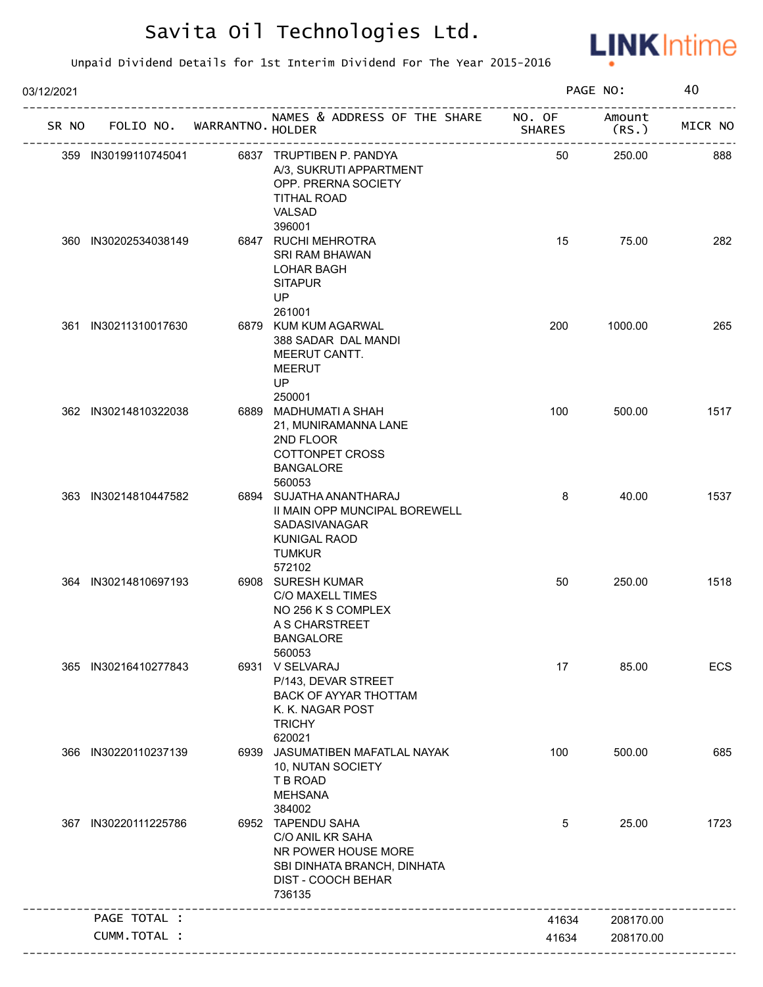

| 03/12/2021 |                      |                                   | PAGE NO:                                                                                                                    |                  | 40              |         |
|------------|----------------------|-----------------------------------|-----------------------------------------------------------------------------------------------------------------------------|------------------|-----------------|---------|
|            |                      | SR NO FOLIO NO. WARRANTNO. HOLDER | NAMES & ADDRESS OF THE SHARE                                                                                                | NO. OF<br>SHARES | Amount<br>(RS.) | MICR NO |
|            | 359 IN30199110745041 |                                   | 6837 TRUPTIBEN P. PANDYA<br>A/3, SUKRUTI APPARTMENT<br>OPP. PRERNA SOCIETY<br><b>TITHAL ROAD</b><br>VALSAD                  | 50               | 250.00          | 888     |
|            | 360 IN30202534038149 |                                   | 396001<br>6847 RUCHI MEHROTRA<br><b>SRI RAM BHAWAN</b><br><b>LOHAR BAGH</b>                                                 | 15               | 75.00           | 282     |
|            |                      |                                   | <b>SITAPUR</b><br>UP<br>261001                                                                                              |                  |                 |         |
|            | 361 IN30211310017630 |                                   | 6879 KUM KUM AGARWAL<br>388 SADAR DAL MANDI<br>MEERUT CANTT.<br><b>MEERUT</b><br>UP<br>250001                               | 200              | 1000.00         | 265     |
|            | 362 IN30214810322038 |                                   | 6889 MADHUMATI A SHAH<br>21, MUNIRAMANNA LANE<br>2ND FLOOR<br><b>COTTONPET CROSS</b><br><b>BANGALORE</b><br>560053          | 100              | 500.00          | 1517    |
|            | 363 IN30214810447582 |                                   | 6894 SUJATHA ANANTHARAJ<br>II MAIN OPP MUNCIPAL BOREWELL<br>SADASIVANAGAR<br><b>KUNIGAL RAOD</b><br><b>TUMKUR</b><br>572102 | 8                | 40.00           | 1537    |
|            | 364 IN30214810697193 |                                   | 6908 SURESH KUMAR<br><b>C/O MAXELL TIMES</b><br>NO 256 K S COMPLEX<br>A S CHARSTREET<br><b>BANGALORE</b><br>560053          | 50               | 250.00          | 1518    |
|            | 365 IN30216410277843 |                                   | 6931 V SELVARAJ<br>P/143, DEVAR STREET<br>BACK OF AYYAR THOTTAM<br>K. K. NAGAR POST<br><b>TRICHY</b><br>620021              | 17               | 85.00           | ECS     |
|            | 366 IN30220110237139 |                                   | 6939 JASUMATIBEN MAFATLAL NAYAK<br>10, NUTAN SOCIETY<br>T B ROAD<br><b>MEHSANA</b><br>384002                                | 100              | 500.00          | 685     |
|            | 367 IN30220111225786 |                                   | 6952 TAPENDU SAHA<br>C/O ANIL KR SAHA<br>NR POWER HOUSE MORE<br>SBI DINHATA BRANCH, DINHATA<br>DIST - COOCH BEHAR<br>736135 | 5                | 25.00           | 1723    |
|            | PAGE TOTAL :         |                                   |                                                                                                                             | 41634            | 208170.00       |         |
|            | CUMM.TOTAL :         |                                   |                                                                                                                             | 41634            | 208170.00       |         |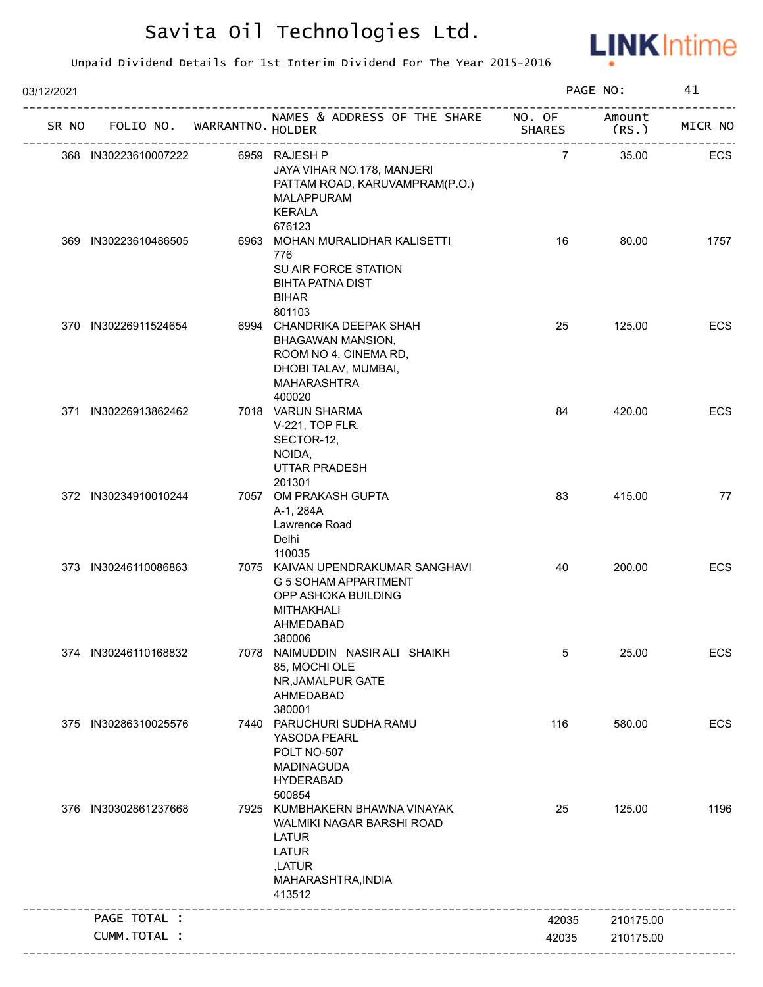

| 03/12/2021 |       |                      |  | PAGE NO:                   |                                                                                                                                       | 41                      |                 |         |
|------------|-------|----------------------|--|----------------------------|---------------------------------------------------------------------------------------------------------------------------------------|-------------------------|-----------------|---------|
|            | SR NO |                      |  | FOLIO NO. WARRANTNO HOLDER | NAMES & ADDRESS OF THE SHARE                                                                                                          | NO. OF<br><b>SHARES</b> | Amount<br>(RS.) | MICR NO |
|            |       | 368 IN30223610007222 |  |                            | 6959 RAJESH P<br>JAYA VIHAR NO.178, MANJERI<br>PATTAM ROAD, KARUVAMPRAM(P.O.)<br><b>MALAPPURAM</b><br><b>KERALA</b><br>676123         | $\overline{7}$          | 35.00           | ECS     |
|            |       | 369 IN30223610486505 |  |                            | 6963 MOHAN MURALIDHAR KALISETTI<br>776<br>SU AIR FORCE STATION<br><b>BIHTA PATNA DIST</b><br><b>BIHAR</b><br>801103                   | 16                      | 80.00           | 1757    |
|            |       | 370 IN30226911524654 |  |                            | 6994 CHANDRIKA DEEPAK SHAH<br>BHAGAWAN MANSION,<br>ROOM NO 4, CINEMA RD,<br>DHOBI TALAV, MUMBAI,<br>MAHARASHTRA<br>400020             | 25                      | 125.00          | ECS     |
|            |       | 371 IN30226913862462 |  |                            | 7018 VARUN SHARMA<br>V-221, TOP FLR,<br>SECTOR-12,<br>NOIDA,<br>UTTAR PRADESH<br>201301                                               | 84                      | 420.00          | ECS     |
|            |       | 372 IN30234910010244 |  |                            | 7057 OM PRAKASH GUPTA<br>A-1, 284A<br>Lawrence Road<br>Delhi<br>110035                                                                | 83                      | 415.00          | 77      |
|            |       | 373 IN30246110086863 |  |                            | 7075 KAIVAN UPENDRAKUMAR SANGHAVI<br>G 5 SOHAM APPARTMENT<br>OPP ASHOKA BUILDING<br>MITHAKHALI<br>AHMEDABAD<br>380006                 | 40                      | 200.00          | ECS     |
|            |       | 374 IN30246110168832 |  |                            | 7078 NAIMUDDIN NASIR ALI SHAIKH<br>85, MOCHI OLE<br>NR, JAMALPUR GATE<br>AHMEDABAD<br>380001                                          | 5                       | 25.00           | ECS     |
|            |       | 375 IN30286310025576 |  |                            | 7440 PARUCHURI SUDHA RAMU<br>YASODA PEARL<br>POLT NO-507<br><b>MADINAGUDA</b><br><b>HYDERABAD</b><br>500854                           | 116                     | 580.00          | ECS     |
|            |       | 376 IN30302861237668 |  |                            | 7925 KUMBHAKERN BHAWNA VINAYAK<br>WALMIKI NAGAR BARSHI ROAD<br><b>LATUR</b><br><b>LATUR</b><br>,LATUR<br>MAHARASHTRA, INDIA<br>413512 | 25                      | 125.00          | 1196    |
|            |       | PAGE TOTAL :         |  |                            |                                                                                                                                       | 42035                   | 210175.00       |         |
|            |       | CUMM.TOTAL :         |  |                            |                                                                                                                                       | 42035                   | 210175.00       |         |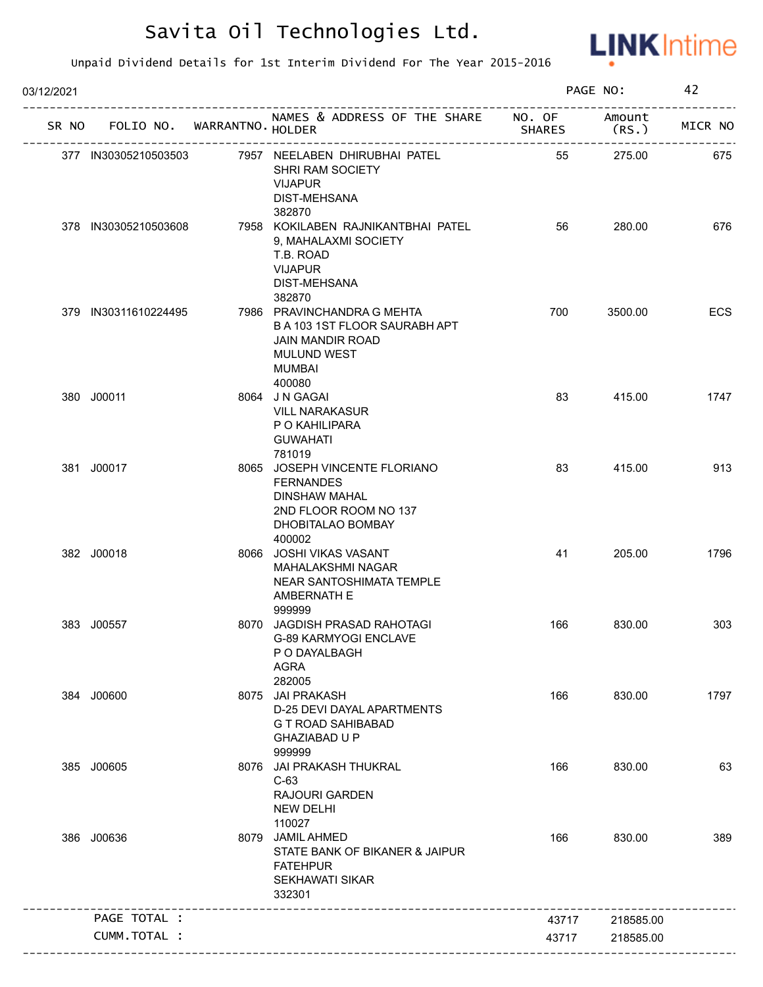

| 03/12/2021 |                      |                                   | PAGE NO:                                                                                                                          |               | 42              |         |
|------------|----------------------|-----------------------------------|-----------------------------------------------------------------------------------------------------------------------------------|---------------|-----------------|---------|
|            |                      | SR NO FOLIO NO. WARRANTNO. HOLDER | NAMES & ADDRESS OF THE SHARE NO. OF                                                                                               | <b>SHARES</b> | Amount<br>(RS.) | MICR NO |
|            | 377 IN30305210503503 |                                   | 7957 NEELABEN DHIRUBHAI PATEL<br>SHRI RAM SOCIETY<br><b>VIJAPUR</b><br>DIST-MEHSANA<br>382870                                     | 55            | 275.00          | 675     |
|            | 378 IN30305210503608 |                                   | 7958 KOKILABEN RAJNIKANTBHAI PATEL<br>9, MAHALAXMI SOCIETY<br>T.B. ROAD<br><b>VIJAPUR</b><br>DIST-MEHSANA<br>382870               | 56            | 280.00          | 676     |
|            | 379 IN30311610224495 |                                   | 7986 PRAVINCHANDRA G MEHTA<br>B A 103 1ST FLOOR SAURABH APT<br>JAIN MANDIR ROAD<br><b>MULUND WEST</b><br>MUMBAI<br>400080         | 700           | 3500.00         | ECS     |
|            | 380 J00011           |                                   | 8064 J N GAGAI<br><b>VILL NARAKASUR</b><br>P O KAHILIPARA<br><b>GUWAHATI</b><br>781019                                            | 83            | 415.00          | 1747    |
|            | 381 J00017           |                                   | 8065 JOSEPH VINCENTE FLORIANO<br><b>FERNANDES</b><br><b>DINSHAW MAHAL</b><br>2ND FLOOR ROOM NO 137<br>DHOBITALAO BOMBAY<br>400002 | 83            | 415.00          | 913     |
|            | 382 J00018           |                                   | 8066 JOSHI VIKAS VASANT<br><b>MAHALAKSHMI NAGAR</b><br>NEAR SANTOSHIMATA TEMPLE<br>AMBERNATH E<br>999999                          | 41            | 205.00          | 1796    |
|            | 383 J00557           |                                   | 8070 JAGDISH PRASAD RAHOTAGI<br><b>G-89 KARMYOGI ENCLAVE</b><br>P O DAYALBAGH<br>AGRA<br>282005                                   | 166           | 830.00          | 303     |
|            | 384 J00600           |                                   | 8075 JAI PRAKASH<br>D-25 DEVI DAYAL APARTMENTS<br><b>G T ROAD SAHIBABAD</b><br><b>GHAZIABAD U P</b><br>999999                     | 166           | 830.00          | 1797    |
|            | 385 J00605           |                                   | 8076 JAI PRAKASH THUKRAL<br>$C-63$<br><b>RAJOURI GARDEN</b><br><b>NEW DELHI</b><br>110027                                         | 166           | 830.00          | 63      |
|            | 386 J00636           |                                   | 8079 JAMIL AHMED<br>STATE BANK OF BIKANER & JAIPUR<br><b>FATEHPUR</b><br><b>SEKHAWATI SIKAR</b><br>332301                         | 166           | 830.00          | 389     |
|            | PAGE TOTAL :         |                                   |                                                                                                                                   | 43717         | 218585.00       |         |
|            | CUMM.TOTAL :         |                                   |                                                                                                                                   | 43717         | 218585.00       |         |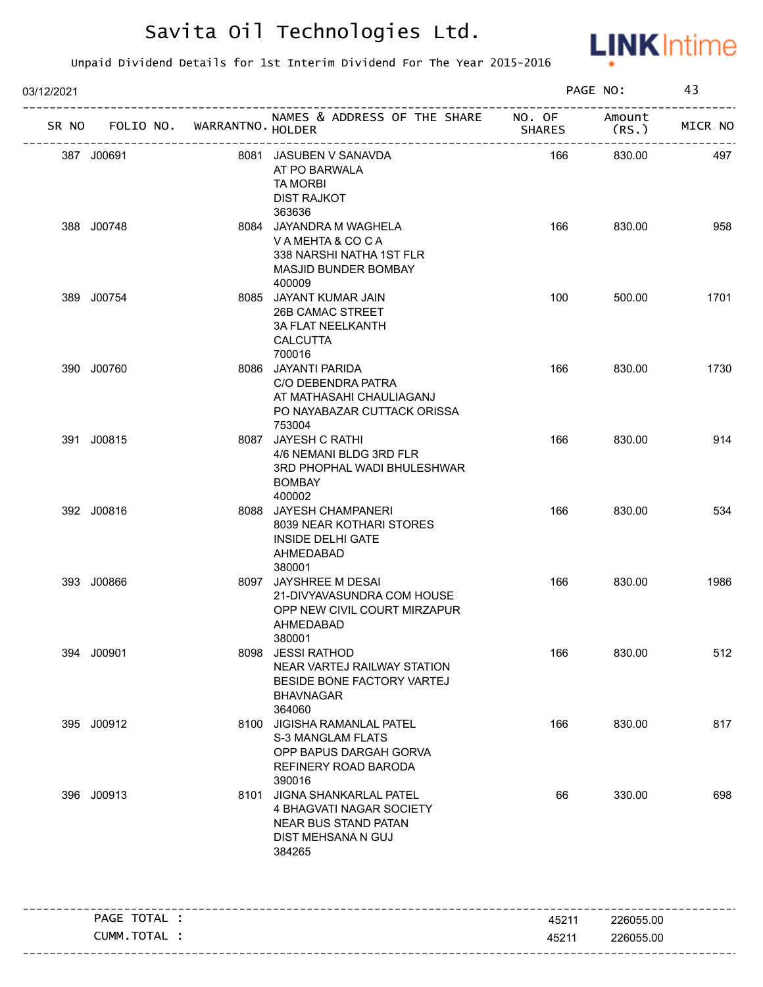

| 03/12/2021 |              |                   |                                                                                                                     | PAGE NO:      |                | 43      |  |
|------------|--------------|-------------------|---------------------------------------------------------------------------------------------------------------------|---------------|----------------|---------|--|
| SR NO      | FOLIO NO.    | WARRANTNO. HOLDER | NAMES & ADDRESS OF THE SHARE NO. OF                                                                                 | <b>SHARES</b> | Amount<br>(RS. | MICR NO |  |
|            | 387 J00691   |                   | 8081 JASUBEN V SANAVDA<br>AT PO BARWALA<br><b>TA MORBI</b><br><b>DIST RAJKOT</b><br>363636                          | 166           | 830.00         | 497     |  |
|            | 388 J00748   |                   | 8084 JAYANDRA M WAGHELA<br>VAMEHTA & COCA<br>338 NARSHI NATHA 1ST FLR<br><b>MASJID BUNDER BOMBAY</b><br>400009      | 166           | 830.00         | 958     |  |
|            | 389 J00754   |                   | 8085 JAYANT KUMAR JAIN<br>26B CAMAC STREET<br><b>3A FLAT NEELKANTH</b><br><b>CALCUTTA</b><br>700016                 | 100           | 500.00         | 1701    |  |
|            | 390 J00760   |                   | 8086 JAYANTI PARIDA<br>C/O DEBENDRA PATRA<br>AT MATHASAHI CHAULIAGANJ<br>PO NAYABAZAR CUTTACK ORISSA<br>753004      | 166           | 830.00         | 1730    |  |
|            | 391 J00815   |                   | 8087 JAYESH C RATHI<br>4/6 NEMANI BLDG 3RD FLR<br>3RD PHOPHAL WADI BHULESHWAR<br><b>BOMBAY</b><br>400002            | 166           | 830.00         | 914     |  |
|            | 392 J00816   |                   | 8088 JAYESH CHAMPANERI<br>8039 NEAR KOTHARI STORES<br><b>INSIDE DELHI GATE</b><br>AHMEDABAD<br>380001               | 166           | 830.00         | 534     |  |
|            | 393 J00866   |                   | 8097 JAYSHREE M DESAI<br>21-DIVYAVASUNDRA COM HOUSE<br>OPP NEW CIVIL COURT MIRZAPUR<br>AHMEDABAD<br>380001          | 166           | 830.00         | 1986    |  |
|            | 394 J00901   |                   | 8098 JESSI RATHOD<br>NEAR VARTEJ RAILWAY STATION<br>BESIDE BONE FACTORY VARTEJ<br><b>BHAVNAGAR</b><br>364060        | 166           | 830.00         | 512     |  |
|            | 395 J00912   |                   | 8100 JIGISHA RAMANLAL PATEL<br><b>S-3 MANGLAM FLATS</b><br>OPP BAPUS DARGAH GORVA<br>REFINERY ROAD BARODA<br>390016 | 166           | 830.00         | 817     |  |
|            | 396 J00913   |                   | 8101 JIGNA SHANKARLAL PATEL<br>4 BHAGVATI NAGAR SOCIETY<br>NEAR BUS STAND PATAN<br>DIST MEHSANA N GUJ<br>384265     | 66            | 330.00         | 698     |  |
|            | PAGE TOTAL : |                   |                                                                                                                     | 45211         | 226055.00      |         |  |
|            | CUMM.TOTAL : |                   |                                                                                                                     | 45211         | 226055.00      |         |  |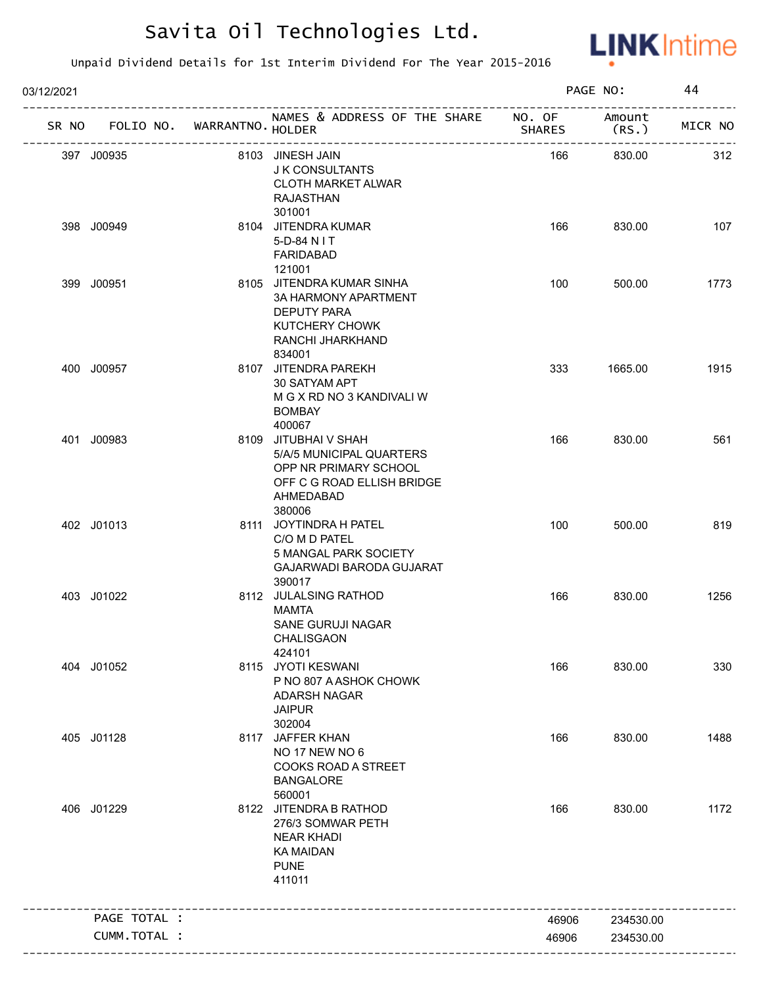

| 03/12/2021   |                             |                                                                                                                                |               | PAGE NO:        | 44      |
|--------------|-----------------------------|--------------------------------------------------------------------------------------------------------------------------------|---------------|-----------------|---------|
| SR NO        | FOLIO NO. WARRANTNO. HOLDER | NAMES & ADDRESS OF THE SHARE NO. OF                                                                                            | <b>SHARES</b> | Amount<br>(RS.) | MICR NO |
| 397 J00935   |                             | 8103 JINESH JAIN<br><b>J K CONSULTANTS</b><br><b>CLOTH MARKET ALWAR</b><br><b>RAJASTHAN</b><br>301001                          | 166           | 830.00          | 312     |
| 398 J00949   |                             | 8104 JITENDRA KUMAR<br>5-D-84 N I T<br><b>FARIDABAD</b><br>121001                                                              | 166           | 830.00          | 107     |
| 399 J00951   |                             | 8105 JITENDRA KUMAR SINHA<br><b>3A HARMONY APARTMENT</b><br><b>DEPUTY PARA</b><br>KUTCHERY CHOWK<br>RANCHI JHARKHAND<br>834001 | 100           | 500.00          | 1773    |
| 400 J00957   |                             | 8107 JITENDRA PAREKH<br>30 SATYAM APT<br>M G X RD NO 3 KANDIVALI W<br><b>BOMBAY</b><br>400067                                  | 333           | 1665.00         | 1915    |
| 401 J00983   |                             | 8109 JITUBHAI V SHAH<br>5/A/5 MUNICIPAL QUARTERS<br>OPP NR PRIMARY SCHOOL<br>OFF C G ROAD ELLISH BRIDGE<br>AHMEDABAD<br>380006 | 166           | 830.00          | 561     |
| 402 J01013   |                             | 8111 JOYTINDRA H PATEL<br>C/O M D PATEL<br>5 MANGAL PARK SOCIETY<br>GAJARWADI BARODA GUJARAT<br>390017                         | 100           | 500.00          | 819     |
| 403 J01022   |                             | 8112 JULALSING RATHOD<br><b>MAMTA</b><br>SANE GURUJI NAGAR<br>CHALISGAON<br>424101                                             | 166           | 830.00          | 1256    |
| 404 J01052   |                             | 8115 JYOTI KESWANI<br>P NO 807 A ASHOK CHOWK<br><b>ADARSH NAGAR</b><br><b>JAIPUR</b><br>302004                                 | 166           | 830.00          | 330     |
| 405 J01128   |                             | 8117 JAFFER KHAN<br><b>NO 17 NEW NO 6</b><br>COOKS ROAD A STREET<br><b>BANGALORE</b><br>560001                                 | 166           | 830.00          | 1488    |
| 406 J01229   |                             | 8122 JITENDRA B RATHOD<br>276/3 SOMWAR PETH<br><b>NEAR KHADI</b><br><b>KA MAIDAN</b><br><b>PUNE</b><br>411011                  | 166           | 830.00          | 1172    |
| PAGE TOTAL : |                             |                                                                                                                                | 46906         | 234530.00       |         |
|              | CUMM.TOTAL :                |                                                                                                                                | 46906         | 234530.00       |         |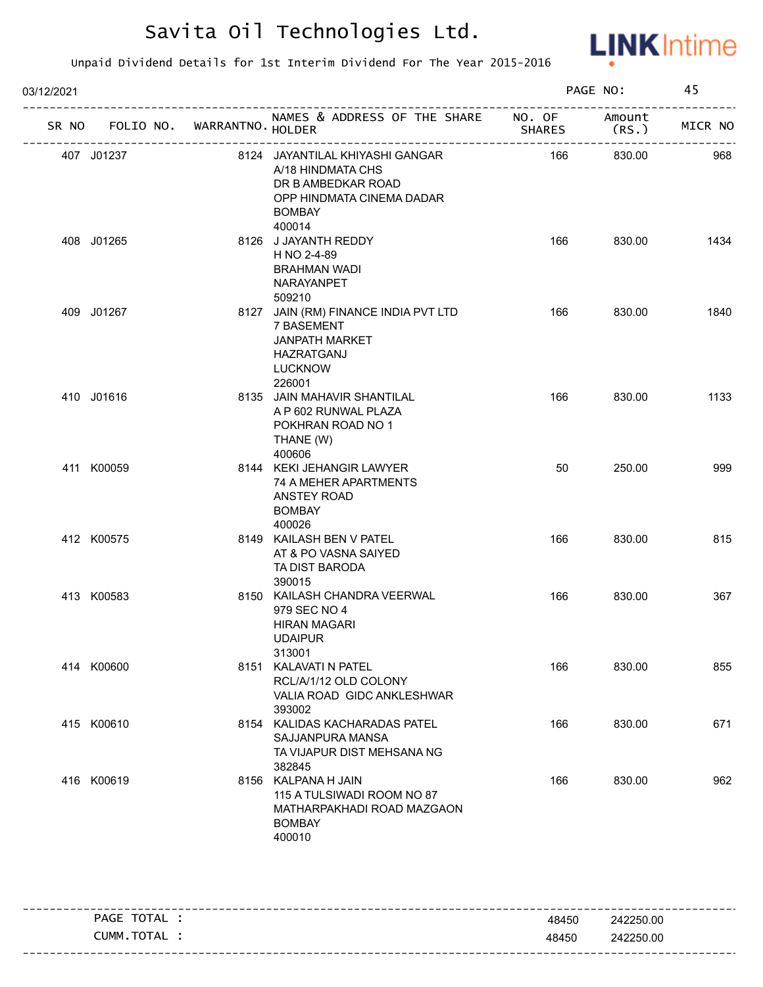

| 03/12/2021                        |                                                                                                                                    | PAGE NO:      |                 | 45      |  |
|-----------------------------------|------------------------------------------------------------------------------------------------------------------------------------|---------------|-----------------|---------|--|
| SR NO FOLIO NO. WARRANTNO. HOLDER | NAMES & ADDRESS OF THE SHARE NO. OF                                                                                                | <b>SHARES</b> | Amount<br>(RS.) | MICR NO |  |
| 407 J01237                        | 8124 JAYANTILAL KHIYASHI GANGAR<br>A/18 HINDMATA CHS<br>DR B AMBEDKAR ROAD<br>OPP HINDMATA CINEMA DADAR<br><b>BOMBAY</b><br>400014 | 166           | 830.00          | 968     |  |
| 408 J01265                        | 8126 J JAYANTH REDDY<br>H NO 2-4-89<br><b>BRAHMAN WADI</b><br>NARAYANPET<br>509210                                                 | 166           | 830.00          | 1434    |  |
| 409 J01267                        | 8127 JAIN (RM) FINANCE INDIA PVT LTD<br>7 BASEMENT<br><b>JANPATH MARKET</b><br>HAZRATGANJ<br><b>LUCKNOW</b><br>226001              | 166           | 830.00          | 1840    |  |
| 410 J01616                        | 8135 JAIN MAHAVIR SHANTILAL<br>A P 602 RUNWAL PLAZA<br>POKHRAN ROAD NO 1<br>THANE (W)<br>400606                                    | 166           | 830.00          | 1133    |  |
| 411 K00059                        | 8144 KEKI JEHANGIR LAWYER<br>74 A MEHER APARTMENTS<br><b>ANSTEY ROAD</b><br><b>BOMBAY</b><br>400026                                | 50            | 250.00          | 999     |  |
| 412 K00575                        | 8149 KAILASH BEN V PATEL<br>AT & PO VASNA SAIYED<br>TA DIST BARODA<br>390015                                                       | 166           | 830.00          | 815     |  |
| 413 K00583                        | 8150 KAILASH CHANDRA VEERWAL<br>979 SEC NO 4<br><b>HIRAN MAGARI</b><br><b>UDAIPUR</b><br>313001                                    | 166           | 830.00          | 367     |  |
| 414 K00600                        | 8151 KALAVATI N PATEL<br>RCL/A/1/12 OLD COLONY<br>VALIA ROAD GIDC ANKLESHWAR<br>393002                                             | 166           | 830.00          | 855     |  |
| 415 K00610                        | 8154 KALIDAS KACHARADAS PATEL<br>SAJJANPURA MANSA<br>TA VIJAPUR DIST MEHSANA NG<br>382845                                          | 166           | 830.00          | 671     |  |
| 416 K00619                        | 8156 KALPANA H JAIN<br>115 A TULSIWADI ROOM NO 87<br>MATHARPAKHADI ROAD MAZGAON<br><b>BOMBAY</b><br>400010                         | 166           | 830.00          | 962     |  |

| TOTAL<br>PAGE  | 48450 | 242250.00 |
|----------------|-------|-----------|
| TOTAL<br>CUMM. | 48450 | 242250.00 |
|                |       |           |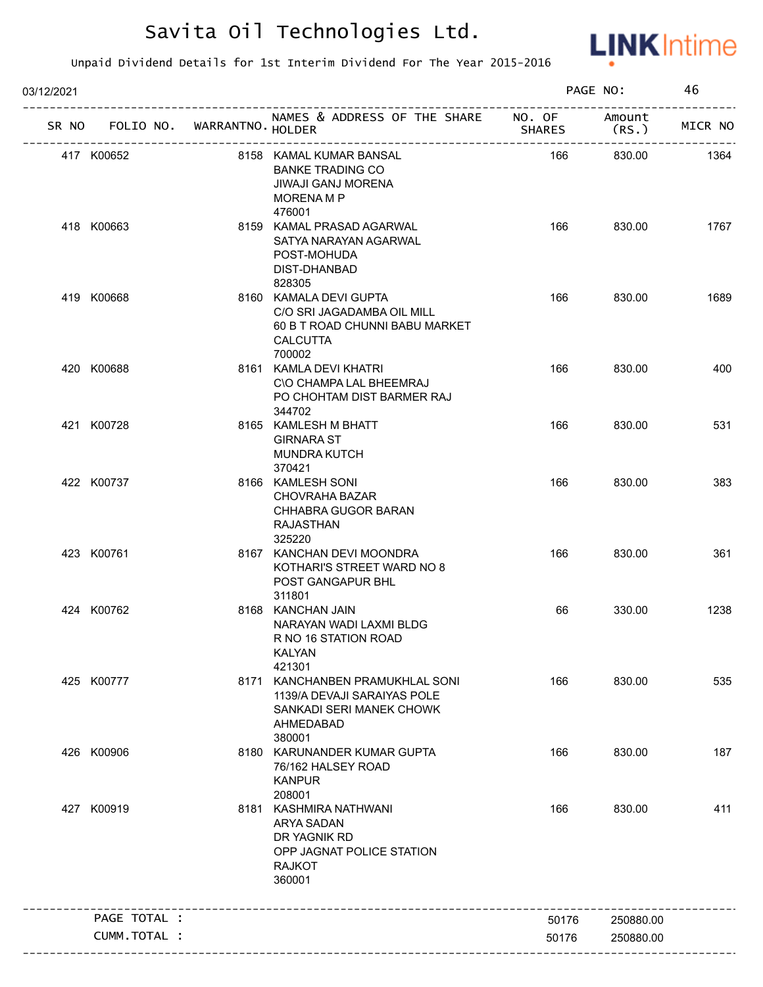

| 03/12/2021 |                                   |                                                                                                                     | PAGE NO:      |           | 46      |  |
|------------|-----------------------------------|---------------------------------------------------------------------------------------------------------------------|---------------|-----------|---------|--|
|            | SR NO FOLIO NO. WARRANTNO. HOLDER | NAMES & ADDRESS OF THE SHARE NO. OF Amount                                                                          | <b>SHARES</b> | (RS.)     | MICR NO |  |
|            | 417 K00652                        | 8158 KAMAL KUMAR BANSAL<br><b>BANKE TRADING CO</b><br>JIWAJI GANJ MORENA<br><b>MORENA M P</b><br>476001             | 166           | 830.00    | 1364    |  |
|            | 418 K00663                        | 8159 KAMAL PRASAD AGARWAL<br>SATYA NARAYAN AGARWAL<br>POST-MOHUDA<br>DIST-DHANBAD<br>828305                         | 166           | 830.00    | 1767    |  |
|            | 419 K00668                        | 8160 KAMALA DEVI GUPTA<br>C/O SRI JAGADAMBA OIL MILL<br>60 B T ROAD CHUNNI BABU MARKET<br><b>CALCUTTA</b><br>700002 | 166           | 830.00    | 1689    |  |
|            | 420 K00688                        | 8161 KAMLA DEVI KHATRI<br>C\O CHAMPA LAL BHEEMRAJ<br>PO CHOHTAM DIST BARMER RAJ<br>344702                           | 166           | 830.00    | 400     |  |
|            | 421 K00728                        | 8165 KAMLESH M BHATT<br><b>GIRNARA ST</b><br><b>MUNDRA KUTCH</b><br>370421                                          | 166           | 830.00    | 531     |  |
|            | 422 K00737                        | 8166 KAMLESH SONI<br><b>CHOVRAHA BAZAR</b><br>CHHABRA GUGOR BARAN<br>RAJASTHAN<br>325220                            | 166           | 830.00    | 383     |  |
|            | 423 K00761                        | 8167 KANCHAN DEVI MOONDRA<br>KOTHARI'S STREET WARD NO 8<br>POST GANGAPUR BHL<br>311801                              | 166           | 830.00    | 361     |  |
|            | 424 K00762                        | 8168 KANCHAN JAIN<br>NARAYAN WADI LAXMI BLDG<br>R NO 16 STATION ROAD<br><b>KALYAN</b><br>421301                     | 66            | 330.00    | 1238    |  |
|            | 425 K00777                        | 8171 KANCHANBEN PRAMUKHLAL SONI<br>1139/A DEVAJI SARAIYAS POLE<br>SANKADI SERI MANEK CHOWK<br>AHMEDABAD<br>380001   | 166           | 830.00    | 535     |  |
|            | 426 K00906                        | 8180 KARUNANDER KUMAR GUPTA<br>76/162 HALSEY ROAD<br><b>KANPUR</b><br>208001                                        | 166           | 830.00    | 187     |  |
|            | 427 K00919                        | 8181 KASHMIRA NATHWANI<br>ARYA SADAN<br>DR YAGNIK RD<br>OPP JAGNAT POLICE STATION<br><b>RAJKOT</b><br>360001        | 166           | 830.00    | 411     |  |
|            | PAGE TOTAL :                      |                                                                                                                     | 50176         | 250880.00 |         |  |
|            | CUMM.TOTAL :                      |                                                                                                                     | 50176         | 250880.00 |         |  |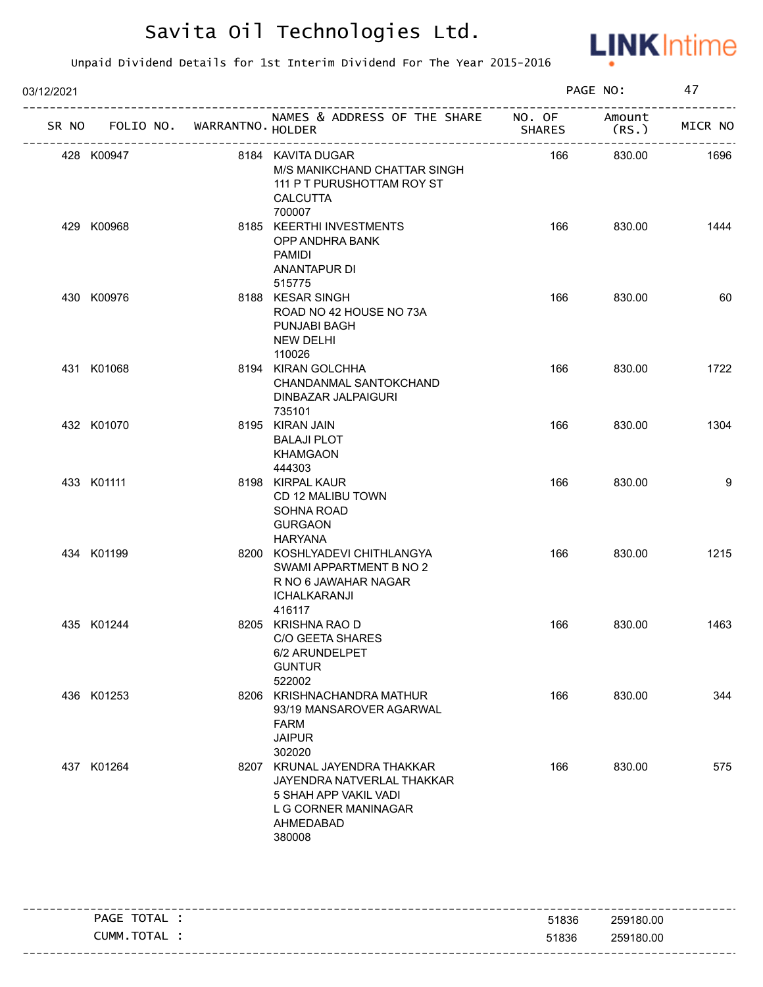

| 03/12/2021 |            |                             | PAGE NO:                                                                                                                           |               | 47             |         |
|------------|------------|-----------------------------|------------------------------------------------------------------------------------------------------------------------------------|---------------|----------------|---------|
| SR NO      |            | FOLIO NO. WARRANTNO. HOLDER | NAMES & ADDRESS OF THE SHARE NO. OF                                                                                                | <b>SHARES</b> | Amount<br>(RS. | MICR NO |
|            | 428 K00947 |                             | 8184 KAVITA DUGAR<br>M/S MANIKCHAND CHATTAR SINGH<br>111 P T PURUSHOTTAM ROY ST<br><b>CALCUTTA</b><br>700007                       | 166           | 830.00         | 1696    |
|            | 429 K00968 |                             | 8185 KEERTHI INVESTMENTS<br>OPP ANDHRA BANK<br>PAMIDI<br>ANANTAPUR DI<br>515775                                                    | 166           | 830.00         | 1444    |
|            | 430 K00976 |                             | 8188 KESAR SINGH<br>ROAD NO 42 HOUSE NO 73A<br>PUNJABI BAGH<br><b>NEW DELHI</b><br>110026                                          | 166           | 830.00         | 60      |
|            | 431 K01068 |                             | 8194 KIRAN GOLCHHA<br>CHANDANMAL SANTOKCHAND<br>DINBAZAR JALPAIGURI<br>735101                                                      | 166           | 830.00         | 1722    |
|            | 432 K01070 |                             | 8195 KIRAN JAIN<br><b>BALAJI PLOT</b><br><b>KHAMGAON</b><br>444303                                                                 | 166           | 830.00         | 1304    |
|            | 433 K01111 |                             | 8198 KIRPAL KAUR<br>CD 12 MALIBU TOWN<br>SOHNA ROAD<br><b>GURGAON</b><br><b>HARYANA</b>                                            | 166           | 830.00         | 9       |
|            | 434 K01199 |                             | 8200 KOSHLYADEVI CHITHLANGYA<br>SWAMI APPARTMENT B NO 2<br>R NO 6 JAWAHAR NAGAR<br>ICHALKARANJI<br>416117                          | 166           | 830.00         | 1215    |
|            | 435 K01244 |                             | 8205 KRISHNA RAO D<br>C/O GEETA SHARES<br>6/2 ARUNDELPET<br><b>GUNTUR</b><br>522002                                                | 166           | 830.00         | 1463    |
|            | 436 K01253 |                             | 8206 KRISHNACHANDRA MATHUR<br>93/19 MANSAROVER AGARWAL<br><b>FARM</b><br><b>JAIPUR</b><br>302020                                   | 166           | 830.00         | 344     |
|            | 437 K01264 |                             | 8207 KRUNAL JAYENDRA THAKKAR<br>JAYENDRA NATVERLAL THAKKAR<br>5 SHAH APP VAKIL VADI<br>L G CORNER MANINAGAR<br>AHMEDABAD<br>380008 | 166           | 830.00         | 575     |

| TOTAL<br><b>PAGE</b> | 51836 | 259180.00 |
|----------------------|-------|-----------|
| CUMM.TOTAL :         | 51836 | 259180.00 |
|                      |       |           |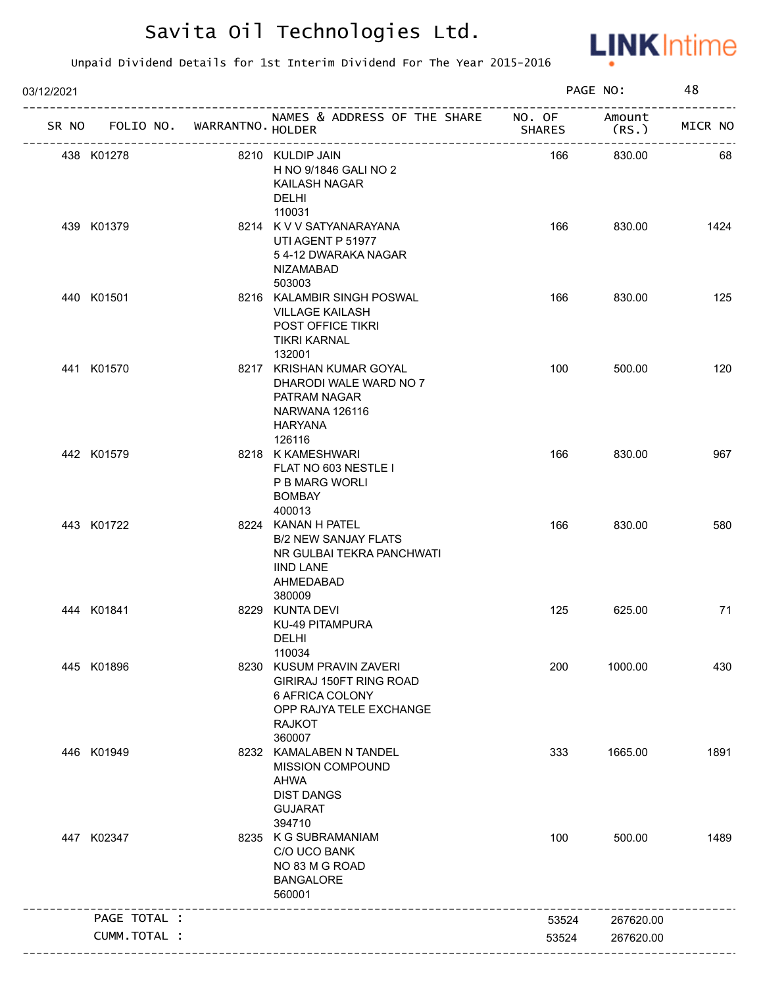

| NAMES & ADDRESS OF THE SHARE NO. OF<br>Amount<br>SR NO FOLIO NO. WARRANTNO. HOLDER<br><b>SHARES</b><br>(RS. )<br>__________________<br>438 K01278<br>8210 KULDIP JAIN<br>166<br>830.00<br>H NO 9/1846 GALI NO 2<br>KAILASH NAGAR<br><b>DELHI</b><br>110031<br>8214 K V V SATYANARAYANA<br>166<br>439 K01379<br>830.00<br>UTI AGENT P 51977<br>54-12 DWARAKA NAGAR<br>NIZAMABAD<br>503003<br>440 K01501<br>8216 KALAMBIR SINGH POSWAL<br>166<br>830.00<br><b>VILLAGE KAILASH</b><br>POST OFFICE TIKRI<br><b>TIKRI KARNAL</b><br>132001<br>441 K01570<br>8217 KRISHAN KUMAR GOYAL<br>100<br>500.00<br>DHARODI WALE WARD NO 7<br>PATRAM NAGAR<br>NARWANA 126116<br><b>HARYANA</b><br>126116<br>442 K01579<br>8218 K KAMESHWARI<br>166<br>830.00<br>FLAT NO 603 NESTLE I<br>P B MARG WORLI<br><b>BOMBAY</b><br>400013<br>443 K01722<br>166<br>8224 KANAN H PATEL<br>830.00<br><b>B/2 NEW SANJAY FLATS</b><br>NR GULBAI TEKRA PANCHWATI<br><b>IIND LANE</b><br>AHMEDABAD<br>380009<br>8229 KUNTA DEVI<br>125<br>444 K01841<br>625.00<br>KU-49 PITAMPURA<br>DELHI<br>110034<br>8230 KUSUM PRAVIN ZAVERI<br>200<br>445 K01896<br>1000.00<br>GIRIRAJ 150FT RING ROAD<br>6 AFRICA COLONY<br>OPP RAJYA TELE EXCHANGE<br><b>RAJKOT</b><br>360007<br>8232 KAMALABEN N TANDEL<br>446 K01949<br>333<br>1665.00<br>MISSION COMPOUND<br>AHWA<br><b>DIST DANGS</b><br><b>GUJARAT</b><br>394710<br>447 K02347<br>8235 K G SUBRAMANIAM<br>100<br>500.00<br>C/O UCO BANK<br>NO 83 M G ROAD<br><b>BANGALORE</b><br>560001 | 03/12/2021 |  |  | PAGE NO: | 48      |
|------------------------------------------------------------------------------------------------------------------------------------------------------------------------------------------------------------------------------------------------------------------------------------------------------------------------------------------------------------------------------------------------------------------------------------------------------------------------------------------------------------------------------------------------------------------------------------------------------------------------------------------------------------------------------------------------------------------------------------------------------------------------------------------------------------------------------------------------------------------------------------------------------------------------------------------------------------------------------------------------------------------------------------------------------------------------------------------------------------------------------------------------------------------------------------------------------------------------------------------------------------------------------------------------------------------------------------------------------------------------------------------------------------------------------------------------------------------------------------------------------|------------|--|--|----------|---------|
|                                                                                                                                                                                                                                                                                                                                                                                                                                                                                                                                                                                                                                                                                                                                                                                                                                                                                                                                                                                                                                                                                                                                                                                                                                                                                                                                                                                                                                                                                                      |            |  |  |          | MICR NO |
|                                                                                                                                                                                                                                                                                                                                                                                                                                                                                                                                                                                                                                                                                                                                                                                                                                                                                                                                                                                                                                                                                                                                                                                                                                                                                                                                                                                                                                                                                                      |            |  |  |          | 68      |
|                                                                                                                                                                                                                                                                                                                                                                                                                                                                                                                                                                                                                                                                                                                                                                                                                                                                                                                                                                                                                                                                                                                                                                                                                                                                                                                                                                                                                                                                                                      |            |  |  |          | 1424    |
|                                                                                                                                                                                                                                                                                                                                                                                                                                                                                                                                                                                                                                                                                                                                                                                                                                                                                                                                                                                                                                                                                                                                                                                                                                                                                                                                                                                                                                                                                                      |            |  |  |          | 125     |
|                                                                                                                                                                                                                                                                                                                                                                                                                                                                                                                                                                                                                                                                                                                                                                                                                                                                                                                                                                                                                                                                                                                                                                                                                                                                                                                                                                                                                                                                                                      |            |  |  |          | 120     |
|                                                                                                                                                                                                                                                                                                                                                                                                                                                                                                                                                                                                                                                                                                                                                                                                                                                                                                                                                                                                                                                                                                                                                                                                                                                                                                                                                                                                                                                                                                      |            |  |  |          | 967     |
|                                                                                                                                                                                                                                                                                                                                                                                                                                                                                                                                                                                                                                                                                                                                                                                                                                                                                                                                                                                                                                                                                                                                                                                                                                                                                                                                                                                                                                                                                                      |            |  |  |          | 580     |
|                                                                                                                                                                                                                                                                                                                                                                                                                                                                                                                                                                                                                                                                                                                                                                                                                                                                                                                                                                                                                                                                                                                                                                                                                                                                                                                                                                                                                                                                                                      |            |  |  |          | 71      |
|                                                                                                                                                                                                                                                                                                                                                                                                                                                                                                                                                                                                                                                                                                                                                                                                                                                                                                                                                                                                                                                                                                                                                                                                                                                                                                                                                                                                                                                                                                      |            |  |  |          | 430     |
|                                                                                                                                                                                                                                                                                                                                                                                                                                                                                                                                                                                                                                                                                                                                                                                                                                                                                                                                                                                                                                                                                                                                                                                                                                                                                                                                                                                                                                                                                                      |            |  |  |          | 1891    |
|                                                                                                                                                                                                                                                                                                                                                                                                                                                                                                                                                                                                                                                                                                                                                                                                                                                                                                                                                                                                                                                                                                                                                                                                                                                                                                                                                                                                                                                                                                      |            |  |  |          | 1489    |
| PAGE TOTAL :<br>267620.00<br>53524                                                                                                                                                                                                                                                                                                                                                                                                                                                                                                                                                                                                                                                                                                                                                                                                                                                                                                                                                                                                                                                                                                                                                                                                                                                                                                                                                                                                                                                                   |            |  |  |          |         |
| CUMM.TOTAL :<br>53524<br>267620.00                                                                                                                                                                                                                                                                                                                                                                                                                                                                                                                                                                                                                                                                                                                                                                                                                                                                                                                                                                                                                                                                                                                                                                                                                                                                                                                                                                                                                                                                   |            |  |  |          |         |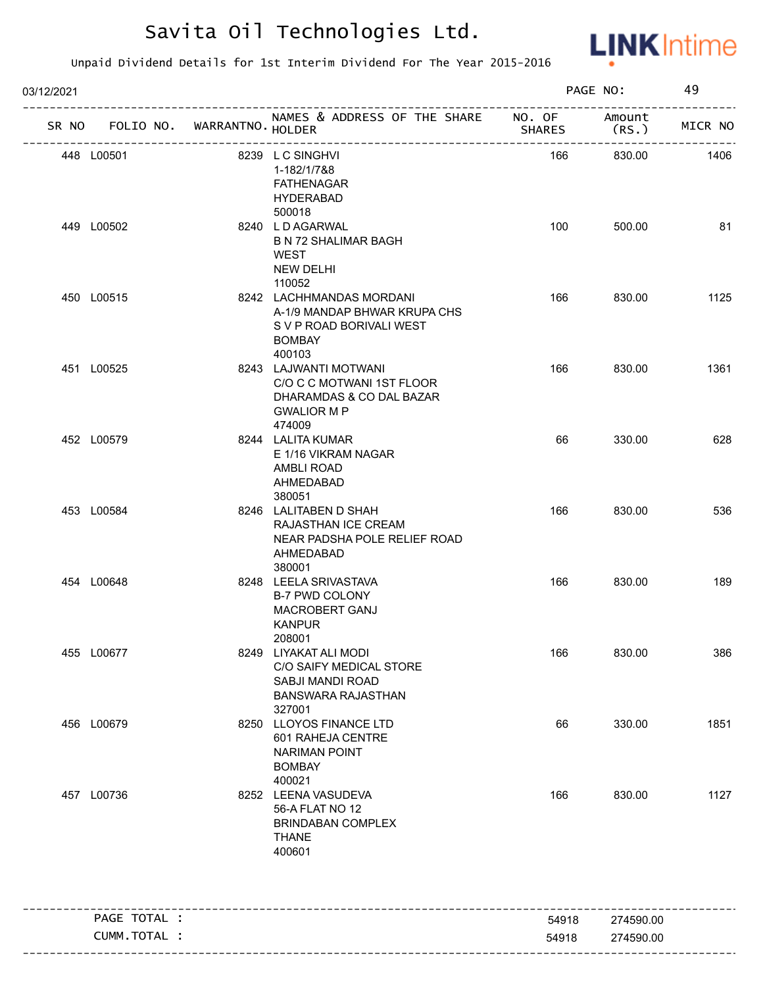

| 03/12/2021 |                                   |                                                                                                                 |               | PAGE NO:  | 49      |
|------------|-----------------------------------|-----------------------------------------------------------------------------------------------------------------|---------------|-----------|---------|
|            | SR NO FOLIO NO. WARRANTNO. HOLDER | NAMES & ADDRESS OF THE SHARE NO. OF Amount                                                                      | <b>SHARES</b> | (RS.      | MICR NO |
|            | 448 L00501                        | 8239 LC SINGHVI<br>1-182/1/7&8<br><b>FATHENAGAR</b><br><b>HYDERABAD</b><br>500018                               | 166           | 830.00    | 1406    |
|            | 449 L00502                        | 8240 LDAGARWAL<br><b>B N 72 SHALIMAR BAGH</b><br>WEST<br><b>NEW DELHI</b><br>110052                             | 100           | 500.00    | 81      |
|            | 450 L00515                        | 8242 LACHHMANDAS MORDANI<br>A-1/9 MANDAP BHWAR KRUPA CHS<br>S V P ROAD BORIVALI WEST<br><b>BOMBAY</b><br>400103 | 166           | 830.00    | 1125    |
|            | 451 L00525                        | 8243 LAJWANTI MOTWANI<br>C/O C C MOTWANI 1ST FLOOR<br>DHARAMDAS & CO DAL BAZAR<br><b>GWALIOR M P</b><br>474009  | 166           | 830.00    | 1361    |
|            | 452 L00579                        | 8244 LALITA KUMAR<br>E 1/16 VIKRAM NAGAR<br>AMBLI ROAD<br>AHMEDABAD<br>380051                                   | 66            | 330.00    | 628     |
|            | 453 L00584                        | 8246 LALITABEN D SHAH<br>RAJASTHAN ICE CREAM<br>NEAR PADSHA POLE RELIEF ROAD<br>AHMEDABAD<br>380001             | 166           | 830.00    | 536     |
|            | 454 L00648                        | 8248 LEELA SRIVASTAVA<br><b>B-7 PWD COLONY</b><br>MACROBERT GANJ<br><b>KANPUR</b><br>208001                     | 166           | 830.00    | 189     |
|            | 455 L00677                        | 8249 LIYAKAT ALI MODI<br>C/O SAIFY MEDICAL STORE<br>SABJI MANDI ROAD<br><b>BANSWARA RAJASTHAN</b><br>327001     | 166           | 830.00    | 386     |
| 456 L00679 |                                   | 8250 LLOYOS FINANCE LTD<br>601 RAHEJA CENTRE<br><b>NARIMAN POINT</b><br><b>BOMBAY</b><br>400021                 | 66            | 330.00    | 1851    |
|            | 457 L00736                        | 8252 LEENA VASUDEVA<br>56-A FLAT NO 12<br><b>BRINDABAN COMPLEX</b><br><b>THANE</b><br>400601                    | 166           | 830.00    | 1127    |
|            | PAGE TOTAL :                      |                                                                                                                 | 54918         | 274590.00 |         |
|            | CUMM.TOTAL :                      |                                                                                                                 | 54918         | 274590.00 |         |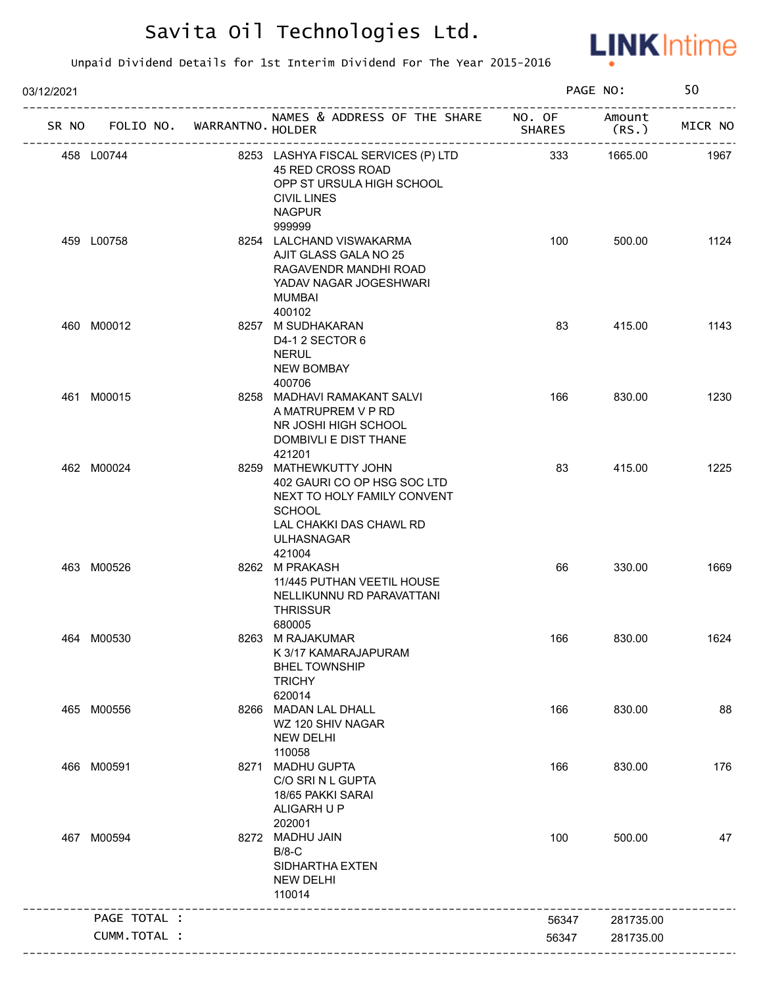

| 03/12/2021 |              |                             |                                                                                                                                                      |                         | PAGE NO:        | 50      |
|------------|--------------|-----------------------------|------------------------------------------------------------------------------------------------------------------------------------------------------|-------------------------|-----------------|---------|
| SR NO      |              | FOLIO NO. WARRANTNO. HOLDER | NAMES & ADDRESS OF THE SHARE                                                                                                                         | NO. OF<br><b>SHARES</b> | Amount<br>(RS.) | MICR NO |
|            | 458 L00744   |                             | 8253 LASHYA FISCAL SERVICES (P) LTD<br>45 RED CROSS ROAD<br>OPP ST URSULA HIGH SCHOOL<br>CIVIL LINES<br><b>NAGPUR</b>                                | 333                     | 1665.00         | 1967    |
|            | 459 L00758   |                             | 999999<br>8254 LALCHAND VISWAKARMA<br>AJIT GLASS GALA NO 25<br>RAGAVENDR MANDHI ROAD<br>YADAV NAGAR JOGESHWARI<br><b>MUMBAI</b><br>400102            | 100                     | 500.00          | 1124    |
|            | 460 M00012   |                             | 8257 M SUDHAKARAN<br>D4-1 2 SECTOR 6<br><b>NERUL</b><br><b>NEW BOMBAY</b><br>400706                                                                  | 83                      | 415.00          | 1143    |
|            | 461 M00015   |                             | 8258 MADHAVI RAMAKANT SALVI<br>A MATRUPREM V P RD<br>NR JOSHI HIGH SCHOOL<br>DOMBIVLI E DIST THANE<br>421201                                         | 166                     | 830.00          | 1230    |
|            | 462 M00024   |                             | 8259 MATHEWKUTTY JOHN<br>402 GAURI CO OP HSG SOC LTD<br>NEXT TO HOLY FAMILY CONVENT<br><b>SCHOOL</b><br>LAL CHAKKI DAS CHAWL RD<br><b>ULHASNAGAR</b> | 83                      | 415.00          | 1225    |
|            | 463 M00526   |                             | 421004<br>8262 M PRAKASH<br>11/445 PUTHAN VEETIL HOUSE<br>NELLIKUNNU RD PARAVATTANI<br><b>THRISSUR</b><br>680005                                     | 66                      | 330.00          | 1669    |
|            | 464 M00530   |                             | 8263 M RAJAKUMAR<br>K 3/17 KAMARAJAPURAM<br><b>BHEL TOWNSHIP</b><br><b>TRICHY</b><br>620014                                                          | 166                     | 830.00          | 1624    |
|            | 465 M00556   |                             | 8266 MADAN LAL DHALL<br>WZ 120 SHIV NAGAR<br><b>NEW DELHI</b><br>110058                                                                              | 166                     | 830.00          | 88      |
|            | 466 M00591   |                             | 8271 MADHU GUPTA<br>C/O SRI N L GUPTA<br>18/65 PAKKI SARAI<br>ALIGARH U P<br>202001                                                                  | 166                     | 830.00          | 176     |
|            | 467 M00594   |                             | 8272 MADHU JAIN<br>$B/8-C$<br>SIDHARTHA EXTEN<br><b>NEW DELHI</b><br>110014                                                                          | 100                     | 500.00          | 47      |
|            | PAGE TOTAL : |                             |                                                                                                                                                      | 56347                   | 281735.00       |         |
|            | CUMM.TOTAL : |                             |                                                                                                                                                      | 56347                   | 281735.00       |         |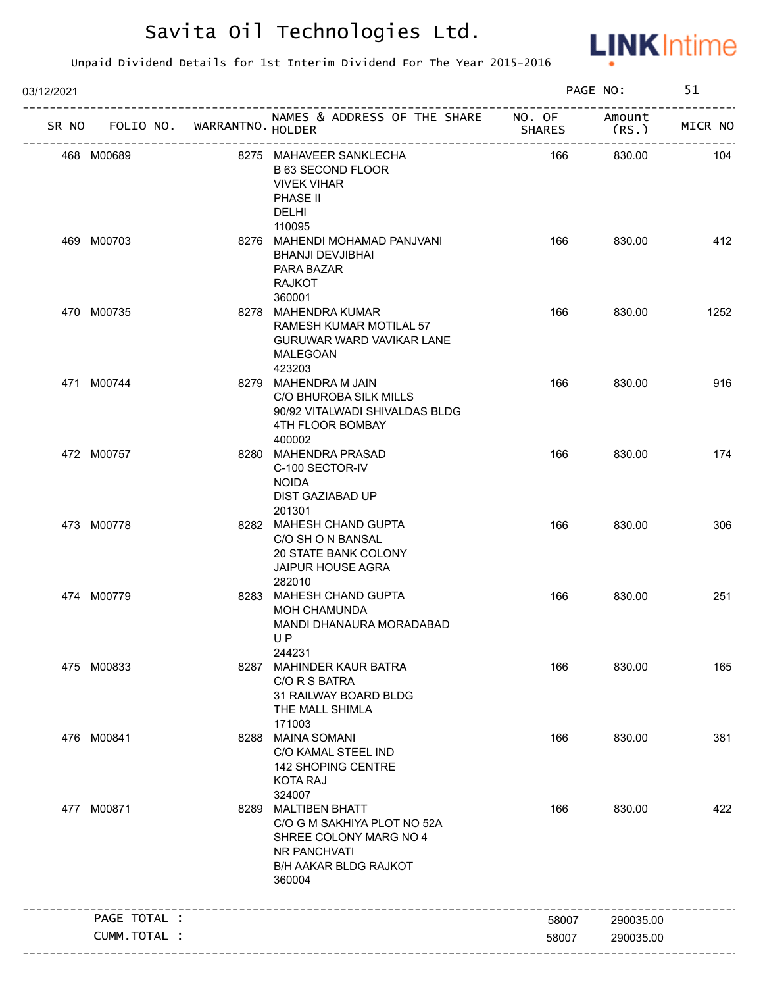

| 03/12/2021 |                                   |                                                                                                                                        |               | PAGE NO:       | 51      |
|------------|-----------------------------------|----------------------------------------------------------------------------------------------------------------------------------------|---------------|----------------|---------|
|            | SR NO FOLIO NO. WARRANTNO. HOLDER | NAMES & ADDRESS OF THE SHARE NO. OF                                                                                                    | <b>SHARES</b> | Amount<br>(RS. | MICR NO |
|            | 468 M00689                        | 8275 MAHAVEER SANKLECHA<br><b>B 63 SECOND FLOOR</b><br><b>VIVEK VIHAR</b><br>PHASE II<br>DELHI                                         | 166           | 830.00         | 104     |
|            | 469 M00703                        | 110095<br>8276 MAHENDI MOHAMAD PANJVANI<br><b>BHANJI DEVJIBHAI</b><br>PARA BAZAR<br><b>RAJKOT</b><br>360001                            | 166           | 830.00         | 412     |
|            | 470 M00735                        | 8278 MAHENDRA KUMAR<br>RAMESH KUMAR MOTILAL 57<br>GURUWAR WARD VAVIKAR LANE<br>MALEGOAN<br>423203                                      | 166           | 830.00         | 1252    |
|            | 471 M00744                        | 8279 MAHENDRA M JAIN<br>C/O BHUROBA SILK MILLS<br>90/92 VITALWADI SHIVALDAS BLDG<br>4TH FLOOR BOMBAY<br>400002                         | 166           | 830.00         | 916     |
|            | 472 M00757                        | 8280 MAHENDRA PRASAD<br>C-100 SECTOR-IV<br><b>NOIDA</b><br>DIST GAZIABAD UP<br>201301                                                  | 166           | 830.00         | 174     |
|            | 473 M00778                        | 8282 MAHESH CHAND GUPTA<br>C/O SH O N BANSAL<br>20 STATE BANK COLONY<br>JAIPUR HOUSE AGRA<br>282010                                    | 166           | 830.00         | 306     |
|            | 474 M00779                        | 8283 MAHESH CHAND GUPTA<br><b>MOH CHAMUNDA</b><br>MANDI DHANAURA MORADABAD<br>UP.<br>244231                                            | 166           | 830.00         | 251     |
|            | 475 M00833                        | 8287 MAHINDER KAUR BATRA<br>C/O R S BATRA<br>31 RAILWAY BOARD BLDG<br>THE MALL SHIMLA<br>171003                                        | 166           | 830.00         | 165     |
|            | 476 M00841                        | 8288 MAINA SOMANI<br>C/O KAMAL STEEL IND<br>142 SHOPING CENTRE<br><b>KOTA RAJ</b><br>324007                                            | 166           | 830.00         | 381     |
|            | 477 M00871                        | 8289 MALTIBEN BHATT<br>C/O G M SAKHIYA PLOT NO 52A<br>SHREE COLONY MARG NO 4<br>NR PANCHVATI<br><b>B/H AAKAR BLDG RAJKOT</b><br>360004 | 166           | 830.00         | 422     |
|            | PAGE TOTAL :                      |                                                                                                                                        | 58007         | 290035.00      |         |
|            | CUMM.TOTAL :                      |                                                                                                                                        | 58007         | 290035.00      |         |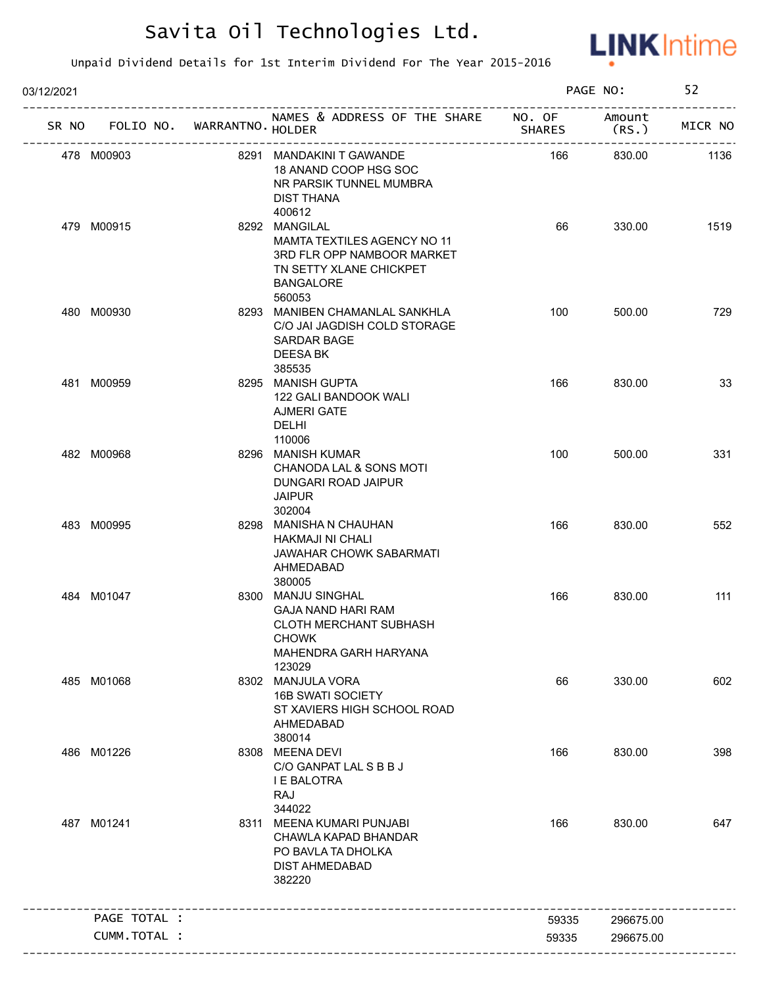

| 03/12/2021   |                             |                                                                                                                                     |               | PAGE NO:        | 52      |
|--------------|-----------------------------|-------------------------------------------------------------------------------------------------------------------------------------|---------------|-----------------|---------|
| SR NO        | FOLIO NO. WARRANTNO. HOLDER | NAMES & ADDRESS OF THE SHARE NO. OF<br>---------------------                                                                        | <b>SHARES</b> | Amount<br>(RS.) | MICR NO |
| 478 M00903   |                             | 8291 MANDAKINI T GAWANDE<br>18 ANAND COOP HSG SOC<br>NR PARSIK TUNNEL MUMBRA<br>DIST THANA<br>400612                                | 166           | 830.00          | 1136    |
| 479 M00915   |                             | 8292 MANGILAL<br>MAMTA TEXTILES AGENCY NO 11<br>3RD FLR OPP NAMBOOR MARKET<br>TN SETTY XLANE CHICKPET<br><b>BANGALORE</b><br>560053 | 66            | 330.00          | 1519    |
| 480 M00930   |                             | 8293 MANIBEN CHAMANLAL SANKHLA<br>C/O JAI JAGDISH COLD STORAGE<br><b>SARDAR BAGE</b><br><b>DEESA BK</b><br>385535                   | 100           | 500.00          | 729     |
| 481 M00959   |                             | 8295 MANISH GUPTA<br>122 GALI BANDOOK WALI<br><b>AJMERI GATE</b><br><b>DELHI</b><br>110006                                          | 166           | 830.00          | 33      |
| 482 M00968   |                             | 8296 MANISH KUMAR<br>CHANODA LAL & SONS MOTI<br>DUNGARI ROAD JAIPUR<br><b>JAIPUR</b><br>302004                                      | 100           | 500.00          | 331     |
| 483 M00995   |                             | 8298 MANISHA N CHAUHAN<br><b>HAKMAJI NI CHALI</b><br><b>JAWAHAR CHOWK SABARMATI</b><br>AHMEDABAD<br>380005                          | 166           | 830.00          | 552     |
| 484 M01047   |                             | 8300 MANJU SINGHAL<br><b>GAJA NAND HARI RAM</b><br><b>CLOTH MERCHANT SUBHASH</b><br><b>CHOWK</b><br>MAHENDRA GARH HARYANA<br>123029 | 166           | 830.00          | 111     |
| 485 M01068   |                             | 8302 MANJULA VORA<br><b>16B SWATI SOCIETY</b><br>ST XAVIERS HIGH SCHOOL ROAD<br>AHMEDABAD<br>380014                                 | 66            | 330.00          | 602     |
| 486 M01226   |                             | 8308 MEENA DEVI<br>C/O GANPAT LAL S B B J<br><b>I E BALOTRA</b><br>RAJ<br>344022                                                    | 166           | 830.00          | 398     |
| 487 M01241   |                             | 8311 MEENA KUMARI PUNJABI<br>CHAWLA KAPAD BHANDAR<br>PO BAVLA TA DHOLKA<br><b>DIST AHMEDABAD</b><br>382220                          | 166           | 830.00          | 647     |
| PAGE TOTAL : |                             |                                                                                                                                     | 59335         | 296675.00       |         |
|              | CUMM. TOTAL :               |                                                                                                                                     | 59335         | 296675.00       |         |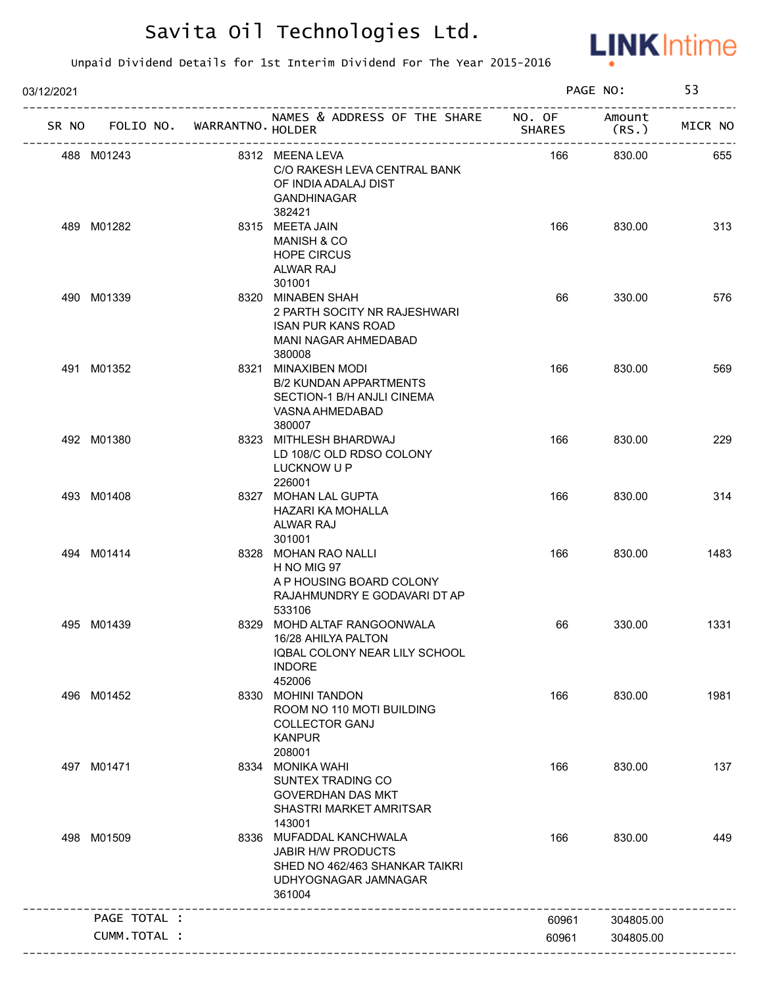

| 03/12/2021   |                             |                                                                                                                          |               | PAGE NO:        | 53      |
|--------------|-----------------------------|--------------------------------------------------------------------------------------------------------------------------|---------------|-----------------|---------|
| SR NO        | FOLIO NO. WARRANTNO. HOLDER | NAMES & ADDRESS OF THE SHARE NO. OF                                                                                      | <b>SHARES</b> | Amount<br>(RS.) | MICR NO |
| 488 M01243   |                             | 8312 MEENA LEVA<br>C/O RAKESH LEVA CENTRAL BANK<br>OF INDIA ADALAJ DIST<br><b>GANDHINAGAR</b><br>382421                  | 166           | 830.00          | 655     |
| 489 M01282   |                             | 8315 MEETA JAIN<br><b>MANISH &amp; CO</b><br><b>HOPE CIRCUS</b><br>ALWAR RAJ<br>301001                                   | 166           | 830.00          | 313     |
| 490 M01339   |                             | 8320 MINABEN SHAH<br>2 PARTH SOCITY NR RAJESHWARI<br><b>ISAN PUR KANS ROAD</b><br>MANI NAGAR AHMEDABAD<br>380008         | 66            | 330.00          | 576     |
| 491 M01352   |                             | 8321 MINAXIBEN MODI<br><b>B/2 KUNDAN APPARTMENTS</b><br>SECTION-1 B/H ANJLI CINEMA<br>VASNA AHMEDABAD<br>380007          | 166           | 830.00          | 569     |
| 492 M01380   |                             | 8323 MITHLESH BHARDWAJ<br>LD 108/C OLD RDSO COLONY<br>LUCKNOW U P<br>226001                                              | 166           | 830.00          | 229     |
| 493 M01408   |                             | 8327 MOHAN LAL GUPTA<br>HAZARI KA MOHALLA<br>ALWAR RAJ<br>301001                                                         | 166           | 830.00          | 314     |
| 494 M01414   |                             | 8328 MOHAN RAO NALLI<br>H NO MIG 97<br>A P HOUSING BOARD COLONY<br>RAJAHMUNDRY E GODAVARI DT AP<br>533106                | 166           | 830.00          | 1483    |
| 495 M01439   |                             | 8329 MOHD ALTAF RANGOONWALA<br>16/28 AHILYA PALTON<br>IQBAL COLONY NEAR LILY SCHOOL<br><b>INDORE</b><br>452006           | 66            | 330.00          | 1331    |
| 496 M01452   |                             | 8330 MOHINI TANDON<br>ROOM NO 110 MOTI BUILDING<br><b>COLLECTOR GANJ</b><br><b>KANPUR</b><br>208001                      | 166           | 830.00          | 1981    |
| 497 M01471   |                             | 8334 MONIKA WAHI<br>SUNTEX TRADING CO<br><b>GOVERDHAN DAS MKT</b><br>SHASTRI MARKET AMRITSAR<br>143001                   | 166           | 830.00          | 137     |
| 498 M01509   |                             | 8336 MUFADDAL KANCHWALA<br><b>JABIR H/W PRODUCTS</b><br>SHED NO 462/463 SHANKAR TAIKRI<br>UDHYOGNAGAR JAMNAGAR<br>361004 | 166           | 830.00          | 449     |
| PAGE TOTAL : |                             |                                                                                                                          | 60961         | 304805.00       |         |
|              | CUMM. TOTAL :               |                                                                                                                          |               |                 |         |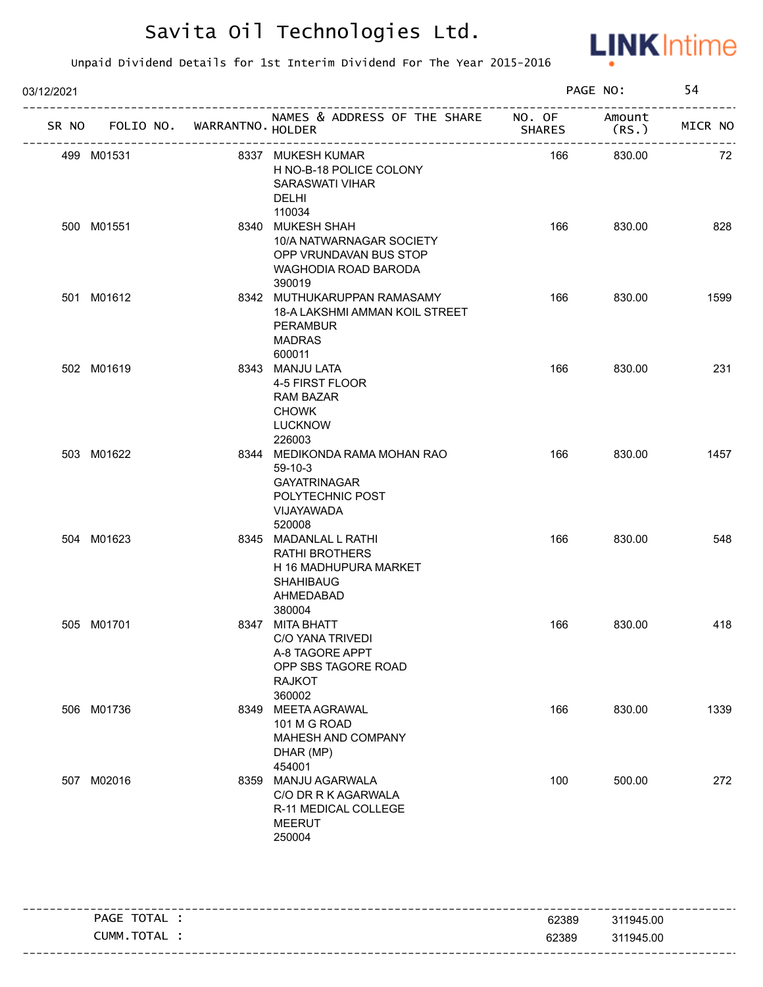

| 03/12/2021 |                             |                                                                                                                    |               | PAGE NO:                                          | 54      |
|------------|-----------------------------|--------------------------------------------------------------------------------------------------------------------|---------------|---------------------------------------------------|---------|
| SR NO      | FOLIO NO. WARRANTNO HOLDER  | NAMES & ADDRESS OF THE SHARE NO. OF                                                                                | <b>SHARES</b> | Amount<br>(RS.<br>------------------------------- | MICR NO |
| 499 M01531 | --------------------------- | 8337 MUKESH KUMAR<br>H NO-B-18 POLICE COLONY<br><b>SARASWATI VIHAR</b><br><b>DELHI</b><br>110034                   | 166           | 830.00                                            | 72      |
| 500 M01551 |                             | 8340 MUKESH SHAH<br>10/A NATWARNAGAR SOCIETY<br>OPP VRUNDAVAN BUS STOP<br>WAGHODIA ROAD BARODA<br>390019           | 166           | 830.00                                            | 828     |
| 501 M01612 |                             | 8342 MUTHUKARUPPAN RAMASAMY<br>18-A LAKSHMI AMMAN KOIL STREET<br>PERAMBUR<br><b>MADRAS</b><br>600011               | 166           | 830.00                                            | 1599    |
| 502 M01619 |                             | 8343 MANJU LATA<br>4-5 FIRST FLOOR<br><b>RAM BAZAR</b><br><b>CHOWK</b><br><b>LUCKNOW</b><br>226003                 | 166           | 830.00                                            | 231     |
| 503 M01622 |                             | 8344 MEDIKONDA RAMA MOHAN RAO<br>59-10-3<br><b>GAYATRINAGAR</b><br>POLYTECHNIC POST<br>VIJAYAWADA<br>520008        | 166           | 830.00                                            | 1457    |
| 504 M01623 |                             | 8345 MADANLAL L RATHI<br><b>RATHI BROTHERS</b><br>H 16 MADHUPURA MARKET<br><b>SHAHIBAUG</b><br>AHMEDABAD<br>380004 | 166           | 830.00                                            | 548     |
| 505 M01701 |                             | 8347 MITA BHATT<br>C/O YANA TRIVEDI<br>A-8 TAGORE APPT<br>OPP SBS TAGORE ROAD<br><b>RAJKOT</b><br>360002           | 166           | 830.00                                            | 418     |
| 506 M01736 |                             | 8349 MEETA AGRAWAL<br>101 M G ROAD<br>MAHESH AND COMPANY<br>DHAR (MP)<br>454001                                    | 166           | 830.00                                            | 1339    |
| 507 M02016 |                             | 8359 MANJU AGARWALA<br>C/O DR R K AGARWALA<br>R-11 MEDICAL COLLEGE<br><b>MEERUT</b><br>250004                      | 100           | 500.00                                            | 272     |

| TOTAL<br><b>PAGE</b> | 62389 | 311945.00 |
|----------------------|-------|-----------|
| TOTAL<br>Cumm        | 62389 | 311945.00 |
|                      |       |           |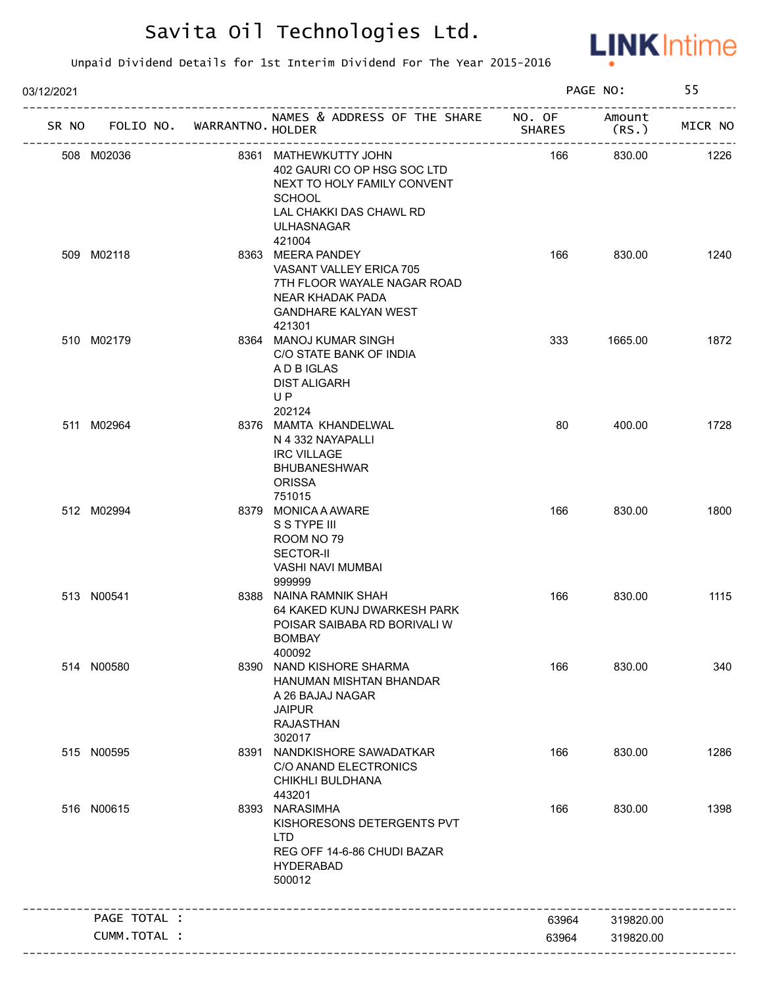

| 03/12/2021 |              |                             |                                                                                                                                                                |               | PAGE NO:       | 55      |
|------------|--------------|-----------------------------|----------------------------------------------------------------------------------------------------------------------------------------------------------------|---------------|----------------|---------|
| SR NO      |              | FOLIO NO. WARRANTNO. HOLDER | NAMES & ADDRESS OF THE SHARE NO. OF                                                                                                                            | <b>SHARES</b> | Amount<br>(RS. | MICR NO |
|            | 508 M02036   |                             | 8361 MATHEWKUTTY JOHN<br>402 GAURI CO OP HSG SOC LTD<br>NEXT TO HOLY FAMILY CONVENT<br><b>SCHOOL</b><br>LAL CHAKKI DAS CHAWL RD<br><b>ULHASNAGAR</b><br>421004 | 166           | 830.00         | 1226    |
|            | 509 M02118   |                             | 8363 MEERA PANDEY<br>VASANT VALLEY ERICA 705<br>7TH FLOOR WAYALE NAGAR ROAD<br>NEAR KHADAK PADA<br><b>GANDHARE KALYAN WEST</b><br>421301                       | 166           | 830.00         | 1240    |
|            | 510 M02179   |                             | 8364 MANOJ KUMAR SINGH<br>C/O STATE BANK OF INDIA<br>A D B IGLAS<br><b>DIST ALIGARH</b><br>UP<br>202124                                                        | 333           | 1665.00        | 1872    |
|            | 511 M02964   |                             | 8376 MAMTA KHANDELWAL<br>N 4 332 NAYAPALLI<br><b>IRC VILLAGE</b><br><b>BHUBANESHWAR</b><br><b>ORISSA</b><br>751015                                             | 80            | 400.00         | 1728    |
|            | 512 M02994   |                             | 8379 MONICA A AWARE<br>S S TYPE III<br>ROOM NO 79<br><b>SECTOR-II</b><br>VASHI NAVI MUMBAI<br>999999                                                           | 166           | 830.00         | 1800    |
|            | 513 N00541   |                             | 8388 NAINA RAMNIK SHAH<br>64 KAKED KUNJ DWARKESH PARK<br>POISAR SAIBABA RD BORIVALI W<br>BOMBAY<br>400092                                                      | 166           | 830.00         | 1115    |
|            | 514 N00580   |                             | 8390 NAND KISHORE SHARMA<br>HANUMAN MISHTAN BHANDAR<br>A 26 BAJAJ NAGAR<br><b>JAIPUR</b><br><b>RAJASTHAN</b><br>302017                                         | 166           | 830.00         | 340     |
|            | 515 N00595   |                             | 8391 NANDKISHORE SAWADATKAR<br>C/O ANAND ELECTRONICS<br><b>CHIKHLI BULDHANA</b><br>443201                                                                      | 166           | 830.00         | 1286    |
|            | 516 N00615   |                             | 8393 NARASIMHA<br>KISHORESONS DETERGENTS PVT<br><b>LTD</b><br>REG OFF 14-6-86 CHUDI BAZAR<br><b>HYDERABAD</b><br>500012                                        | 166           | 830.00         | 1398    |
|            | PAGE TOTAL : |                             |                                                                                                                                                                | 63964         | 319820.00      |         |
|            | CUMM.TOTAL : |                             |                                                                                                                                                                | 63964         | 319820.00      |         |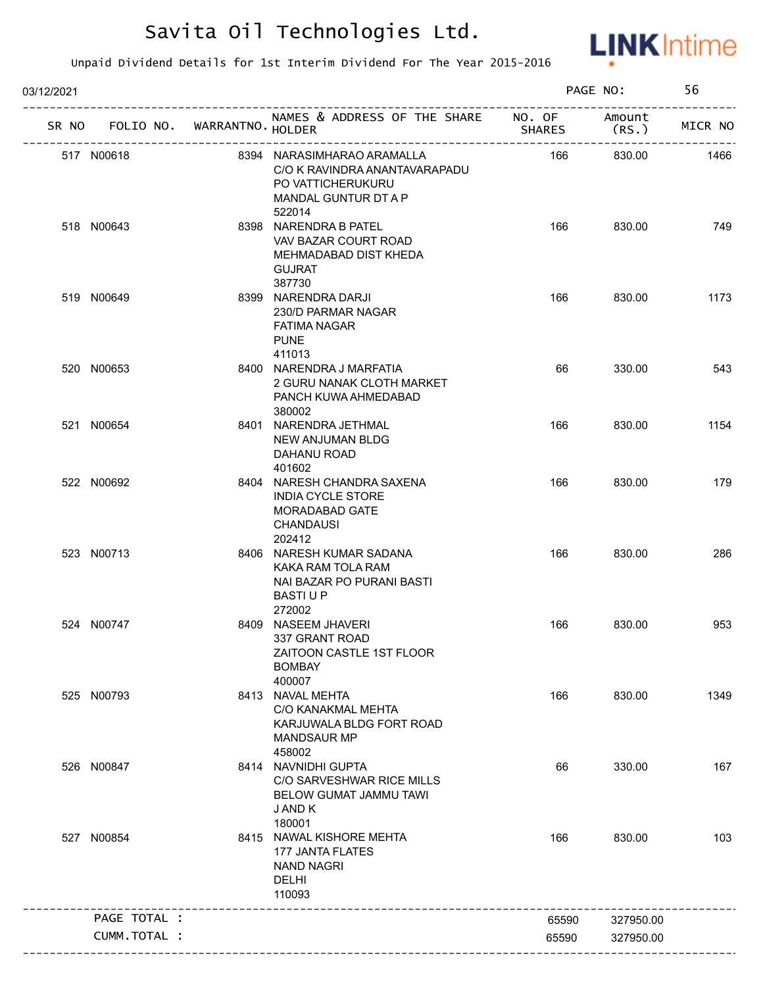

| 03/12/2021 |                                   |                                                                                                                    |               | PAGE NO:        | 56      |
|------------|-----------------------------------|--------------------------------------------------------------------------------------------------------------------|---------------|-----------------|---------|
|            | SR NO FOLIO NO. WARRANTNO. HOLDER | NAMES & ADDRESS OF THE SHARE NO. OF                                                                                | <b>SHARES</b> | Amount<br>(RS.) | MICR NO |
|            | 517 N00618                        | 8394 NARASIMHARAO ARAMALLA<br>C/O K RAVINDRA ANANTAVARAPADU<br>PO VATTICHERUKURU<br>MANDAL GUNTUR DT A P<br>522014 | 166           | 830.00          | 1466    |
|            | 518 N00643                        | 8398 NARENDRA B PATEL<br>VAV BAZAR COURT ROAD<br>MEHMADABAD DIST KHEDA<br><b>GUJRAT</b><br>387730                  | 166           | 830.00          | 749     |
|            | 519 N00649                        | 8399 NARENDRA DARJI<br>230/D PARMAR NAGAR<br><b>FATIMA NAGAR</b><br><b>PUNE</b><br>411013                          | 166           | 830.00          | 1173    |
|            | 520 N00653                        | 8400 NARENDRA J MARFATIA<br>2 GURU NANAK CLOTH MARKET<br>PANCH KUWA AHMEDABAD<br>380002                            | 66            | 330.00          | 543     |
|            | 521 N00654                        | 8401 NARENDRA JETHMAL<br><b>NEW ANJUMAN BLDG</b><br>DAHANU ROAD<br>401602                                          | 166           | 830.00          | 1154    |
|            | 522 N00692                        | 8404 NARESH CHANDRA SAXENA<br><b>INDIA CYCLE STORE</b><br>MORADABAD GATE<br><b>CHANDAUSI</b><br>202412             | 166           | 830.00          | 179     |
|            | 523 N00713                        | 8406 NARESH KUMAR SADANA<br>KAKA RAM TOLA RAM<br>NAI BAZAR PO PURANI BASTI<br>BASTI U P<br>272002                  | 166           | 830.00          | 286     |
|            | 524 N00747                        | 8409 NASEEM JHAVERI<br>337 GRANT ROAD<br>ZAITOON CASTLE 1ST FLOOR<br><b>BOMBAY</b><br>400007                       | 166           | 830.00          | 953     |
|            | 525 N00793                        | 8413 NAVAL MEHTA<br>C/O KANAKMAL MEHTA<br>KARJUWALA BLDG FORT ROAD<br><b>MANDSAUR MP</b><br>458002                 | 166           | 830.00          | 1349    |
|            | 526 N00847                        | 8414 NAVNIDHI GUPTA<br>C/O SARVESHWAR RICE MILLS<br><b>BELOW GUMAT JAMMU TAWI</b><br>J AND K<br>180001             | 66            | 330.00          | 167     |
|            | 527 N00854                        | 8415 NAWAL KISHORE MEHTA<br>177 JANTA FLATES<br><b>NAND NAGRI</b><br>DELHI<br>110093                               | 166           | 830.00          | 103     |
|            | PAGE TOTAL :                      | -------------------------------                                                                                    | 65590         | 327950.00       |         |
|            | CUMM.TOTAL :                      |                                                                                                                    | 65590         | 327950.00       |         |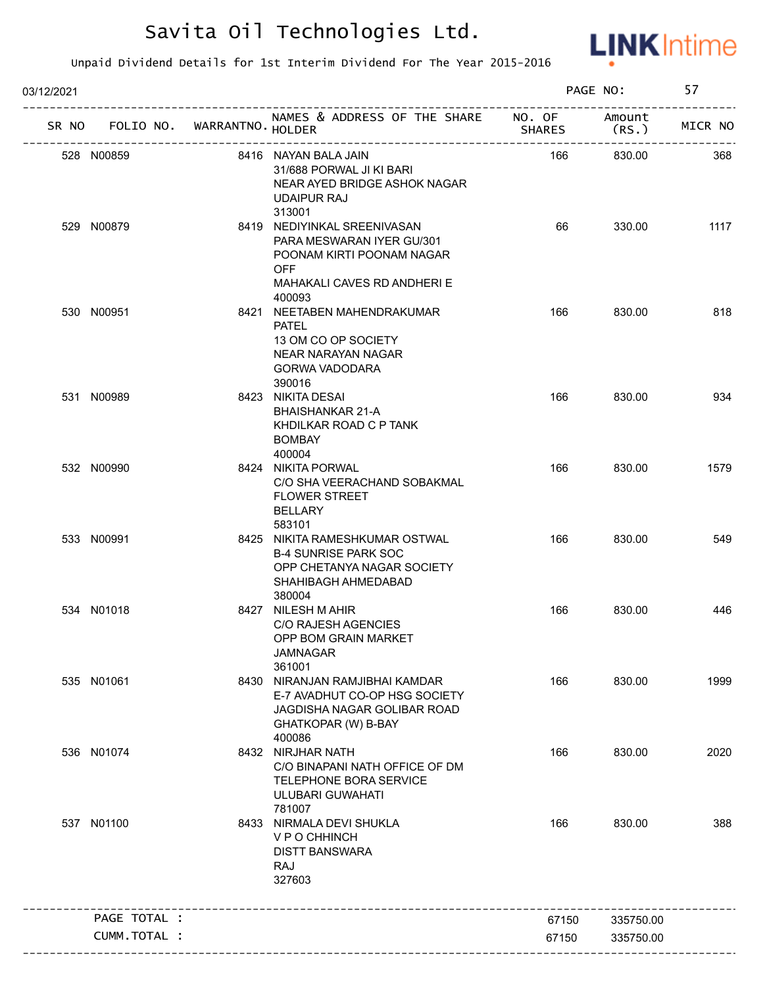

| 03/12/2021 |                             |                                                                                                                                       |               | PAGE NO:        | 57      |
|------------|-----------------------------|---------------------------------------------------------------------------------------------------------------------------------------|---------------|-----------------|---------|
| SR NO      | FOLIO NO. WARRANTNO. HOLDER | NAMES & ADDRESS OF THE SHARE NO. OF                                                                                                   | <b>SHARES</b> | Amount<br>(RS.) | MICR NO |
|            | 528 N00859                  | 8416 NAYAN BALA JAIN<br>31/688 PORWAL JI KI BARI<br>NEAR AYED BRIDGE ASHOK NAGAR<br>UDAIPUR RAJ<br>313001                             | 166           | 830.00          | 368     |
|            | 529 N00879                  | 8419 NEDIYINKAL SREENIVASAN<br>PARA MESWARAN IYER GU/301<br>POONAM KIRTI POONAM NAGAR<br><b>OFF</b><br>MAHAKALI CAVES RD ANDHERI E    | 66            | 330.00          | 1117    |
|            | 530 N00951                  | 400093<br>8421 NEETABEN MAHENDRAKUMAR<br><b>PATEL</b><br>13 OM CO OP SOCIETY<br>NEAR NARAYAN NAGAR<br><b>GORWA VADODARA</b><br>390016 | 166           | 830.00          | 818     |
|            | 531 N00989                  | 8423 NIKITA DESAI<br>BHAISHANKAR 21-A<br>KHDILKAR ROAD C P TANK<br><b>BOMBAY</b><br>400004                                            | 166           | 830.00          | 934     |
|            | 532 N00990                  | 8424 NIKITA PORWAL<br>C/O SHA VEERACHAND SOBAKMAL<br><b>FLOWER STREET</b><br><b>BELLARY</b><br>583101                                 | 166           | 830.00          | 1579    |
|            | 533 N00991                  | 8425 NIKITA RAMESHKUMAR OSTWAL<br><b>B-4 SUNRISE PARK SOC</b><br>OPP CHETANYA NAGAR SOCIETY<br>SHAHIBAGH AHMEDABAD<br>380004          | 166           | 830.00          | 549     |
|            | 534 N01018                  | 8427 NILESH M AHIR<br><b>C/O RAJESH AGENCIES</b><br>OPP BOM GRAIN MARKET<br><b>JAMNAGAR</b><br>361001                                 | 166           | 830.00          | 446     |
|            | 535 N01061                  | 8430 NIRANJAN RAMJIBHAI KAMDAR<br>E-7 AVADHUT CO-OP HSG SOCIETY<br>JAGDISHA NAGAR GOLIBAR ROAD<br>GHATKOPAR (W) B-BAY<br>400086       | 166           | 830.00          | 1999    |
|            | 536 N01074                  | 8432 NIRJHAR NATH<br>C/O BINAPANI NATH OFFICE OF DM<br>TELEPHONE BORA SERVICE<br><b>ULUBARI GUWAHATI</b><br>781007                    | 166           | 830.00          | 2020    |
|            | 537 N01100                  | 8433 NIRMALA DEVI SHUKLA<br>V P O CHHINCH<br><b>DISTT BANSWARA</b><br>RAJ<br>327603                                                   | 166           | 830.00          | 388     |
|            | PAGE TOTAL :                |                                                                                                                                       | 67150         | 335750.00       |         |
|            | CUMM. TOTAL :               |                                                                                                                                       | 67150         | 335750.00       |         |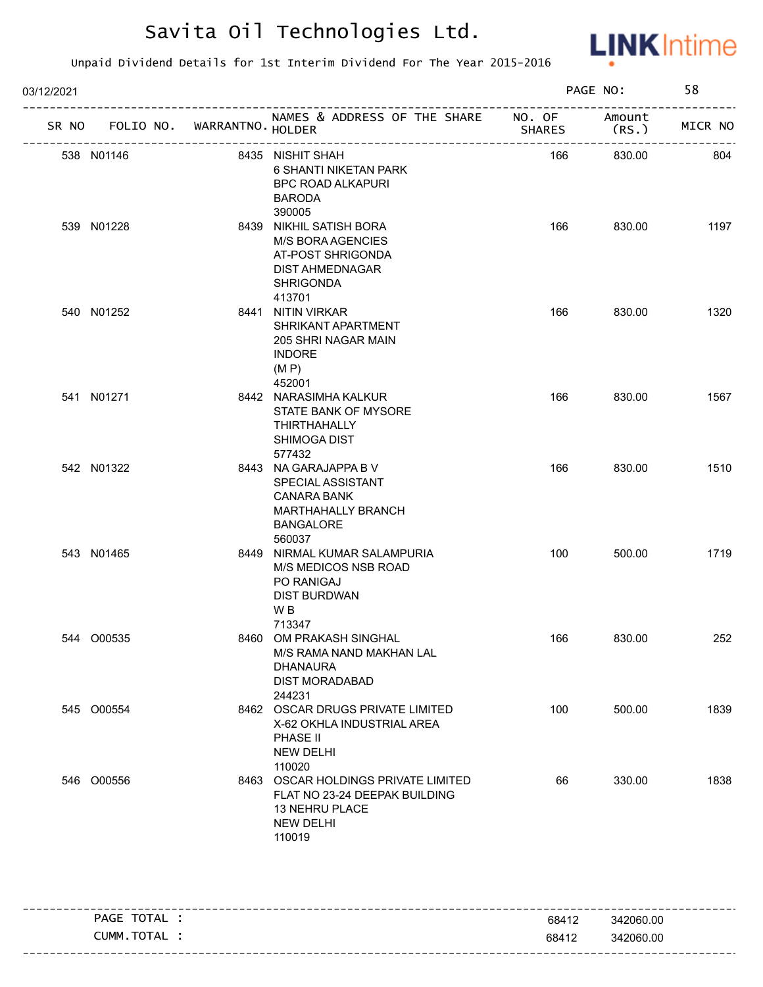

| 03/12/2021 |            |                      |                                                                                                                      |        | PAGE NO:           | 58      |
|------------|------------|----------------------|----------------------------------------------------------------------------------------------------------------------|--------|--------------------|---------|
| SR NO      | FOLIO NO.  | WARRANTNO. HOLDER    | NAMES & ADDRESS OF THE SHARE NO. OF                                                                                  | SHARES | Amount<br>(RS.     | MICR NO |
|            | 538 N01146 | -------------------- | 8435 NISHIT SHAH<br><b>6 SHANTI NIKETAN PARK</b><br><b>BPC ROAD ALKAPURI</b><br><b>BARODA</b><br>390005              | 166    | --------<br>830.00 | 804     |
|            | 539 N01228 |                      | 8439 NIKHIL SATISH BORA<br>M/S BORA AGENCIES<br>AT-POST SHRIGONDA<br>DIST AHMEDNAGAR<br><b>SHRIGONDA</b><br>413701   | 166    | 830.00             | 1197    |
|            | 540 N01252 |                      | 8441 NITIN VIRKAR<br>SHRIKANT APARTMENT<br>205 SHRI NAGAR MAIN<br><b>INDORE</b><br>(M P)<br>452001                   | 166    | 830.00             | 1320    |
|            | 541 N01271 |                      | 8442 NARASIMHA KALKUR<br>STATE BANK OF MYSORE<br><b>THIRTHAHALLY</b><br><b>SHIMOGA DIST</b><br>577432                | 166    | 830.00             | 1567    |
|            | 542 N01322 |                      | 8443 NA GARAJAPPA B V<br>SPECIAL ASSISTANT<br><b>CANARA BANK</b><br>MARTHAHALLY BRANCH<br><b>BANGALORE</b><br>560037 | 166    | 830.00             | 1510    |
|            | 543 N01465 |                      | 8449 NIRMAL KUMAR SALAMPURIA<br>M/S MEDICOS NSB ROAD<br>PO RANIGAJ<br><b>DIST BURDWAN</b><br>WB<br>713347            | 100    | 500.00             | 1719    |
|            | 544 O00535 |                      | 8460 OM PRAKASH SINGHAL<br>M/S RAMA NAND MAKHAN LAL<br><b>DHANAURA</b><br><b>DIST MORADABAD</b><br>244231            | 166    | 830.00             | 252     |
|            | 545 O00554 |                      | 8462 OSCAR DRUGS PRIVATE LIMITED<br>X-62 OKHLA INDUSTRIAL AREA<br>PHASE II<br><b>NEW DELHI</b><br>110020             | 100    | 500.00             | 1839    |
|            | 546 O00556 |                      | 8463 OSCAR HOLDINGS PRIVATE LIMITED<br>FLAT NO 23-24 DEEPAK BUILDING<br>13 NEHRU PLACE<br><b>NEW DELHI</b><br>110019 | 66     | 330.00             | 1838    |

| TOTAL<br>PAGE | 68412 | 342060.00 |
|---------------|-------|-----------|
| CUMM.TOTAL    | 68412 | 342060.00 |
|               |       |           |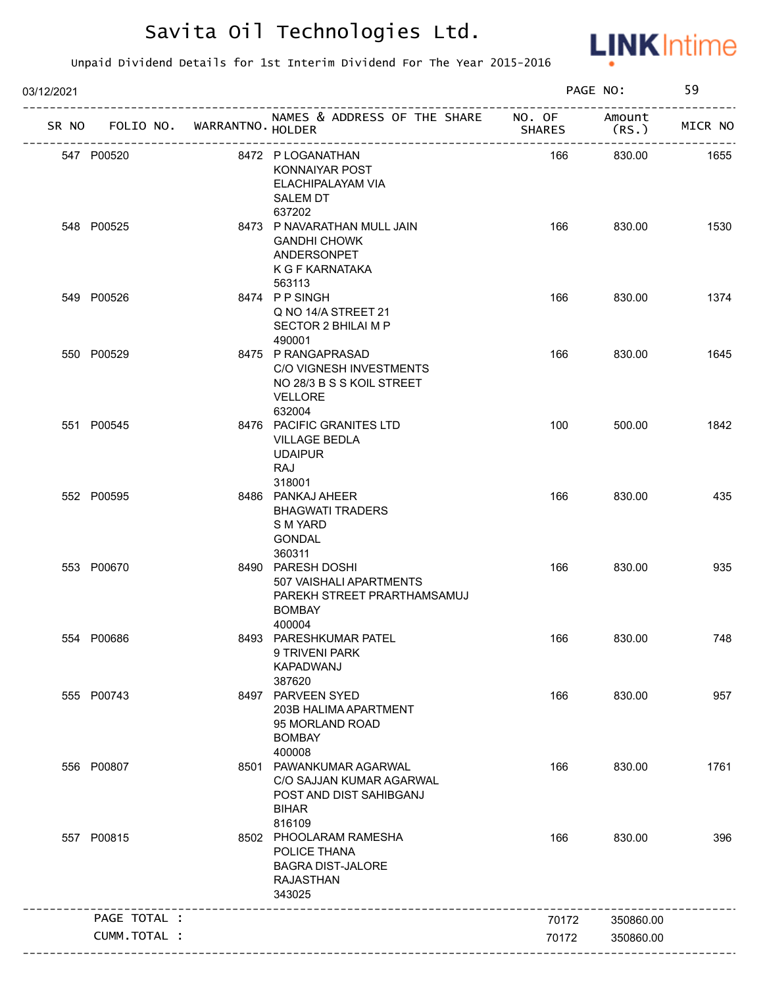

| 03/12/2021 |                                   |                                                                                                          |               | PAGE NO:        | 59      |
|------------|-----------------------------------|----------------------------------------------------------------------------------------------------------|---------------|-----------------|---------|
|            | SR NO FOLIO NO. WARRANTNO. HOLDER | NAMES & ADDRESS OF THE SHARE NO. OF                                                                      | <b>SHARES</b> | Amount<br>(RS.) | MICR NO |
|            | 547 P00520                        | 8472 P LOGANATHAN<br>KONNAIYAR POST<br>ELACHIPALAYAM VIA<br><b>SALEM DT</b>                              | 166           | 830.00          | 1655    |
|            | 548 P00525                        | 637202<br>8473 P NAVARATHAN MULL JAIN<br><b>GANDHI CHOWK</b><br>ANDERSONPET<br>K G F KARNATAKA<br>563113 | 166           | 830.00          | 1530    |
|            | 549 P00526                        | 8474 PPSINGH<br>Q NO 14/A STREET 21<br>SECTOR 2 BHILAI M P<br>490001                                     | 166           | 830.00          | 1374    |
|            | 550 P00529                        | 8475 P RANGAPRASAD<br>C/O VIGNESH INVESTMENTS<br>NO 28/3 B S S KOIL STREET<br>VELLORE<br>632004          | 166           | 830.00          | 1645    |
|            | 551 P00545                        | 8476 PACIFIC GRANITES LTD<br><b>VILLAGE BEDLA</b><br><b>UDAIPUR</b><br>RAJ<br>318001                     | 100           | 500.00          | 1842    |
|            | 552 P00595                        | 8486 PANKAJ AHEER<br><b>BHAGWATI TRADERS</b><br>S M YARD<br>GONDAL<br>360311                             | 166           | 830.00          | 435     |
|            | 553 P00670                        | 8490 PARESH DOSHI<br>507 VAISHALI APARTMENTS<br>PAREKH STREET PRARTHAMSAMUJ<br><b>BOMBAY</b><br>400004   | 166           | 830.00          | 935     |
|            | 554 P00686                        | 8493 PARESHKUMAR PATEL<br>9 TRIVENI PARK<br>KAPADWANJ<br>387620                                          | 166           | 830.00          | 748     |
|            | 555 P00743                        | 8497 PARVEEN SYED<br>203B HALIMA APARTMENT<br>95 MORLAND ROAD<br><b>BOMBAY</b><br>400008                 | 166           | 830.00          | 957     |
|            | 556 P00807                        | 8501 PAWANKUMAR AGARWAL<br>C/O SAJJAN KUMAR AGARWAL<br>POST AND DIST SAHIBGANJ<br><b>BIHAR</b><br>816109 | 166           | 830.00          | 1761    |
|            | 557 P00815                        | 8502 PHOOLARAM RAMESHA<br>POLICE THANA<br><b>BAGRA DIST-JALORE</b><br><b>RAJASTHAN</b><br>343025         | 166           | 830.00          | 396     |
|            | PAGE TOTAL :                      |                                                                                                          | 70172         | 350860.00       |         |
|            | CUMM.TOTAL :                      |                                                                                                          | 70172         | 350860.00       |         |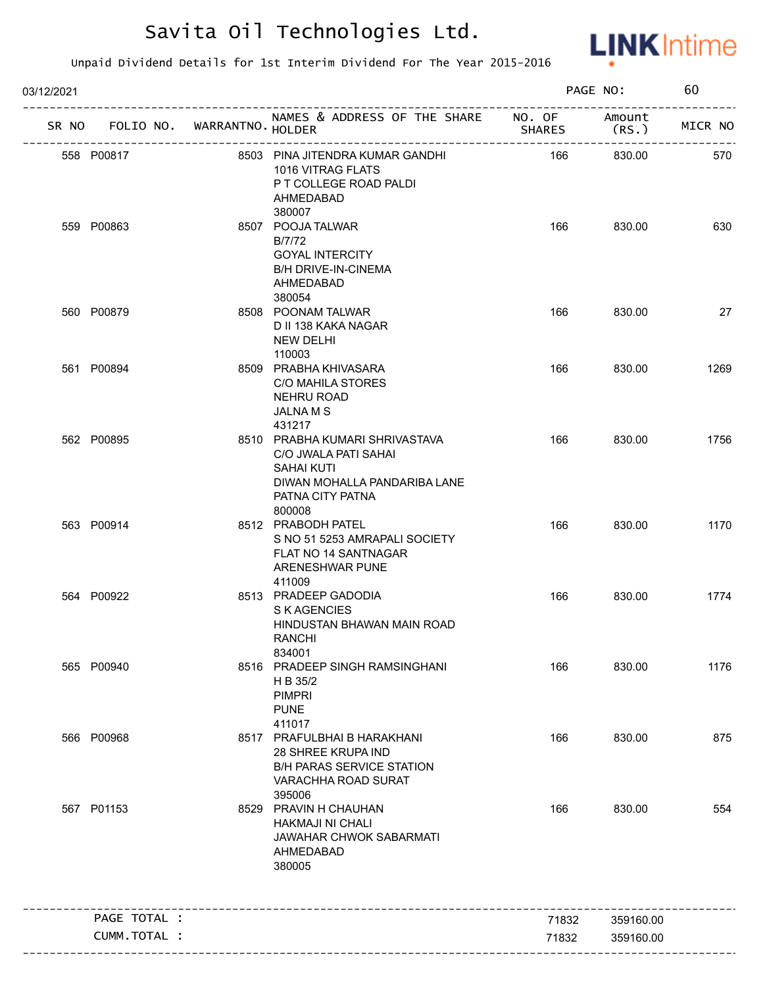

| 03/12/2021 |                 |                   |                                                                                                                                           |               | PAGE NO:       | 60      |
|------------|-----------------|-------------------|-------------------------------------------------------------------------------------------------------------------------------------------|---------------|----------------|---------|
|            | SR NO FOLIO NO. | WARRANTNO. HOLDER | NAMES & ADDRESS OF THE SHARE NO. OF                                                                                                       | <b>SHARES</b> | Amount<br>(RS. | MICR NO |
|            | 558 P00817      |                   | 8503 PINA JITENDRA KUMAR GANDHI<br>1016 VITRAG FLATS<br>P T COLLEGE ROAD PALDI<br>AHMEDABAD<br>380007                                     | 166           | 830.00         | 570     |
|            | 559 P00863      |                   | 8507 POOJA TALWAR<br>B/7/72<br><b>GOYAL INTERCITY</b><br><b>B/H DRIVE-IN-CINEMA</b><br>AHMEDABAD<br>380054                                | 166           | 830.00         | 630     |
|            | 560 P00879      |                   | 8508 POONAM TALWAR<br>D II 138 KAKA NAGAR<br>NEW DELHI<br>110003                                                                          | 166           | 830.00         | 27      |
|            | 561 P00894      |                   | 8509 PRABHA KHIVASARA<br>C/O MAHILA STORES<br>NEHRU ROAD<br>JALNA M S<br>431217                                                           | 166           | 830.00         | 1269    |
|            | 562 P00895      |                   | 8510 PRABHA KUMARI SHRIVASTAVA<br>C/O JWALA PATI SAHAI<br><b>SAHAI KUTI</b><br>DIWAN MOHALLA PANDARIBA LANE<br>PATNA CITY PATNA<br>800008 | 166           | 830.00         | 1756    |
|            | 563 P00914      |                   | 8512 PRABODH PATEL<br>S NO 51 5253 AMRAPALI SOCIETY<br>FLAT NO 14 SANTNAGAR<br>ARENESHWAR PUNE<br>411009                                  | 166           | 830.00         | 1170    |
|            | 564 P00922      |                   | 8513 PRADEEP GADODIA<br>S K AGENCIES<br>HINDUSTAN BHAWAN MAIN ROAD<br>RANCHI<br>834001                                                    | 166           | 830.00         | 1774    |
|            | 565 P00940      |                   | 8516 PRADEEP SINGH RAMSINGHANI<br>H B 35/2<br><b>PIMPRI</b><br><b>PUNE</b><br>411017                                                      | 166           | 830.00         | 1176    |
|            | 566 P00968      |                   | 8517 PRAFULBHAI B HARAKHANI<br>28 SHREE KRUPA IND<br><b>B/H PARAS SERVICE STATION</b><br>VARACHHA ROAD SURAT<br>395006                    | 166           | 830.00         | 875     |
|            | 567 P01153      |                   | 8529 PRAVIN H CHAUHAN<br><b>HAKMAJI NI CHALI</b><br><b>JAWAHAR CHWOK SABARMATI</b><br>AHMEDABAD<br>380005                                 | 166           | 830.00         | 554     |
|            | PAGE TOTAL :    |                   |                                                                                                                                           | 71832         | 359160.00      |         |
|            | CUMM.TOTAL :    |                   |                                                                                                                                           | 71832         | 359160.00      |         |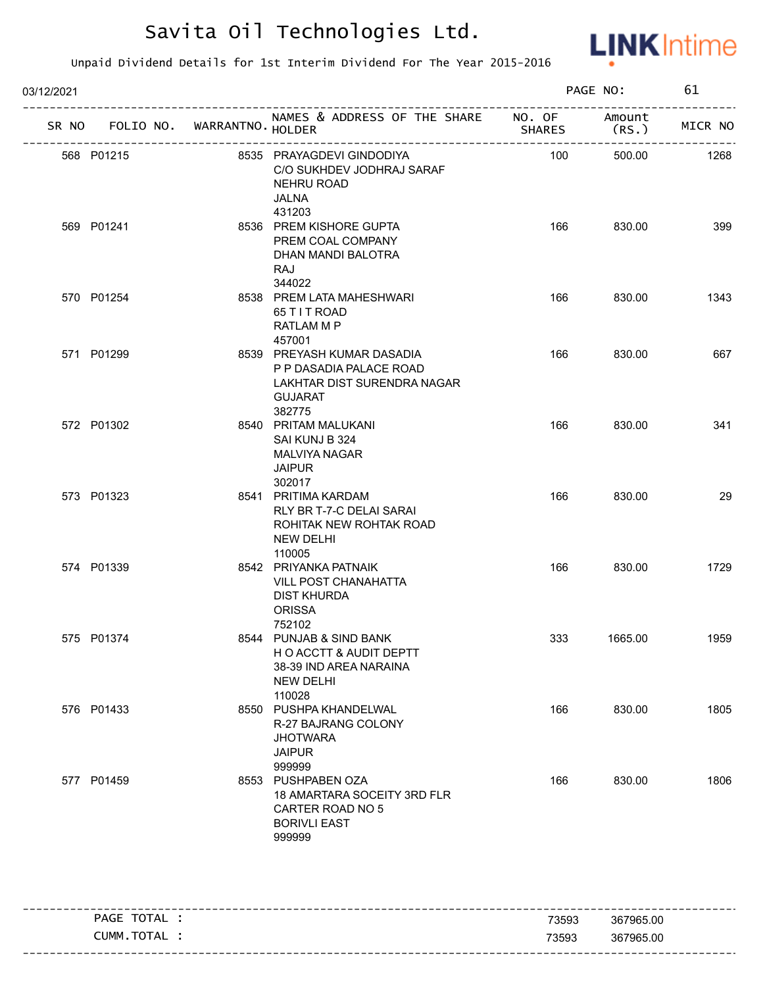

| 03/12/2021 |                                                      |  |                                                                                                                  | PAGE NO: |                            | 61      |
|------------|------------------------------------------------------|--|------------------------------------------------------------------------------------------------------------------|----------|----------------------------|---------|
|            | SR NO FOLIO NO. WARRANTNO. HOLDER                    |  | . _ _ _ _ _ _ _ _ _ _<br>NAMES & ADDRESS OF THE SHARE NO. OF Amount                                              | SHARES   | (RS.)                      | MICR NO |
|            | --------------------------------------<br>568 P01215 |  | 8535 PRAYAGDEVI GINDODIYA<br>C/O SUKHDEV JODHRAJ SARAF<br>NEHRU ROAD<br>JALNA<br>431203                          | 100      | ----------------<br>500.00 | 1268    |
|            | 569 P01241                                           |  | 8536 PREM KISHORE GUPTA<br>PREM COAL COMPANY<br>DHAN MANDI BALOTRA<br>RAJ<br>344022                              | 166      | 830.00                     | 399     |
|            | 570 P01254                                           |  | 8538 PREM LATA MAHESHWARI<br>65 T I T ROAD<br>RATLAM M P<br>457001                                               | 166      | 830.00                     | 1343    |
|            | 571 P01299                                           |  | 8539 PREYASH KUMAR DASADIA<br>P P DASADIA PALACE ROAD<br>LAKHTAR DIST SURENDRA NAGAR<br><b>GUJARAT</b><br>382775 | 166      | 830.00                     | 667     |
|            | 572 P01302                                           |  | 8540 PRITAM MALUKANI<br>SAI KUNJ B 324<br><b>MALVIYA NAGAR</b><br><b>JAIPUR</b><br>302017                        | 166      | 830.00                     | 341     |
|            | 573 P01323                                           |  | 8541 PRITIMA KARDAM<br>RLY BR T-7-C DELAI SARAI<br>ROHITAK NEW ROHTAK ROAD<br><b>NEW DELHI</b><br>110005         | 166      | 830.00                     | 29      |
|            | 574 P01339                                           |  | 8542 PRIYANKA PATNAIK<br><b>VILL POST CHANAHATTA</b><br><b>DIST KHURDA</b><br><b>ORISSA</b><br>752102            | 166      | 830.00                     | 1729    |
|            | 575 P01374                                           |  | 8544 PUNJAB & SIND BANK<br>HO ACCTT & AUDIT DEPTT<br>38-39 IND AREA NARAINA<br><b>NEW DELHI</b><br>110028        | 333      | 1665.00                    | 1959    |
|            | 576 P01433                                           |  | 8550 PUSHPA KHANDELWAL<br>R-27 BAJRANG COLONY<br><b>JHOTWARA</b><br><b>JAIPUR</b><br>999999                      | 166      | 830.00                     | 1805    |
|            | 577 P01459                                           |  | 8553 PUSHPABEN OZA<br>18 AMARTARA SOCEITY 3RD FLR<br>CARTER ROAD NO 5<br><b>BORIVLI EAST</b><br>999999           | 166      | 830.00                     | 1806    |

|                |       | -----------------------           |
|----------------|-------|-----------------------------------|
| TOTAL<br>PAGE  | 73593 | 367965.00                         |
| TOTAL<br>CUMM. | 73593 | 367965.00                         |
|                |       | --------------------------------- |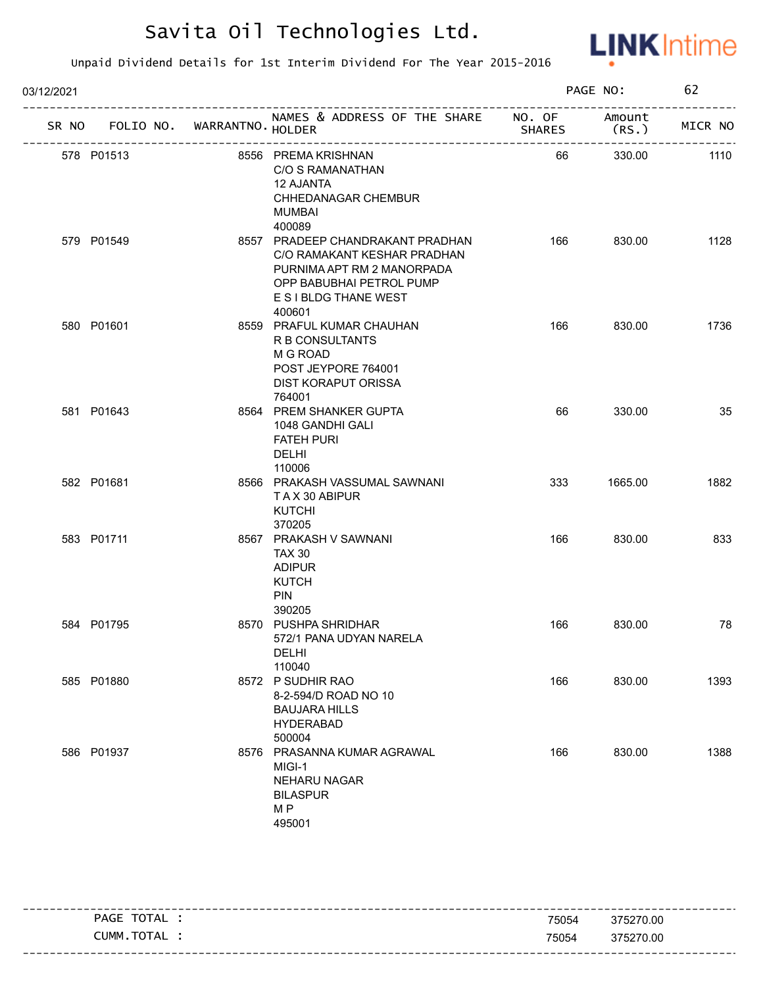

| 03/12/2021 |                                   |  |                                                                                                                                                              |               | PAGE NO:       |         |
|------------|-----------------------------------|--|--------------------------------------------------------------------------------------------------------------------------------------------------------------|---------------|----------------|---------|
|            | SR NO FOLIO NO. WARRANTNO. HOLDER |  | NAMES & ADDRESS OF THE SHARE NO. OF                                                                                                                          | <b>SHARES</b> | Amount<br>(RS. | MICR NO |
|            | 578 P01513                        |  | 8556 PREMA KRISHNAN<br>C/O S RAMANATHAN<br><b>12 AJANTA</b><br>CHHEDANAGAR CHEMBUR<br><b>MUMBAI</b><br>400089                                                | 66            | 330.00         | 1110    |
|            | 579 P01549                        |  | 8557 PRADEEP CHANDRAKANT PRADHAN<br>C/O RAMAKANT KESHAR PRADHAN<br>PURNIMA APT RM 2 MANORPADA<br>OPP BABUBHAI PETROL PUMP<br>E S I BLDG THANE WEST<br>400601 | 166           | 830.00         | 1128    |
|            | 580 P01601                        |  | 8559 PRAFUL KUMAR CHAUHAN<br>R B CONSULTANTS<br>M G ROAD<br>POST JEYPORE 764001<br>DIST KORAPUT ORISSA<br>764001                                             | 166           | 830.00         | 1736    |
|            | 581 P01643                        |  | 8564 PREM SHANKER GUPTA<br>1048 GANDHI GALI<br><b>FATEH PURI</b><br>DELHI<br>110006                                                                          | 66            | 330.00         | 35      |
|            | 582 P01681                        |  | 8566 PRAKASH VASSUMAL SAWNANI<br>TAX 30 ABIPUR<br><b>KUTCHI</b><br>370205                                                                                    | 333           | 1665.00        | 1882    |
|            | 583 P01711                        |  | 8567 PRAKASH V SAWNANI<br><b>TAX 30</b><br><b>ADIPUR</b><br><b>KUTCH</b><br><b>PIN</b><br>390205                                                             | 166           | 830.00         | 833     |
|            | 584 P01795                        |  | 8570 PUSHPA SHRIDHAR<br>572/1 PANA UDYAN NARELA<br><b>DELHI</b><br>110040                                                                                    | 166           | 830.00         | 78      |
|            | 585 P01880                        |  | 8572 P SUDHIR RAO<br>8-2-594/D ROAD NO 10<br><b>BAUJARA HILLS</b><br><b>HYDERABAD</b><br>500004                                                              | 166           | 830.00         | 1393    |
|            | 586 P01937                        |  | 8576 PRASANNA KUMAR AGRAWAL<br>MIGI-1<br><b>NEHARU NAGAR</b><br><b>BILASPUR</b><br>M <sub>P</sub><br>495001                                                  | 166           | 830.00         | 1388    |

| TOTAL<br><b>PAGE</b>         | 75054 | 375270.00                |
|------------------------------|-------|--------------------------|
| <b>TOTA</b><br>_UMM<br>I AL. | 75054 | 375270.00                |
|                              |       | -------------------<br>. |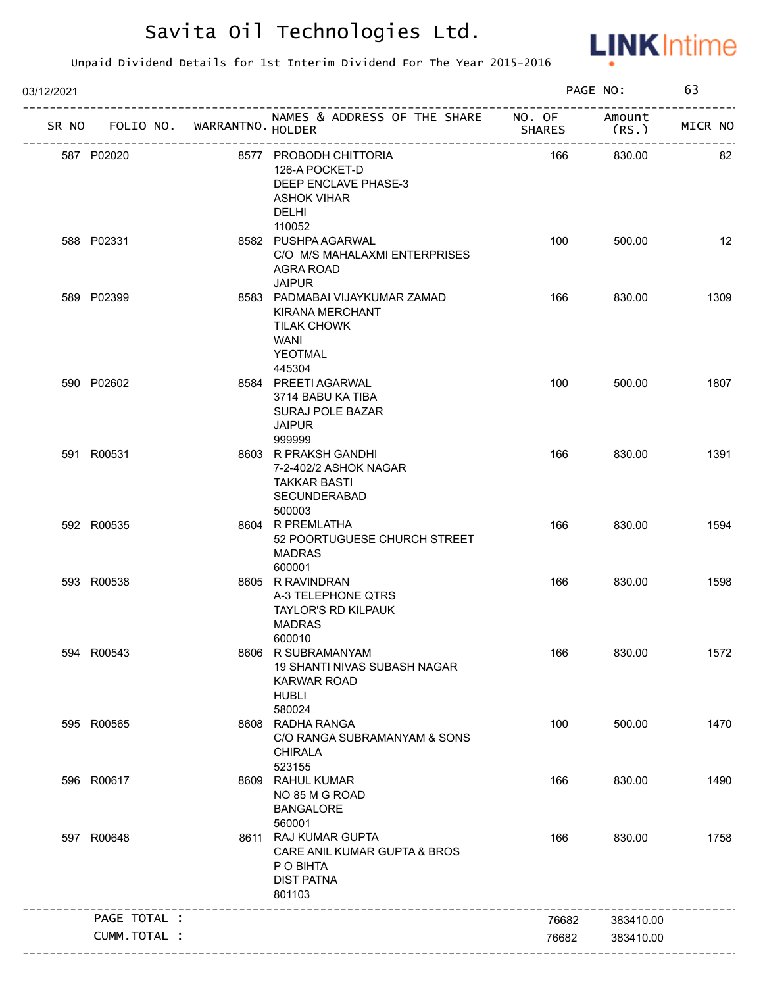

| 03/12/2021 |                                   |                                                                                                             |               | PAGE NO:        | 63      |
|------------|-----------------------------------|-------------------------------------------------------------------------------------------------------------|---------------|-----------------|---------|
|            | SR NO FOLIO NO. WARRANTNO. HOLDER | NAMES & ADDRESS OF THE SHARE NO. OF<br>---------------------------                                          | <b>SHARES</b> | Amount<br>(RS.) | MICR NO |
|            | 587 P02020                        | 8577 PROBODH CHITTORIA<br>126-A POCKET-D<br>DEEP ENCLAVE PHASE-3<br>ASHOK VIHAR<br>DELHI<br>110052          | 166           | 830.00          | 82      |
|            | 588 P02331                        | 8582 PUSHPA AGARWAL<br>C/O M/S MAHALAXMI ENTERPRISES<br>AGRA ROAD<br><b>JAIPUR</b>                          | 100           | 500.00          | 12      |
|            | 589 P02399                        | 8583 PADMABAI VIJAYKUMAR ZAMAD<br><b>KIRANA MERCHANT</b><br><b>TILAK CHOWK</b><br>WANI<br>YEOTMAL<br>445304 | 166           | 830.00          | 1309    |
|            | 590 P02602                        | 8584 PREETI AGARWAL<br>3714 BABU KA TIBA<br><b>SURAJ POLE BAZAR</b><br><b>JAIPUR</b><br>999999              | 100           | 500.00          | 1807    |
|            | 591 R00531                        | 8603 R PRAKSH GANDHI<br>7-2-402/2 ASHOK NAGAR<br><b>TAKKAR BASTI</b><br>SECUNDERABAD<br>500003              | 166           | 830.00          | 1391    |
|            | 592 R00535                        | 8604 R PREMLATHA<br>52 POORTUGUESE CHURCH STREET<br><b>MADRAS</b><br>600001                                 | 166           | 830.00          | 1594    |
|            | 593 R00538                        | 8605 R RAVINDRAN<br>A-3 TELEPHONE QTRS<br>TAYLOR'S RD KILPAUK<br><b>MADRAS</b><br>600010                    | 166           | 830.00          | 1598    |
|            | 594 R00543                        | 8606 R SUBRAMANYAM<br>19 SHANTI NIVAS SUBASH NAGAR<br><b>KARWAR ROAD</b><br><b>HUBLI</b><br>580024          | 166           | 830.00          | 1572    |
|            | 595 R00565                        | 8608 RADHA RANGA<br>C/O RANGA SUBRAMANYAM & SONS<br><b>CHIRALA</b><br>523155                                | 100           | 500.00          | 1470    |
|            | 596 R00617                        | 8609 RAHUL KUMAR<br>NO 85 M G ROAD<br><b>BANGALORE</b><br>560001                                            | 166           | 830.00          | 1490    |
|            | 597 R00648                        | 8611 RAJ KUMAR GUPTA<br>CARE ANIL KUMAR GUPTA & BROS<br>P O BIHTA<br><b>DIST PATNA</b><br>801103            | 166           | 830.00          | 1758    |
|            | PAGE TOTAL :                      |                                                                                                             | 76682         | 383410.00       |         |
|            | CUMM.TOTAL :                      |                                                                                                             | 76682         | 383410.00       |         |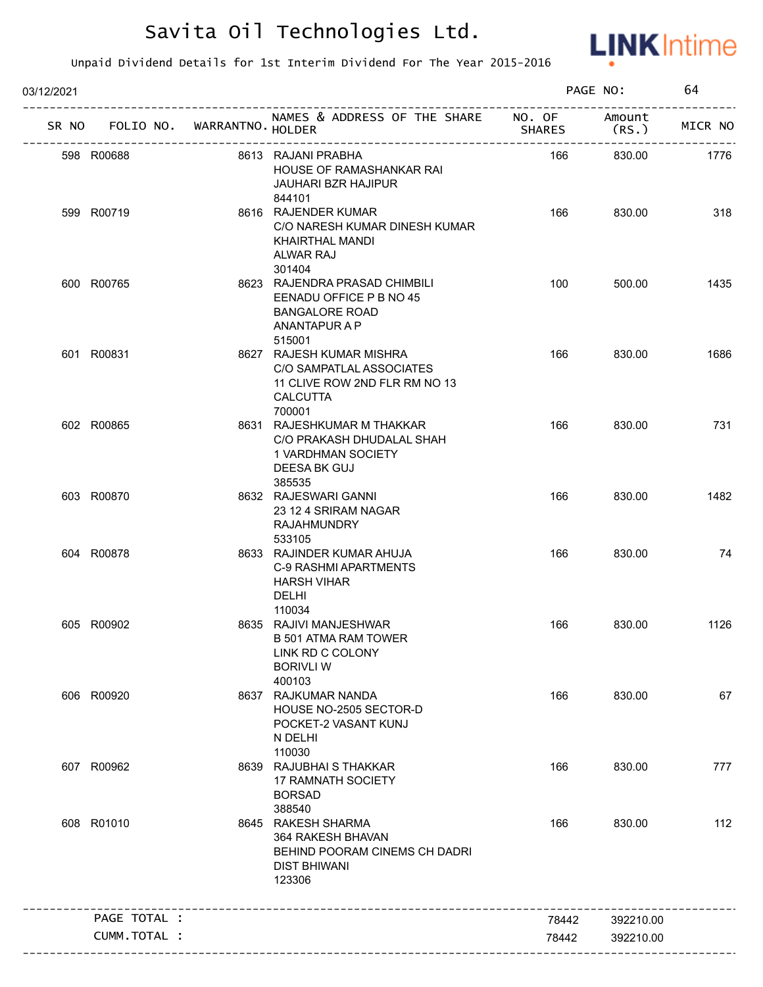

| 03/12/2021 |                                   |                                                                                                                    |               | PAGE NO:       | 64      |
|------------|-----------------------------------|--------------------------------------------------------------------------------------------------------------------|---------------|----------------|---------|
|            | SR NO FOLIO NO. WARRANTNO. HOLDER | NAMES & ADDRESS OF THE SHARE NO. OF                                                                                | <b>SHARES</b> | Amount<br>(RS. | MICR NO |
|            | 598 R00688                        | 8613 RAJANI PRABHA<br>HOUSE OF RAMASHANKAR RAI<br>JAUHARI BZR HAJIPUR<br>844101                                    | 166           | 830.00         | 1776    |
|            | 599 R00719                        | 8616 RAJENDER KUMAR<br>C/O NARESH KUMAR DINESH KUMAR<br>KHAIRTHAL MANDI<br><b>ALWAR RAJ</b><br>301404              | 166           | 830.00         | 318     |
|            | 600 R00765                        | 8623 RAJENDRA PRASAD CHIMBILI<br>EENADU OFFICE P B NO 45<br><b>BANGALORE ROAD</b><br>ANANTAPUR A P<br>515001       | 100           | 500.00         | 1435    |
|            | 601 R00831                        | 8627 RAJESH KUMAR MISHRA<br>C/O SAMPATLAL ASSOCIATES<br>11 CLIVE ROW 2ND FLR RM NO 13<br><b>CALCUTTA</b><br>700001 | 166           | 830.00         | 1686    |
|            | 602 R00865                        | 8631 RAJESHKUMAR M THAKKAR<br>C/O PRAKASH DHUDALAL SHAH<br>1 VARDHMAN SOCIETY<br>DEESA BK GUJ<br>385535            | 166           | 830.00         | 731     |
|            | 603 R00870                        | 8632 RAJESWARI GANNI<br>23 12 4 SRIRAM NAGAR<br><b>RAJAHMUNDRY</b><br>533105                                       | 166           | 830.00         | 1482    |
|            | 604 R00878                        | 8633 RAJINDER KUMAR AHUJA<br>C-9 RASHMI APARTMENTS<br><b>HARSH VIHAR</b><br><b>DELHI</b><br>110034                 | 166           | 830.00         | 74      |
|            | 605 R00902                        | 8635 RAJIVI MANJESHWAR<br>B 501 ATMA RAM TOWER<br>LINK RD C COLONY<br><b>BORIVLI W</b><br>400103                   | 166           | 830.00         | 1126    |
|            | 606 R00920                        | 8637 RAJKUMAR NANDA<br>HOUSE NO-2505 SECTOR-D<br>POCKET-2 VASANT KUNJ<br>N DELHI<br>110030                         | 166           | 830.00         | 67      |
|            | 607 R00962                        | 8639 RAJUBHAI S THAKKAR<br><b>17 RAMNATH SOCIETY</b><br><b>BORSAD</b><br>388540                                    | 166           | 830.00         | 777     |
|            | 608 R01010                        | 8645 RAKESH SHARMA<br>364 RAKESH BHAVAN<br>BEHIND POORAM CINEMS CH DADRI<br><b>DIST BHIWANI</b><br>123306          | 166           | 830.00         | 112     |
|            | PAGE TOTAL :                      |                                                                                                                    | 78442         | 392210.00      |         |
|            | CUMM.TOTAL :                      |                                                                                                                    | 78442         | 392210.00      |         |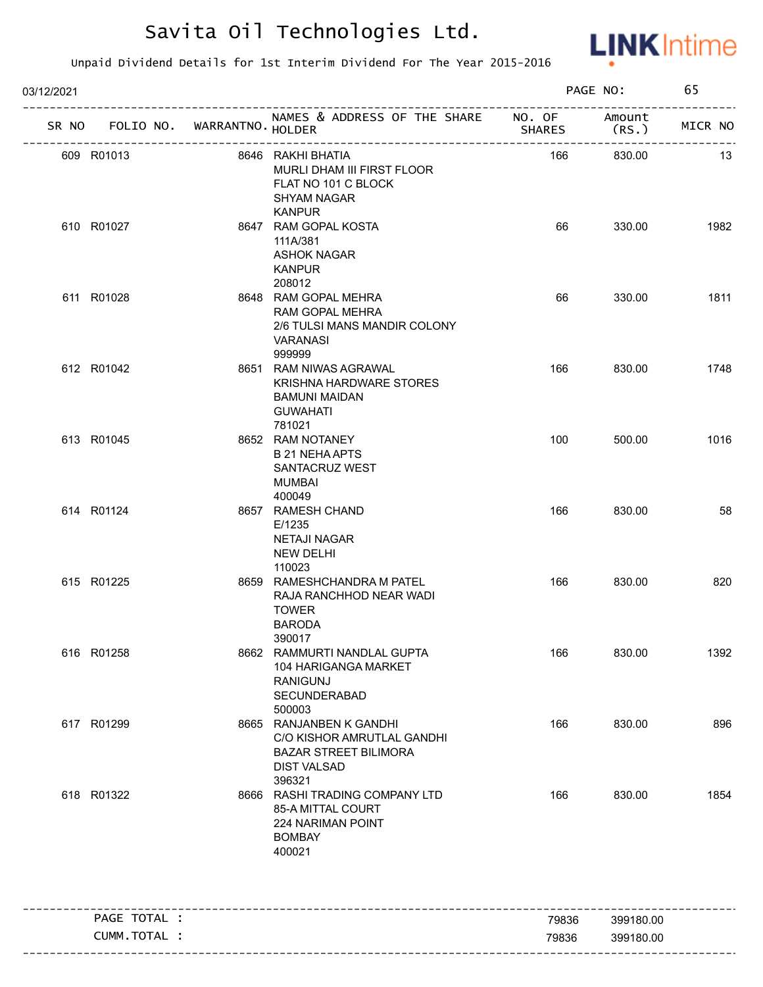

| 03/12/2021 |              |                            |                                                                                                                       |        | PAGE NO:                       | 65      |
|------------|--------------|----------------------------|-----------------------------------------------------------------------------------------------------------------------|--------|--------------------------------|---------|
| SR NO      |              | FOLIO NO. WARRANTNO HOLDER | NAMES & ADDRESS OF THE SHARE NO. OF                                                                                   | SHARES | Amount<br>(RS.                 | MICR NO |
| 609 R01013 |              | -------------------------  | 8646 RAKHI BHATIA<br>MURLI DHAM III FIRST FLOOR<br>FLAT NO 101 C BLOCK<br><b>SHYAM NAGAR</b>                          | 166    | --------------------<br>830.00 | 13      |
| 610 R01027 |              |                            | <b>KANPUR</b><br>8647 RAM GOPAL KOSTA<br>111A/381<br>ASHOK NAGAR<br><b>KANPUR</b>                                     | 66     | 330.00                         | 1982    |
| 611 R01028 |              |                            | 208012<br>8648 RAM GOPAL MEHRA<br>RAM GOPAL MEHRA<br>2/6 TULSI MANS MANDIR COLONY<br>VARANASI<br>999999               | 66     | 330.00                         | 1811    |
| 612 R01042 |              |                            | 8651 RAM NIWAS AGRAWAL<br>KRISHNA HARDWARE STORES<br><b>BAMUNI MAIDAN</b><br><b>GUWAHATI</b><br>781021                | 166    | 830.00                         | 1748    |
| 613 R01045 |              |                            | 8652 RAM NOTANEY<br><b>B 21 NEHA APTS</b><br>SANTACRUZ WEST<br><b>MUMBAI</b><br>400049                                | 100    | 500.00                         | 1016    |
| 614 R01124 |              |                            | 8657 RAMESH CHAND<br>E/1235<br>NETAJI NAGAR<br><b>NEW DELHI</b><br>110023                                             | 166    | 830.00                         | 58      |
| 615 R01225 |              |                            | 8659 RAMESHCHANDRA M PATEL<br>RAJA RANCHHOD NEAR WADI<br><b>TOWER</b><br><b>BARODA</b><br>390017                      | 166    | 830.00                         | 820     |
| 616 R01258 |              |                            | 8662 RAMMURTI NANDLAL GUPTA<br>104 HARIGANGA MARKET<br><b>RANIGUNJ</b><br>SECUNDERABAD<br>500003                      | 166    | 830.00                         | 1392    |
| 617 R01299 |              |                            | 8665 RANJANBEN K GANDHI<br>C/O KISHOR AMRUTLAL GANDHI<br><b>BAZAR STREET BILIMORA</b><br><b>DIST VALSAD</b><br>396321 | 166    | 830.00                         | 896     |
| 618 R01322 |              |                            | 8666 RASHI TRADING COMPANY LTD<br>85-A MITTAL COURT<br>224 NARIMAN POINT<br><b>BOMBAY</b><br>400021                   | 166    | 830.00                         | 1854    |
|            | PAGE TOTAL : |                            |                                                                                                                       | 79836  | 399180.00                      |         |
|            | CUMM.TOTAL : |                            |                                                                                                                       | 79836  | 399180.00                      |         |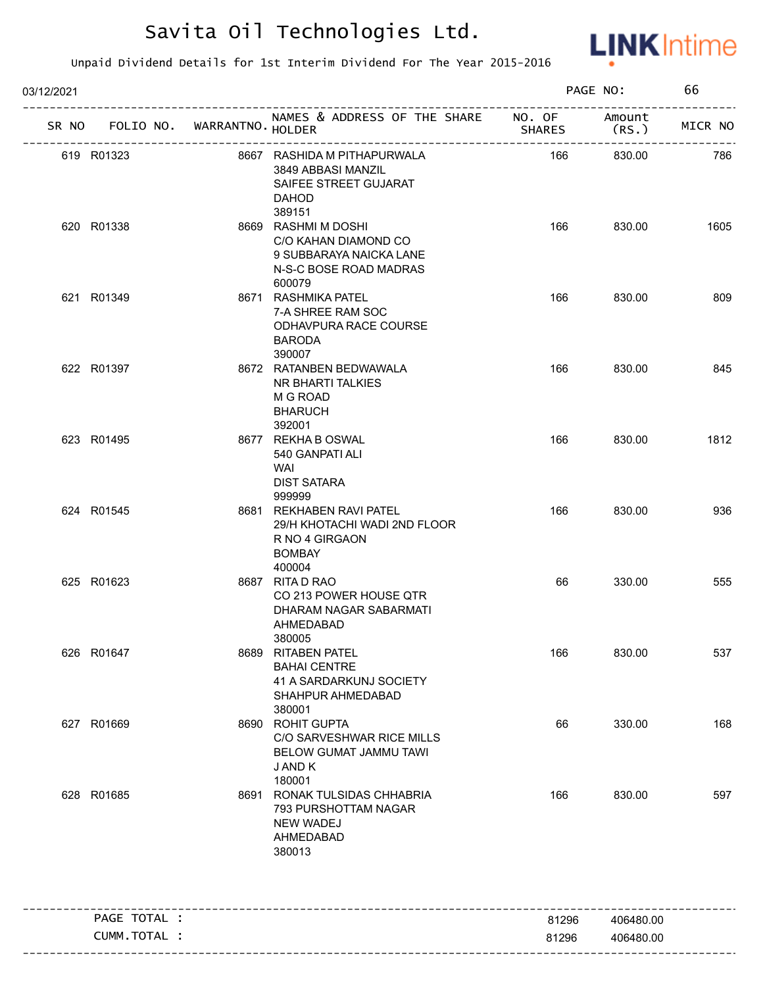

| 03/12/2021      |                   |                                                                                                            |               | PAGE NO:        | 66      |
|-----------------|-------------------|------------------------------------------------------------------------------------------------------------|---------------|-----------------|---------|
| SR NO FOLIO NO. | WARRANTNO. HOLDER | NAMES & ADDRESS OF THE SHARE NO. OF                                                                        | <b>SHARES</b> | Amount<br>(RS.) | MICR NO |
| 619 R01323      | ----------------  | 8667 RASHIDA M PITHAPURWALA<br>3849 ABBASI MANZIL<br>SAIFEE STREET GUJARAT<br><b>DAHOD</b><br>389151       | 166           | 830.00          | 786     |
| 620 R01338      |                   | 8669 RASHMI M DOSHI<br>C/O KAHAN DIAMOND CO<br>9 SUBBARAYA NAICKA LANE<br>N-S-C BOSE ROAD MADRAS<br>600079 | 166           | 830.00          | 1605    |
| 621 R01349      |                   | 8671 RASHMIKA PATEL<br>7-A SHREE RAM SOC<br>ODHAVPURA RACE COURSE<br><b>BARODA</b><br>390007               | 166           | 830.00          | 809     |
| 622 R01397      |                   | 8672 RATANBEN BEDWAWALA<br>NR BHARTI TALKIES<br>M G ROAD<br><b>BHARUCH</b><br>392001                       | 166           | 830.00          | 845     |
| 623 R01495      |                   | 8677 REKHA B OSWAL<br>540 GANPATI ALI<br>WAI<br><b>DIST SATARA</b><br>999999                               | 166           | 830.00          | 1812    |
| 624 R01545      |                   | 8681 REKHABEN RAVI PATEL<br>29/H KHOTACHI WADI 2ND FLOOR<br>R NO 4 GIRGAON<br><b>BOMBAY</b><br>400004      | 166           | 830.00          | 936     |
| 625 R01623      |                   | 8687 RITA D RAO<br>CO 213 POWER HOUSE QTR<br>DHARAM NAGAR SABARMATI<br>AHMEDABAD<br>380005                 | 66            | 330.00          | 555     |
| 626 R01647      |                   | 8689 RITABEN PATEL<br><b>BAHAI CENTRE</b><br>41 A SARDARKUNJ SOCIETY<br>SHAHPUR AHMEDABAD<br>380001        | 166           | 830.00          | 537     |
| 627 R01669      |                   | 8690 ROHIT GUPTA<br>C/O SARVESHWAR RICE MILLS<br>BELOW GUMAT JAMMU TAWI<br>J AND K<br>180001               | 66            | 330.00          | 168     |
| 628 R01685      |                   | 8691 RONAK TULSIDAS CHHABRIA<br>793 PURSHOTTAM NAGAR<br><b>NEW WADEJ</b><br>AHMEDABAD<br>380013            | 166           | 830.00          | 597     |
| PAGE TOTAL :    |                   |                                                                                                            | 81296         | 406480.00       |         |
| CUMM.TOTAL :    |                   |                                                                                                            | 81296         | 406480.00       |         |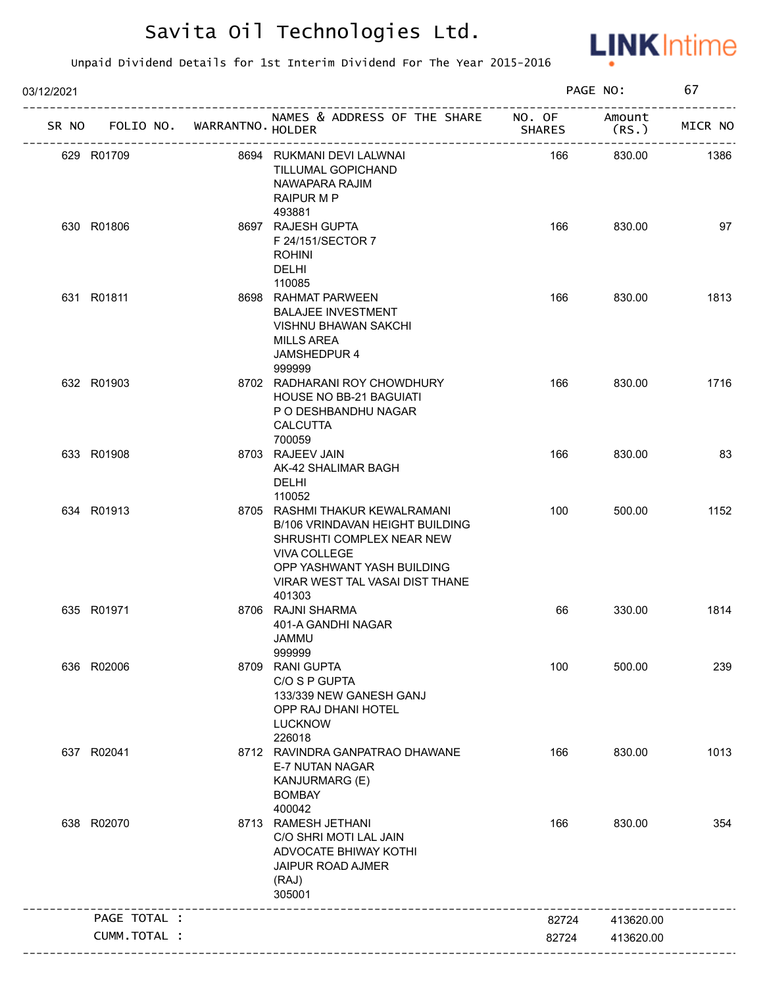

| 03/12/2021 |                                   |                                                                                                                                                                                           |               | PAGE NO:        | 67      |
|------------|-----------------------------------|-------------------------------------------------------------------------------------------------------------------------------------------------------------------------------------------|---------------|-----------------|---------|
|            | SR NO FOLIO NO. WARRANTNO. HOLDER | NAMES & ADDRESS OF THE SHARE NO. OF<br>____________________                                                                                                                               | <b>SHARES</b> | Amount<br>(RS.) | MICR NO |
|            | 629 R01709                        | 8694 RUKMANI DEVI LALWNAI<br>TILLUMAL GOPICHAND<br>NAWAPARA RAJIM<br>RAIPUR M P<br>493881                                                                                                 | 166           | 830.00          | 1386    |
|            | 630 R01806                        | 8697 RAJESH GUPTA<br>F 24/151/SECTOR 7<br><b>ROHINI</b><br><b>DELHI</b><br>110085                                                                                                         | 166           | 830.00          | 97      |
|            | 631 R01811                        | 8698 RAHMAT PARWEEN<br><b>BALAJEE INVESTMENT</b><br><b>VISHNU BHAWAN SAKCHI</b><br><b>MILLS AREA</b><br>JAMSHEDPUR 4<br>999999                                                            | 166           | 830.00          | 1813    |
|            | 632 R01903                        | 8702 RADHARANI ROY CHOWDHURY<br><b>HOUSE NO BB-21 BAGUIATI</b><br>P O DESHBANDHU NAGAR<br><b>CALCUTTA</b><br>700059                                                                       | 166           | 830.00          | 1716    |
|            | 633 R01908                        | 8703 RAJEEV JAIN<br>AK-42 SHALIMAR BAGH<br><b>DELHI</b><br>110052                                                                                                                         | 166           | 830.00          | 83      |
|            | 634 R01913                        | 8705 RASHMI THAKUR KEWALRAMANI<br>B/106 VRINDAVAN HEIGHT BUILDING<br>SHRUSHTI COMPLEX NEAR NEW<br>VIVA COLLEGE<br>OPP YASHWANT YASH BUILDING<br>VIRAR WEST TAL VASAI DIST THANE<br>401303 | 100           | 500.00          | 1152    |
|            | 635 R01971                        | 8706 RAJNI SHARMA<br>401-A GANDHI NAGAR<br>JAMMU<br>999999                                                                                                                                | 66            | 330.00          | 1814    |
|            | 636 R02006                        | 8709 RANI GUPTA<br>C/O S P GUPTA<br>133/339 NEW GANESH GANJ<br>OPP RAJ DHANI HOTEL<br><b>LUCKNOW</b><br>226018                                                                            | 100           | 500.00          | 239     |
|            | 637 R02041                        | 8712 RAVINDRA GANPATRAO DHAWANE<br>E-7 NUTAN NAGAR<br>KANJURMARG (E)<br><b>BOMBAY</b><br>400042                                                                                           | 166           | 830.00          | 1013    |
|            | 638 R02070                        | 8713 RAMESH JETHANI<br>C/O SHRI MOTI LAL JAIN<br>ADVOCATE BHIWAY KOTHI<br>JAIPUR ROAD AJMER<br>(RAJ)<br>305001                                                                            | 166           | 830.00          | 354     |
|            | PAGE TOTAL :                      |                                                                                                                                                                                           | 82724         | 413620.00       |         |
|            | CUMM.TOTAL :                      |                                                                                                                                                                                           | 82724         | 413620.00       |         |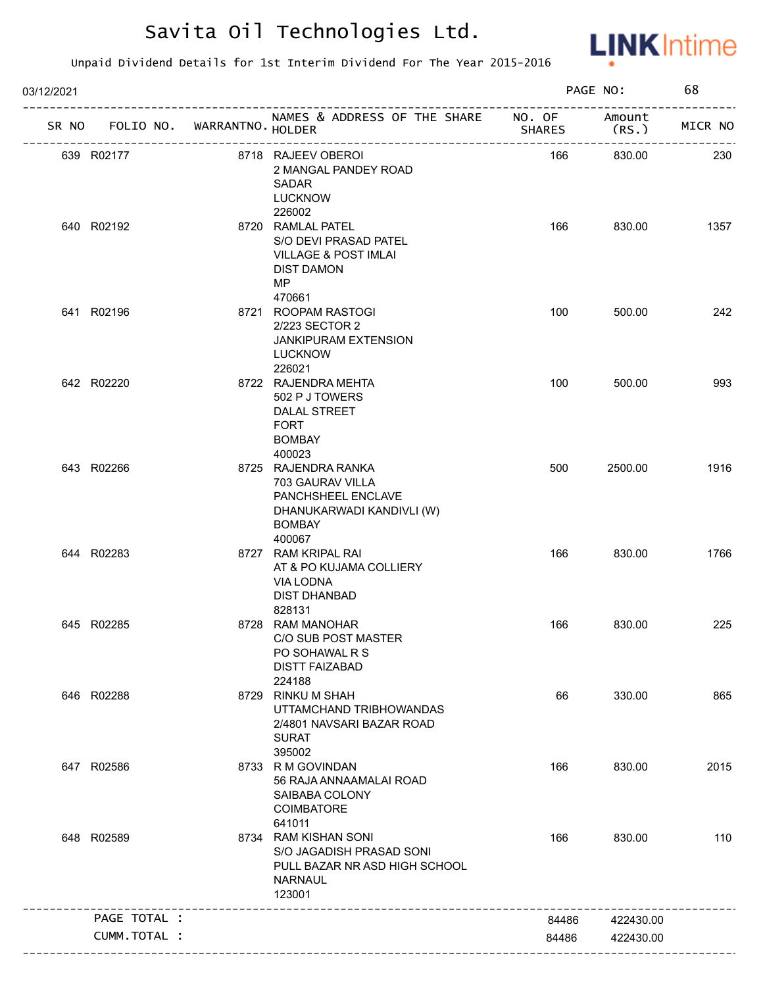

| 03/12/2021 |                                   |                                                                                                                       |               | PAGE NO:        | 68      |
|------------|-----------------------------------|-----------------------------------------------------------------------------------------------------------------------|---------------|-----------------|---------|
|            | SR NO FOLIO NO. WARRANTNO. HOLDER | NAMES & ADDRESS OF THE SHARE NO. OF                                                                                   | <b>SHARES</b> | Amount<br>(RS.) | MICR NO |
|            | 639 R02177                        | 8718 RAJEEV OBEROI<br>2 MANGAL PANDEY ROAD<br><b>SADAR</b><br><b>LUCKNOW</b><br>226002                                | 166           | 830.00          | 230     |
|            | 640 R02192                        | 8720 RAMLAL PATEL<br>S/O DEVI PRASAD PATEL<br><b>VILLAGE &amp; POST IMLAI</b><br><b>DIST DAMON</b><br>MP.             | 166           | 830.00          | 1357    |
|            | 641 R02196                        | 470661<br>8721 ROOPAM RASTOGI<br>2/223 SECTOR 2<br><b>JANKIPURAM EXTENSION</b><br><b>LUCKNOW</b><br>226021            | 100           | 500.00          | 242     |
|            | 642 R02220                        | 8722 RAJENDRA MEHTA<br>502 P J TOWERS<br>DALAL STREET<br><b>FORT</b><br><b>BOMBAY</b><br>400023                       | 100           | 500.00          | 993     |
|            | 643 R02266                        | 8725 RAJENDRA RANKA<br>703 GAURAV VILLA<br>PANCHSHEEL ENCLAVE<br>DHANUKARWADI KANDIVLI (W)<br><b>BOMBAY</b><br>400067 | 500           | 2500.00         | 1916    |
|            | 644 R02283                        | 8727 RAM KRIPAL RAI<br>AT & PO KUJAMA COLLIERY<br>VIA LODNA<br><b>DIST DHANBAD</b><br>828131                          | 166           | 830.00          | 1766    |
|            | 645 R02285                        | 8728 RAM MANOHAR<br>C/O SUB POST MASTER<br>PO SOHAWAL R S<br><b>DISTT FAIZABAD</b><br>224188                          | 166           | 830.00          | 225     |
|            | 646 R02288                        | 8729 RINKU M SHAH<br>UTTAMCHAND TRIBHOWANDAS<br>2/4801 NAVSARI BAZAR ROAD<br><b>SURAT</b><br>395002                   | 66            | 330.00          | 865     |
|            | 647 R02586                        | 8733 R M GOVINDAN<br>56 RAJA ANNAAMALAI ROAD<br>SAIBABA COLONY<br><b>COIMBATORE</b><br>641011                         | 166           | 830.00          | 2015    |
|            | 648 R02589                        | 8734 RAM KISHAN SONI<br>S/O JAGADISH PRASAD SONI<br>PULL BAZAR NR ASD HIGH SCHOOL<br><b>NARNAUL</b><br>123001         | 166           | 830.00          | 110     |
|            | PAGE TOTAL :                      |                                                                                                                       | 84486         | 422430.00       |         |
|            | CUMM.TOTAL :                      |                                                                                                                       | 84486         | 422430.00       |         |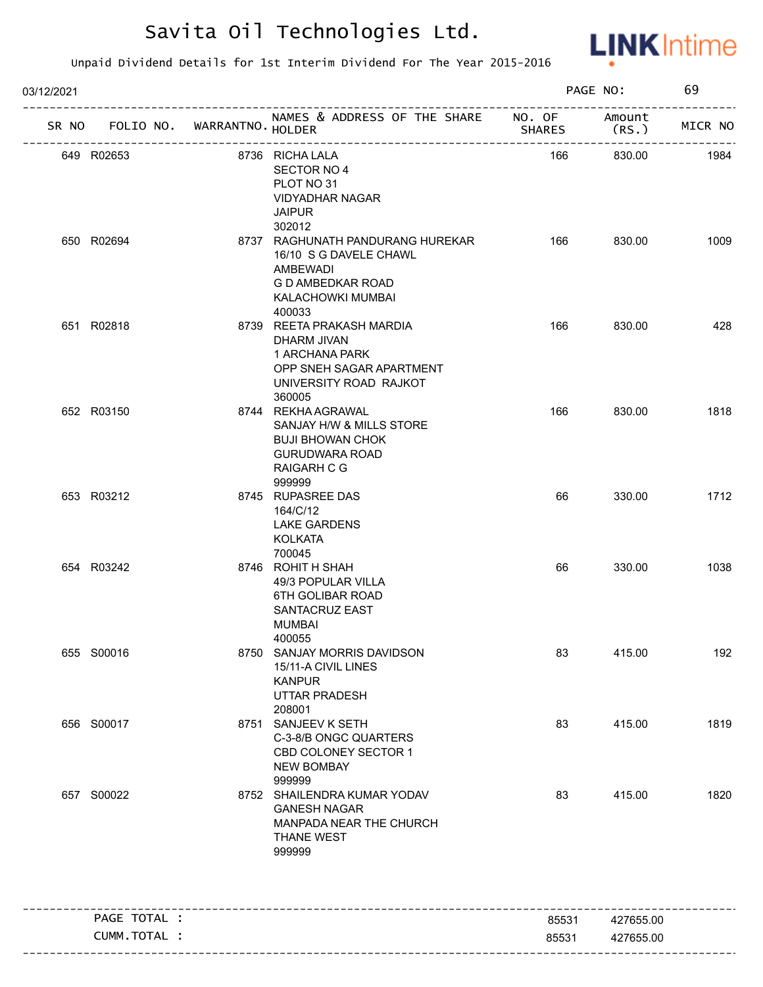

| 03/12/2021 |              |                       | PAGE NO:                                                                                                                           |               | 69                         |         |
|------------|--------------|-----------------------|------------------------------------------------------------------------------------------------------------------------------------|---------------|----------------------------|---------|
| SR NO      | FOLIO NO.    | WARRANTNO. HOLDER     | NAMES & ADDRESS OF THE SHARE NO. OF                                                                                                | <b>SHARES</b> | Amount<br>(RS.             | MICR NO |
|            | 649 R02653   | --------------------- | 8736 RICHA LALA<br>SECTOR NO 4<br>PLOT NO 31<br><b>VIDYADHAR NAGAR</b><br><b>JAIPUR</b><br>302012                                  | 166           | ----------------<br>830.00 | 1984    |
|            | 650 R02694   |                       | 8737 RAGHUNATH PANDURANG HUREKAR<br>16/10 S G DAVELE CHAWL<br>AMBEWADI<br>G D AMBEDKAR ROAD<br>KALACHOWKI MUMBAI<br>400033         | 166           | 830.00                     | 1009    |
|            | 651 R02818   |                       | 8739 REETA PRAKASH MARDIA<br>DHARM JIVAN<br>1 ARCHANA PARK<br>OPP SNEH SAGAR APARTMENT<br>UNIVERSITY ROAD RAJKOT<br>360005         | 166           | 830.00                     | 428     |
|            | 652 R03150   |                       | 8744 REKHA AGRAWAL<br>SANJAY H/W & MILLS STORE<br><b>BUJI BHOWAN CHOK</b><br><b>GURUDWARA ROAD</b><br><b>RAIGARH C G</b><br>999999 | 166           | 830.00                     | 1818    |
|            | 653 R03212   |                       | 8745 RUPASREE DAS<br>164/C/12<br><b>LAKE GARDENS</b><br>KOLKATA<br>700045                                                          | 66            | 330.00                     | 1712    |
|            | 654 R03242   |                       | 8746 ROHIT H SHAH<br>49/3 POPULAR VILLA<br>6TH GOLIBAR ROAD<br>SANTACRUZ EAST<br><b>MUMBAI</b><br>400055                           | 66            | 330.00                     | 1038    |
|            | 655 S00016   |                       | 8750 SANJAY MORRIS DAVIDSON<br>15/11-A CIVIL LINES<br><b>KANPUR</b><br><b>UTTAR PRADESH</b><br>208001                              | 83            | 415.00                     | 192     |
|            | 656 S00017   |                       | 8751 SANJEEV K SETH<br>C-3-8/B ONGC QUARTERS<br>CBD COLONEY SECTOR 1<br><b>NEW BOMBAY</b><br>999999                                | 83            | 415.00                     | 1819    |
|            | 657 S00022   |                       | 8752 SHAILENDRA KUMAR YODAV<br><b>GANESH NAGAR</b><br>MANPADA NEAR THE CHURCH<br><b>THANE WEST</b><br>999999                       | 83            | 415.00                     | 1820    |
|            | PAGE TOTAL : |                       |                                                                                                                                    | 85531         | 427655.00                  |         |
|            | CUMM.TOTAL : |                       |                                                                                                                                    | 85531         | 427655.00                  |         |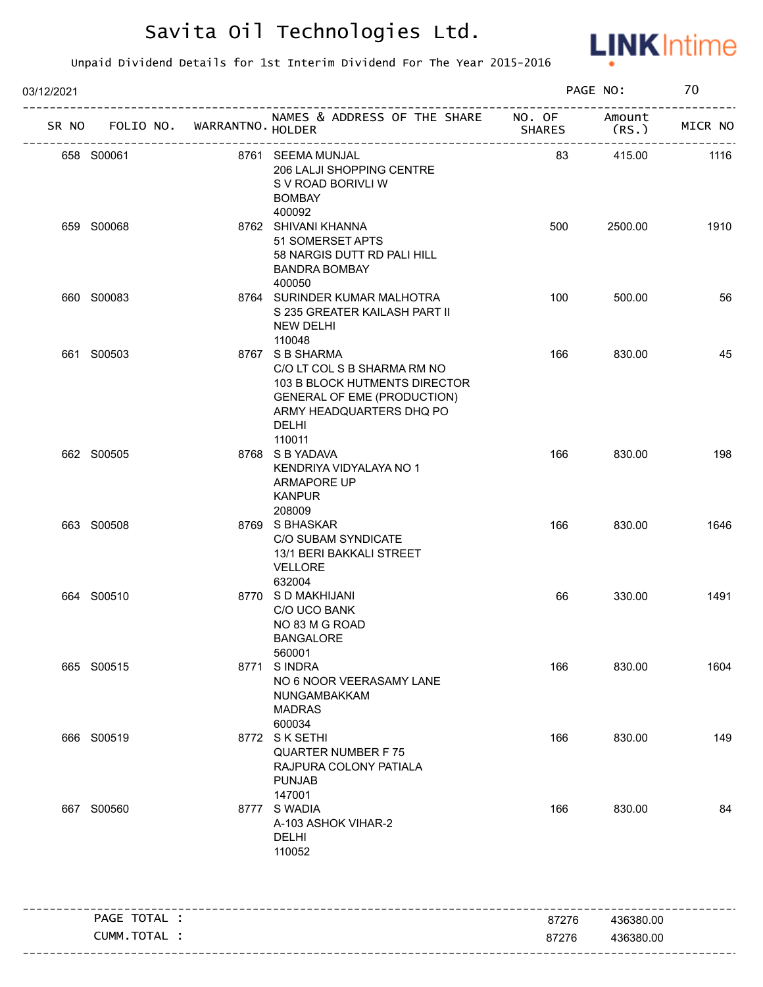

| 03/12/2021 |              |                                                 |                                                                                                                                                                      | PAGE NO:      |                | 70                     |
|------------|--------------|-------------------------------------------------|----------------------------------------------------------------------------------------------------------------------------------------------------------------------|---------------|----------------|------------------------|
| SR NO      | FOLIO NO.    | WARRANTNO HOLDER<br>--------------------------- | NAMES & ADDRESS OF THE SHARE NO. OF                                                                                                                                  | <b>SHARES</b> | Amount<br>(RS. | -----------<br>MICR NO |
|            | 658 S00061   |                                                 | 8761 SEEMA MUNJAL<br>206 LALJI SHOPPING CENTRE<br>S V ROAD BORIVLI W<br><b>BOMBAY</b>                                                                                | 83            | 415.00         | 1116                   |
|            | 659 S00068   |                                                 | 400092<br>8762 SHIVANI KHANNA<br>51 SOMERSET APTS<br>58 NARGIS DUTT RD PALI HILL<br><b>BANDRA BOMBAY</b><br>400050                                                   | 500           | 2500.00        | 1910                   |
|            | 660 S00083   |                                                 | 8764 SURINDER KUMAR MALHOTRA<br>S 235 GREATER KAILASH PART II<br><b>NEW DELHI</b><br>110048                                                                          | 100           | 500.00         | 56                     |
|            | 661 S00503   |                                                 | 8767 S B SHARMA<br>C/O LT COL S B SHARMA RM NO<br>103 B BLOCK HUTMENTS DIRECTOR<br><b>GENERAL OF EME (PRODUCTION)</b><br>ARMY HEADQUARTERS DHQ PO<br>DELHI<br>110011 | 166           | 830.00         | 45                     |
|            | 662 S00505   |                                                 | 8768 S B YADAVA<br>KENDRIYA VIDYALAYA NO 1<br>ARMAPORE UP<br><b>KANPUR</b><br>208009                                                                                 | 166           | 830.00         | 198                    |
|            | 663 S00508   |                                                 | 8769 S BHASKAR<br>C/O SUBAM SYNDICATE<br>13/1 BERI BAKKALI STREET<br>VELLORE<br>632004                                                                               | 166           | 830.00         | 1646                   |
|            | 664 S00510   |                                                 | 8770 S D MAKHIJANI<br>C/O UCO BANK<br>NO 83 M G ROAD<br>BANGALORE<br>560001                                                                                          | 66            | 330.00         | 1491                   |
|            | 665 S00515   |                                                 | 8771 SINDRA<br>NO 6 NOOR VEERASAMY LANE<br>NUNGAMBAKKAM<br><b>MADRAS</b><br>600034                                                                                   | 166           | 830.00         | 1604                   |
|            | 666 S00519   |                                                 | 8772 SK SETHI<br><b>QUARTER NUMBER F75</b><br>RAJPURA COLONY PATIALA<br><b>PUNJAB</b><br>147001                                                                      | 166           | 830.00         | 149                    |
|            | 667 S00560   |                                                 | 8777 S WADIA<br>A-103 ASHOK VIHAR-2<br><b>DELHI</b><br>110052                                                                                                        | 166           | 830.00         | 84                     |
|            | PAGE TOTAL : |                                                 |                                                                                                                                                                      | 87276         | 436380.00      |                        |
|            | CUMM.TOTAL : |                                                 |                                                                                                                                                                      | 87276         | 436380.00      |                        |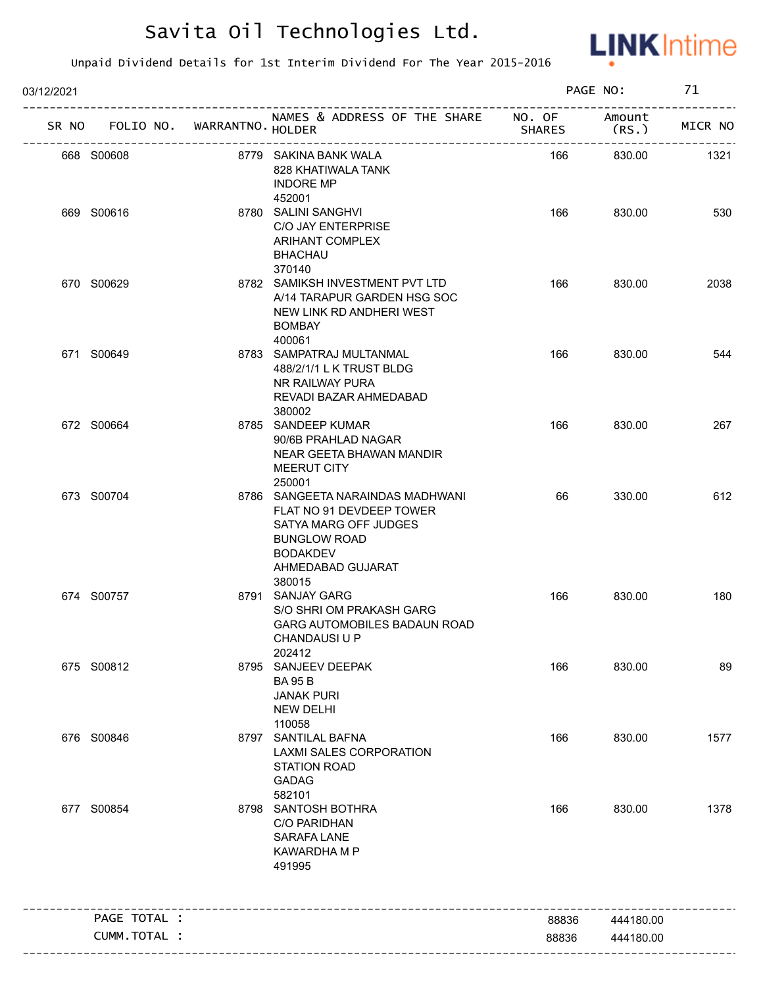

| 03/12/2021 |                                   |                                                                                                                                                                |        | PAGE NO:        | 71      |
|------------|-----------------------------------|----------------------------------------------------------------------------------------------------------------------------------------------------------------|--------|-----------------|---------|
|            | SR NO FOLIO NO. WARRANTNO. HOLDER | NAMES & ADDRESS OF THE SHARE NO. OF                                                                                                                            | SHARES | Amount<br>(RS.) | MICR NO |
|            | 668 S00608                        | 8779 SAKINA BANK WALA<br>828 KHATIWALA TANK<br><b>INDORE MP</b><br>452001                                                                                      | 166    | 830.00          | 1321    |
|            | 669 S00616                        | 8780 SALINI SANGHVI<br>C/O JAY ENTERPRISE<br><b>ARIHANT COMPLEX</b><br><b>BHACHAU</b>                                                                          | 166    | 830.00          | 530     |
|            | 670 S00629                        | 370140<br>8782 SAMIKSH INVESTMENT PVT LTD<br>A/14 TARAPUR GARDEN HSG SOC<br>NEW LINK RD ANDHERI WEST<br><b>BOMBAY</b><br>400061                                | 166    | 830.00          | 2038    |
|            | 671 S00649                        | 8783 SAMPATRAJ MULTANMAL<br>488/2/1/1 L K TRUST BLDG<br>NR RAILWAY PURA<br>REVADI BAZAR AHMEDABAD<br>380002                                                    | 166    | 830.00          | 544     |
|            | 672 S00664                        | 8785 SANDEEP KUMAR<br>90/6B PRAHLAD NAGAR<br>NEAR GEETA BHAWAN MANDIR<br>MEERUT CITY<br>250001                                                                 | 166    | 830.00          | 267     |
|            | 673 S00704                        | 8786 SANGEETA NARAINDAS MADHWANI<br>FLAT NO 91 DEVDEEP TOWER<br>SATYA MARG OFF JUDGES<br><b>BUNGLOW ROAD</b><br><b>BODAKDEV</b><br>AHMEDABAD GUJARAT<br>380015 | 66     | 330.00          | 612     |
|            | 674 S00757                        | 8791 SANJAY GARG<br>S/O SHRI OM PRAKASH GARG<br><b>GARG AUTOMOBILES BADAUN ROAD</b><br>CHANDAUSI U P<br>202412                                                 | 166    | 830.00          | 180     |
|            | 675 S00812                        | 8795 SANJEEV DEEPAK<br><b>BA 95 B</b><br><b>JANAK PURI</b><br><b>NEW DELHI</b><br>110058                                                                       | 166    | 830.00          | 89      |
|            | 676 S00846                        | 8797 SANTILAL BAFNA<br>LAXMI SALES CORPORATION<br><b>STATION ROAD</b><br><b>GADAG</b><br>582101                                                                | 166    | 830.00          | 1577    |
|            | 677 S00854                        | 8798 SANTOSH BOTHRA<br><b>C/O PARIDHAN</b><br><b>SARAFA LANE</b><br>KAWARDHA M P<br>491995                                                                     | 166    | 830.00          | 1378    |
|            | PAGE TOTAL :                      |                                                                                                                                                                | 88836  | 444180.00       |         |
|            | CUMM.TOTAL :                      |                                                                                                                                                                | 88836  | 444180.00       |         |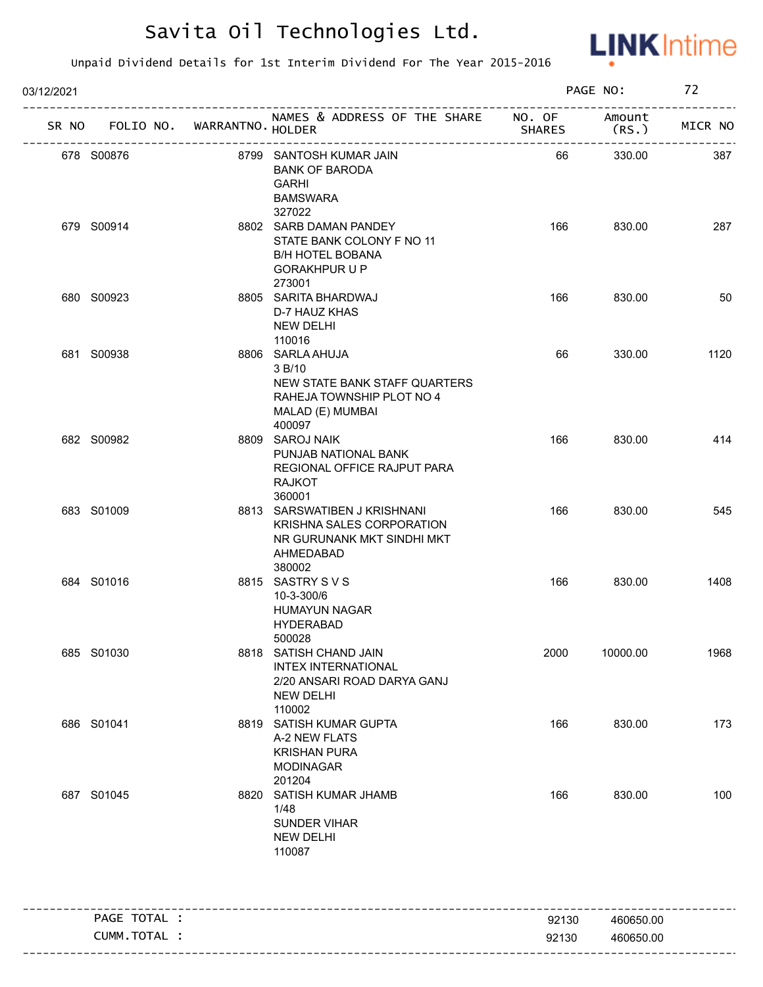

| 03/12/2021 |                                   |                              |                                                                                                                        |               | PAGE NO:        | 72      |
|------------|-----------------------------------|------------------------------|------------------------------------------------------------------------------------------------------------------------|---------------|-----------------|---------|
|            | SR NO FOLIO NO. WARRANTNO. HOLDER | ---------------------------- | NAMES & ADDRESS OF THE SHARE NO. OF                                                                                    | <b>SHARES</b> | Amount<br>(RS.) | MICR NO |
|            | 678 S00876                        |                              | 8799 SANTOSH KUMAR JAIN<br><b>BANK OF BARODA</b><br><b>GARHI</b><br><b>BAMSWARA</b><br>327022                          | 66            | 330.00          | 387     |
|            | 679 S00914                        |                              | 8802 SARB DAMAN PANDEY<br>STATE BANK COLONY F NO 11<br><b>B/H HOTEL BOBANA</b><br><b>GORAKHPUR U P</b><br>273001       | 166           | 830.00          | 287     |
|            | 680 S00923                        |                              | 8805 SARITA BHARDWAJ<br>D-7 HAUZ KHAS<br><b>NEW DELHI</b><br>110016                                                    | 166           | 830.00          | 50      |
|            | 681 S00938                        |                              | 8806 SARLA AHUJA<br>3 B/10<br>NEW STATE BANK STAFF QUARTERS<br>RAHEJA TOWNSHIP PLOT NO 4<br>MALAD (E) MUMBAI<br>400097 | 66            | 330.00          | 1120    |
|            | 682 S00982                        |                              | 8809 SAROJ NAIK<br>PUNJAB NATIONAL BANK<br>REGIONAL OFFICE RAJPUT PARA<br><b>RAJKOT</b><br>360001                      | 166           | 830.00          | 414     |
|            | 683 S01009                        |                              | 8813 SARSWATIBEN J KRISHNANI<br>KRISHNA SALES CORPORATION<br>NR GURUNANK MKT SINDHI MKT<br>AHMEDABAD<br>380002         | 166           | 830.00          | 545     |
|            | 684 S01016                        |                              | 8815 SASTRY SVS<br>10-3-300/6<br><b>HUMAYUN NAGAR</b><br><b>HYDERABAD</b><br>500028                                    | 166           | 830.00          | 1408    |
|            | 685 S01030                        |                              | 8818 SATISH CHAND JAIN<br><b>INTEX INTERNATIONAL</b><br>2/20 ANSARI ROAD DARYA GANJ<br><b>NEW DELHI</b><br>110002      | 2000          | 10000.00        | 1968    |
|            | 686 S01041                        |                              | 8819 SATISH KUMAR GUPTA<br>A-2 NEW FLATS<br><b>KRISHAN PURA</b><br><b>MODINAGAR</b><br>201204                          | 166           | 830.00          | 173     |
|            | 687 S01045                        |                              | 8820 SATISH KUMAR JHAMB<br>1/48<br><b>SUNDER VIHAR</b><br><b>NEW DELHI</b><br>110087                                   | 166           | 830.00          | 100     |
|            | PAGE TOTAL :                      |                              | ------------------------------------                                                                                   | 92130         | 460650.00       |         |
|            | CUMM.TOTAL :                      |                              |                                                                                                                        | 92130         | 460650.00       |         |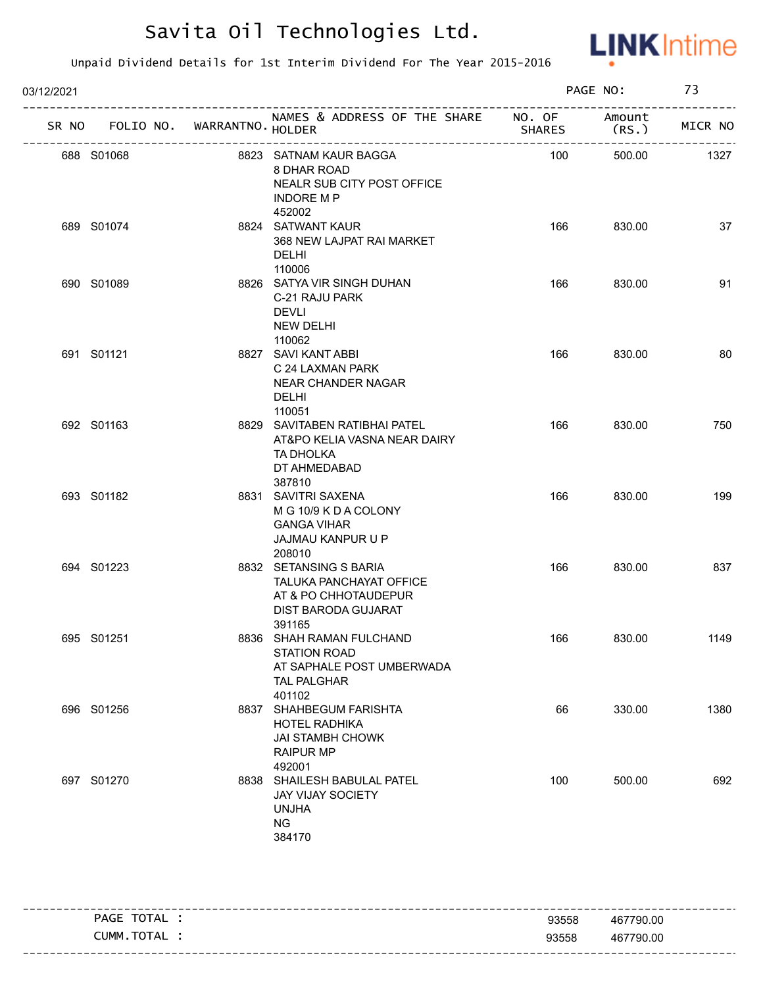

| 03/12/2021 |                                   |  |                                                                                                              | PAGE NO:      |                | 73      |  |
|------------|-----------------------------------|--|--------------------------------------------------------------------------------------------------------------|---------------|----------------|---------|--|
|            | SR NO FOLIO NO. WARRANTNO. HOLDER |  | NAMES & ADDRESS OF THE SHARE NO. OF                                                                          | <b>SHARES</b> | Amount<br>(RS. | MICR NO |  |
|            | 688 S01068                        |  | 8823 SATNAM KAUR BAGGA<br>8 DHAR ROAD<br>NEALR SUB CITY POST OFFICE<br><b>INDORE M P</b><br>452002           | 100           | 500.00         | 1327    |  |
|            | 689 S01074                        |  | 8824 SATWANT KAUR<br>368 NEW LAJPAT RAI MARKET<br><b>DELHI</b><br>110006                                     | 166           | 830.00         | 37      |  |
|            | 690 S01089                        |  | 8826 SATYA VIR SINGH DUHAN<br>C-21 RAJU PARK<br><b>DEVLI</b><br><b>NEW DELHI</b><br>110062                   | 166           | 830.00         | 91      |  |
|            | 691 S01121                        |  | 8827 SAVI KANT ABBI<br>C 24 LAXMAN PARK<br>NEAR CHANDER NAGAR<br>DELHI<br>110051                             | 166           | 830.00         | 80      |  |
|            | 692 S01163                        |  | 8829 SAVITABEN RATIBHAI PATEL<br>AT&PO KELIA VASNA NEAR DAIRY<br>TA DHOLKA<br>DT AHMEDABAD<br>387810         | 166           | 830.00         | 750     |  |
|            | 693 S01182                        |  | 8831 SAVITRI SAXENA<br>M G 10/9 K D A COLONY<br><b>GANGA VIHAR</b><br>JAJMAU KANPUR U P<br>208010            | 166           | 830.00         | 199     |  |
|            | 694 S01223                        |  | 8832 SETANSING S BARIA<br>TALUKA PANCHAYAT OFFICE<br>AT & PO CHHOTAUDEPUR<br>DIST BARODA GUJARAT<br>391165   | 166           | 830.00         | 837     |  |
|            | 695 S01251                        |  | 8836 SHAH RAMAN FULCHAND<br><b>STATION ROAD</b><br>AT SAPHALE POST UMBERWADA<br><b>TAL PALGHAR</b><br>401102 | 166           | 830.00         | 1149    |  |
|            | 696 S01256                        |  | 8837 SHAHBEGUM FARISHTA<br><b>HOTEL RADHIKA</b><br><b>JAI STAMBH CHOWK</b><br><b>RAIPUR MP</b><br>492001     | 66            | 330.00         | 1380    |  |
|            | 697 S01270                        |  | 8838 SHAILESH BABULAL PATEL<br>JAY VIJAY SOCIETY<br><b>UNJHA</b><br><b>NG</b><br>384170                      | 100           | 500.00         | 692     |  |

| TOTAL<br>PAGE | 93558 | 467790.00 |
|---------------|-------|-----------|
| CUMM.TOTAL :  | 93558 | 467790.00 |
|               |       |           |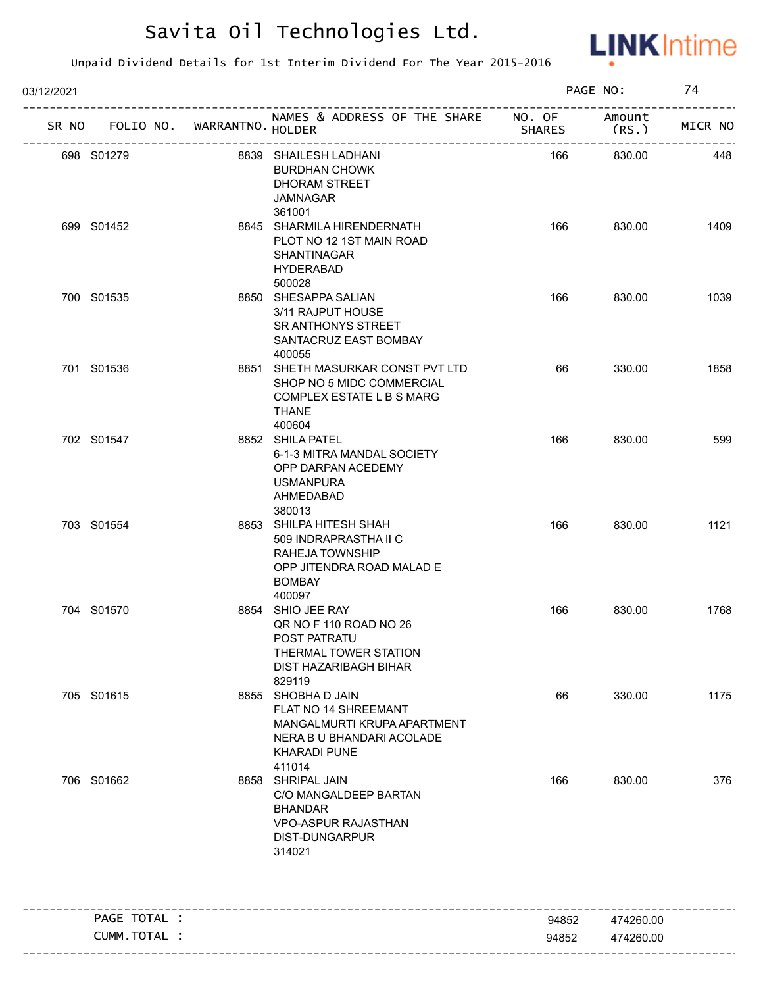

| 03/12/2021 |                                   |                                                                                                                                         |                | PAGE NO:               | 74      |
|------------|-----------------------------------|-----------------------------------------------------------------------------------------------------------------------------------------|----------------|------------------------|---------|
|            | SR NO FOLIO NO. WARRANTNO. HOLDER | NAMES & ADDRESS OF THE SHARE NO. OF                                                                                                     | <b>SHARES</b>  | Amount<br>(RS.)        | MICR NO |
|            | 698 S01279                        | 8839 SHAILESH LADHANI<br><b>BURDHAN CHOWK</b><br>DHORAM STREET<br><b>JAMNAGAR</b><br>361001                                             | 166            | 830.00                 | 448     |
|            | 699 S01452                        | 8845 SHARMILA HIRENDERNATH<br>PLOT NO 12 1ST MAIN ROAD<br>SHANTINAGAR<br><b>HYDERABAD</b><br>500028                                     | 166            | 830.00                 | 1409    |
|            | 700 S01535                        | 8850 SHESAPPA SALIAN<br>3/11 RAJPUT HOUSE<br>SR ANTHONYS STREET<br>SANTACRUZ EAST BOMBAY<br>400055                                      | 166            | 830.00                 | 1039    |
|            | 701 S01536                        | 8851 SHETH MASURKAR CONST PVT LTD<br>SHOP NO 5 MIDC COMMERCIAL<br>COMPLEX ESTATE L B S MARG<br><b>THANE</b><br>400604                   | 66             | 330.00                 | 1858    |
|            | 702 S01547                        | 8852 SHILA PATEL<br>6-1-3 MITRA MANDAL SOCIETY<br>OPP DARPAN ACEDEMY<br><b>USMANPURA</b><br>AHMEDABAD<br>380013                         | 166            | 830.00                 | 599     |
|            | 703 S01554                        | 8853 SHILPA HITESH SHAH<br>509 INDRAPRASTHA II C<br>RAHEJA TOWNSHIP<br>OPP JITENDRA ROAD MALAD E<br><b>BOMBAY</b><br>400097             | 166            | 830.00                 | 1121    |
|            | 704 S01570                        | 8854 SHIO JEE RAY<br>QR NO F 110 ROAD NO 26<br>POST PATRATU<br>THERMAL TOWER STATION<br>DIST HAZARIBAGH BIHAR<br>829119                 | 166            | 830.00                 | 1768    |
|            | 705 S01615                        | 8855 SHOBHA D JAIN<br>FLAT NO 14 SHREEMANT<br>MANGALMURTI KRUPA APARTMENT<br>NERA B U BHANDARI ACOLADE<br><b>KHARADI PUNE</b><br>411014 | 66             | 330.00                 | 1175    |
|            | 706 S01662                        | 8858 SHRIPAL JAIN<br>C/O MANGALDEEP BARTAN<br><b>BHANDAR</b><br><b>VPO-ASPUR RAJASTHAN</b><br>DIST-DUNGARPUR<br>314021                  | 166            | 830.00                 | 376     |
|            | PAGE TOTAL :                      |                                                                                                                                         |                |                        |         |
|            | CUMM.TOTAL :                      |                                                                                                                                         | 94852<br>94852 | 474260.00<br>474260.00 |         |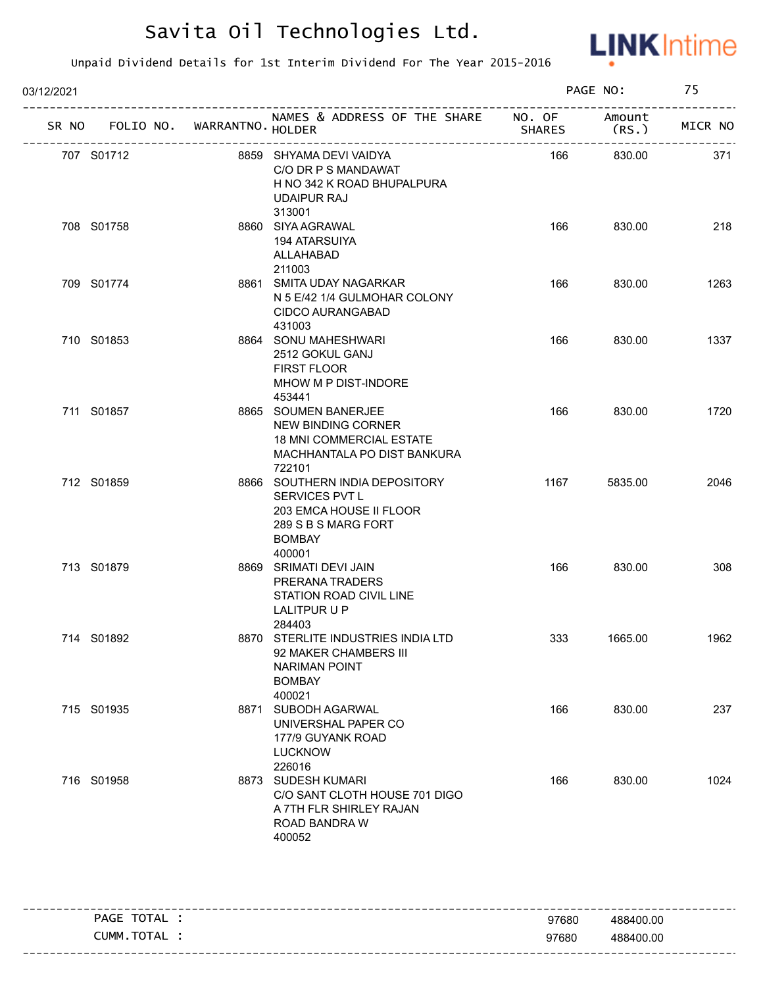

| 03/12/2021 |            |                   |                                                                                                                               | PAGE NO: |                                           | 75                      |  |
|------------|------------|-------------------|-------------------------------------------------------------------------------------------------------------------------------|----------|-------------------------------------------|-------------------------|--|
| SR NO      | FOLIO NO.  | WARRANTNO. HOLDER | NAMES & ADDRESS OF THE SHARE NO. OF                                                                                           | SHARES   | Amount<br>(RS.                            | ------------<br>MICR NO |  |
| 707 S01712 |            |                   | 8859 SHYAMA DEVI VAIDYA<br>C/O DR P S MANDAWAT<br>H NO 342 K ROAD BHUPALPURA<br><b>UDAIPUR RAJ</b><br>313001                  | 166      | -------------------------------<br>830.00 | 371                     |  |
| 708 S01758 |            |                   | 8860 SIYA AGRAWAL<br>194 ATARSUIYA<br>ALLAHABAD<br>211003                                                                     | 166      | 830.00                                    | 218                     |  |
| 709 S01774 |            |                   | 8861 SMITA UDAY NAGARKAR<br>N 5 E/42 1/4 GULMOHAR COLONY<br>CIDCO AURANGABAD<br>431003                                        | 166      | 830.00                                    | 1263                    |  |
| 710 S01853 |            |                   | 8864 SONU MAHESHWARI<br>2512 GOKUL GANJ<br><b>FIRST FLOOR</b><br>MHOW M P DIST-INDORE<br>453441                               | 166      | 830.00                                    | 1337                    |  |
|            | 711 S01857 |                   | 8865 SOUMEN BANERJEE<br>NEW BINDING CORNER<br><b>18 MNI COMMERCIAL ESTATE</b><br>MACHHANTALA PO DIST BANKURA<br>722101        | 166      | 830.00                                    | 1720                    |  |
| 712 S01859 |            |                   | 8866 SOUTHERN INDIA DEPOSITORY<br>SERVICES PVT L<br>203 EMCA HOUSE II FLOOR<br>289 S B S MARG FORT<br><b>BOMBAY</b><br>400001 | 1167     | 5835.00                                   | 2046                    |  |
| 713 S01879 |            |                   | 8869 SRIMATI DEVI JAIN<br>PRERANA TRADERS<br>STATION ROAD CIVIL LINE<br>LALITPUR U P<br>284403                                | 166      | 830.00                                    | 308                     |  |
| 714 S01892 |            |                   | 8870 STERLITE INDUSTRIES INDIA LTD<br>92 MAKER CHAMBERS III<br><b>NARIMAN POINT</b><br><b>BOMBAY</b><br>400021                | 333      | 1665.00                                   | 1962                    |  |
| 715 S01935 |            |                   | 8871 SUBODH AGARWAL<br>UNIVERSHAL PAPER CO<br>177/9 GUYANK ROAD<br><b>LUCKNOW</b><br>226016                                   | 166      | 830.00                                    | 237                     |  |
| 716 S01958 |            |                   | 8873 SUDESH KUMARI<br>C/O SANT CLOTH HOUSE 701 DIGO<br>A 7TH FLR SHIRLEY RAJAN<br>ROAD BANDRA W<br>400052                     | 166      | 830.00                                    | 1024                    |  |

| TOTAL<br><b>PAGE</b> | 97680 | 488400.00 |
|----------------------|-------|-----------|
| TOTAL<br>CUMM        | 97680 | 488400.00 |
|                      |       |           |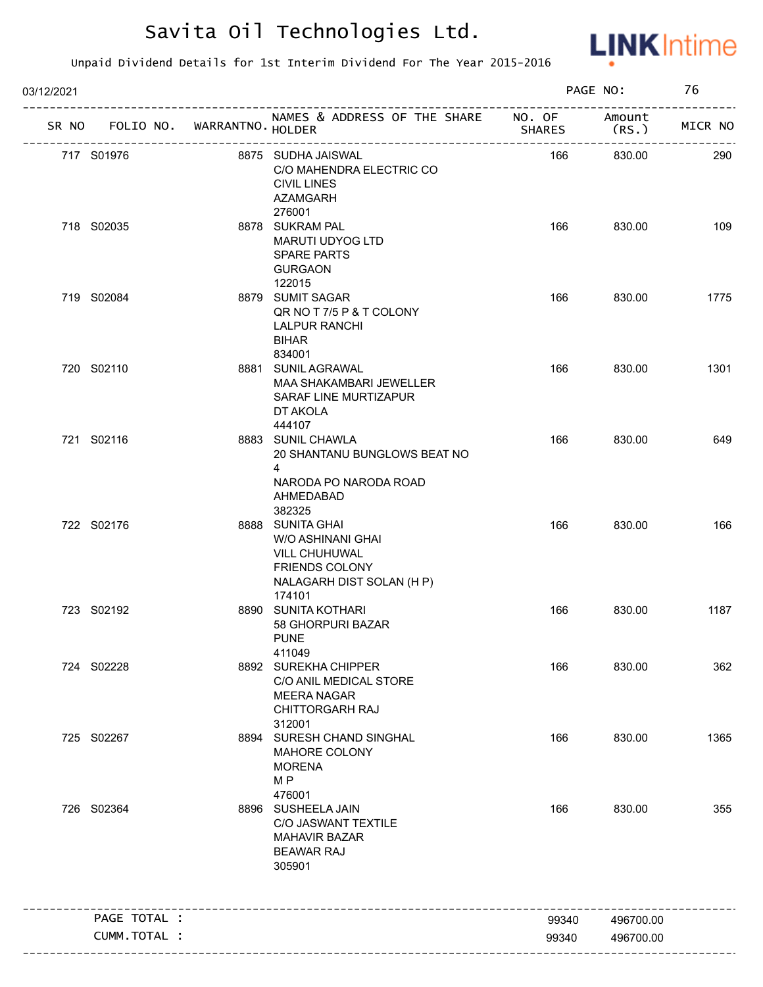

| 03/12/2021 |                                    |                             |                                                                                                                        |        | PAGE NO:                               | 76      |
|------------|------------------------------------|-----------------------------|------------------------------------------------------------------------------------------------------------------------|--------|----------------------------------------|---------|
| SR NO      | ---------------------------------- | FOLIO NO. WARRANTNO. HOLDER | NAMES & ADDRESS OF THE SHARE NO. OF Amount                                                                             | SHARES | (RS.                                   | MICR NO |
|            | 717 S01976                         |                             | 8875 SUDHA JAISWAL<br>C/O MAHENDRA ELECTRIC CO<br><b>CIVIL LINES</b><br><b>AZAMGARH</b>                                | 166    | ----------------------------<br>830.00 | 290     |
|            | 718 S02035                         |                             | 276001<br>8878 SUKRAM PAL<br>MARUTI UDYOG LTD<br>SPARE PARTS<br><b>GURGAON</b>                                         | 166    | 830.00                                 | 109     |
|            | 719 S02084                         |                             | 122015<br>8879 SUMIT SAGAR<br>QR NO T 7/5 P & T COLONY<br><b>LALPUR RANCHI</b><br><b>BIHAR</b><br>834001               | 166    | 830.00                                 | 1775    |
|            | 720 S02110                         |                             | 8881 SUNIL AGRAWAL<br>MAA SHAKAMBARI JEWELLER<br>SARAF LINE MURTIZAPUR<br>DT AKOLA<br>444107                           | 166    | 830.00                                 | 1301    |
|            | 721 S02116                         |                             | 8883 SUNIL CHAWLA<br>20 SHANTANU BUNGLOWS BEAT NO<br>$\overline{4}$<br>NARODA PO NARODA ROAD<br>AHMEDABAD              | 166    | 830.00                                 | 649     |
|            | 722 S02176                         |                             | 382325<br>8888 SUNITA GHAI<br>W/O ASHINANI GHAI<br>VILL CHUHUWAL<br><b>FRIENDS COLONY</b><br>NALAGARH DIST SOLAN (H P) | 166    | 830.00                                 | 166     |
|            | 723 S02192                         |                             | 174101<br>8890 SUNITA KOTHARI<br>58 GHORPURI BAZAR<br><b>PUNE</b><br>411049                                            | 166    | 830.00                                 | 1187    |
|            | 724 S02228                         |                             | 8892 SUREKHA CHIPPER<br>C/O ANIL MEDICAL STORE<br><b>MEERA NAGAR</b><br><b>CHITTORGARH RAJ</b><br>312001               | 166    | 830.00                                 | 362     |
|            | 725 S02267                         |                             | 8894 SURESH CHAND SINGHAL<br>MAHORE COLONY<br><b>MORENA</b><br>M <sub>P</sub><br>476001                                | 166    | 830.00                                 | 1365    |
|            | 726 S02364                         |                             | 8896 SUSHEELA JAIN<br>C/O JASWANT TEXTILE<br><b>MAHAVIR BAZAR</b><br><b>BEAWAR RAJ</b><br>305901                       | 166    | 830.00                                 | 355     |
|            | PAGE TOTAL :                       |                             |                                                                                                                        | 99340  | 496700.00                              |         |
|            | CUMM.TOTAL :                       |                             |                                                                                                                        | 99340  | 496700.00                              |         |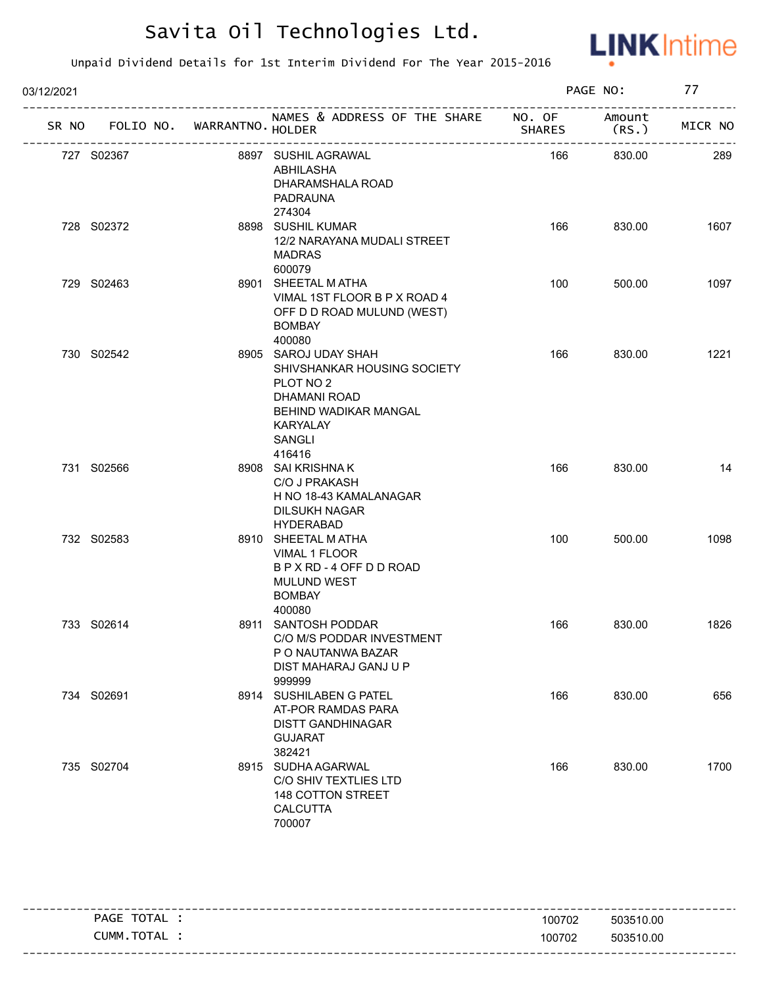

| 03/12/2021 |                                   |  |                                                                                                                                                  | PAGE NO:      | 77             |         |
|------------|-----------------------------------|--|--------------------------------------------------------------------------------------------------------------------------------------------------|---------------|----------------|---------|
|            | SR NO FOLIO NO. WARRANTNO. HOLDER |  | NAMES & ADDRESS OF THE SHARE NO. OF                                                                                                              | <b>SHARES</b> | Amount<br>(RS. | MICR NO |
|            | 727 S02367                        |  | 8897 SUSHIL AGRAWAL<br>ABHILASHA<br>DHARAMSHALA ROAD<br>PADRAUNA<br>274304                                                                       | 166           | 830.00         | 289     |
|            | 728 S02372                        |  | 8898 SUSHIL KUMAR<br>12/2 NARAYANA MUDALI STREET<br><b>MADRAS</b><br>600079                                                                      | 166           | 830.00         | 1607    |
|            | 729 S02463                        |  | 8901 SHEETAL MATHA<br>VIMAL 1ST FLOOR B P X ROAD 4<br>OFF D D ROAD MULUND (WEST)<br><b>BOMBAY</b><br>400080                                      | 100           | 500.00         | 1097    |
|            | 730 S02542                        |  | 8905 SAROJ UDAY SHAH<br>SHIVSHANKAR HOUSING SOCIETY<br>PLOT NO 2<br>DHAMANI ROAD<br>BEHIND WADIKAR MANGAL<br><b>KARYALAY</b><br>SANGLI<br>416416 | 166           | 830.00         | 1221    |
|            | 731 S02566                        |  | 8908 SAI KRISHNA K<br>C/O J PRAKASH<br>H NO 18-43 KAMALANAGAR<br><b>DILSUKH NAGAR</b><br><b>HYDERABAD</b>                                        | 166           | 830.00         | 14      |
|            | 732 S02583                        |  | 8910 SHEETAL M ATHA<br>VIMAL 1 FLOOR<br>B P X RD - 4 OFF D D ROAD<br><b>MULUND WEST</b><br><b>BOMBAY</b><br>400080                               | 100           | 500.00         | 1098    |
|            | 733 S02614                        |  | 8911 SANTOSH PODDAR<br>C/O M/S PODDAR INVESTMENT<br>P O NAUTANWA BAZAR<br>DIST MAHARAJ GANJ U P<br>999999                                        | 166           | 830.00         | 1826    |
|            | 734 S02691                        |  | 8914 SUSHILABEN G PATEL<br>AT-POR RAMDAS PARA<br><b>DISTT GANDHINAGAR</b><br><b>GUJARAT</b><br>382421                                            | 166           | 830.00         | 656     |
|            | 735 S02704                        |  | 8915 SUDHA AGARWAL<br>C/O SHIV TEXTLIES LTD<br>148 COTTON STREET<br><b>CALCUTTA</b><br>700007                                                    | 166           | 830.00         | 1700    |

| <b>PAGE</b> | <b>TOTA</b><br>. Δ.<br>$-1$ | 100702 | 503510.00             |
|-------------|-----------------------------|--------|-----------------------|
| CUMM        | TOTAL                       | 100702 | 503510.00             |
|             |                             |        | --------------------- |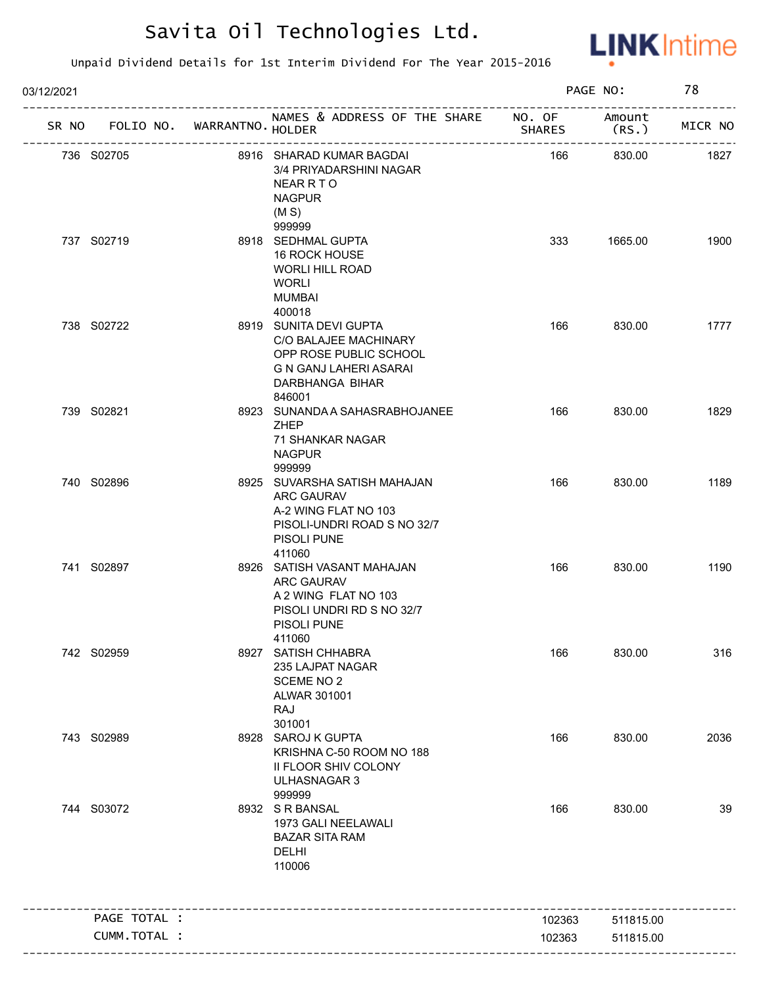

| 03/12/2021 |              |                   |                                                                                                                                  |               | PAGE NO:                                        | 78      |
|------------|--------------|-------------------|----------------------------------------------------------------------------------------------------------------------------------|---------------|-------------------------------------------------|---------|
| SR NO      | FOLIO NO.    | WARRANTNO. HOLDER | NAMES & ADDRESS OF THE SHARE NO. OF                                                                                              | <b>SHARES</b> | Amount<br>(RS.<br>----------------------------- | MICR NO |
|            | 736 S02705   |                   | 8916 SHARAD KUMAR BAGDAI<br>3/4 PRIYADARSHINI NAGAR<br><b>NEAR R T O</b><br><b>NAGPUR</b><br>(M S)                               | 166           | 830.00                                          | 1827    |
|            | 737 S02719   |                   | 999999<br>8918 SEDHMAL GUPTA<br>16 ROCK HOUSE<br><b>WORLI HILL ROAD</b><br><b>WORLI</b><br><b>MUMBAI</b><br>400018               | 333           | 1665.00                                         | 1900    |
|            | 738 S02722   |                   | 8919 SUNITA DEVI GUPTA<br>C/O BALAJEE MACHINARY<br>OPP ROSE PUBLIC SCHOOL<br>G N GANJ LAHERI ASARAI<br>DARBHANGA BIHAR<br>846001 | 166           | 830.00                                          | 1777    |
|            | 739 S02821   |                   | 8923 SUNANDA A SAHASRABHOJANEE<br>ZHEP<br>71 SHANKAR NAGAR<br><b>NAGPUR</b><br>999999                                            | 166           | 830.00                                          | 1829    |
|            | 740 S02896   |                   | 8925 SUVARSHA SATISH MAHAJAN<br>ARC GAURAV<br>A-2 WING FLAT NO 103<br>PISOLI-UNDRI ROAD S NO 32/7<br>PISOLI PUNE<br>411060       | 166           | 830.00                                          | 1189    |
|            | 741 S02897   |                   | 8926 SATISH VASANT MAHAJAN<br>ARC GAURAV<br>A 2 WING FLAT NO 103<br>PISOLI UNDRI RD S NO 32/7<br>PISOLI PUNE<br>411060           | 166           | 830.00                                          | 1190    |
|            | 742 S02959   |                   | 8927 SATISH CHHABRA<br>235 LAJPAT NAGAR<br><b>SCEME NO 2</b><br>ALWAR 301001<br>RAJ<br>301001                                    | 166           | 830.00                                          | 316     |
|            | 743 S02989   |                   | 8928 SAROJ K GUPTA<br>KRISHNA C-50 ROOM NO 188<br>II FLOOR SHIV COLONY<br>ULHASNAGAR 3<br>999999                                 | 166           | 830.00                                          | 2036    |
|            | 744 S03072   |                   | 8932 SR BANSAL<br>1973 GALI NEELAWALI<br><b>BAZAR SITA RAM</b><br>DELHI<br>110006                                                | 166           | 830.00                                          | 39      |
|            | PAGE TOTAL : |                   |                                                                                                                                  | 102363        | 511815.00                                       |         |
|            | CUMM.TOTAL : |                   |                                                                                                                                  | 102363        | 511815.00                                       |         |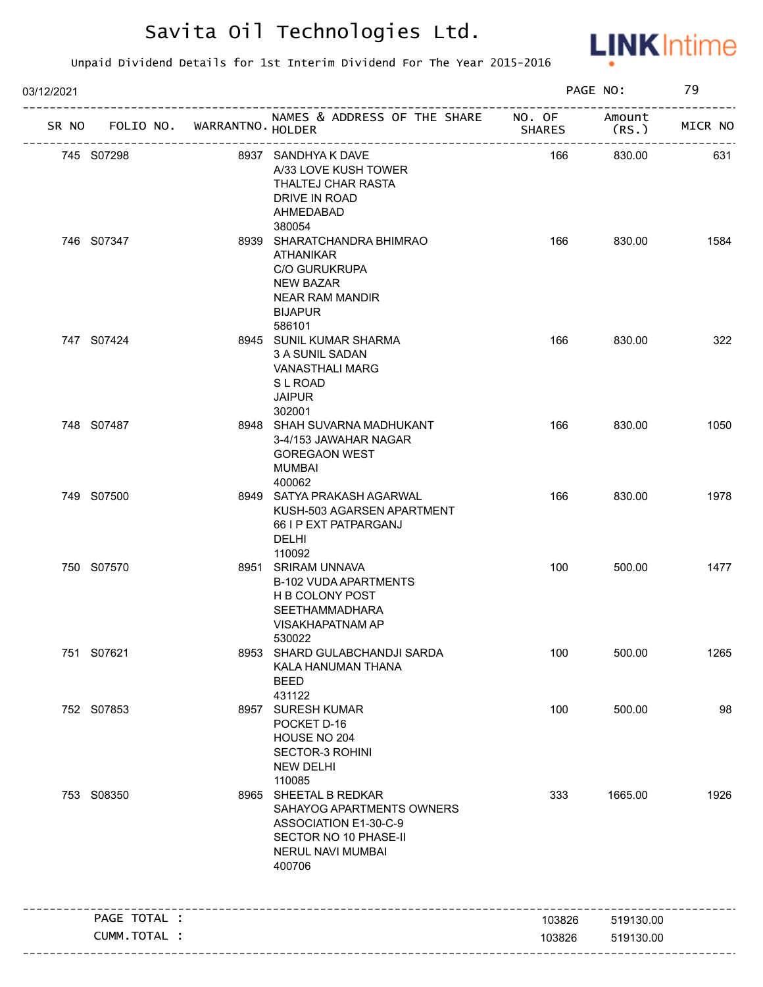

| 03/12/2021 |              |                                   |                                                                                                                                                            |               | PAGE NO:        | 79      |
|------------|--------------|-----------------------------------|------------------------------------------------------------------------------------------------------------------------------------------------------------|---------------|-----------------|---------|
|            |              | SR NO FOLIO NO. WARRANTNO. HOLDER | NAMES & ADDRESS OF THE SHARE NO. OF                                                                                                                        | <b>SHARES</b> | Amount<br>(RS.) | MICR NO |
| 745 S07298 |              |                                   | 8937 SANDHYA K DAVE<br>A/33 LOVE KUSH TOWER<br>THALTEJ CHAR RASTA<br>DRIVE IN ROAD<br>AHMEDABAD                                                            | 166           | 830.00          | 631     |
| 746 S07347 |              |                                   | 380054<br>8939 SHARATCHANDRA BHIMRAO<br><b>ATHANIKAR</b><br><b>C/O GURUKRUPA</b><br><b>NEW BAZAR</b><br><b>NEAR RAM MANDIR</b><br><b>BIJAPUR</b><br>586101 | 166           | 830.00          | 1584    |
| 747 S07424 |              |                                   | 8945 SUNIL KUMAR SHARMA<br>3 A SUNIL SADAN<br><b>VANASTHALI MARG</b><br><b>SL ROAD</b><br><b>JAIPUR</b><br>302001                                          | 166           | 830.00          | 322     |
| 748 S07487 |              |                                   | 8948 SHAH SUVARNA MADHUKANT<br>3-4/153 JAWAHAR NAGAR<br><b>GOREGAON WEST</b><br>MUMBAI<br>400062                                                           | 166           | 830.00          | 1050    |
| 749 S07500 |              |                                   | 8949 SATYA PRAKASH AGARWAL<br>KUSH-503 AGARSEN APARTMENT<br>66 I P EXT PATPARGANJ<br>DELHI<br>110092                                                       | 166           | 830.00          | 1978    |
| 750 S07570 |              |                                   | 8951 SRIRAM UNNAVA<br><b>B-102 VUDA APARTMENTS</b><br><b>H B COLONY POST</b><br><b>SEETHAMMADHARA</b><br>VISAKHAPATNAM AP<br>530022                        | 100           | 500.00          | 1477    |
| 751 S07621 |              |                                   | 8953 SHARD GULABCHANDJI SARDA<br>KALA HANUMAN THANA<br><b>BEED</b><br>431122                                                                               | 100           | 500.00          | 1265    |
| 752 S07853 |              |                                   | 8957 SURESH KUMAR<br>POCKET D-16<br>HOUSE NO 204<br>SECTOR-3 ROHINI<br><b>NEW DELHI</b><br>110085                                                          | 100           | 500.00          | 98      |
| 753 S08350 |              |                                   | 8965 SHEETAL B REDKAR<br>SAHAYOG APARTMENTS OWNERS<br>ASSOCIATION E1-30-C-9<br>SECTOR NO 10 PHASE-II<br>NERUL NAVI MUMBAI<br>400706                        | 333           | 1665.00         | 1926    |
|            | PAGE TOTAL : |                                   |                                                                                                                                                            | 103826        | 519130.00       |         |
|            | CUMM.TOTAL : |                                   |                                                                                                                                                            | 103826        | 519130.00       |         |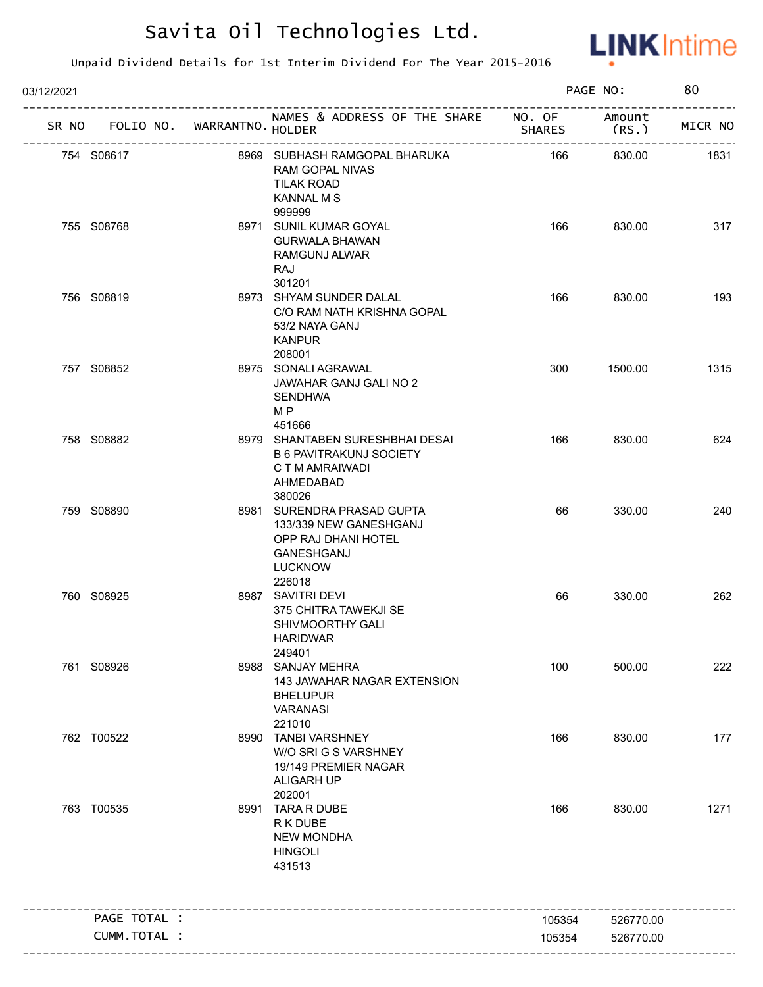

| 03/12/2021 |                                   |                          |                                                                                                                       |               | PAGE NO:  | 80      |
|------------|-----------------------------------|--------------------------|-----------------------------------------------------------------------------------------------------------------------|---------------|-----------|---------|
|            | SR NO FOLIO NO. WARRANTNO. HOLDER |                          | NAMES & ADDRESS OF THE SHARE NO. OF Amount                                                                            | <b>SHARES</b> | (RS.)     | MICR NO |
|            | 754 S08617                        | ------------------------ | 8969 SUBHASH RAMGOPAL BHARUKA<br>RAM GOPAL NIVAS<br><b>TILAK ROAD</b><br><b>KANNAL M S</b><br>999999                  | - 166         | 830.00    | 1831    |
|            | 755 S08768                        |                          | 8971 SUNIL KUMAR GOYAL<br><b>GURWALA BHAWAN</b><br>RAMGUNJ ALWAR<br>RAJ<br>301201                                     | 166           | 830.00    | 317     |
|            | 756 S08819                        |                          | 8973 SHYAM SUNDER DALAL<br>C/O RAM NATH KRISHNA GOPAL<br>53/2 NAYA GANJ<br><b>KANPUR</b><br>208001                    | 166           | 830.00    | 193     |
|            | 757 S08852                        |                          | 8975 SONALI AGRAWAL<br>JAWAHAR GANJ GALI NO 2<br><b>SENDHWA</b><br>M <sub>P</sub><br>451666                           | 300           | 1500.00   | 1315    |
|            | 758 S08882                        |                          | 8979 SHANTABEN SURESHBHAI DESAI<br><b>B 6 PAVITRAKUNJ SOCIETY</b><br>C T M AMRAIWADI<br>AHMEDABAD<br>380026           | 166           | 830.00    | 624     |
|            | 759 S08890                        |                          | 8981 SURENDRA PRASAD GUPTA<br>133/339 NEW GANESHGANJ<br>OPP RAJ DHANI HOTEL<br>GANESHGANJ<br><b>LUCKNOW</b><br>226018 | 66            | 330.00    | 240     |
|            | 760 S08925                        |                          | 8987 SAVITRI DEVI<br>375 CHITRA TAWEKJI SE<br>SHIVMOORTHY GALI<br>HARIDWAR<br>249401                                  | 66            | 330.00    | 262     |
|            | 761 S08926                        |                          | 8988 SANJAY MEHRA<br>143 JAWAHAR NAGAR EXTENSION<br><b>BHELUPUR</b><br><b>VARANASI</b><br>221010                      | 100           | 500.00    | 222     |
|            | 762 T00522                        |                          | 8990 TANBI VARSHNEY<br>W/O SRI G S VARSHNEY<br>19/149 PREMIER NAGAR<br><b>ALIGARH UP</b><br>202001                    | 166           | 830.00    | 177     |
|            | 763 T00535                        |                          | 8991 TARA R DUBE<br>R K DUBE<br><b>NEW MONDHA</b><br><b>HINGOLI</b><br>431513                                         | 166           | 830.00    | 1271    |
|            | PAGE TOTAL :                      |                          |                                                                                                                       | 105354        | 526770.00 |         |
|            | CUMM.TOTAL :                      |                          |                                                                                                                       | 105354        | 526770.00 |         |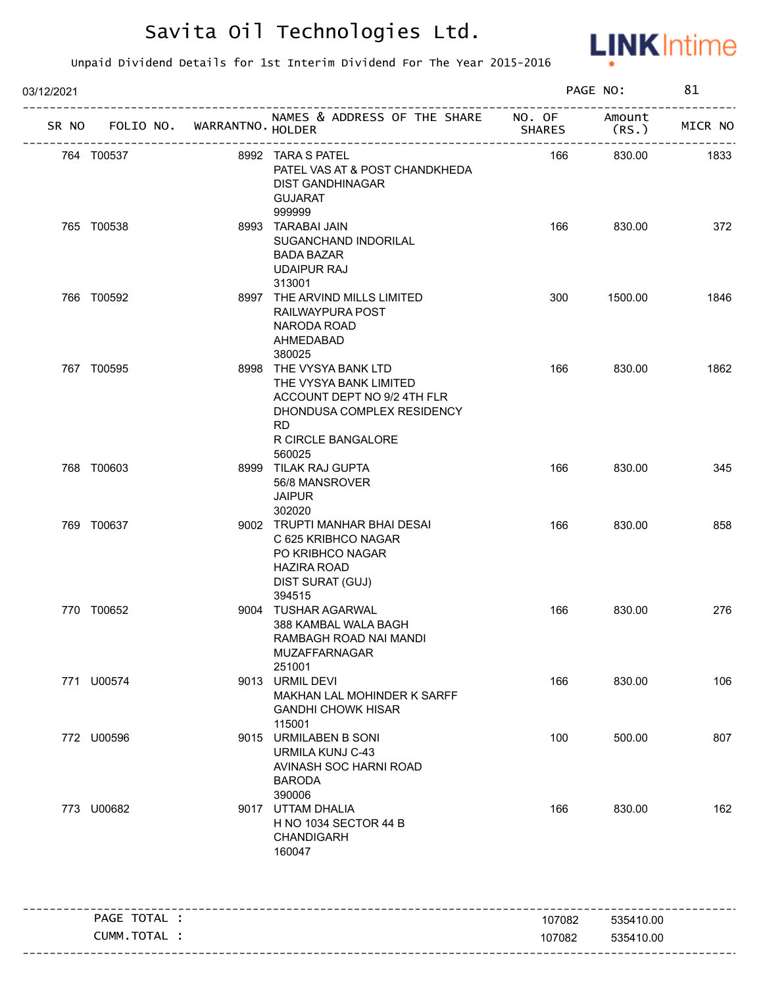

| 03/12/2021   |                                                                            |                                                                                                                                                             |        | PAGE NO:  | 81      |
|--------------|----------------------------------------------------------------------------|-------------------------------------------------------------------------------------------------------------------------------------------------------------|--------|-----------|---------|
|              | -------------------------------------<br>SR NO FOLIO NO. WARRANTNO. HOLDER | ----------<br>NAMES & ADDRESS OF THE SHARE NO. OF Amount<br>HOLDER (RS.)                                                                                    |        |           | MICR NO |
| 764 T00537   | 8992 TARA S PATEL                                                          | PATEL VAS AT & POST CHANDKHEDA<br>DIST GANDHINAGAR<br><b>GUJARAT</b><br>999999                                                                              | 166    | 830.00    | 1833    |
| 765 T00538   |                                                                            | 8993 TARABAI JAIN<br>SUGANCHAND INDORILAL<br><b>BADA BAZAR</b><br><b>UDAIPUR RAJ</b><br>313001                                                              | 166    | 830.00    | 372     |
| 766 T00592   |                                                                            | 8997 THE ARVIND MILLS LIMITED<br>RAILWAYPURA POST<br>NARODA ROAD<br>AHMEDABAD<br>380025                                                                     | 300    | 1500.00   | 1846    |
| 767 T00595   |                                                                            | 8998 THE VYSYA BANK LTD<br>THE VYSYA BANK LIMITED<br>ACCOUNT DEPT NO 9/2 4TH FLR<br>DHONDUSA COMPLEX RESIDENCY<br><b>RD</b><br>R CIRCLE BANGALORE<br>560025 | 166    | 830.00    | 1862    |
| 768 T00603   |                                                                            | 8999 TILAK RAJ GUPTA<br>56/8 MANSROVER<br><b>JAIPUR</b><br>302020                                                                                           | 166    | 830.00    | 345     |
| 769 T00637   |                                                                            | 9002 TRUPTI MANHAR BHAI DESAI<br>C 625 KRIBHCO NAGAR<br>PO KRIBHCO NAGAR<br><b>HAZIRA ROAD</b><br>DIST SURAT (GUJ)<br>394515                                | 166    | 830.00    | 858     |
| 770 T00652   |                                                                            | 9004 TUSHAR AGARWAL<br>388 KAMBAL WALA BAGH<br>RAMBAGH ROAD NAI MANDI<br>MUZAFFARNAGAR<br>251001                                                            | 166    | 830.00    | 276     |
| 771 U00574   |                                                                            | 9013 URMIL DEVI<br>MAKHAN LAL MOHINDER K SARFF<br><b>GANDHI CHOWK HISAR</b><br>115001                                                                       | 166    | 830.00    | 106     |
| 772 U00596   |                                                                            | 9015 URMILABEN B SONI<br>URMILA KUNJ C-43<br>AVINASH SOC HARNI ROAD<br><b>BARODA</b><br>390006                                                              | 100    | 500.00    | 807     |
| 773 U00682   |                                                                            | 9017 UTTAM DHALIA<br>H NO 1034 SECTOR 44 B<br><b>CHANDIGARH</b><br>160047                                                                                   | 166    | 830.00    | 162     |
| PAGE TOTAL : |                                                                            |                                                                                                                                                             | 107082 | 535410.00 |         |
| CUMM.TOTAL : |                                                                            |                                                                                                                                                             | 107082 | 535410.00 |         |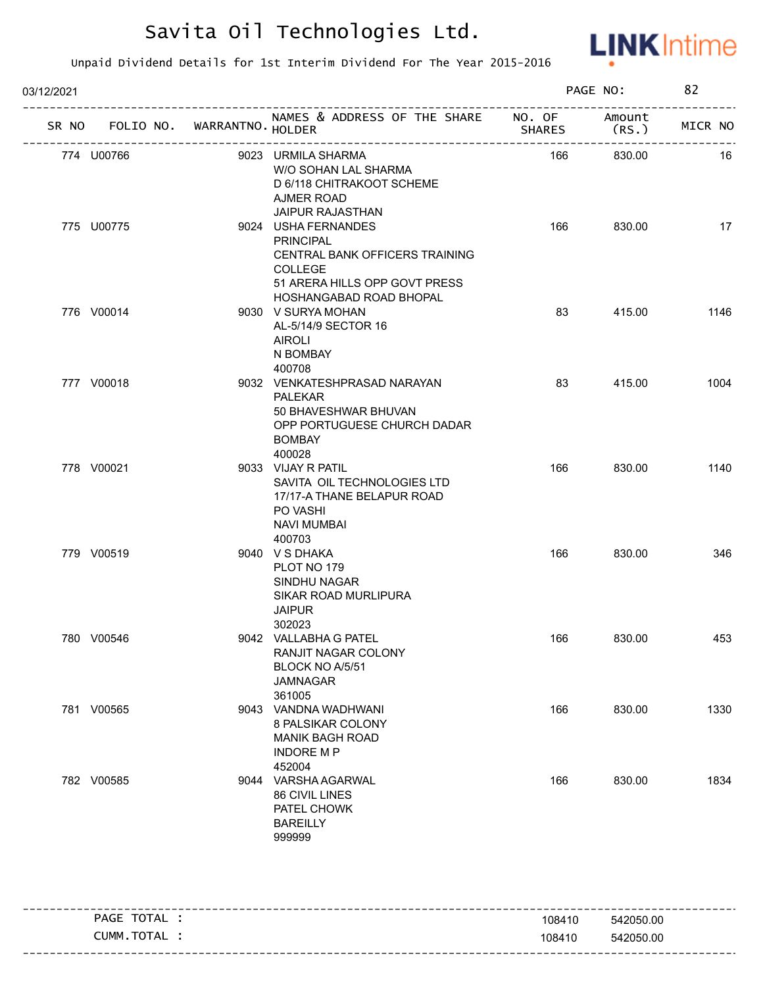

| 03/12/2021 |                                                                           |                                                                                                                                                         |        | PAGE NO:                                         | 82                      |
|------------|---------------------------------------------------------------------------|---------------------------------------------------------------------------------------------------------------------------------------------------------|--------|--------------------------------------------------|-------------------------|
|            | ------------------------------------<br>SR NO FOLIO NO. WARRANTNO. HOLDER | NAMES & ADDRESS OF THE SHARE NO. OF                                                                                                                     | SHARES | Amount<br>(RS.)<br>----------------------------- | ------------<br>MICR NO |
|            | 774 U00766                                                                | 9023 URMILA SHARMA<br>W/O SOHAN LAL SHARMA<br>D 6/118 CHITRAKOOT SCHEME<br>AJMER ROAD                                                                   | 166    | 830.00                                           | 16                      |
|            | 775 U00775                                                                | <b>JAIPUR RAJASTHAN</b><br>9024 USHA FERNANDES<br><b>PRINCIPAL</b><br>CENTRAL BANK OFFICERS TRAINING<br><b>COLLEGE</b><br>51 ARERA HILLS OPP GOVT PRESS | 166    | 830.00                                           | 17                      |
|            | 776 V00014                                                                | HOSHANGABAD ROAD BHOPAL<br>9030 V SURYA MOHAN<br>AL-5/14/9 SECTOR 16<br>AIROLI<br>N BOMBAY<br>400708                                                    | 83     | 415.00                                           | 1146                    |
|            | 777 V00018                                                                | 9032 VENKATESHPRASAD NARAYAN<br><b>PALEKAR</b><br>50 BHAVESHWAR BHUVAN<br>OPP PORTUGUESE CHURCH DADAR<br><b>BOMBAY</b><br>400028                        | 83     | 415.00                                           | 1004                    |
|            | 778 V00021                                                                | 9033 VIJAY R PATIL<br>SAVITA OIL TECHNOLOGIES LTD<br>17/17-A THANE BELAPUR ROAD<br>PO VASHI<br><b>NAVI MUMBAI</b>                                       | 166    | 830.00                                           | 1140                    |
|            | 779 V00519                                                                | 400703<br>9040 VSDHAKA<br>PLOT NO 179<br>SINDHU NAGAR<br>SIKAR ROAD MURLIPURA<br><b>JAIPUR</b><br>302023                                                | 166    | 830.00                                           | 346                     |
|            | 780 V00546                                                                | 9042 VALLABHA G PATEL<br>RANJIT NAGAR COLONY<br>BLOCK NO A/5/51<br>JAMNAGAR<br>361005                                                                   | 166    | 830.00                                           | 453                     |
|            | 781 V00565                                                                | 9043 VANDNA WADHWANI<br>8 PALSIKAR COLONY<br>MANIK BAGH ROAD<br><b>INDORE MP</b><br>452004                                                              | 166    | 830.00                                           | 1330                    |
|            | 782 V00585                                                                | 9044 VARSHA AGARWAL<br>86 CIVIL LINES<br>PATEL CHOWK<br><b>BAREILLY</b><br>999999                                                                       | 166    | 830.00                                           | 1834                    |
|            | PAGE TOTAL :                                                              |                                                                                                                                                         | 108410 | 542050.00                                        |                         |

| <b>PAGE</b> | ! ⌒∟                 | 108410 | 542050.00      |
|-------------|----------------------|--------|----------------|
|             | тот<br>CUMM.<br>TAL. | 108410 | 050.00<br>5420 |
| --------    |                      |        |                |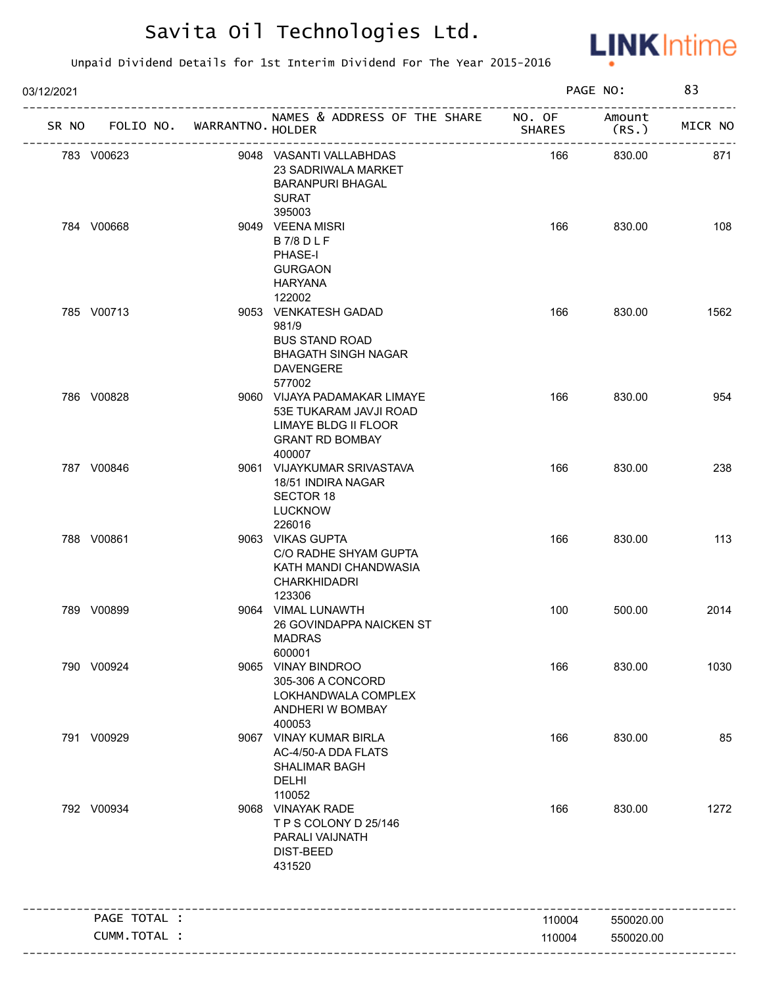

| 03/12/2021 |                                   |                                                                                                                              |               | PAGE NO:         | 83      |
|------------|-----------------------------------|------------------------------------------------------------------------------------------------------------------------------|---------------|------------------|---------|
|            | SR NO FOLIO NO. WARRANTNO. HOLDER | NAMES & ADDRESS OF THE SHARE NO. OF                                                                                          | <b>SHARES</b> | Amount<br>(RS. ) | MICR NO |
|            | 783 V00623                        | 9048 VASANTI VALLABHDAS<br>23 SADRIWALA MARKET<br><b>BARANPURI BHAGAL</b><br><b>SURAT</b>                                    | 166           | 830.00           | 871     |
|            | 784 V00668                        | 395003<br>9049 VEENA MISRI<br><b>B7/8DLF</b><br>PHASE-I<br><b>GURGAON</b><br>HARYANA                                         | 166           | 830.00           | 108     |
|            | 785 V00713                        | 122002<br>9053 VENKATESH GADAD<br>981/9<br><b>BUS STAND ROAD</b><br><b>BHAGATH SINGH NAGAR</b><br><b>DAVENGERE</b><br>577002 | 166           | 830.00           | 1562    |
|            | 786 V00828                        | 9060 VIJAYA PADAMAKAR LIMAYE<br>53E TUKARAM JAVJI ROAD<br>LIMAYE BLDG II FLOOR<br><b>GRANT RD BOMBAY</b><br>400007           | 166           | 830.00           | 954     |
|            | 787 V00846                        | 9061 VIJAYKUMAR SRIVASTAVA<br>18/51 INDIRA NAGAR<br><b>SECTOR 18</b><br><b>LUCKNOW</b><br>226016                             | 166           | 830.00           | 238     |
|            | 788 V00861                        | 9063 VIKAS GUPTA<br>C/O RADHE SHYAM GUPTA<br>KATH MANDI CHANDWASIA<br><b>CHARKHIDADRI</b><br>123306                          | 166           | 830.00           | 113     |
|            | 789 V00899                        | 9064 VIMAL LUNAWTH<br>26 GOVINDAPPA NAICKEN ST<br>MADRAS<br>600001                                                           | 100           | 500.00           | 2014    |
|            | 790 V00924                        | 9065 VINAY BINDROO<br>305-306 A CONCORD<br>LOKHANDWALA COMPLEX<br>ANDHERI W BOMBAY<br>400053                                 | 166           | 830.00           | 1030    |
|            | 791 V00929                        | 9067 VINAY KUMAR BIRLA<br>AC-4/50-A DDA FLATS<br>SHALIMAR BAGH<br><b>DELHI</b><br>110052                                     | 166           | 830.00           | 85      |
|            | 792 V00934                        | 9068 VINAYAK RADE<br>TPS COLONY D 25/146<br>PARALI VAIJNATH<br><b>DIST-BEED</b><br>431520                                    | 166           | 830.00           | 1272    |
|            | PAGE TOTAL :                      |                                                                                                                              | 110004        | 550020.00        |         |
|            | CUMM.TOTAL :                      |                                                                                                                              | 110004        | 550020.00        |         |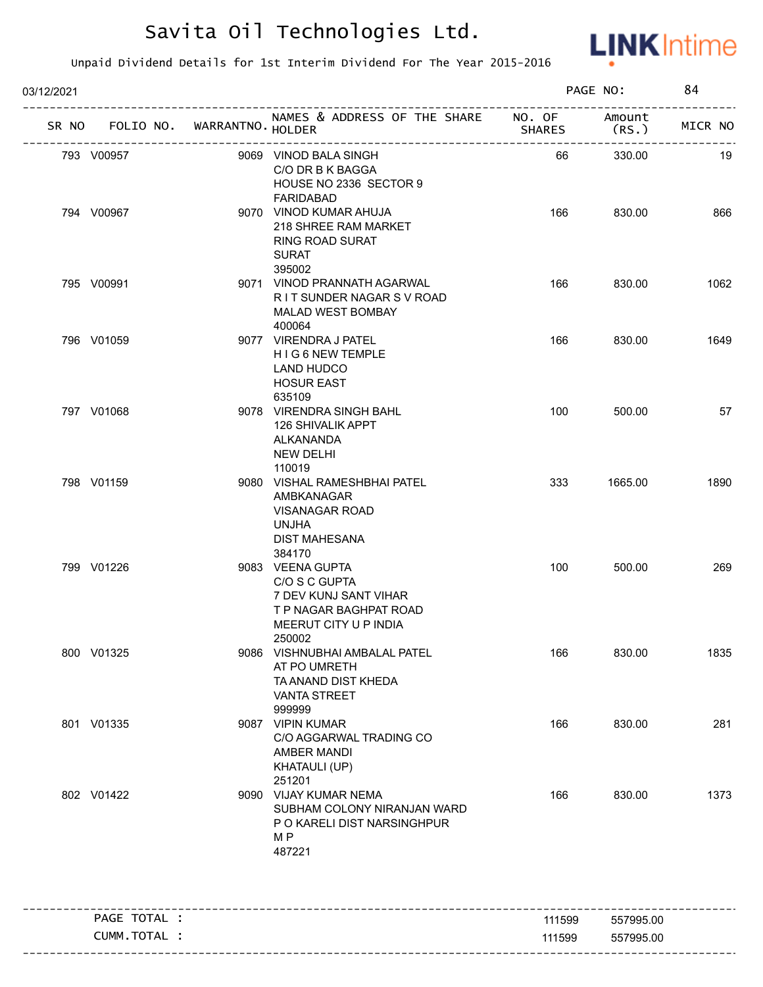

| 03/12/2021 |                                   |                                                                                                                         |        | PAGE NO:                            | 84      |
|------------|-----------------------------------|-------------------------------------------------------------------------------------------------------------------------|--------|-------------------------------------|---------|
|            | SR NO FOLIO NO. WARRANTNO. HOLDER | NAMES & ADDRESS OF THE SHARE NO. OF                                                                                     | SHARES | Amount<br>(RS.<br>----------------- | MICR NO |
|            | 793 V00957                        | 9069 VINOD BALA SINGH<br>C/O DR B K BAGGA<br>HOUSE NO 2336 SECTOR 9<br><b>FARIDABAD</b>                                 | 66     | 330.00                              | 19      |
|            | 794 V00967                        | 9070 VINOD KUMAR AHUJA<br>218 SHREE RAM MARKET<br><b>RING ROAD SURAT</b><br><b>SURAT</b><br>395002                      | 166    | 830.00                              | 866     |
|            | 795 V00991                        | 9071 VINOD PRANNATH AGARWAL<br>RIT SUNDER NAGAR SV ROAD<br>MALAD WEST BOMBAY<br>400064                                  | 166    | 830.00                              | 1062    |
|            | 796 V01059                        | 9077 VIRENDRA J PATEL<br>HIG 6 NEW TEMPLE<br><b>LAND HUDCO</b><br><b>HOSUR EAST</b><br>635109                           | 166    | 830.00                              | 1649    |
|            | 797 V01068                        | 9078 VIRENDRA SINGH BAHL<br><b>126 SHIVALIK APPT</b><br>ALKANANDA<br>NEW DELHI<br>110019                                | 100    | 500.00                              | 57      |
|            | 798 V01159                        | 9080 VISHAL RAMESHBHAI PATEL<br>AMBKANAGAR<br><b>VISANAGAR ROAD</b><br><b>UNJHA</b><br><b>DIST MAHESANA</b><br>384170   | 333    | 1665.00                             | 1890    |
|            | 799 V01226                        | 9083 VEENA GUPTA<br>C/O S C GUPTA<br>7 DEV KUNJ SANT VIHAR<br>T P NAGAR BAGHPAT ROAD<br>MEERUT CITY U P INDIA<br>250002 | 100    | 500.00                              | 269     |
|            | 800 V01325                        | 9086 VISHNUBHAI AMBALAL PATEL<br>AT PO UMRETH<br>TA ANAND DIST KHEDA<br><b>VANTA STREET</b><br>999999                   | 166    | 830.00                              | 1835    |
|            | 801 V01335                        | 9087 VIPIN KUMAR<br>C/O AGGARWAL TRADING CO<br>AMBER MANDI<br>KHATAULI (UP)<br>251201                                   | 166    | 830.00                              | 281     |
|            | 802 V01422                        | 9090 VIJAY KUMAR NEMA<br>SUBHAM COLONY NIRANJAN WARD<br>P O KARELI DIST NARSINGHPUR<br>M P<br>487221                    | 166    | 830.00                              | 1373    |
|            | PAGE TOTAL :                      |                                                                                                                         | 111599 | 557995.00                           |         |
|            | CUMM.TOTAL :                      |                                                                                                                         | 111599 | 557995.00                           |         |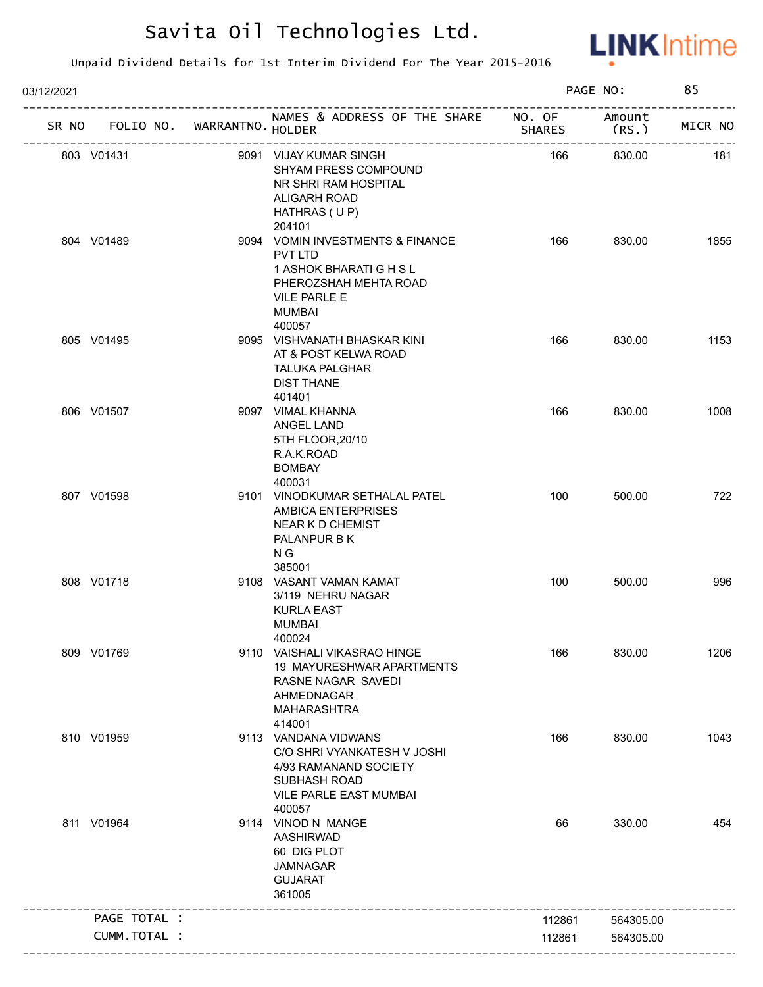

| 03/12/2021 |              |                             |                                                                                                                                                             |               | PAGE NO:        | 85      |
|------------|--------------|-----------------------------|-------------------------------------------------------------------------------------------------------------------------------------------------------------|---------------|-----------------|---------|
| SR NO      |              | FOLIO NO. WARRANTNO. HOLDER | NAMES & ADDRESS OF THE SHARE NO. OF<br>/SH<br>------------------------                                                                                      | <b>SHARES</b> | Amount<br>(RS.) | MICR NO |
|            | 803 V01431   |                             | 9091 VIJAY KUMAR SINGH<br>SHYAM PRESS COMPOUND<br>NR SHRI RAM HOSPITAL<br>ALIGARH ROAD<br>HATHRAS (UP)                                                      | 166           | 830.00          | 181     |
|            | 804 V01489   |                             | 204101<br>9094 VOMIN INVESTMENTS & FINANCE<br>PVT LTD<br>1 ASHOK BHARATI G H S L<br>PHEROZSHAH MEHTA ROAD<br><b>VILE PARLE E</b><br><b>MUMBAI</b><br>400057 | 166           | 830.00          | 1855    |
|            | 805 V01495   |                             | 9095 VISHVANATH BHASKAR KINI<br>AT & POST KELWA ROAD<br><b>TALUKA PALGHAR</b><br><b>DIST THANE</b><br>401401                                                | 166           | 830.00          | 1153    |
|            | 806 V01507   |                             | 9097 VIMAL KHANNA<br>ANGEL LAND<br>5TH FLOOR, 20/10<br>R.A.K.ROAD<br><b>BOMBAY</b><br>400031                                                                | 166           | 830.00          | 1008    |
|            | 807 V01598   |                             | 9101 VINODKUMAR SETHALAL PATEL<br><b>AMBICA ENTERPRISES</b><br>NEAR K D CHEMIST<br>PALANPUR B K<br>N G<br>385001                                            | 100           | 500.00          | 722     |
|            | 808 V01718   |                             | 9108 VASANT VAMAN KAMAT<br>3/119 NEHRU NAGAR<br><b>KURLA EAST</b><br><b>MUMBAI</b><br>400024                                                                | 100           | 500.00          | 996     |
|            | 809 V01769   |                             | 9110 VAISHALI VIKASRAO HINGE<br>19 MAYURESHWAR APARTMENTS<br>RASNE NAGAR SAVEDI<br>AHMEDNAGAR<br><b>MAHARASHTRA</b><br>414001                               | 166           | 830.00          | 1206    |
|            | 810 V01959   |                             | 9113 VANDANA VIDWANS<br>C/O SHRI VYANKATESH V JOSHI<br>4/93 RAMANAND SOCIETY<br><b>SUBHASH ROAD</b><br>VILE PARLE EAST MUMBAI<br>400057                     | 166           | 830.00          | 1043    |
|            | 811 V01964   |                             | 9114 VINOD N MANGE<br>AASHIRWAD<br>60 DIG PLOT<br><b>JAMNAGAR</b><br><b>GUJARAT</b><br>361005                                                               | 66            | 330.00          | 454     |
|            | PAGE TOTAL : |                             |                                                                                                                                                             | 112861        | 564305.00       |         |
|            | CUMM.TOTAL : |                             |                                                                                                                                                             | 112861        | 564305.00       |         |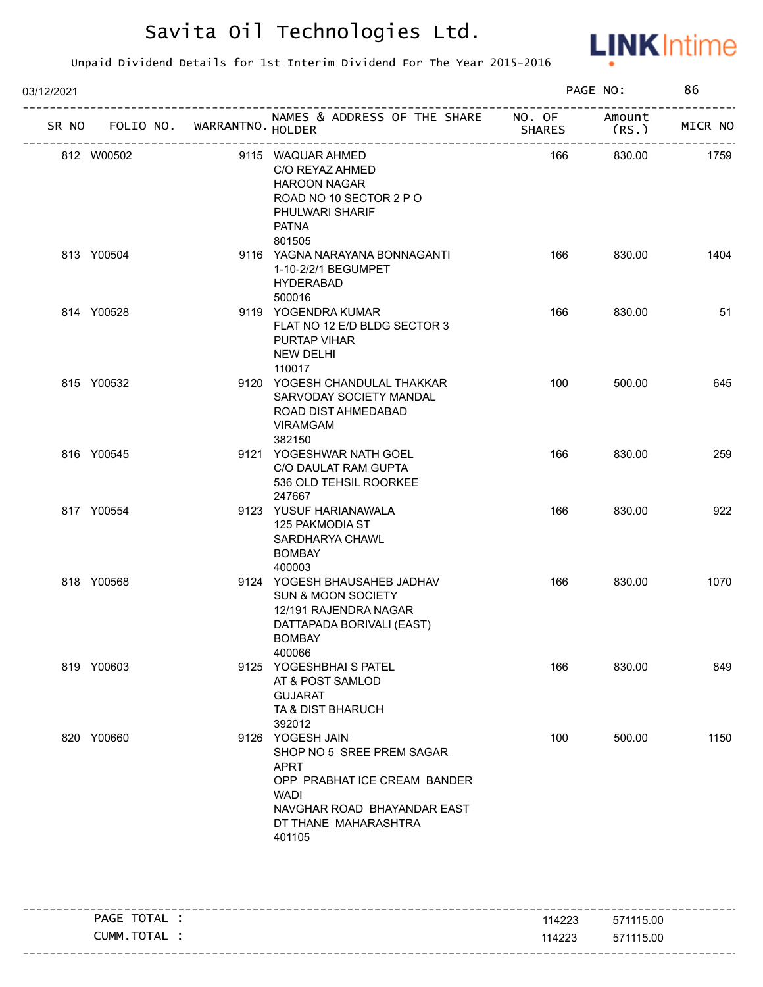

| 03/12/2021 |                                   |  |                                                                                                                                                                              |               | PAGE NO:<br>86  |         |
|------------|-----------------------------------|--|------------------------------------------------------------------------------------------------------------------------------------------------------------------------------|---------------|-----------------|---------|
|            | SR NO FOLIO NO. WARRANTNO. HOLDER |  | NAMES & ADDRESS OF THE SHARE NO. OF                                                                                                                                          | <b>SHARES</b> | Amount<br>(RS.) | MICR NO |
|            | 812 W00502                        |  | 9115 WAQUAR AHMED<br>C/O REYAZ AHMED<br><b>HAROON NAGAR</b><br>ROAD NO 10 SECTOR 2 P O<br>PHULWARI SHARIF<br><b>PATNA</b><br>801505                                          | 166           | 830.00          | 1759    |
|            | 813 Y00504                        |  | 9116 YAGNA NARAYANA BONNAGANTI<br>1-10-2/2/1 BEGUMPET<br><b>HYDERABAD</b><br>500016                                                                                          | 166           | 830.00          | 1404    |
|            | 814 Y00528                        |  | 9119 YOGENDRA KUMAR<br>FLAT NO 12 E/D BLDG SECTOR 3<br>PURTAP VIHAR<br><b>NEW DELHI</b><br>110017                                                                            | 166           | 830.00          | 51      |
|            | 815 Y00532                        |  | 9120 YOGESH CHANDULAL THAKKAR<br>SARVODAY SOCIETY MANDAL<br>ROAD DIST AHMEDABAD<br><b>VIRAMGAM</b><br>382150                                                                 | 100           | 500.00          | 645     |
|            | 816 Y00545                        |  | 9121 YOGESHWAR NATH GOEL<br>C/O DAULAT RAM GUPTA<br>536 OLD TEHSIL ROORKEE<br>247667                                                                                         | 166           | 830.00          | 259     |
|            | 817 Y00554                        |  | 9123 YUSUF HARIANAWALA<br>125 PAKMODIA ST<br>SARDHARYA CHAWL<br><b>BOMBAY</b><br>400003                                                                                      | 166           | 830.00          | 922     |
|            | 818 Y00568                        |  | 9124 YOGESH BHAUSAHEB JADHAV<br><b>SUN &amp; MOON SOCIETY</b><br>12/191 RAJENDRA NAGAR<br>DATTAPADA BORIVALI (EAST)<br>BOMBAY<br>400066                                      | 166           | 830.00          | 1070    |
|            | 819 Y00603                        |  | 9125 YOGESHBHAI S PATEL<br>AT & POST SAMLOD<br><b>GUJARAT</b><br>TA & DIST BHARUCH<br>392012                                                                                 | 166           | 830.00          | 849     |
|            | 820 Y00660                        |  | 9126 YOGESH JAIN<br>SHOP NO 5 SREE PREM SAGAR<br><b>APRT</b><br>OPP PRABHAT ICE CREAM BANDER<br><b>WADI</b><br>NAVGHAR ROAD BHAYANDAR EAST<br>DT THANE MAHARASHTRA<br>401105 | 100           | 500.00          | 1150    |

| PAGE TOTAL | 114223 | 571115.00 |
|------------|--------|-----------|
| CUMM.TOTAL | 114223 | 571115.00 |
|            |        |           |